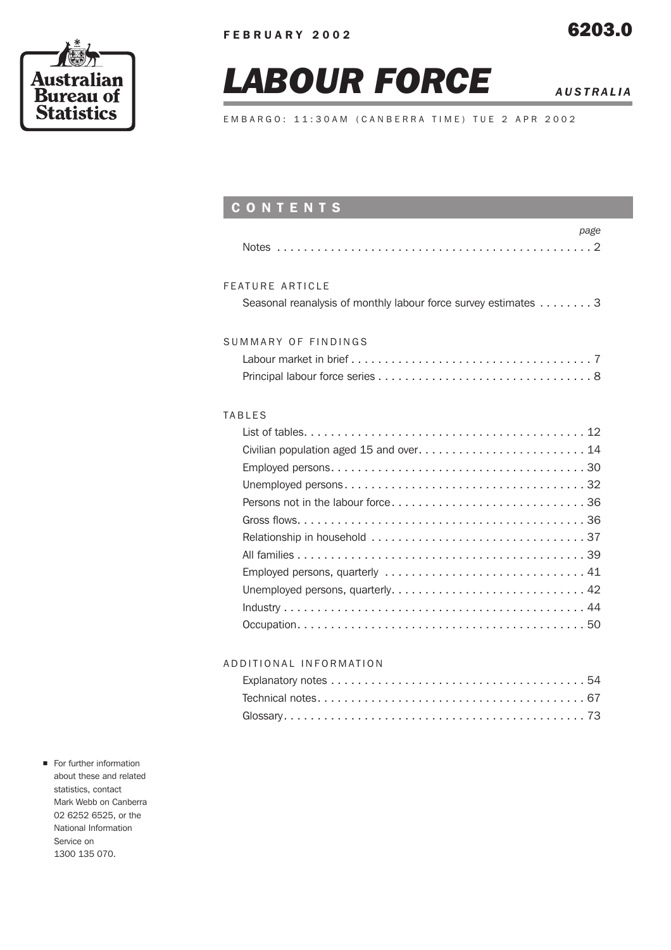

# *LABOUR FORCE AUSTRALIA*

EMBARGO: 11:30AM (CANBERRA TIME) TUE 2 APR 2002

# CONTENTS

| page                                                                              |
|-----------------------------------------------------------------------------------|
| FFATURE ARTICLE<br>Seasonal reanalysis of monthly labour force survey estimates 3 |
| SUMMARY OF FINDINGS                                                               |
| TABIFS<br>Employed persons, quarterly  41                                         |

# ADDITIONAL INFORMATION

For further information about these and related statistics, contact Mark Webb on Canberra 02 6252 6525, or the National Information Service on 1300 135 070.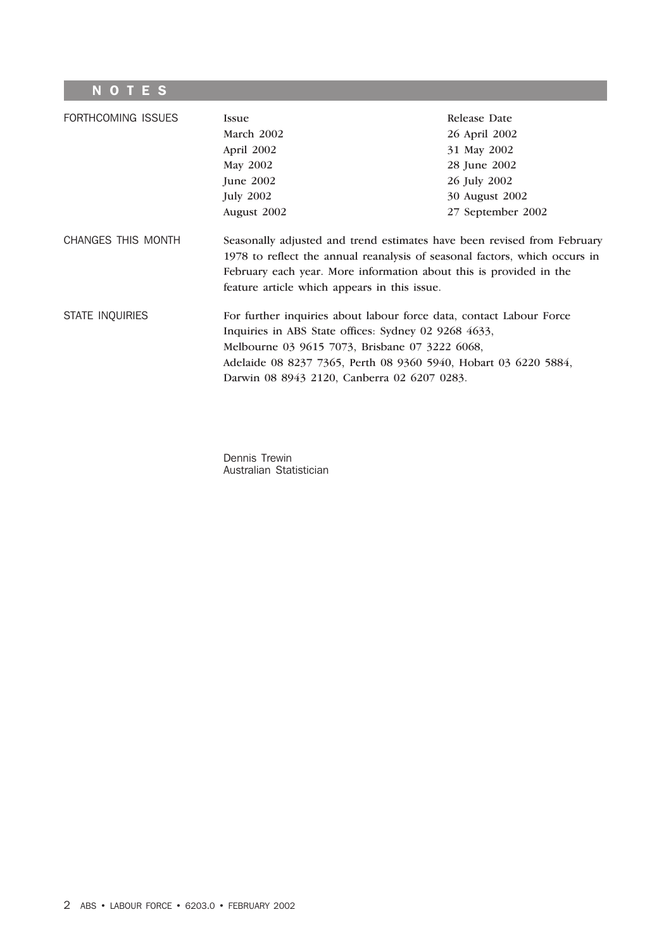# **NOTES**

| FORTHCOMING ISSUES | <b>Issue</b>                                                                                                                                                                                                                                                                                    | Release Date      |  |  |  |  |  |
|--------------------|-------------------------------------------------------------------------------------------------------------------------------------------------------------------------------------------------------------------------------------------------------------------------------------------------|-------------------|--|--|--|--|--|
|                    | March 2002                                                                                                                                                                                                                                                                                      | 26 April 2002     |  |  |  |  |  |
|                    | April 2002                                                                                                                                                                                                                                                                                      | 31 May 2002       |  |  |  |  |  |
|                    | May 2002                                                                                                                                                                                                                                                                                        | 28 June 2002      |  |  |  |  |  |
|                    | June $2002$                                                                                                                                                                                                                                                                                     | 26 July 2002      |  |  |  |  |  |
|                    | <b>July 2002</b>                                                                                                                                                                                                                                                                                | 30 August 2002    |  |  |  |  |  |
|                    | August 2002                                                                                                                                                                                                                                                                                     | 27 September 2002 |  |  |  |  |  |
| CHANGES THIS MONTH | Seasonally adjusted and trend estimates have been revised from February<br>1978 to reflect the annual reanalysis of seasonal factors, which occurs in                                                                                                                                           |                   |  |  |  |  |  |
|                    | February each year. More information about this is provided in the<br>feature article which appears in this issue.                                                                                                                                                                              |                   |  |  |  |  |  |
| STATE INQUIRIES    | For further inquiries about labour force data, contact Labour Force<br>Inquiries in ABS State offices: Sydney 02 9268 4633,<br>Melbourne 03 9615 7073, Brisbane 07 3222 6068,<br>Adelaide 08 8237 7365, Perth 08 9360 5940, Hobart 03 6220 5884,<br>Darwin 08 8943 2120, Canberra 02 6207 0283. |                   |  |  |  |  |  |

Dennis Trewin Australian Statistician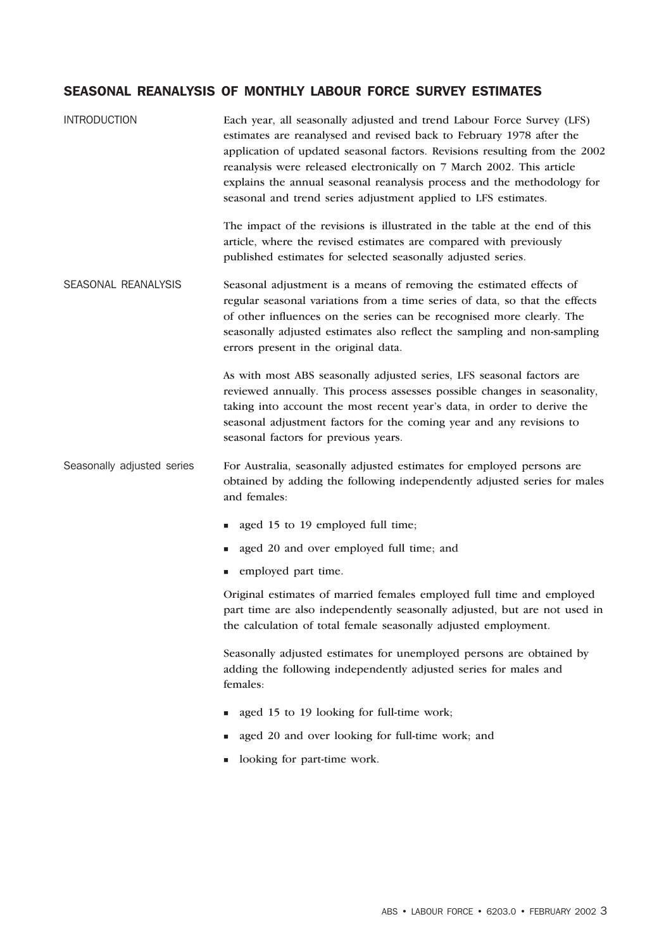# SEASONAL REANALYSIS OF MONTHLY LABOUR FORCE SURVEY ESTIMATES

| <b>INTRODUCTION</b>        | Each year, all seasonally adjusted and trend Labour Force Survey (LFS)<br>estimates are reanalysed and revised back to February 1978 after the<br>application of updated seasonal factors. Revisions resulting from the 2002<br>reanalysis were released electronically on 7 March 2002. This article<br>explains the annual seasonal reanalysis process and the methodology for<br>seasonal and trend series adjustment applied to LFS estimates. |  |  |  |  |  |  |
|----------------------------|----------------------------------------------------------------------------------------------------------------------------------------------------------------------------------------------------------------------------------------------------------------------------------------------------------------------------------------------------------------------------------------------------------------------------------------------------|--|--|--|--|--|--|
|                            | The impact of the revisions is illustrated in the table at the end of this<br>article, where the revised estimates are compared with previously<br>published estimates for selected seasonally adjusted series.                                                                                                                                                                                                                                    |  |  |  |  |  |  |
| SEASONAL REANALYSIS        | Seasonal adjustment is a means of removing the estimated effects of<br>regular seasonal variations from a time series of data, so that the effects<br>of other influences on the series can be recognised more clearly. The<br>seasonally adjusted estimates also reflect the sampling and non-sampling<br>errors present in the original data.                                                                                                    |  |  |  |  |  |  |
|                            | As with most ABS seasonally adjusted series, LFS seasonal factors are<br>reviewed annually. This process assesses possible changes in seasonality,<br>taking into account the most recent year's data, in order to derive the<br>seasonal adjustment factors for the coming year and any revisions to<br>seasonal factors for previous years.                                                                                                      |  |  |  |  |  |  |
| Seasonally adjusted series | For Australia, seasonally adjusted estimates for employed persons are<br>obtained by adding the following independently adjusted series for males<br>and females:                                                                                                                                                                                                                                                                                  |  |  |  |  |  |  |
|                            | aged 15 to 19 employed full time;                                                                                                                                                                                                                                                                                                                                                                                                                  |  |  |  |  |  |  |
|                            | aged 20 and over employed full time; and                                                                                                                                                                                                                                                                                                                                                                                                           |  |  |  |  |  |  |
|                            | employed part time.                                                                                                                                                                                                                                                                                                                                                                                                                                |  |  |  |  |  |  |
|                            | Original estimates of married females employed full time and employed<br>part time are also independently seasonally adjusted, but are not used in<br>the calculation of total female seasonally adjusted employment.                                                                                                                                                                                                                              |  |  |  |  |  |  |
|                            | Seasonally adjusted estimates for unemployed persons are obtained by<br>adding the following independently adjusted series for males and<br>females:                                                                                                                                                                                                                                                                                               |  |  |  |  |  |  |
|                            | aged 15 to 19 looking for full-time work;                                                                                                                                                                                                                                                                                                                                                                                                          |  |  |  |  |  |  |
|                            | aged 20 and over looking for full-time work; and                                                                                                                                                                                                                                                                                                                                                                                                   |  |  |  |  |  |  |
|                            | looking for part-time work.                                                                                                                                                                                                                                                                                                                                                                                                                        |  |  |  |  |  |  |
|                            |                                                                                                                                                                                                                                                                                                                                                                                                                                                    |  |  |  |  |  |  |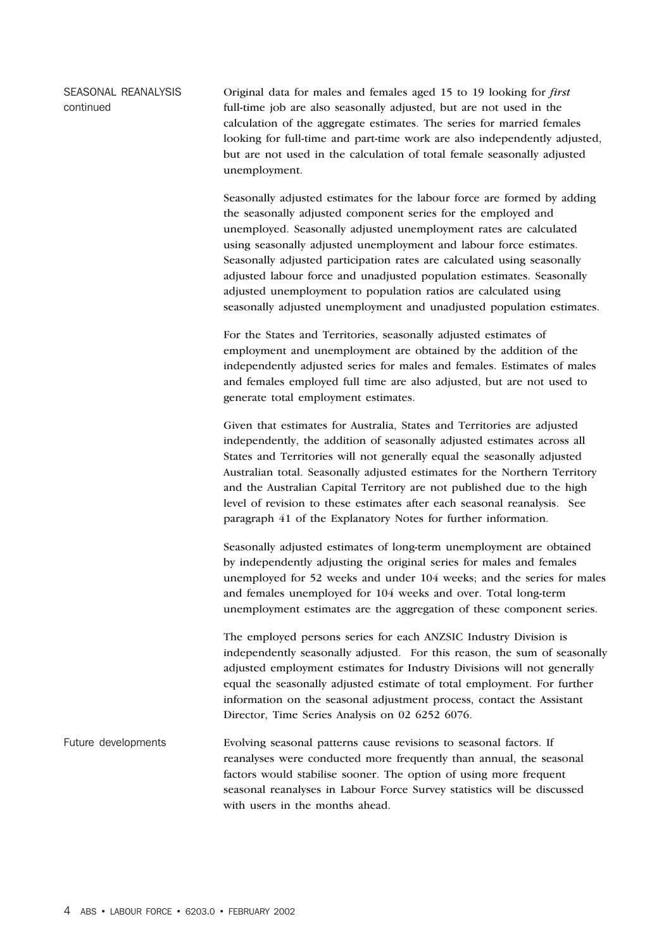SEASONAL REANALYSIS continued Original data for males and females aged 15 to 19 looking for *first* full-time job are also seasonally adjusted, but are not used in the calculation of the aggregate estimates. The series for married females looking for full-time and part-time work are also independently adjusted, but are not used in the calculation of total female seasonally adjusted unemployment.

> Seasonally adjusted estimates for the labour force are formed by adding the seasonally adjusted component series for the employed and unemployed. Seasonally adjusted unemployment rates are calculated using seasonally adjusted unemployment and labour force estimates. Seasonally adjusted participation rates are calculated using seasonally adjusted labour force and unadjusted population estimates. Seasonally adjusted unemployment to population ratios are calculated using seasonally adjusted unemployment and unadjusted population estimates.

> For the States and Territories, seasonally adjusted estimates of employment and unemployment are obtained by the addition of the independently adjusted series for males and females. Estimates of males and females employed full time are also adjusted, but are not used to generate total employment estimates.

> Given that estimates for Australia, States and Territories are adjusted independently, the addition of seasonally adjusted estimates across all States and Territories will not generally equal the seasonally adjusted Australian total. Seasonally adjusted estimates for the Northern Territory and the Australian Capital Territory are not published due to the high level of revision to these estimates after each seasonal reanalysis. See paragraph 41 of the Explanatory Notes for further information.

Seasonally adjusted estimates of long-term unemployment are obtained by independently adjusting the original series for males and females unemployed for 52 weeks and under 104 weeks; and the series for males and females unemployed for 104 weeks and over. Total long-term unemployment estimates are the aggregation of these component series.

The employed persons series for each ANZSIC Industry Division is independently seasonally adjusted. For this reason, the sum of seasonally adjusted employment estimates for Industry Divisions will not generally equal the seasonally adjusted estimate of total employment. For further information on the seasonal adjustment process, contact the Assistant Director, Time Series Analysis on 02 6252 6076.

Future developments Evolving seasonal patterns cause revisions to seasonal factors. If reanalyses were conducted more frequently than annual, the seasonal factors would stabilise sooner. The option of using more frequent seasonal reanalyses in Labour Force Survey statistics will be discussed with users in the months ahead.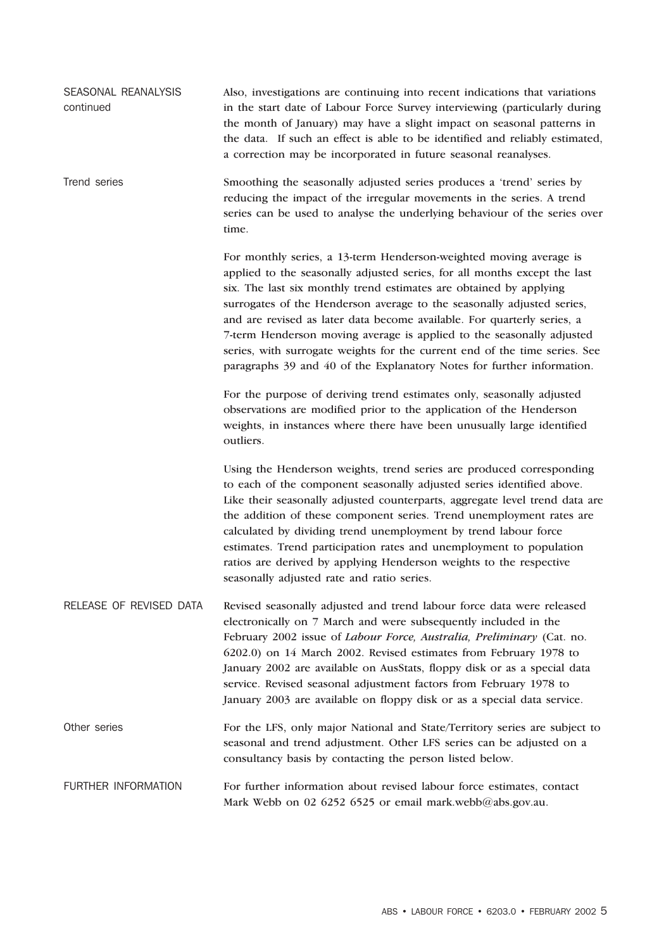| SEASONAL REANALYSIS<br>continued | Also, investigations are continuing into recent indications that variations<br>in the start date of Labour Force Survey interviewing (particularly during<br>the month of January) may have a slight impact on seasonal patterns in<br>the data. If such an effect is able to be identified and reliably estimated,<br>a correction may be incorporated in future seasonal reanalyses.                                                                                                                                                                                                                      |
|----------------------------------|-------------------------------------------------------------------------------------------------------------------------------------------------------------------------------------------------------------------------------------------------------------------------------------------------------------------------------------------------------------------------------------------------------------------------------------------------------------------------------------------------------------------------------------------------------------------------------------------------------------|
| Trend series                     | Smoothing the seasonally adjusted series produces a 'trend' series by<br>reducing the impact of the irregular movements in the series. A trend<br>series can be used to analyse the underlying behaviour of the series over<br>time.                                                                                                                                                                                                                                                                                                                                                                        |
|                                  | For monthly series, a 13-term Henderson-weighted moving average is<br>applied to the seasonally adjusted series, for all months except the last<br>six. The last six monthly trend estimates are obtained by applying<br>surrogates of the Henderson average to the seasonally adjusted series,<br>and are revised as later data become available. For quarterly series, a<br>7-term Henderson moving average is applied to the seasonally adjusted<br>series, with surrogate weights for the current end of the time series. See<br>paragraphs 39 and 40 of the Explanatory Notes for further information. |
|                                  | For the purpose of deriving trend estimates only, seasonally adjusted<br>observations are modified prior to the application of the Henderson<br>weights, in instances where there have been unusually large identified<br>outliers.                                                                                                                                                                                                                                                                                                                                                                         |
|                                  | Using the Henderson weights, trend series are produced corresponding<br>to each of the component seasonally adjusted series identified above.<br>Like their seasonally adjusted counterparts, aggregate level trend data are<br>the addition of these component series. Trend unemployment rates are<br>calculated by dividing trend unemployment by trend labour force<br>estimates. Trend participation rates and unemployment to population<br>ratios are derived by applying Henderson weights to the respective<br>seasonally adjusted rate and ratio series.                                          |
| RELEASE OF REVISED DATA          | Revised seasonally adjusted and trend labour force data were released<br>electronically on 7 March and were subsequently included in the<br>February 2002 issue of Labour Force, Australia, Preliminary (Cat. no.<br>6202.0) on 14 March 2002. Revised estimates from February 1978 to<br>January 2002 are available on AusStats, floppy disk or as a special data<br>service. Revised seasonal adjustment factors from February 1978 to<br>January 2003 are available on floppy disk or as a special data service.                                                                                         |
| Other series                     | For the LFS, only major National and State/Territory series are subject to<br>seasonal and trend adjustment. Other LFS series can be adjusted on a<br>consultancy basis by contacting the person listed below.                                                                                                                                                                                                                                                                                                                                                                                              |
| <b>FURTHER INFORMATION</b>       | For further information about revised labour force estimates, contact<br>Mark Webb on 02 6252 6525 or email mark.webb@abs.gov.au.                                                                                                                                                                                                                                                                                                                                                                                                                                                                           |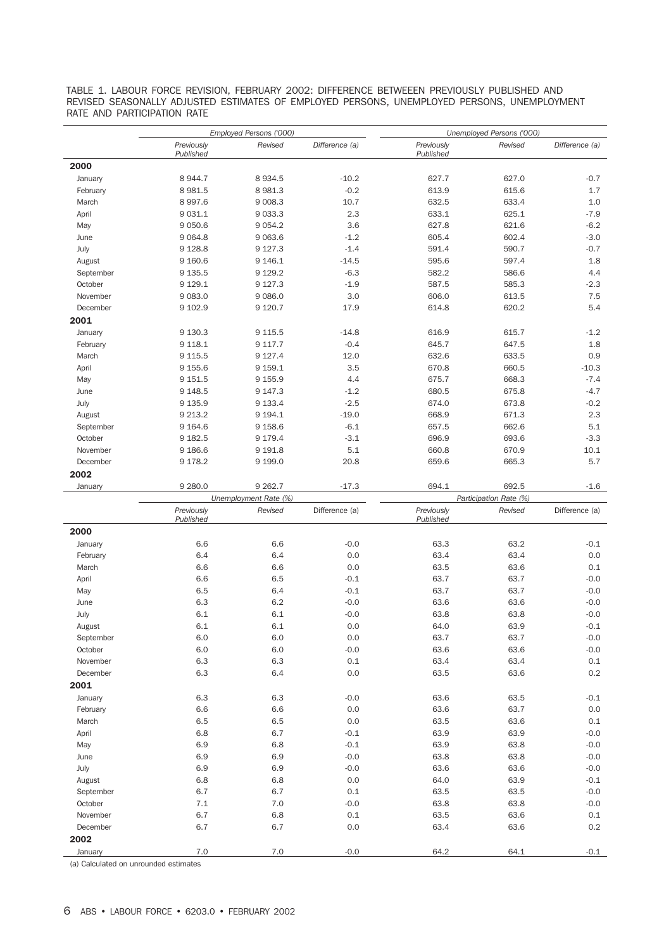TABLE 1. LABOUR FORCE REVISION, FEBRUARY 2002: DIFFERENCE BETWEEEN PREVIOUSLY PUBLISHED AND REVISED SEASONALLY ADJUSTED ESTIMATES OF EMPLOYED PERSONS, UNEMPLOYED PERSONS, UNEMPLOYMENT RATE AND PARTICIPATION RATE

|           |                         | Employed Persons ('000)            |                | Unemployed Persons ('000) |                                 |                |  |  |  |
|-----------|-------------------------|------------------------------------|----------------|---------------------------|---------------------------------|----------------|--|--|--|
|           | Previously<br>Published | Revised                            | Difference (a) | Previously<br>Published   | Revised                         | Difference (a) |  |  |  |
| 2000      |                         |                                    |                |                           |                                 |                |  |  |  |
| January   | 8 944.7                 | 8 9 3 4.5                          | $-10.2$        | 627.7                     | 627.0                           | $-0.7$         |  |  |  |
| February  | 8 9 8 1.5               | 8 9 8 1.3                          | $-0.2$         | 613.9                     | 615.6                           | 1.7            |  |  |  |
| March     | 8 9 9 7.6               | 9 0 0 8.3                          | 10.7           | 632.5                     | 633.4                           | 1.0            |  |  |  |
| April     | 9 0 3 1.1               | 9 0 3 3.3                          | 2.3            | 633.1                     | 625.1                           | $-7.9$         |  |  |  |
| May       | 9 0 5 0.6               | 9 0 5 4.2                          | 3.6            | 627.8                     | 621.6                           | $-6.2$         |  |  |  |
| June      | 9 0 6 4.8               | 9 0 63.6                           | $-1.2$         | 605.4                     | 602.4                           | $-3.0$         |  |  |  |
| July      | 9 1 28.8                | 9 1 2 7 . 3                        | $-1.4$         | 591.4                     | 590.7                           | $-0.7$         |  |  |  |
| August    | 9 160.6                 | 9 146.1                            | $-14.5$        | 595.6                     | 597.4                           | 1.8            |  |  |  |
| September | 9 135.5                 | 9 1 2 9 . 2                        | $-6.3$         | 582.2                     | 586.6                           | 4.4            |  |  |  |
| October   | 9 1 2 9 . 1             | 9 1 2 7 . 3                        | $-1.9$         | 587.5                     | 585.3                           | $-2.3$         |  |  |  |
| November  | 9 0 8 3.0               | 9 0 86.0                           | 3.0            | 606.0                     | 613.5                           | 7.5            |  |  |  |
| December  | 9 102.9                 | 9 1 2 0.7                          | 17.9           | 614.8                     | 620.2                           | 5.4            |  |  |  |
| 2001      |                         |                                    |                |                           |                                 |                |  |  |  |
| January   | 9 130.3                 | 9 1 1 5 .5                         | $-14.8$        | 616.9                     | 615.7                           | $-1.2$         |  |  |  |
| February  | 9 118.1                 | 9 1 1 7.7                          | $-0.4$         | 645.7                     | 647.5                           | 1.8            |  |  |  |
| March     | 9 1 1 5.5               | 9 1 2 7 . 4                        | 12.0           | 632.6                     | 633.5                           | 0.9            |  |  |  |
| April     | 9 155.6                 | 9 159.1                            | 3.5            | 670.8                     | 660.5                           | $-10.3$        |  |  |  |
| May       | 9 151.5                 | 9 1 5 5.9                          | 4.4            | 675.7                     | 668.3                           | $-7.4$         |  |  |  |
| June      | 9 1 48.5                | 9 147.3                            | $-1.2$         | 680.5                     | 675.8                           | $-4.7$         |  |  |  |
| July      | 9 135.9                 | 9 1 3 3.4                          | $-2.5$         | 674.0                     | 673.8                           | $-0.2$         |  |  |  |
| August    | 9 213.2                 | 9 1 9 4 . 1                        | $-19.0$        | 668.9                     | 671.3                           | 2.3            |  |  |  |
| September | 9 1 64.6                | 9 1 5 8.6                          | $-6.1$         | 657.5                     | 662.6                           | 5.1            |  |  |  |
| October   | 9 182.5                 | 9 1 7 9 . 4                        | $-3.1$         | 696.9                     | 693.6                           | $-3.3$         |  |  |  |
| November  | 9 186.6                 | 9 1 9 1.8                          | 5.1            | 660.8                     | 670.9                           | 10.1           |  |  |  |
| December  | 9 178.2                 | 9 1 9 9.0                          | 20.8           | 659.6                     | 665.3                           | 5.7            |  |  |  |
| 2002      |                         |                                    |                |                           |                                 |                |  |  |  |
|           |                         |                                    |                |                           |                                 |                |  |  |  |
| January   | 9 2 8 0.0               | 9 2 6 2.7<br>Unemployment Rate (%) | $-17.3$        | 694.1                     | 692.5<br>Participation Rate (%) | -1.6           |  |  |  |
|           | Previously              | Revised                            | Difference (a) | Previously                | Revised                         | Difference (a) |  |  |  |
|           | Published               |                                    |                | Published                 |                                 |                |  |  |  |
| 2000      |                         |                                    |                |                           |                                 |                |  |  |  |
| January   | 6.6                     | 6.6                                | $-0.0$         | 63.3                      | 63.2                            | $-0.1$         |  |  |  |
| February  | 6.4                     | 6.4                                | 0.0            | 63.4                      | 63.4                            | 0.0            |  |  |  |
| March     | 6.6                     | 6.6                                | 0.0            | 63.5                      | 63.6                            | 0.1            |  |  |  |
| April     | 6.6                     | 6.5                                | $-0.1$         | 63.7                      | 63.7                            | $-0.0$         |  |  |  |
| May       | 6.5                     | 6.4                                | $-0.1$         | 63.7                      | 63.7                            | $-0.0$         |  |  |  |
| June      | 6.3                     | 6.2                                | $-0.0$         | 63.6                      | 63.6                            | $-0.0$         |  |  |  |
| July      | 6.1                     | 6.1                                | $-0.0$         | 63.8                      | 63.8                            | $-0.0$         |  |  |  |
| August    | 6.1                     | 6.1                                | $0.0\,$        | 64.0                      | 63.9                            | $-0.1$         |  |  |  |
| September | 6.0                     | 6.0                                | 0.0            | 63.7                      | 63.7                            | $-0.0$         |  |  |  |
| October   | 6.0                     | 6.0                                | $-0.0$         | 63.6                      | 63.6                            | $-0.0$         |  |  |  |
| November  | 6.3                     | 6.3                                | $0.1\,$        | 63.4                      | 63.4                            | 0.1            |  |  |  |
| December  | 6.3                     | 6.4                                | 0.0            | 63.5                      | 63.6                            | 0.2            |  |  |  |
| 2001      |                         |                                    |                |                           |                                 |                |  |  |  |
| January   | 6.3                     | 6.3                                | $-0.0$         | 63.6                      | 63.5                            | $-0.1$         |  |  |  |
| February  | 6.6                     | 6.6                                | 0.0            | 63.6                      | 63.7                            | 0.0            |  |  |  |
| March     | 6.5                     | 6.5                                | 0.0            | 63.5                      | 63.6                            | 0.1            |  |  |  |
| April     | 6.8                     | 6.7                                | $-0.1$         | 63.9                      | 63.9                            | $-0.0$         |  |  |  |
| May       | 6.9                     | 6.8                                | $-0.1$         | 63.9                      | 63.8                            | $-0.0$         |  |  |  |
| June      | 6.9                     | 6.9                                | $-0.0$         | 63.8                      | 63.8                            | $-0.0$         |  |  |  |
| July      | 6.9                     | 6.9                                | $-0.0$         | 63.6                      | 63.6                            | $-0.0$         |  |  |  |
| August    | 6.8                     | 6.8                                | 0.0            | 64.0                      | 63.9                            | $-0.1$         |  |  |  |
| September | 6.7                     | 6.7                                | 0.1            | 63.5                      | 63.5                            | $-0.0$         |  |  |  |
| October   | 7.1                     | 7.0                                | $-0.0$         | 63.8                      | 63.8                            | $-0.0$         |  |  |  |
| November  | 6.7                     | 6.8                                | $0.1\,$        | 63.5                      | 63.6                            | 0.1            |  |  |  |
| December  | 6.7                     | 6.7                                | 0.0            | 63.4                      | 63.6                            | 0.2            |  |  |  |
| 2002      |                         |                                    |                |                           |                                 |                |  |  |  |
| January   | 7.0                     | 7.0                                | $-0.0$         | 64.2                      | 64.1                            | $-0.1$         |  |  |  |

(a) Calculated on unrounded estimates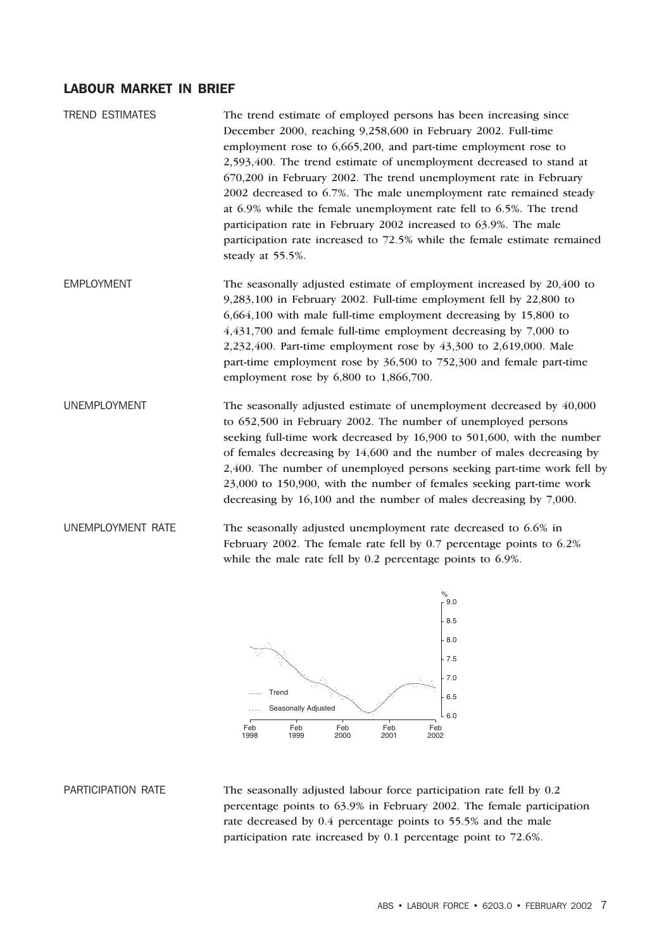# LABOUR MARKET IN BRIEF

| <b>TREND ESTIMATES</b> | The trend estimate of employed persons has been increasing since                             |
|------------------------|----------------------------------------------------------------------------------------------|
|                        | December 2000, reaching 9,258,600 in February 2002. Full-time                                |
|                        | employment rose to 6,665,200, and part-time employment rose to                               |
|                        | 2,593,400. The trend estimate of unemployment decreased to stand at                          |
|                        | 670,200 in February 2002. The trend unemployment rate in February                            |
|                        | 2002 decreased to 6.7%. The male unemployment rate remained steady                           |
|                        | at 6.9% while the female unemployment rate fell to 6.5%. The trend                           |
|                        | participation rate in February 2002 increased to 63.9%. The male                             |
|                        | participation rate increased to 72.5% while the female estimate remained<br>steady at 55.5%. |
| <b>EMPLOYMENT</b>      | The seasonally adjusted estimate of employment increased by 20,400 to                        |
|                        | 9,283,100 in February 2002. Full-time employment fell by 22,800 to                           |
|                        | 6,664,100 with male full-time employment decreasing by 15,800 to                             |
|                        | $4,431,700$ and female full-time employment decreasing by $7,000$ to                         |
|                        | 2,232,400. Part-time employment rose by 43,300 to 2,619,000. Male                            |
|                        | part-time employment rose by 36,500 to 752,300 and female part-time                          |
|                        | employment rose by $6,800$ to $1,866,700$ .                                                  |
| <b>UNEMPLOYMENT</b>    | The seasonally adjusted estimate of unemployment decreased by 40,000                         |
|                        | to 652,500 in February 2002. The number of unemployed persons                                |
|                        | seeking full-time work decreased by 16,900 to 501,600, with the number                       |
|                        | of females decreasing by 14,600 and the number of males decreasing by                        |
|                        | 2,400. The number of unemployed persons seeking part-time work fell by                       |
|                        | 23,000 to 150,900, with the number of females seeking part-time work                         |
|                        | decreasing by 16,100 and the number of males decreasing by 7,000.                            |
| UNEMPLOYMENT RATE      | The seasonally adjusted unemployment rate decreased to 6.6% in                               |
|                        | February 2002. The female rate fell by 0.7 percentage points to 6.2%                         |



PARTICIPATION RATE The seasonally adjusted labour force participation rate fell by 0.2 percentage points to 63.9% in February 2002. The female participation rate decreased by 0.4 percentage points to 55.5% and the male participation rate increased by 0.1 percentage point to 72.6%.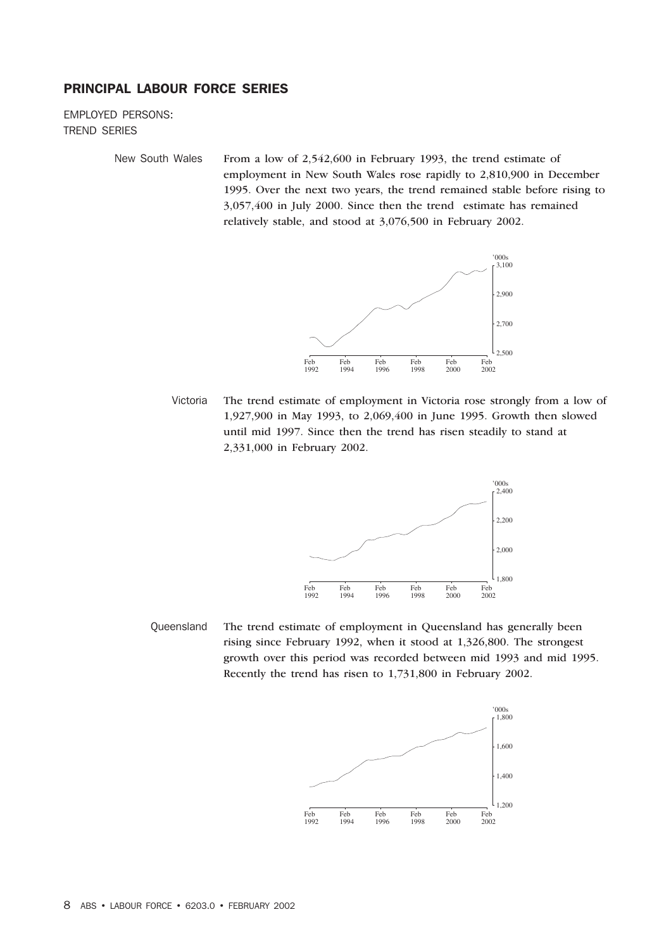# PRINCIPAL LABOUR FORCE SERIES

EMPLOYED PERSONS: TREND SERIES

New South Wales From a low of 2,542,600 in February 1993, the trend estimate of employment in New South Wales rose rapidly to 2,810,900 in December 1995. Over the next two years, the trend remained stable before rising to 3,057,400 in July 2000. Since then the trend estimate has remained relatively stable, and stood at 3,076,500 in February 2002.



Victoria The trend estimate of employment in Victoria rose strongly from a low of 1,927,900 in May 1993, to 2,069,400 in June 1995. Growth then slowed until mid 1997. Since then the trend has risen steadily to stand at 2,331,000 in February 2002.



Queensland The trend estimate of employment in Queensland has generally been rising since February 1992, when it stood at 1,326,800. The strongest growth over this period was recorded between mid 1993 and mid 1995. Recently the trend has risen to 1,731,800 in February 2002.

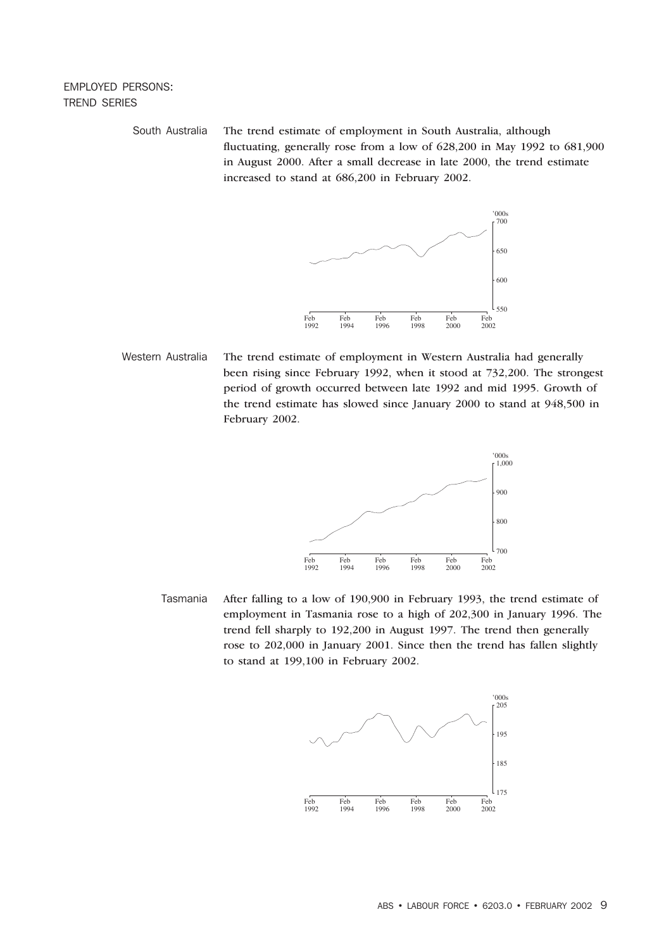# EMPLOYED PERSONS: TREND SERIES

South Australia The trend estimate of employment in South Australia, although fluctuating, generally rose from a low of 628,200 in May 1992 to 681,900 in August 2000. After a small decrease in late 2000, the trend estimate increased to stand at 686,200 in February 2002.



Western Australia The trend estimate of employment in Western Australia had generally been rising since February 1992, when it stood at 732,200. The strongest period of growth occurred between late 1992 and mid 1995. Growth of the trend estimate has slowed since January 2000 to stand at 948,500 in February 2002.



Tasmania After falling to a low of 190,900 in February 1993, the trend estimate of employment in Tasmania rose to a high of 202,300 in January 1996. The trend fell sharply to 192,200 in August 1997. The trend then generally rose to 202,000 in January 2001. Since then the trend has fallen slightly to stand at 199,100 in February 2002.

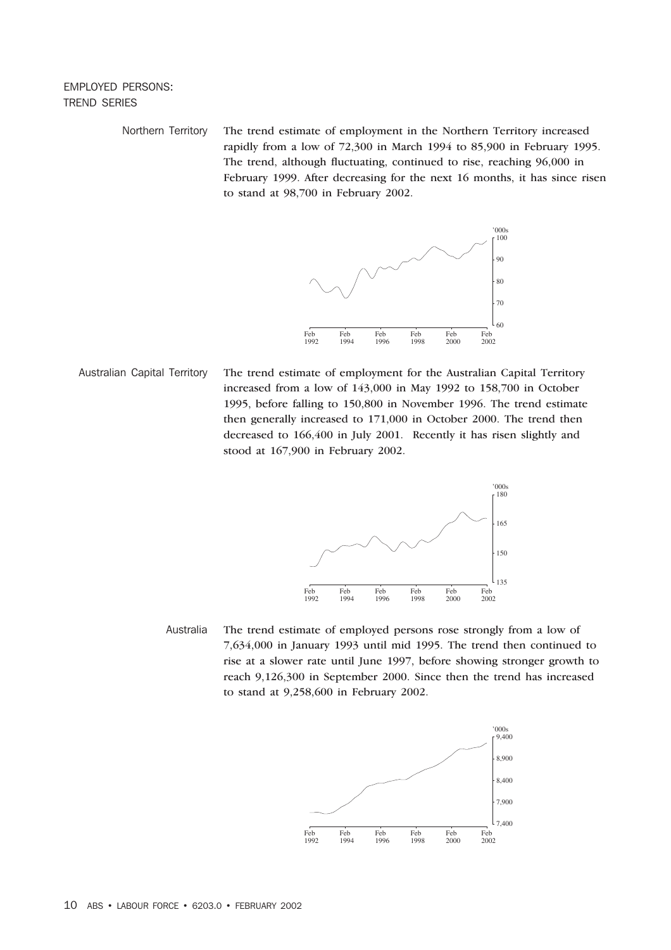## EMPLOYED PERSONS: TREND SERIES

Northern Territory The trend estimate of employment in the Northern Territory increased rapidly from a low of 72,300 in March 1994 to 85,900 in February 1995. The trend, although fluctuating, continued to rise, reaching 96,000 in February 1999. After decreasing for the next 16 months, it has since risen to stand at 98,700 in February 2002.



Australian Capital Territory The trend estimate of employment for the Australian Capital Territory increased from a low of 143,000 in May 1992 to 158,700 in October 1995, before falling to 150,800 in November 1996. The trend estimate then generally increased to 171,000 in October 2000. The trend then decreased to 166,400 in July 2001. Recently it has risen slightly and stood at 167,900 in February 2002.



Australia The trend estimate of employed persons rose strongly from a low of 7,634,000 in January 1993 until mid 1995. The trend then continued to rise at a slower rate until June 1997, before showing stronger growth to reach 9,126,300 in September 2000. Since then the trend has increased to stand at 9,258,600 in February 2002.

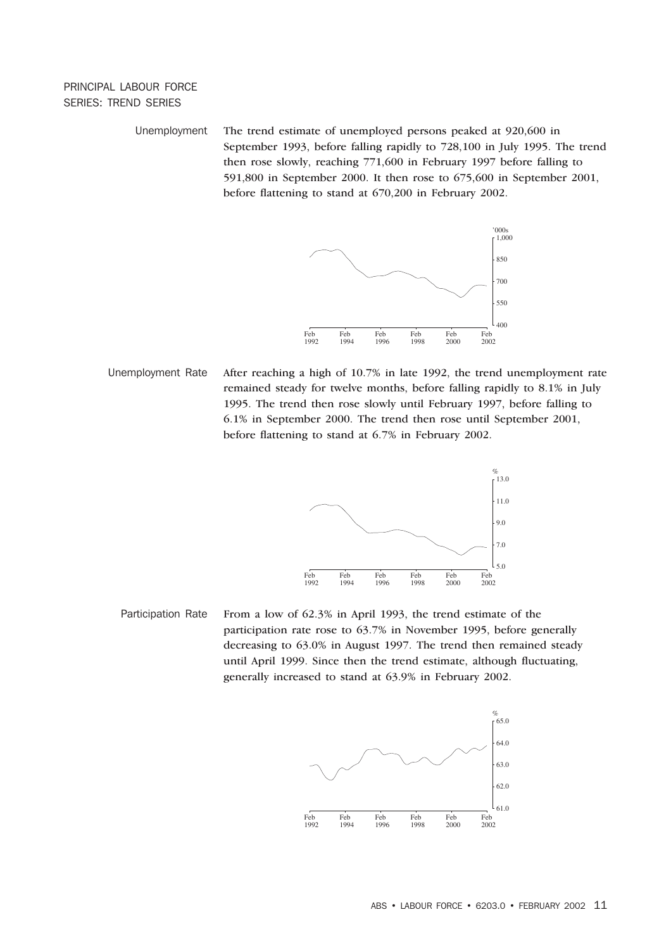# PRINCIPAL LABOUR FORCE SERIES: TREND SERIES

Unemployment The trend estimate of unemployed persons peaked at 920,600 in September 1993, before falling rapidly to 728,100 in July 1995. The trend then rose slowly, reaching 771,600 in February 1997 before falling to 591,800 in September 2000. It then rose to 675,600 in September 2001, before flattening to stand at 670,200 in February 2002.



Unemployment Rate After reaching a high of 10.7% in late 1992, the trend unemployment rate remained steady for twelve months, before falling rapidly to 8.1% in July 1995. The trend then rose slowly until February 1997, before falling to 6.1% in September 2000. The trend then rose until September 2001, before flattening to stand at 6.7% in February 2002.



Participation Rate From a low of 62.3% in April 1993, the trend estimate of the participation rate rose to 63.7% in November 1995, before generally decreasing to 63.0% in August 1997. The trend then remained steady until April 1999. Since then the trend estimate, although fluctuating, generally increased to stand at 63.9% in February 2002.

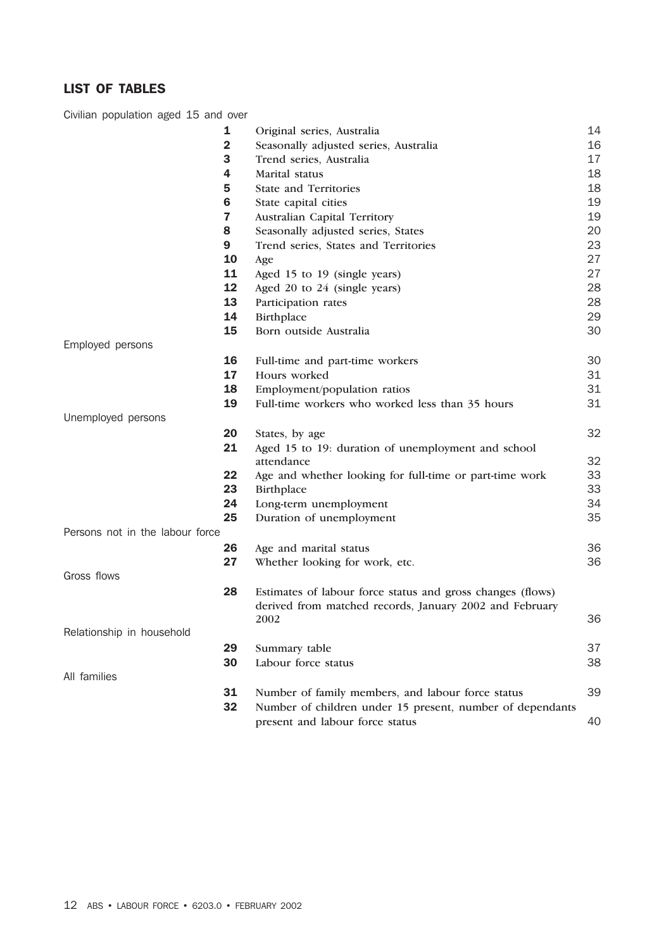# LIST OF TABLES

Civilian population aged 15 and over

|                                 | 1            | Original series, Australia                                                                   | 14 |
|---------------------------------|--------------|----------------------------------------------------------------------------------------------|----|
|                                 | $\mathbf{2}$ | Seasonally adjusted series, Australia                                                        | 16 |
|                                 | 3            | Trend series, Australia                                                                      | 17 |
|                                 | 4            | Marital status                                                                               | 18 |
|                                 | 5            | <b>State and Territories</b>                                                                 | 18 |
|                                 | 6            | State capital cities                                                                         | 19 |
|                                 | 7            | Australian Capital Territory                                                                 | 19 |
|                                 | 8            | Seasonally adjusted series, States                                                           | 20 |
|                                 | 9            | Trend series, States and Territories                                                         | 23 |
|                                 | 10           | Age                                                                                          | 27 |
|                                 | 11           | Aged 15 to 19 (single years)                                                                 | 27 |
|                                 | 12           | Aged 20 to 24 (single years)                                                                 | 28 |
|                                 | 13           | Participation rates                                                                          | 28 |
|                                 | 14           | Birthplace                                                                                   | 29 |
|                                 | 15           | Born outside Australia                                                                       | 30 |
| Employed persons                |              |                                                                                              |    |
|                                 | 16           | Full-time and part-time workers                                                              | 30 |
|                                 | 17           | Hours worked                                                                                 | 31 |
|                                 | 18           | Employment/population ratios                                                                 | 31 |
|                                 | 19           | Full-time workers who worked less than 35 hours                                              | 31 |
| Unemployed persons              |              |                                                                                              |    |
|                                 | 20           | States, by age                                                                               | 32 |
|                                 | 21           | Aged 15 to 19: duration of unemployment and school                                           |    |
|                                 |              | attendance                                                                                   | 32 |
|                                 | 22           | Age and whether looking for full-time or part-time work                                      | 33 |
|                                 | 23           | Birthplace                                                                                   | 33 |
|                                 | 24           | Long-term unemployment                                                                       | 34 |
|                                 | 25           | Duration of unemployment                                                                     | 35 |
| Persons not in the labour force |              |                                                                                              |    |
|                                 | 26           | Age and marital status                                                                       | 36 |
|                                 | 27           | Whether looking for work, etc.                                                               | 36 |
| Gross flows                     |              |                                                                                              |    |
|                                 | 28           | Estimates of labour force status and gross changes (flows)                                   |    |
|                                 |              | derived from matched records, January 2002 and February                                      |    |
|                                 |              | 2002                                                                                         | 36 |
| Relationship in household       |              |                                                                                              |    |
|                                 | 29           | Summary table                                                                                | 37 |
|                                 | 30           | Labour force status                                                                          | 38 |
| All families                    |              |                                                                                              |    |
|                                 | 31           | Number of family members, and labour force status                                            | 39 |
|                                 |              |                                                                                              |    |
|                                 |              |                                                                                              |    |
|                                 | 32           | Number of children under 15 present, number of dependants<br>present and labour force status | 40 |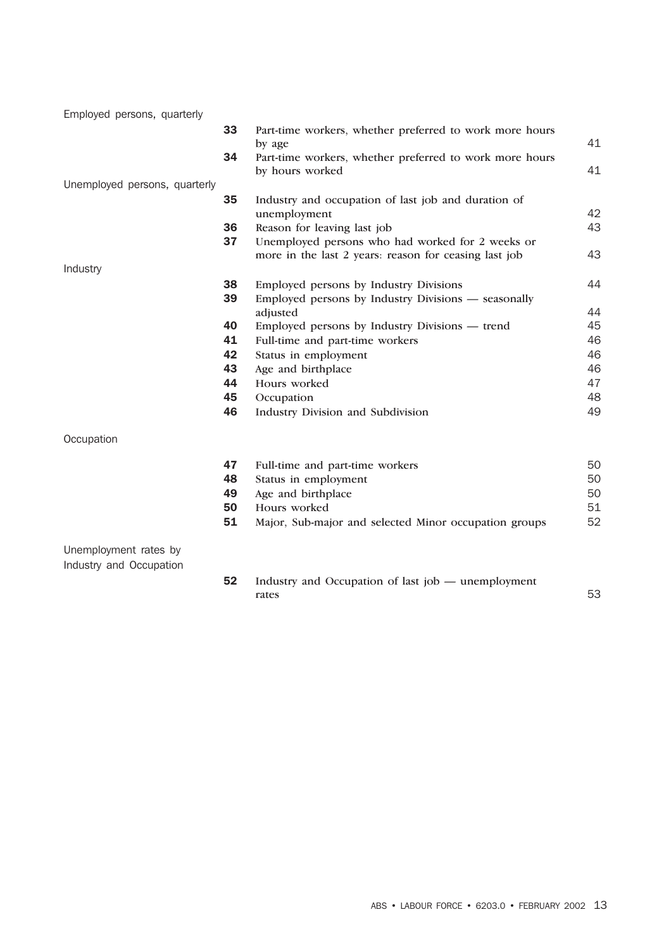| Employed persons, quarterly   |    |                                                         |    |
|-------------------------------|----|---------------------------------------------------------|----|
|                               | 33 | Part-time workers, whether preferred to work more hours |    |
|                               |    | by age                                                  | 41 |
|                               | 34 | Part-time workers, whether preferred to work more hours |    |
|                               |    | by hours worked                                         | 41 |
| Unemployed persons, quarterly |    |                                                         |    |
|                               | 35 | Industry and occupation of last job and duration of     |    |
|                               |    | unemployment                                            | 42 |
|                               | 36 | Reason for leaving last job                             | 43 |
|                               | 37 | Unemployed persons who had worked for 2 weeks or        |    |
|                               |    | more in the last 2 years: reason for ceasing last job   | 43 |
| Industry                      |    |                                                         |    |
|                               | 38 | Employed persons by Industry Divisions                  | 44 |
|                               | 39 | Employed persons by Industry Divisions - seasonally     |    |
|                               |    | adjusted                                                | 44 |
|                               | 40 | Employed persons by Industry Divisions — trend          | 45 |
|                               | 41 | Full-time and part-time workers                         | 46 |
|                               | 42 | Status in employment                                    | 46 |
|                               | 43 | Age and birthplace                                      | 46 |
|                               | 44 | Hours worked                                            | 47 |
|                               | 45 | Occupation                                              | 48 |
|                               | 46 | Industry Division and Subdivision                       | 49 |
| Occupation                    |    |                                                         |    |
|                               | 47 | Full-time and part-time workers                         | 50 |
|                               | 48 | Status in employment                                    | 50 |
|                               | 49 | Age and birthplace                                      | 50 |
|                               | 50 | Hours worked                                            | 51 |
|                               | 51 | Major, Sub-major and selected Minor occupation groups   | 52 |
| Unemployment rates by         |    |                                                         |    |
| Industry and Occupation       |    |                                                         |    |
|                               |    | $\sim$<br>$C_{\rm 1}$                                   |    |

 Industry and Occupation of last job — unemployment rates 53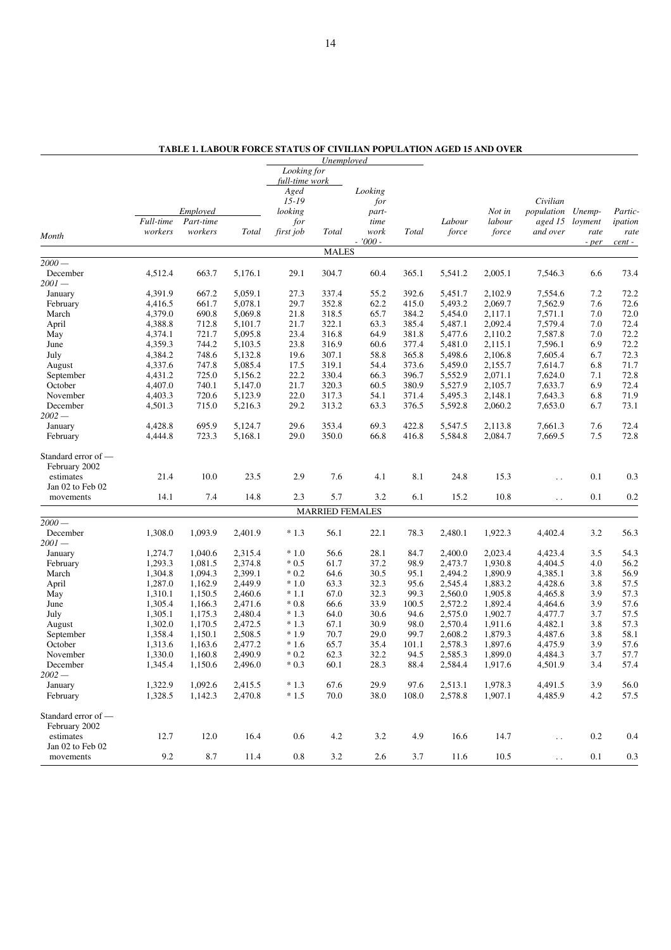|                     |           |           |         |                | Unemployed             |           |       |         |         |                        |         |         |
|---------------------|-----------|-----------|---------|----------------|------------------------|-----------|-------|---------|---------|------------------------|---------|---------|
|                     |           |           |         | Looking for    |                        |           |       |         |         |                        |         |         |
|                     |           |           |         | full-time work |                        |           |       |         |         |                        |         |         |
|                     |           |           |         | Aged           |                        | Looking   |       |         |         |                        |         |         |
|                     |           |           |         | $15 - 19$      |                        | for       |       |         |         | Civilian               |         |         |
|                     |           | Employed  |         | looking        |                        | part-     |       |         | Not in  | population             | Unemp-  | Partic- |
|                     | Full-time | Part-time |         | for            |                        | time      |       | Labour  | labour  | aged 15                | loyment | ipation |
|                     | workers   | workers   | Total   | first job      | Total                  | work      | Total | force   | force   | and over               | rate    | rate    |
| Month               |           |           |         |                |                        | $-7000 -$ |       |         |         |                        | - per   | cent -  |
|                     |           |           |         |                | <b>MALES</b>           |           |       |         |         |                        |         |         |
| $2000 -$            |           |           |         |                |                        |           |       |         |         |                        |         |         |
| December            | 4,512.4   | 663.7     | 5,176.1 | 29.1           | 304.7                  | 60.4      | 365.1 | 5,541.2 | 2,005.1 | 7,546.3                | 6.6     | 73.4    |
| $2001-$             |           |           |         |                |                        |           |       |         |         |                        |         |         |
| January             | 4,391.9   | 667.2     | 5,059.1 | 27.3           | 337.4                  | 55.2      | 392.6 | 5,451.7 | 2,102.9 | 7,554.6                | 7.2     | 72.2    |
| February            | 4,416.5   | 661.7     | 5,078.1 | 29.7           | 352.8                  | 62.2      | 415.0 | 5,493.2 | 2,069.7 | 7,562.9                | 7.6     | 72.6    |
| March               | 4,379.0   | 690.8     | 5,069.8 | 21.8           | 318.5                  | 65.7      | 384.2 | 5,454.0 | 2,117.1 | 7,571.1                | 7.0     | 72.0    |
| April               | 4,388.8   | 712.8     | 5,101.7 | 21.7           | 322.1                  | 63.3      | 385.4 | 5,487.1 | 2,092.4 | 7,579.4                | 7.0     | 72.4    |
| May                 | 4,374.1   | 721.7     | 5,095.8 | 23.4           | 316.8                  | 64.9      | 381.8 | 5,477.6 | 2,110.2 | 7,587.8                | 7.0     | 72.2    |
| June                | 4,359.3   | 744.2     | 5,103.5 | 23.8           | 316.9                  | 60.6      | 377.4 | 5,481.0 | 2,115.1 | 7,596.1                | 6.9     | 72.2    |
| July                | 4,384.2   | 748.6     | 5,132.8 | 19.6           | 307.1                  | 58.8      | 365.8 | 5,498.6 | 2,106.8 | 7,605.4                | 6.7     | 72.3    |
|                     |           | 747.8     | 5,085.4 | 17.5           |                        | 54.4      | 373.6 | 5,459.0 |         | 7,614.7                | 6.8     | 71.7    |
| August              | 4,337.6   |           |         |                | 319.1                  |           |       |         | 2,155.7 |                        |         |         |
| September           | 4,431.2   | 725.0     | 5,156.2 | 22.2           | 330.4                  | 66.3      | 396.7 | 5,552.9 | 2,071.1 | 7,624.0                | 7.1     | 72.8    |
| October             | 4,407.0   | 740.1     | 5,147.0 | 21.7           | 320.3                  | 60.5      | 380.9 | 5,527.9 | 2,105.7 | 7,633.7                | 6.9     | 72.4    |
| November            | 4,403.3   | 720.6     | 5,123.9 | 22.0           | 317.3                  | 54.1      | 371.4 | 5,495.3 | 2,148.1 | 7,643.3                | 6.8     | 71.9    |
| December            | 4,501.3   | 715.0     | 5,216.3 | 29.2           | 313.2                  | 63.3      | 376.5 | 5,592.8 | 2,060.2 | 7,653.0                | 6.7     | 73.1    |
| $2002 -$            |           |           |         |                |                        |           |       |         |         |                        |         |         |
| January             | 4,428.8   | 695.9     | 5,124.7 | 29.6           | 353.4                  | 69.3      | 422.8 | 5,547.5 | 2,113.8 | 7,661.3                | 7.6     | 72.4    |
| February            | 4,444.8   | 723.3     | 5,168.1 | 29.0           | 350.0                  | 66.8      | 416.8 | 5,584.8 | 2,084.7 | 7,669.5                | 7.5     | 72.8    |
|                     |           |           |         |                |                        |           |       |         |         |                        |         |         |
| Standard error of — |           |           |         |                |                        |           |       |         |         |                        |         |         |
| February 2002       |           |           |         |                |                        |           |       |         |         |                        |         |         |
| estimates           | 21.4      | 10.0      | 23.5    | 2.9            | 7.6                    | 4.1       | 8.1   | 24.8    | 15.3    | $\ddot{\phantom{0}}$   | 0.1     | 0.3     |
| Jan 02 to Feb 02    |           |           |         |                |                        |           |       |         |         |                        |         |         |
| movements           | 14.1      | 7.4       | 14.8    | 2.3            | 5.7                    | 3.2       | 6.1   | 15.2    | 10.8    | $\ddot{\phantom{0}}$   | 0.1     | 0.2     |
|                     |           |           |         |                | <b>MARRIED FEMALES</b> |           |       |         |         |                        |         |         |
| $2000 -$            |           |           |         |                |                        |           |       |         |         |                        |         |         |
| December            | 1,308.0   | 1,093.9   | 2,401.9 | $*1.3$         | 56.1                   | 22.1      | 78.3  | 2,480.1 | 1,922.3 | 4,402.4                | 3.2     | 56.3    |
| $2001 -$            |           |           |         |                |                        |           |       |         |         |                        |         |         |
| January             | 1,274.7   | 1,040.6   | 2,315.4 | $*1.0$         | 56.6                   | 28.1      | 84.7  | 2,400.0 | 2,023.4 | 4,423.4                | 3.5     | 54.3    |
| February            | 1,293.3   | 1,081.5   | 2,374.8 | $*0.5$         | 61.7                   | 37.2      | 98.9  | 2,473.7 | 1,930.8 | 4,404.5                | 4.0     | 56.2    |
| March               | 1,304.8   | 1,094.3   | 2,399.1 | $*0.2$         | 64.6                   | 30.5      | 95.1  | 2,494.2 | 1,890.9 | 4,385.1                | 3.8     | 56.9    |
| April               | 1,287.0   | 1,162.9   | 2,449.9 | $*1.0$         | 63.3                   | 32.3      | 95.6  | 2,545.4 | 1,883.2 | 4,428.6                | 3.8     | 57.5    |
|                     |           |           |         | $*1.1$         | 67.0                   |           | 99.3  | 2,560.0 |         | 4,465.8                | 3.9     | 57.3    |
| May                 | 1,310.1   | 1,150.5   | 2,460.6 |                |                        | 32.3      |       |         | 1,905.8 |                        |         |         |
| June                | 1,305.4   | 1,166.3   | 2,471.6 | $*0.8$         | 66.6                   | 33.9      | 100.5 | 2,572.2 | 1,892.4 | 4,464.6                | 3.9     | 57.6    |
| July                | 1,305.1   | 1,175.3   | 2,480.4 | $*1.3$         | 64.0                   | 30.6      | 94.6  | 2,575.0 | 1,902.7 | 4,477.7                | 3.7     | 57.5    |
| August              | 1,302.0   | 1,170.5   | 2,472.5 | $*1.3$         | 67.1                   | 30.9      | 98.0  | 2,570.4 | 1,911.6 | 4,482.1                | 3.8     | 57.3    |
| September           | 1,358.4   | 1,150.1   | 2,508.5 | $*1.9$         | 70.7                   | 29.0      | 99.7  | 2,608.2 | 1,879.3 | 4,487.6                | 3.8     | 58.1    |
| October             | 1,313.6   | 1,163.6   | 2,477.2 | $*1.6$         | 65.7                   | 35.4      | 101.1 | 2,578.3 | 1,897.6 | 4,475.9                | 3.9     | 57.6    |
| November            | 1,330.0   | 1,160.8   | 2,490.9 | $*0.2$         | 62.3                   | 32.2      | 94.5  | 2,585.3 | 1,899.0 | 4,484.3                | 3.7     | 57.7    |
| December            | 1,345.4   | 1,150.6   | 2,496.0 | $*0.3$         | 60.1                   | 28.3      | 88.4  | 2,584.4 | 1,917.6 | 4,501.9                | $3.4\,$ | 57.4    |
| $2002 -$            |           |           |         |                |                        |           |       |         |         |                        |         |         |
| January             | 1,322.9   | 1,092.6   | 2,415.5 | $*1.3$         | 67.6                   | 29.9      | 97.6  | 2,513.1 | 1,978.3 | 4,491.5                | 3.9     | 56.0    |
| February            | 1,328.5   | 1,142.3   | 2,470.8 | $*1.5$         | 70.0                   | 38.0      | 108.0 | 2,578.8 | 1,907.1 | 4,485.9                | 4.2     | 57.5    |
|                     |           |           |         |                |                        |           |       |         |         |                        |         |         |
| Standard error of — |           |           |         |                |                        |           |       |         |         |                        |         |         |
| February 2002       |           |           |         |                |                        |           |       |         |         |                        |         |         |
| estimates           | 12.7      | 12.0      | 16.4    | 0.6            | 4.2                    | 3.2       | 4.9   | 16.6    | 14.7    | $\ddot{\phantom{a}}$ . | $0.2\,$ | 0.4     |
| Jan 02 to Feb 02    |           |           |         |                |                        |           |       |         |         |                        |         |         |
| movements           | $9.2\,$   | 8.7       | 11.4    | $0.8\,$        | 3.2                    | 2.6       | 3.7   | 11.6    | 10.5    | $\ddot{\phantom{1}}$ . | 0.1     | $0.3\,$ |

**TABLE 1. LABOUR FORCE STATUS OF CIVILIAN POPULATION AGED 15 AND OVER**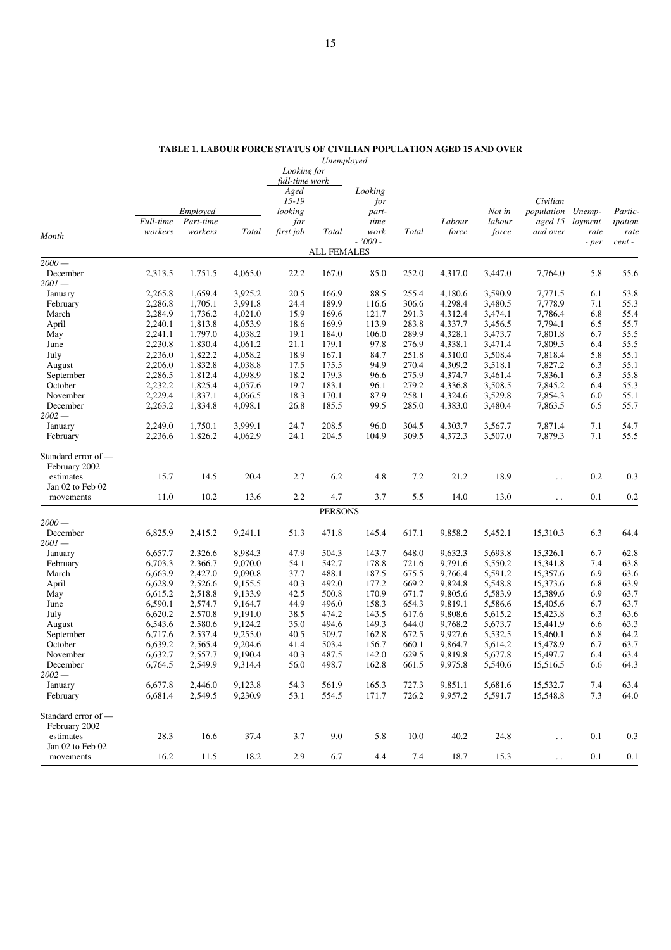|                     |           |           |              |                | Unemployed         |           |       |         |         |                        |         |         |
|---------------------|-----------|-----------|--------------|----------------|--------------------|-----------|-------|---------|---------|------------------------|---------|---------|
|                     |           |           |              | Looking for    |                    |           |       |         |         |                        |         |         |
|                     |           |           |              | full-time work |                    |           |       |         |         |                        |         |         |
|                     |           |           |              | Aged           |                    | Looking   |       |         |         |                        |         |         |
|                     |           |           |              | $15 - 19$      |                    | for       |       |         |         | Civilian               |         |         |
|                     |           | Employed  |              | looking        |                    | part-     |       |         | Not in  | population             | Unemp-  | Partic- |
|                     | Full-time | Part-time |              | for            |                    | time      |       | Labour  | labour  | aged 15                | loyment | ipation |
| Month               | workers   | workers   | <b>Total</b> | first job      | Total              | work      | Total | force   | force   | and over               | rate    | rate    |
|                     |           |           |              |                |                    | $-7000 -$ |       |         |         |                        | - per   | cent -  |
|                     |           |           |              |                | <b>ALL FEMALES</b> |           |       |         |         |                        |         |         |
| $2000-$             |           |           |              |                |                    |           |       |         |         |                        |         |         |
| December            | 2,313.5   | 1,751.5   | 4,065.0      | 22.2           | 167.0              | 85.0      | 252.0 | 4,317.0 | 3,447.0 | 7,764.0                | 5.8     | 55.6    |
| $2001 -$            |           |           |              |                |                    |           |       |         |         |                        |         |         |
| January             | 2,265.8   | 1,659.4   | 3,925.2      | 20.5           | 166.9              | 88.5      | 255.4 | 4,180.6 | 3,590.9 | 7,771.5                | 6.1     | 53.8    |
| February            | 2,286.8   | 1,705.1   | 3,991.8      | 24.4           | 189.9              | 116.6     | 306.6 | 4,298.4 | 3,480.5 | 7,778.9                | 7.1     | 55.3    |
| March               | 2,284.9   | 1,736.2   | 4,021.0      | 15.9           | 169.6              | 121.7     | 291.3 | 4,312.4 | 3,474.1 | 7,786.4                | 6.8     | 55.4    |
| April               | 2,240.1   | 1,813.8   | 4,053.9      | 18.6           | 169.9              | 113.9     | 283.8 | 4,337.7 | 3,456.5 | 7,794.1                | 6.5     | 55.7    |
| May                 | 2,241.1   | 1,797.0   | 4,038.2      | 19.1           | 184.0              | 106.0     | 289.9 | 4,328.1 | 3,473.7 | 7,801.8                | 6.7     | 55.5    |
| June                | 2,230.8   | 1,830.4   | 4,061.2      | 21.1           | 179.1              | 97.8      | 276.9 | 4,338.1 | 3,471.4 | 7,809.5                | 6.4     | 55.5    |
| July                | 2,236.0   | 1,822.2   | 4,058.2      | 18.9           | 167.1              | 84.7      | 251.8 | 4,310.0 | 3,508.4 | 7,818.4                | 5.8     | 55.1    |
| August              | 2,206.0   | 1,832.8   | 4,038.8      | 17.5           | 175.5              | 94.9      | 270.4 | 4,309.2 | 3,518.1 | 7,827.2                | 6.3     | 55.1    |
| September           | 2,286.5   | 1,812.4   | 4,098.9      | 18.2           | 179.3              | 96.6      | 275.9 | 4,374.7 | 3,461.4 | 7,836.1                | 6.3     | 55.8    |
| October             | 2,232.2   | 1,825.4   | 4,057.6      | 19.7           | 183.1              | 96.1      | 279.2 | 4,336.8 | 3,508.5 | 7,845.2                | 6.4     | 55.3    |
| November            | 2,229.4   | 1,837.1   | 4,066.5      | 18.3           | 170.1              | 87.9      | 258.1 | 4,324.6 | 3,529.8 | 7,854.3                | 6.0     | 55.1    |
| December            | 2,263.2   | 1,834.8   | 4,098.1      | 26.8           | 185.5              | 99.5      | 285.0 | 4,383.0 | 3,480.4 | 7,863.5                | 6.5     | 55.7    |
| $2002 -$            |           |           |              |                |                    |           |       |         |         |                        |         |         |
| January             | 2,249.0   | 1,750.1   | 3,999.1      | 24.7           | 208.5              | 96.0      | 304.5 | 4,303.7 | 3,567.7 | 7,871.4                | 7.1     | 54.7    |
| February            | 2,236.6   | 1,826.2   | 4,062.9      | 24.1           | 204.5              | 104.9     | 309.5 | 4,372.3 | 3,507.0 | 7,879.3                | 7.1     | 55.5    |
|                     |           |           |              |                |                    |           |       |         |         |                        |         |         |
| Standard error of — |           |           |              |                |                    |           |       |         |         |                        |         |         |
| February 2002       |           |           |              |                |                    |           |       |         |         |                        |         |         |
| estimates           | 15.7      | 14.5      | 20.4         | 2.7            | 6.2                | 4.8       | 7.2   | 21.2    | 18.9    | . .                    | 0.2     | 0.3     |
| Jan 02 to Feb 02    |           |           |              |                |                    |           |       |         |         |                        |         |         |
| movements           | 11.0      | 10.2      | 13.6         | 2.2            | 4.7                | 3.7       | 5.5   | 14.0    | 13.0    | $\ddotsc$              | 0.1     | 0.2     |
|                     |           |           |              |                | <b>PERSONS</b>     |           |       |         |         |                        |         |         |
| $2000 -$            |           |           |              |                |                    |           |       |         |         |                        |         |         |
| December            | 6,825.9   | 2,415.2   | 9,241.1      | 51.3           | 471.8              | 145.4     | 617.1 | 9,858.2 | 5,452.1 | 15,310.3               | 6.3     | 64.4    |
| $2001 -$            |           |           |              |                |                    |           |       |         |         |                        |         |         |
| January             | 6,657.7   | 2,326.6   | 8,984.3      | 47.9           | 504.3              | 143.7     | 648.0 | 9,632.3 | 5,693.8 | 15,326.1               | 6.7     | 62.8    |
| February            | 6,703.3   | 2,366.7   | 9,070.0      | 54.1           | 542.7              | 178.8     | 721.6 | 9,791.6 | 5,550.2 | 15,341.8               | 7.4     | 63.8    |
| March               | 6,663.9   | 2,427.0   | 9,090.8      | 37.7           | 488.1              | 187.5     | 675.5 | 9,766.4 | 5,591.2 | 15,357.6               | 6.9     | 63.6    |
| April               | 6,628.9   | 2,526.6   | 9,155.5      | 40.3           | 492.0              | 177.2     | 669.2 | 9,824.8 | 5,548.8 | 15,373.6               | 6.8     | 63.9    |
| May                 | 6,615.2   | 2,518.8   | 9,133.9      | 42.5           | 500.8              | 170.9     | 671.7 | 9,805.6 | 5,583.9 | 15,389.6               | 6.9     | 63.7    |
| June                | 6,590.1   | 2,574.7   | 9,164.7      | 44.9           | 496.0              | 158.3     | 654.3 | 9,819.1 | 5,586.6 | 15,405.6               | 6.7     | 63.7    |
| July                | 6,620.2   | 2,570.8   | 9,191.0      | 38.5           | 474.2              | 143.5     | 617.6 | 9,808.6 | 5,615.2 | 15,423.8               | 6.3     | 63.6    |
| August              | 6,543.6   | 2,580.6   | 9,124.2      | 35.0           | 494.6              | 149.3     | 644.0 | 9,768.2 | 5,673.7 | 15,441.9               | 6.6     | 63.3    |
| September           | 6,717.6   | 2,537.4   | 9,255.0      | 40.5           | 509.7              | 162.8     | 672.5 | 9,927.6 | 5,532.5 | 15,460.1               | 6.8     | 64.2    |
| October             | 6,639.2   | 2,565.4   | 9,204.6      | 41.4           | 503.4              | 156.7     | 660.1 | 9,864.7 | 5,614.2 | 15,478.9               | 6.7     | 63.7    |
| November            | 6,632.7   | 2,557.7   | 9,190.4      | 40.3           | 487.5              | 142.0     | 629.5 | 9,819.8 | 5,677.8 | 15,497.7               | 6.4     | 63.4    |
| December            | 6,764.5   | 2,549.9   | 9,314.4      | 56.0           | 498.7              | 162.8     | 661.5 | 9,975.8 | 5,540.6 | 15,516.5               | 6.6     | 64.3    |
| $2002 -$            |           |           |              |                |                    |           |       |         |         |                        |         |         |
| January             | 6,677.8   | 2.446.0   | 9,123.8      | 54.3           | 561.9              | 165.3     | 727.3 | 9,851.1 | 5,681.6 | 15,532.7               | 7.4     | 63.4    |
| February            | 6,681.4   | 2,549.5   | 9,230.9      | 53.1           | 554.5              | 171.7     | 726.2 | 9,957.2 | 5,591.7 | 15,548.8               | 7.3     | 64.0    |
| Standard error of - |           |           |              |                |                    |           |       |         |         |                        |         |         |
| February 2002       |           |           |              |                |                    |           |       |         |         |                        |         |         |
| estimates           | 28.3      |           |              |                |                    |           | 10.0  | 40.2    |         |                        | 0.1     | $0.3\,$ |
| Jan 02 to Feb 02    |           | 16.6      | 37.4         | 3.7            | 9.0                | 5.8       |       |         | 24.8    | $\ddot{\phantom{1}}$ . |         |         |
|                     | 16.2      |           |              | 2.9            | 6.7                | 4.4       | 7.4   |         |         |                        | 0.1     |         |
| movements           |           | 11.5      | 18.2         |                |                    |           |       | 18.7    | 15.3    | $\ddot{\phantom{1}}$ . |         | $0.1\,$ |

**TABLE 1. LABOUR FORCE STATUS OF CIVILIAN POPULATION AGED 15 AND OVER**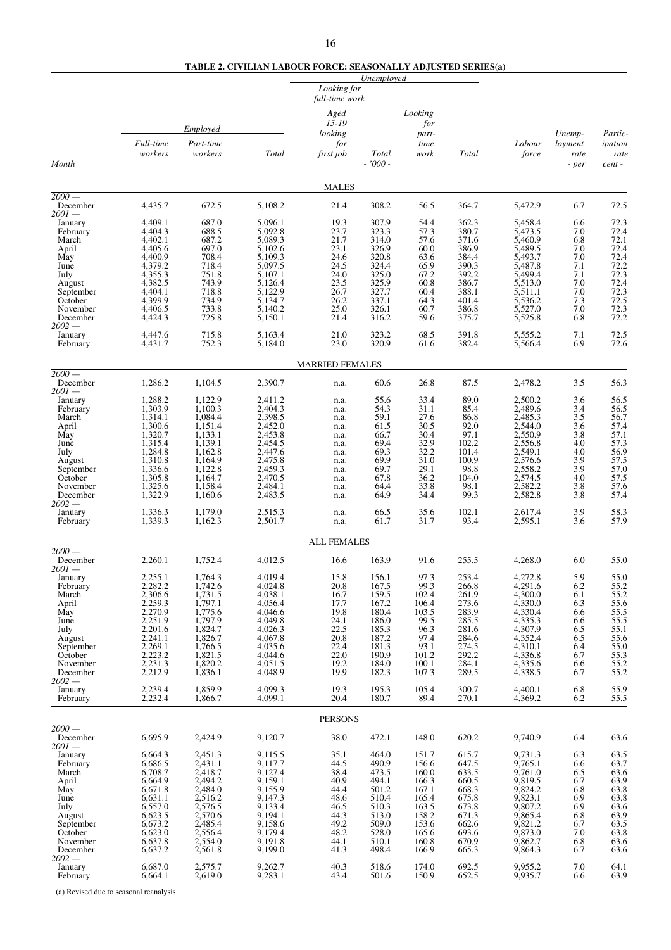# **TABLE 2. CIVILIAN LABOUR FORCE: SEASONALLY ADJUSTED SERIES(a)**

|                                 |                    |                    |                    |                           | Unemployed     |                |                |                    |                   |                    |
|---------------------------------|--------------------|--------------------|--------------------|---------------------------|----------------|----------------|----------------|--------------------|-------------------|--------------------|
|                                 |                    |                    |                    | Looking for               |                |                |                |                    |                   |                    |
|                                 |                    |                    |                    | full-time work            |                |                |                |                    |                   |                    |
|                                 |                    |                    |                    | Aged                      |                | Looking        |                |                    |                   |                    |
|                                 |                    | <b>Employed</b>    |                    | $15 - 19$                 |                | for            |                |                    |                   |                    |
|                                 | Full-time          | Part-time          |                    | looking<br>for            |                | part-<br>time  |                | Labour             | Unemp-<br>loyment | Partic-<br>ipation |
|                                 | workers            | workers            | Total              | first job                 | Total          | work           | Total          | force              | rate              | rate               |
| Month                           |                    |                    |                    |                           | $-7000 -$      |                |                |                    | - per             | cent -             |
|                                 |                    |                    |                    |                           |                |                |                |                    |                   |                    |
| $2000-$                         |                    |                    |                    | <b>MALES</b>              |                |                |                |                    |                   |                    |
| December                        | 4,435.7            | 672.5              | 5,108.2            | 21.4                      | 308.2          | 56.5           | 364.7          | 5,472.9            | 6.7               | 72.5               |
| $2001-$                         |                    |                    |                    |                           |                |                |                |                    |                   |                    |
| January<br>February             | 4,409.1<br>4,404.3 | 687.0<br>688.5     | 5.096.1<br>5,092.8 | 19.3<br>23.7              | 307.9<br>323.3 | 54.4<br>57.3   | 362.3<br>380.7 | 5,458.4<br>5,473.5 | 6.6<br>7.0        | 72.3<br>72.4       |
| March                           | 4,402.1            | 687.2              | 5,089.3            | 21.7                      | 314.0          | 57.6           | 371.6          | 5,460.9            | 6.8               | 72.1               |
| April                           | 4,405.6            | 697.0              | 5,102.6            | 23.1                      | 326.9          | 60.0           | 386.9          | 5,489.5            | 7.0               | 72.4               |
| May<br>June                     | 4,400.9<br>4,379.2 | 708.4<br>718.4     | 5,109.3<br>5,097.5 | 24.6<br>24.5              | 320.8<br>324.4 | 63.6<br>65.9   | 384.4<br>390.3 | 5,493.7<br>5,487.8 | 7.0<br>7.1        | 72.4<br>72.2       |
| July                            | 4,355.3            | 751.8              | 5,107.1            | 24.0                      | 325.0          | 67.2           | 392.2          | 5,499.4            | 7.1               | 72.3               |
| August                          | 4,382.5            | 743.9              | 5,126.4            | 23.5                      | 325.9          | 60.8           | 386.7          | 5,513.0            | 7.0               | 72.4               |
| September                       | 4,404.1            | 718.8              | 5,122.9            | 26.7                      | 327.7          | 60.4           | 388.1          | 5,511.1            | 7.0               | $72.3$<br>$72.5$   |
| October<br>November             | 4,399.9<br>4,406.5 | 734.9<br>733.8     | 5,134.7<br>5,140.2 | 26.2<br>25.0              | 337.1<br>326.1 | 64.3<br>60.7   | 401.4<br>386.8 | 5,536.2<br>5,527.0 | 7.3<br>7.0        | 72.3               |
| December                        | 4,424.3            | 725.8              | 5,150.1            | 21.4                      | 316.2          | 59.6           | 375.7          | 5,525.8            | 6.8               | 72.2               |
| $2002 -$                        |                    |                    |                    |                           |                |                |                |                    |                   |                    |
| January                         | 4,447.6            | 715.8<br>752.3     | 5,163.4            | 21.0<br>23.0              | 323.2<br>320.9 | 68.5           | 391.8<br>382.4 | 5,555.2            | 7.1<br>6.9        | 72.5<br>72.6       |
| February                        | 4,431.7            |                    | 5,184.0            |                           |                | 61.6           |                | 5,566.4            |                   |                    |
|                                 |                    |                    |                    | <b>MARRIED FEMALES</b>    |                |                |                |                    |                   |                    |
| $\overline{2000}$ —<br>December | 1,286.2            | 1,104.5            | 2,390.7            | n.a.                      | 60.6           | 26.8           | 87.5           | 2,478.2            | 3.5               | 56.3               |
| $2001-$                         |                    |                    |                    |                           |                |                |                |                    |                   |                    |
| January<br>February             | 1,288.2<br>1,303.9 | 1,122.9<br>1,100.3 | 2.411.2<br>2,404.3 | n.a.<br>n.a.              | 55.6<br>54.3   | 33.4<br>31.1   | 89.0<br>85.4   | 2,500.2<br>2,489.6 | 3.6<br>3.4        | 56.5<br>56.5       |
| March                           | 1,314.1            | 1,084.4            | 2,398.5            | n.a.                      | 59.1           | 27.6           | 86.8           | 2,485.3            | 3.5               | 56.7               |
| April                           | 1,300.6            | 1,151.4            | 2,452.0            | n.a.                      | 61.5           | 30.5           | 92.0           | 2,544.0            | 3.6               | 57.4               |
| May                             | 1,320.7            | 1,133.1            | 2,453.8            | n.a.                      | 66.7           | 30.4           | 97.1           | 2,550.9            | 3.8               | 57.1               |
| June<br>July                    | 1,315.4<br>1,284.8 | 1,139.1<br>1,162.8 | 2,454.5<br>2,447.6 | n.a.                      | 69.4<br>69.3   | 32.9<br>32.2   | 102.2<br>101.4 | 2,556.8<br>2,549.1 | 4.0<br>4.0        | 57.3<br>56.9       |
| August                          | 1,310.8            | 1,164.9            | 2,475.8            | n.a.<br>n.a.              | 69.9           | 31.0           | 100.9          | 2,576.6            | 3.9               | 57.5               |
| September                       | 1,336.6            | 1,122.8            | 2,459.3            | n.a.                      | 69.7           | 29.1           | 98.8           | 2,558.2            | 3.9               | 57.0               |
| October                         | 1,305.8            | 1,164.7            | 2,470.5            | n.a.                      | 67.8           | 36.2           | 104.0          | 2,574.5            | 4.0               | 57.5               |
| November<br>December            | 1,325.6<br>1,322.9 | 1,158.4<br>1,160.6 | 2,484.1<br>2,483.5 | n.a.                      | 64.4<br>64.9   | 33.8<br>34.4   | 98.1<br>99.3   | 2,582.2<br>2,582.8 | 3.8<br>3.8        | 57.6<br>57.4       |
| $2002-$                         |                    |                    |                    | n.a.                      |                |                |                |                    |                   |                    |
| January                         | 1,336.3<br>1,339.3 | 1,179.0<br>1,162.3 | 2,515.3<br>2,501.7 | n.a.                      | 66.5<br>61.7   | 35.6<br>31.7   | 102.1<br>93.4  | 2,617.4<br>2,595.1 | 3.9<br>3.6        | 58.3<br>57.9       |
| February                        |                    |                    |                    | n.a.                      |                |                |                |                    |                   |                    |
| $2000-$                         |                    |                    |                    | <b>ALL FEMALES</b>        |                |                |                |                    |                   |                    |
| December                        | 2,260.1            | 1,752.4            | 4,012.5            | 16.6                      | 163.9          | 91.6           | 255.5          | 4,268.0            | 6.0               | 55.0               |
| $2001-$                         |                    |                    |                    |                           |                |                |                |                    | 5.9               |                    |
| January<br>February             | 2.255.1<br>2,282.2 | 1.764.3<br>1,742.6 | 4.019.4<br>4.024.8 | 15.8<br>20.8              | 156.1<br>167.5 | 97.3<br>99.3   | 253.4<br>266.8 | 4.272.8<br>4,291.6 | 6.2               | 55.0               |
| March                           | 2,306.6            | 1,731.5            | 4,038.1            | 16.7                      | 159.5          | 102.4          | 261.9          | 4,300.0            | 6.1               | 55.2<br>55.2       |
| April                           | 2,259.3            | 1,797.1            | 4,056.4            | 17.7                      | 167.2          | 106.4          | 273.6          | 4,330.0            | 6.3               | 55.6               |
| May                             | 2,270.9            | 1,775.6            | 4,046.6            | 19.8                      | 180.4          | 103.5          | 283.9          | 4,330.4            | 6.6               | 55.5               |
| June<br>July                    | 2,251.9<br>2,201.6 | 1,797.9<br>1,824.7 | 4,049.8<br>4,026.3 | 24.1<br>22.5              | 186.0<br>185.3 | 99.5<br>96.3   | 285.5<br>281.6 | 4,335.3<br>4,307.9 | 6.6<br>6.5        | 55.5<br>55.1       |
| August                          | 2,241.1            | 1,826.7            | 4,067.8            | 20.8                      | 187.2          | 97.4           | 284.6          | 4,352.4            | 6.5               | 55.6               |
| September                       | 2,269.1            | 1,766.5            | 4,035.6            | 22.4                      | 181.3          | 93.1           | 274.5          | 4,310.1            | 6.4               | 55.0               |
| October                         | 2,223.2<br>2,231.3 | 1,821.5<br>1,820.2 | 4,044.6            | $\overline{22.0}$<br>19.2 | 190.9<br>184.0 | 101.2<br>100.1 | 292.2          | 4,336.8<br>4,335.6 | 6.7               | 55.3               |
| November<br>December            | 2,212.9            | 1,836.1            | 4,051.5<br>4,048.9 | 19.9                      | 182.3          | 107.3          | 284.1<br>289.5 | 4,338.5            | 6.6<br>6.7        | 55.2<br>55.2       |
| $2002-$                         |                    |                    |                    |                           |                |                |                |                    |                   |                    |
| January<br>February             | 2,239.4<br>2,232.4 | 1,859.9<br>1,866.7 | 4.099.3<br>4,099.1 | 19.3<br>20.4              | 195.3<br>180.7 | 105.4<br>89.4  | 300.7<br>270.1 | 4,400.1<br>4,369.2 | 6.8<br>6.2        | 55.9<br>55.5       |
|                                 |                    |                    |                    |                           |                |                |                |                    |                   |                    |
| $2000-$                         |                    |                    |                    | <b>PERSONS</b>            |                |                |                |                    |                   |                    |
| December<br>$2001 -$            | 6,695.9            | 2,424.9            | 9,120.7            | 38.0                      | 472.1          | 148.0          | 620.2          | 9,740.9            | 6.4               | 63.6               |
| January                         | 6,664.3            | 2,451.3            | 9,115.5            | 35.1                      | 464.0          | 151.7          | 615.7          | 9,731.3            | 6.3               | $63.5$<br>$63.7$   |
| February                        | 6,686.5            | 2,431.1            | 9,117.7            | 44.5                      | 490.9          | 156.6          | 647.5          | 9,765.1            | 6.6               |                    |
| March                           | 6,708.7<br>6,664.9 | 2,418.7<br>2,494.2 | 9,127.4<br>9,159.1 | 38.4<br>40.9              | 473.5<br>494.1 | 160.0<br>166.3 | 633.5<br>660.5 | 9,761.0<br>9,819.5 | 6.5<br>6.7        | 63.6<br>63.9       |
| April<br>May                    | 6,671.8            | 2,484.0            | 9,155.9            | 44.4                      | 501.2          | 167.1          | 668.3          | 9,824.2            | 6.8               | 63.8               |
| June                            | 6,631.1            | 2,516.2            | 9,147.3            | 48.6                      | 510.4          | 165.4          | 675.8          | 9,823.1            | 6.9               | 63.8               |
| July                            | 6,557.0            | 2,576.5            | 9,133.4            | 46.5                      | 510.3          | 163.5          | 673.8          | 9,807.2            | 6.9               | 63.6               |
| August<br>September             | 6,623.5<br>6,673.2 | 2,570.6<br>2,485.4 | 9,194.1<br>9,158.6 | 44.3<br>49.2              | 513.0<br>509.0 | 158.2<br>153.6 | 671.3<br>662.6 | 9,865.4<br>9,821.2 | 6.8<br>6.7        | 63.9<br>63.5       |
| October                         | 6,623.0            | 2,556.4            | 9,179.4            | 48.2                      | 528.0          | 165.6          | 693.6          | 9,873.0            | 7.0               | 63.8               |
| November                        | 6,637.8            | 2,554.0            | 9,191.8            | 44.1                      | 510.1          | 160.8          | 670.9          | 9,862.7            | 6.8               | 63.6               |
| December                        | 6,637.2            | 2,561.8            | 9,199.0            | 41.3                      | 498.4          | 166.9          | 665.3          | 9,864.3            | 6.7               | 63.6               |
| $2002 -$<br>January             | 6,687.0            | 2,575.7            | 9,262.7            | 40.3                      | 518.6          | 174.0          | 692.5          | 9,955.2            | 7.0               | 64.1               |
| February                        | 6,664.1            | 2,619.0            | 9,283.1            | 43.4                      | 501.6          | 150.9          | 652.5          | 9,935.7            | 6.6               | 63.9               |

(a) Revised due to seasonal reanalysis.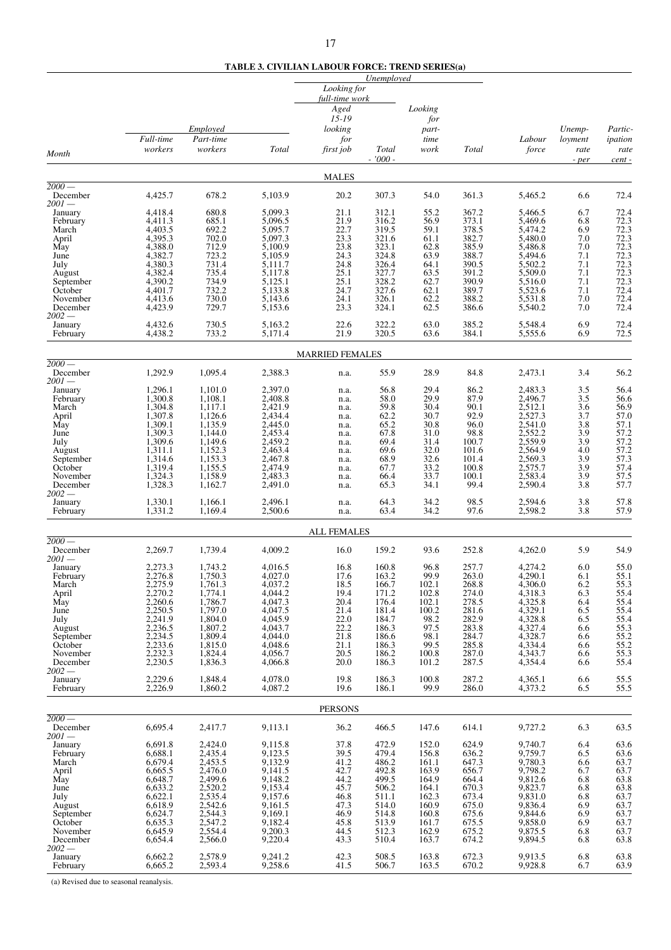**TABLE 3. CIVILIAN LABOUR FORCE: TREND SERIES(a)**

| full-time work<br>Aged<br>Looking<br>$15 - 19$<br>for<br>Employed<br>looking<br>part-<br>Unemp-<br>Partic-<br>Full-time<br>Part-time<br>time<br>for<br>Labour<br>loyment<br>ipation<br>workers<br>workers<br>Total<br>first job<br><b>Total</b><br>work<br>Total<br>force<br>rate<br>rate<br>Month<br>$-7000 -$<br>cent-<br>- per<br><b>MALES</b><br>$\frac{1}{2000}$<br>678.2<br>361.3<br>December<br>4,425.7<br>5.103.9<br>20.2<br>307.3<br>54.0<br>5,465.2<br>6.6<br>72.4<br>$2001-$<br>680.8<br>4,418.4<br>5,099.3<br>21.1<br>312.1<br>55.2<br>367.2<br>5,466.5<br>6.7<br>72.4<br>January<br>685.1<br>5,096.5<br>21.9<br>316.2<br>56.9<br>373.1<br>5,469.6<br>72.3<br>4,411.3<br>6.8<br>February<br>692.2<br>5,095.7<br>22.7<br>319.5<br>59.1<br>378.5<br>5,474.2<br>72.3<br>4,403.5<br>6.9<br>March<br>72.3<br>702.0<br>5,097.3<br>23.3<br>321.6<br>61.1<br>382.7<br>5,480.0<br>April<br>4,395.3<br>7.0<br>72.3<br>4,388.0<br>712.9<br>23.8<br>323.1<br>62.8<br>385.9<br>May<br>5,100.9<br>5,486.8<br>7.0<br>72.3<br>723.2<br>324.8<br>63.9<br>5,494.6<br>4,382.7<br>5,105.9<br>24.3<br>388.7<br>7.1<br>June<br>72.3<br>4,380.3<br>731.4<br>24.8<br>326.4<br>64.1<br>390.5<br>5,502.2<br>7.1<br>5,111.7<br>July<br>72.3<br>63.5<br>4,382.4<br>735.4<br>5,117.8<br>25.1<br>327.7<br>391.2<br>5,509.0<br>7.1<br>August<br>72.3<br>734.9<br>25.1<br>328.2<br>62.7<br>390.9<br>4,390.2<br>5,125.1<br>5,516.0<br>7.1<br>September<br>732.2<br>389.7<br>72.4<br>4,401.7<br>5,133.8<br>24.7<br>327.6<br>62.1<br>5,523.6<br>7.1<br>October<br>730.0<br>24.1<br>326.1<br>62.2<br>388.2<br>5,531.8<br>November<br>4,413.6<br>5,143.6<br>7.0<br>729.7<br>23.3<br>324.1<br>62.5<br>72.4<br>December<br>4,423.9<br>5,153.6<br>386.6<br>5,540.2<br>7.0<br>$2002 -$<br>22.6<br>322.2<br>63.0<br>385.2<br>6.9<br>72.4<br>4,432.6<br>730.5<br>5,548.4<br>January<br>5,163.2<br>72.5<br>733.2<br>21.9<br>320.5<br>384.1<br>4,438.2<br>5,171.4<br>63.6<br>5,555.6<br>6.9<br>February<br><b>MARRIED FEMALES</b><br>$2000-$<br>1,292.9<br>56.2<br>1,095.4<br>2,388.3<br>55.9<br>28.9<br>84.8<br>2,473.1<br>3.4<br>December<br>n.a.<br>$2001-$<br>1,296.1<br>1,101.0<br>2,397.0<br>56.8<br>29.4<br>86.2<br>2,483.3<br>3.5<br>56.4<br>January<br>n.a.<br>29.9<br>1.300.8<br>1,108.1<br>2,408.8<br>58.0<br>87.9<br>2,496.7<br>3.5<br>56.6<br>February<br>n.a.<br>2,421.9<br>59.8<br>30.4<br>90.1<br>2,512.1<br>56.9<br>1,304.8<br>1,117.1<br>3.6<br>March<br>n.a.<br>2,434.4<br>30.7<br>92.9<br>2,527.3<br>57.0<br>1,307.8<br>1,126.6<br>62.2<br>3.7<br>April<br>n.a.<br>1,309.1<br>1,135.9<br>2,445.0<br>30.8<br>2,541.0<br>57.1<br>65.2<br>96.0<br>3.8<br>May<br>n.a.<br>57.2<br>1,309.3<br>1,144.0<br>2,453.4<br>67.8<br>31.0<br>98.8<br>2,552.2<br>3.9<br>June<br>n.a.<br>31.4<br>57.2<br>July<br>1,309.6<br>1,149.6<br>2,459.2<br>69.4<br>100.7<br>2,559.9<br>3.9<br>n.a.<br>57.2<br>1,152.3<br>2,463.4<br>32.0<br>4.0<br>1,311.1<br>69.6<br>101.6<br>2,564.9<br>August<br>n.a.<br>57.3<br>32.6<br>1,314.6<br>1,153.3<br>2,467.8<br>68.9<br>101.4<br>2,569.3<br>3.9<br>September<br>n.a.<br>33.2<br>2,474.9<br>3.9<br>$57.4$<br>$57.5$<br>1,319.4<br>1,155.5<br>67.7<br>100.8<br>2,575.7<br>October<br>n.a.<br>1,324.3<br>1,158.9<br>2,483.3<br>33.7<br>100.1<br>2,583.4<br>3.9<br>November<br>66.4<br>n.a.<br>1,328.3<br>99.4<br>2,590.4<br>57.7<br>1,162.7<br>2,491.0<br>65.3<br>34.1<br>3.8<br>December<br>n.a.<br>$2002-$<br>1,330.1<br>64.3<br>34.2<br>98.5<br>3.8<br>57.8<br>1,166.1<br>2,496.1<br>2,594.6<br>January<br>n.a.<br>57.9<br>1,331.2<br>1,169.4<br>34.2<br>97.6<br>2,500.6<br>63.4<br>2,598.2<br>3.8<br>February<br>n.a.<br><b>ALL FEMALES</b><br>$\overline{2000}$ —<br>252.8<br>2,269.7<br>1,739.4<br>4,009.2<br>159.2<br>93.6<br>4,262.0<br>5.9<br>54.9<br>December<br>16.0<br>2001 —<br>2,273.3<br>4,016.5<br>160.8<br>96.8<br>257.7<br>4,274.2<br>6.0<br>55.0<br>January<br>1.743.2<br>16.8<br>2,276.8<br>1.750.3<br>17.6<br>163.2<br>99.9<br>263.0<br>4,290.1<br>55.1<br>4,027.0<br>6.1<br>February<br>March<br>2,275.9<br>1,761.3<br>4,037.2<br>18.5<br>166.7<br>102.1<br>268.8<br>4,306.0<br>6.2<br>55.3<br>2,270.2<br>1,774.1<br>4,044.2<br>171.2<br>274.0<br>4,318.3<br>6.3<br>55.4<br>19.4<br>102.8<br>April<br>1,786.7<br>2,260.6<br>4,047.3<br>20.4<br>176.4<br>102.1<br>278.5<br>4,325.8<br>55.4<br>May<br>6.4<br>1,797.0<br>4,047.5<br>4,329.1<br>55.4<br>2,250.5<br>21.4<br>181.4<br>100.2<br>281.6<br>June<br>6.5<br>1,804.0<br>4,045.9<br>22.0<br>282.9<br>4,328.8<br>55.4<br>2,241.9<br>184.7<br>98.2<br>6.5<br>July<br>1,807.2<br>22.2<br>2,236.5<br>4,043.7<br>186.3<br>97.5<br>4,327.4<br>55.3<br>283.8<br>6.6<br>August<br>2,234.5<br>1,809.4<br>4,044.0<br>98.1<br>284.7<br>4,328.7<br>$\frac{55.2}{55.2}$<br>21.8<br>186.6<br>September<br>6.6<br>4,334.4<br>2,233.6<br>1,815.0<br>4,048.6<br>21.1<br>99.5<br>285.8<br>186.3<br>October<br>6.6<br>55.3<br>2,232.3<br>1,824.4<br>4,056.7<br>20.5<br>100.8<br>287.0<br>4,343.7<br>November<br>186.2<br>6.6<br>55.4<br>2,230.5<br>1,836.3<br>4,066.8<br>20.0<br>186.3<br>101.2<br>287.5<br>4,354.4<br>December<br>6.6<br>$2002 -$<br>2,229.6<br>186.3<br>55.5<br>January<br>1,848.4<br>4,078.0<br>19.8<br>100.8<br>287.2<br>4,365.1<br>6.6<br>55.5<br>2,226.9<br>1,860.2<br>4,087.2<br>19.6<br>186.1<br>99.9<br>286.0<br>6.5<br>4,373.2<br>February<br><b>PERSONS</b><br>$2000-$<br>6,695.4<br>9,113.1<br>466.5<br>147.6<br>614.1<br>9,727.2<br>6.3<br>63.5<br>December<br>2,417.7<br>36.2<br>$2001-$<br>472.9<br>624.9<br>6.4<br>6,691.8<br>2,424.0<br>9,115.8<br>37.8<br>152.0<br>9,740.7<br>63.6<br>January<br>$63.6$<br>$63.7$<br>479.4<br>2,435.4<br>9,123.5<br>February<br>6,688.1<br>39.5<br>156.8<br>636.2<br>9,759.7<br>6.5<br>9,132.9<br>6,679.4<br>2,453.5<br>41.2<br>486.2<br>647.3<br>9,780.3<br>161.1<br>6.6<br>March<br>2,476.0<br>9,141.5<br>492.8<br>9,798.2<br>6,665.5<br>42.7<br>163.9<br>656.7<br>6.7<br>63.7<br>April<br>2,499.6<br>499.5<br>9,812.6<br>6,648.7<br>9,148.2<br>44.2<br>164.9<br>63.8<br>63.8<br>63.7<br>May<br>664.4<br>6.8<br>6,633.2<br>2,520.2<br>9,153.4<br>45.7<br>670.3<br>9,823.7<br>June<br>506.2<br>164.1<br>6.8<br>6,622.1<br>2,535.4<br>9,157.6<br>9,831.0<br>July<br>46.8<br>511.1<br>162.3<br>673.4<br>6.8<br>63.7<br>6,618.9<br>2,542.6<br>9,161.5<br>47.3<br>514.0<br>160.9<br>675.0<br>9,836.4<br>6.9<br>August<br>63.7<br>2,544.3<br>9,169.1<br>46.9<br>160.8<br>9,844.6<br>6,624.7<br>514.8<br>675.6<br>6.9<br>September<br>9,182.4<br>63.7<br>6,635.3<br>2,547.2<br>45.8<br>513.9<br>161.7<br>675.5<br>9,858.0<br>6.9<br>October<br>2,554.4<br>9,200.3<br>512.3<br>162.9<br>November<br>6,645.9<br>44.5<br>675.2<br>9,875.5<br>6.8<br>63.7<br>163.7<br>63.8<br>6,654.4<br>9,220.4<br>43.3<br>674.2<br>9,894.5<br>December<br>2,566.0<br>510.4<br>6.8<br>63.8<br>6,662.2<br>2,578.9<br>9,241.2<br>42.3<br>508.5<br>163.8<br>672.3<br>9,913.5<br>6.8<br>January<br>2,593.4<br>163.5<br>63.9<br>6,665.2<br>9,258.6<br>41.5<br>506.7<br>670.2<br>9,928.8<br>6.7<br>February |          |  | Looking for | Unemployed |  |  |  |
|----------------------------------------------------------------------------------------------------------------------------------------------------------------------------------------------------------------------------------------------------------------------------------------------------------------------------------------------------------------------------------------------------------------------------------------------------------------------------------------------------------------------------------------------------------------------------------------------------------------------------------------------------------------------------------------------------------------------------------------------------------------------------------------------------------------------------------------------------------------------------------------------------------------------------------------------------------------------------------------------------------------------------------------------------------------------------------------------------------------------------------------------------------------------------------------------------------------------------------------------------------------------------------------------------------------------------------------------------------------------------------------------------------------------------------------------------------------------------------------------------------------------------------------------------------------------------------------------------------------------------------------------------------------------------------------------------------------------------------------------------------------------------------------------------------------------------------------------------------------------------------------------------------------------------------------------------------------------------------------------------------------------------------------------------------------------------------------------------------------------------------------------------------------------------------------------------------------------------------------------------------------------------------------------------------------------------------------------------------------------------------------------------------------------------------------------------------------------------------------------------------------------------------------------------------------------------------------------------------------------------------------------------------------------------------------------------------------------------------------------------------------------------------------------------------------------------------------------------------------------------------------------------------------------------------------------------------------------------------------------------------------------------------------------------------------------------------------------------------------------------------------------------------------------------------------------------------------------------------------------------------------------------------------------------------------------------------------------------------------------------------------------------------------------------------------------------------------------------------------------------------------------------------------------------------------------------------------------------------------------------------------------------------------------------------------------------------------------------------------------------------------------------------------------------------------------------------------------------------------------------------------------------------------------------------------------------------------------------------------------------------------------------------------------------------------------------------------------------------------------------------------------------------------------------------------------------------------------------------------------------------------------------------------------------------------------------------------------------------------------------------------------------------------------------------------------------------------------------------------------------------------------------------------------------------------------------------------------------------------------------------------------------------------------------------------------------------------------------------------------------------------------------------------------------------------------------------------------------------------------------------------------------------------------------------------------------------------------------------------------------------------------------------------------------------------------------------------------------------------------------------------------------------------------------------------------------------------------------------------------------------------------------------------------------------------------------------------------------------------------------------------------------------------------------------------------------------------------------------------------------------------------------------------------------------------------------------------------------------------------------------------------------------------------------------------------------------------------------------------------------------------------------------------------------------------------------------------------------------------------------------------------------------------------------------------------------------------------------------------------------------------------------------------------------------------------------------------------------------------------------------------------------------------------------------------------------------------------------------------------------------------------------------------------------------------------------------------------------------------------------------------------------------------------------------------------------------------------------------------------------------------------------------------------------------------------------------------------------------------------------------------------------------------------------------------------------------------------------------------------------------------------------------------------------------------------------------------------------------------------------------------------------------------------------------------------------------------------------------------------------------|----------|--|-------------|------------|--|--|--|
|                                                                                                                                                                                                                                                                                                                                                                                                                                                                                                                                                                                                                                                                                                                                                                                                                                                                                                                                                                                                                                                                                                                                                                                                                                                                                                                                                                                                                                                                                                                                                                                                                                                                                                                                                                                                                                                                                                                                                                                                                                                                                                                                                                                                                                                                                                                                                                                                                                                                                                                                                                                                                                                                                                                                                                                                                                                                                                                                                                                                                                                                                                                                                                                                                                                                                                                                                                                                                                                                                                                                                                                                                                                                                                                                                                                                                                                                                                                                                                                                                                                                                                                                                                                                                                                                                                                                                                                                                                                                                                                                                                                                                                                                                                                                                                                                                                                                                                                                                                                                                                                                                                                                                                                                                                                                                                                                                                                                                                                                                                                                                                                                                                                                                                                                                                                                                                                                                                                                                                                                                                                                                                                                                                                                                                                                                                                                                                                                                                                                                                                                                                                                                                                                                                                                                                                                                                                                                                                                                                                                          |          |  |             |            |  |  |  |
|                                                                                                                                                                                                                                                                                                                                                                                                                                                                                                                                                                                                                                                                                                                                                                                                                                                                                                                                                                                                                                                                                                                                                                                                                                                                                                                                                                                                                                                                                                                                                                                                                                                                                                                                                                                                                                                                                                                                                                                                                                                                                                                                                                                                                                                                                                                                                                                                                                                                                                                                                                                                                                                                                                                                                                                                                                                                                                                                                                                                                                                                                                                                                                                                                                                                                                                                                                                                                                                                                                                                                                                                                                                                                                                                                                                                                                                                                                                                                                                                                                                                                                                                                                                                                                                                                                                                                                                                                                                                                                                                                                                                                                                                                                                                                                                                                                                                                                                                                                                                                                                                                                                                                                                                                                                                                                                                                                                                                                                                                                                                                                                                                                                                                                                                                                                                                                                                                                                                                                                                                                                                                                                                                                                                                                                                                                                                                                                                                                                                                                                                                                                                                                                                                                                                                                                                                                                                                                                                                                                                          |          |  |             |            |  |  |  |
|                                                                                                                                                                                                                                                                                                                                                                                                                                                                                                                                                                                                                                                                                                                                                                                                                                                                                                                                                                                                                                                                                                                                                                                                                                                                                                                                                                                                                                                                                                                                                                                                                                                                                                                                                                                                                                                                                                                                                                                                                                                                                                                                                                                                                                                                                                                                                                                                                                                                                                                                                                                                                                                                                                                                                                                                                                                                                                                                                                                                                                                                                                                                                                                                                                                                                                                                                                                                                                                                                                                                                                                                                                                                                                                                                                                                                                                                                                                                                                                                                                                                                                                                                                                                                                                                                                                                                                                                                                                                                                                                                                                                                                                                                                                                                                                                                                                                                                                                                                                                                                                                                                                                                                                                                                                                                                                                                                                                                                                                                                                                                                                                                                                                                                                                                                                                                                                                                                                                                                                                                                                                                                                                                                                                                                                                                                                                                                                                                                                                                                                                                                                                                                                                                                                                                                                                                                                                                                                                                                                                          |          |  |             |            |  |  |  |
|                                                                                                                                                                                                                                                                                                                                                                                                                                                                                                                                                                                                                                                                                                                                                                                                                                                                                                                                                                                                                                                                                                                                                                                                                                                                                                                                                                                                                                                                                                                                                                                                                                                                                                                                                                                                                                                                                                                                                                                                                                                                                                                                                                                                                                                                                                                                                                                                                                                                                                                                                                                                                                                                                                                                                                                                                                                                                                                                                                                                                                                                                                                                                                                                                                                                                                                                                                                                                                                                                                                                                                                                                                                                                                                                                                                                                                                                                                                                                                                                                                                                                                                                                                                                                                                                                                                                                                                                                                                                                                                                                                                                                                                                                                                                                                                                                                                                                                                                                                                                                                                                                                                                                                                                                                                                                                                                                                                                                                                                                                                                                                                                                                                                                                                                                                                                                                                                                                                                                                                                                                                                                                                                                                                                                                                                                                                                                                                                                                                                                                                                                                                                                                                                                                                                                                                                                                                                                                                                                                                                          |          |  |             |            |  |  |  |
|                                                                                                                                                                                                                                                                                                                                                                                                                                                                                                                                                                                                                                                                                                                                                                                                                                                                                                                                                                                                                                                                                                                                                                                                                                                                                                                                                                                                                                                                                                                                                                                                                                                                                                                                                                                                                                                                                                                                                                                                                                                                                                                                                                                                                                                                                                                                                                                                                                                                                                                                                                                                                                                                                                                                                                                                                                                                                                                                                                                                                                                                                                                                                                                                                                                                                                                                                                                                                                                                                                                                                                                                                                                                                                                                                                                                                                                                                                                                                                                                                                                                                                                                                                                                                                                                                                                                                                                                                                                                                                                                                                                                                                                                                                                                                                                                                                                                                                                                                                                                                                                                                                                                                                                                                                                                                                                                                                                                                                                                                                                                                                                                                                                                                                                                                                                                                                                                                                                                                                                                                                                                                                                                                                                                                                                                                                                                                                                                                                                                                                                                                                                                                                                                                                                                                                                                                                                                                                                                                                                                          |          |  |             |            |  |  |  |
|                                                                                                                                                                                                                                                                                                                                                                                                                                                                                                                                                                                                                                                                                                                                                                                                                                                                                                                                                                                                                                                                                                                                                                                                                                                                                                                                                                                                                                                                                                                                                                                                                                                                                                                                                                                                                                                                                                                                                                                                                                                                                                                                                                                                                                                                                                                                                                                                                                                                                                                                                                                                                                                                                                                                                                                                                                                                                                                                                                                                                                                                                                                                                                                                                                                                                                                                                                                                                                                                                                                                                                                                                                                                                                                                                                                                                                                                                                                                                                                                                                                                                                                                                                                                                                                                                                                                                                                                                                                                                                                                                                                                                                                                                                                                                                                                                                                                                                                                                                                                                                                                                                                                                                                                                                                                                                                                                                                                                                                                                                                                                                                                                                                                                                                                                                                                                                                                                                                                                                                                                                                                                                                                                                                                                                                                                                                                                                                                                                                                                                                                                                                                                                                                                                                                                                                                                                                                                                                                                                                                          |          |  |             |            |  |  |  |
| 72.4                                                                                                                                                                                                                                                                                                                                                                                                                                                                                                                                                                                                                                                                                                                                                                                                                                                                                                                                                                                                                                                                                                                                                                                                                                                                                                                                                                                                                                                                                                                                                                                                                                                                                                                                                                                                                                                                                                                                                                                                                                                                                                                                                                                                                                                                                                                                                                                                                                                                                                                                                                                                                                                                                                                                                                                                                                                                                                                                                                                                                                                                                                                                                                                                                                                                                                                                                                                                                                                                                                                                                                                                                                                                                                                                                                                                                                                                                                                                                                                                                                                                                                                                                                                                                                                                                                                                                                                                                                                                                                                                                                                                                                                                                                                                                                                                                                                                                                                                                                                                                                                                                                                                                                                                                                                                                                                                                                                                                                                                                                                                                                                                                                                                                                                                                                                                                                                                                                                                                                                                                                                                                                                                                                                                                                                                                                                                                                                                                                                                                                                                                                                                                                                                                                                                                                                                                                                                                                                                                                                                     |          |  |             |            |  |  |  |
|                                                                                                                                                                                                                                                                                                                                                                                                                                                                                                                                                                                                                                                                                                                                                                                                                                                                                                                                                                                                                                                                                                                                                                                                                                                                                                                                                                                                                                                                                                                                                                                                                                                                                                                                                                                                                                                                                                                                                                                                                                                                                                                                                                                                                                                                                                                                                                                                                                                                                                                                                                                                                                                                                                                                                                                                                                                                                                                                                                                                                                                                                                                                                                                                                                                                                                                                                                                                                                                                                                                                                                                                                                                                                                                                                                                                                                                                                                                                                                                                                                                                                                                                                                                                                                                                                                                                                                                                                                                                                                                                                                                                                                                                                                                                                                                                                                                                                                                                                                                                                                                                                                                                                                                                                                                                                                                                                                                                                                                                                                                                                                                                                                                                                                                                                                                                                                                                                                                                                                                                                                                                                                                                                                                                                                                                                                                                                                                                                                                                                                                                                                                                                                                                                                                                                                                                                                                                                                                                                                                                          |          |  |             |            |  |  |  |
|                                                                                                                                                                                                                                                                                                                                                                                                                                                                                                                                                                                                                                                                                                                                                                                                                                                                                                                                                                                                                                                                                                                                                                                                                                                                                                                                                                                                                                                                                                                                                                                                                                                                                                                                                                                                                                                                                                                                                                                                                                                                                                                                                                                                                                                                                                                                                                                                                                                                                                                                                                                                                                                                                                                                                                                                                                                                                                                                                                                                                                                                                                                                                                                                                                                                                                                                                                                                                                                                                                                                                                                                                                                                                                                                                                                                                                                                                                                                                                                                                                                                                                                                                                                                                                                                                                                                                                                                                                                                                                                                                                                                                                                                                                                                                                                                                                                                                                                                                                                                                                                                                                                                                                                                                                                                                                                                                                                                                                                                                                                                                                                                                                                                                                                                                                                                                                                                                                                                                                                                                                                                                                                                                                                                                                                                                                                                                                                                                                                                                                                                                                                                                                                                                                                                                                                                                                                                                                                                                                                                          |          |  |             |            |  |  |  |
|                                                                                                                                                                                                                                                                                                                                                                                                                                                                                                                                                                                                                                                                                                                                                                                                                                                                                                                                                                                                                                                                                                                                                                                                                                                                                                                                                                                                                                                                                                                                                                                                                                                                                                                                                                                                                                                                                                                                                                                                                                                                                                                                                                                                                                                                                                                                                                                                                                                                                                                                                                                                                                                                                                                                                                                                                                                                                                                                                                                                                                                                                                                                                                                                                                                                                                                                                                                                                                                                                                                                                                                                                                                                                                                                                                                                                                                                                                                                                                                                                                                                                                                                                                                                                                                                                                                                                                                                                                                                                                                                                                                                                                                                                                                                                                                                                                                                                                                                                                                                                                                                                                                                                                                                                                                                                                                                                                                                                                                                                                                                                                                                                                                                                                                                                                                                                                                                                                                                                                                                                                                                                                                                                                                                                                                                                                                                                                                                                                                                                                                                                                                                                                                                                                                                                                                                                                                                                                                                                                                                          |          |  |             |            |  |  |  |
|                                                                                                                                                                                                                                                                                                                                                                                                                                                                                                                                                                                                                                                                                                                                                                                                                                                                                                                                                                                                                                                                                                                                                                                                                                                                                                                                                                                                                                                                                                                                                                                                                                                                                                                                                                                                                                                                                                                                                                                                                                                                                                                                                                                                                                                                                                                                                                                                                                                                                                                                                                                                                                                                                                                                                                                                                                                                                                                                                                                                                                                                                                                                                                                                                                                                                                                                                                                                                                                                                                                                                                                                                                                                                                                                                                                                                                                                                                                                                                                                                                                                                                                                                                                                                                                                                                                                                                                                                                                                                                                                                                                                                                                                                                                                                                                                                                                                                                                                                                                                                                                                                                                                                                                                                                                                                                                                                                                                                                                                                                                                                                                                                                                                                                                                                                                                                                                                                                                                                                                                                                                                                                                                                                                                                                                                                                                                                                                                                                                                                                                                                                                                                                                                                                                                                                                                                                                                                                                                                                                                          |          |  |             |            |  |  |  |
|                                                                                                                                                                                                                                                                                                                                                                                                                                                                                                                                                                                                                                                                                                                                                                                                                                                                                                                                                                                                                                                                                                                                                                                                                                                                                                                                                                                                                                                                                                                                                                                                                                                                                                                                                                                                                                                                                                                                                                                                                                                                                                                                                                                                                                                                                                                                                                                                                                                                                                                                                                                                                                                                                                                                                                                                                                                                                                                                                                                                                                                                                                                                                                                                                                                                                                                                                                                                                                                                                                                                                                                                                                                                                                                                                                                                                                                                                                                                                                                                                                                                                                                                                                                                                                                                                                                                                                                                                                                                                                                                                                                                                                                                                                                                                                                                                                                                                                                                                                                                                                                                                                                                                                                                                                                                                                                                                                                                                                                                                                                                                                                                                                                                                                                                                                                                                                                                                                                                                                                                                                                                                                                                                                                                                                                                                                                                                                                                                                                                                                                                                                                                                                                                                                                                                                                                                                                                                                                                                                                                          |          |  |             |            |  |  |  |
|                                                                                                                                                                                                                                                                                                                                                                                                                                                                                                                                                                                                                                                                                                                                                                                                                                                                                                                                                                                                                                                                                                                                                                                                                                                                                                                                                                                                                                                                                                                                                                                                                                                                                                                                                                                                                                                                                                                                                                                                                                                                                                                                                                                                                                                                                                                                                                                                                                                                                                                                                                                                                                                                                                                                                                                                                                                                                                                                                                                                                                                                                                                                                                                                                                                                                                                                                                                                                                                                                                                                                                                                                                                                                                                                                                                                                                                                                                                                                                                                                                                                                                                                                                                                                                                                                                                                                                                                                                                                                                                                                                                                                                                                                                                                                                                                                                                                                                                                                                                                                                                                                                                                                                                                                                                                                                                                                                                                                                                                                                                                                                                                                                                                                                                                                                                                                                                                                                                                                                                                                                                                                                                                                                                                                                                                                                                                                                                                                                                                                                                                                                                                                                                                                                                                                                                                                                                                                                                                                                                                          |          |  |             |            |  |  |  |
|                                                                                                                                                                                                                                                                                                                                                                                                                                                                                                                                                                                                                                                                                                                                                                                                                                                                                                                                                                                                                                                                                                                                                                                                                                                                                                                                                                                                                                                                                                                                                                                                                                                                                                                                                                                                                                                                                                                                                                                                                                                                                                                                                                                                                                                                                                                                                                                                                                                                                                                                                                                                                                                                                                                                                                                                                                                                                                                                                                                                                                                                                                                                                                                                                                                                                                                                                                                                                                                                                                                                                                                                                                                                                                                                                                                                                                                                                                                                                                                                                                                                                                                                                                                                                                                                                                                                                                                                                                                                                                                                                                                                                                                                                                                                                                                                                                                                                                                                                                                                                                                                                                                                                                                                                                                                                                                                                                                                                                                                                                                                                                                                                                                                                                                                                                                                                                                                                                                                                                                                                                                                                                                                                                                                                                                                                                                                                                                                                                                                                                                                                                                                                                                                                                                                                                                                                                                                                                                                                                                                          |          |  |             |            |  |  |  |
|                                                                                                                                                                                                                                                                                                                                                                                                                                                                                                                                                                                                                                                                                                                                                                                                                                                                                                                                                                                                                                                                                                                                                                                                                                                                                                                                                                                                                                                                                                                                                                                                                                                                                                                                                                                                                                                                                                                                                                                                                                                                                                                                                                                                                                                                                                                                                                                                                                                                                                                                                                                                                                                                                                                                                                                                                                                                                                                                                                                                                                                                                                                                                                                                                                                                                                                                                                                                                                                                                                                                                                                                                                                                                                                                                                                                                                                                                                                                                                                                                                                                                                                                                                                                                                                                                                                                                                                                                                                                                                                                                                                                                                                                                                                                                                                                                                                                                                                                                                                                                                                                                                                                                                                                                                                                                                                                                                                                                                                                                                                                                                                                                                                                                                                                                                                                                                                                                                                                                                                                                                                                                                                                                                                                                                                                                                                                                                                                                                                                                                                                                                                                                                                                                                                                                                                                                                                                                                                                                                                                          |          |  |             |            |  |  |  |
|                                                                                                                                                                                                                                                                                                                                                                                                                                                                                                                                                                                                                                                                                                                                                                                                                                                                                                                                                                                                                                                                                                                                                                                                                                                                                                                                                                                                                                                                                                                                                                                                                                                                                                                                                                                                                                                                                                                                                                                                                                                                                                                                                                                                                                                                                                                                                                                                                                                                                                                                                                                                                                                                                                                                                                                                                                                                                                                                                                                                                                                                                                                                                                                                                                                                                                                                                                                                                                                                                                                                                                                                                                                                                                                                                                                                                                                                                                                                                                                                                                                                                                                                                                                                                                                                                                                                                                                                                                                                                                                                                                                                                                                                                                                                                                                                                                                                                                                                                                                                                                                                                                                                                                                                                                                                                                                                                                                                                                                                                                                                                                                                                                                                                                                                                                                                                                                                                                                                                                                                                                                                                                                                                                                                                                                                                                                                                                                                                                                                                                                                                                                                                                                                                                                                                                                                                                                                                                                                                                                                          |          |  |             |            |  |  |  |
|                                                                                                                                                                                                                                                                                                                                                                                                                                                                                                                                                                                                                                                                                                                                                                                                                                                                                                                                                                                                                                                                                                                                                                                                                                                                                                                                                                                                                                                                                                                                                                                                                                                                                                                                                                                                                                                                                                                                                                                                                                                                                                                                                                                                                                                                                                                                                                                                                                                                                                                                                                                                                                                                                                                                                                                                                                                                                                                                                                                                                                                                                                                                                                                                                                                                                                                                                                                                                                                                                                                                                                                                                                                                                                                                                                                                                                                                                                                                                                                                                                                                                                                                                                                                                                                                                                                                                                                                                                                                                                                                                                                                                                                                                                                                                                                                                                                                                                                                                                                                                                                                                                                                                                                                                                                                                                                                                                                                                                                                                                                                                                                                                                                                                                                                                                                                                                                                                                                                                                                                                                                                                                                                                                                                                                                                                                                                                                                                                                                                                                                                                                                                                                                                                                                                                                                                                                                                                                                                                                                                          |          |  |             |            |  |  |  |
|                                                                                                                                                                                                                                                                                                                                                                                                                                                                                                                                                                                                                                                                                                                                                                                                                                                                                                                                                                                                                                                                                                                                                                                                                                                                                                                                                                                                                                                                                                                                                                                                                                                                                                                                                                                                                                                                                                                                                                                                                                                                                                                                                                                                                                                                                                                                                                                                                                                                                                                                                                                                                                                                                                                                                                                                                                                                                                                                                                                                                                                                                                                                                                                                                                                                                                                                                                                                                                                                                                                                                                                                                                                                                                                                                                                                                                                                                                                                                                                                                                                                                                                                                                                                                                                                                                                                                                                                                                                                                                                                                                                                                                                                                                                                                                                                                                                                                                                                                                                                                                                                                                                                                                                                                                                                                                                                                                                                                                                                                                                                                                                                                                                                                                                                                                                                                                                                                                                                                                                                                                                                                                                                                                                                                                                                                                                                                                                                                                                                                                                                                                                                                                                                                                                                                                                                                                                                                                                                                                                                          |          |  |             |            |  |  |  |
|                                                                                                                                                                                                                                                                                                                                                                                                                                                                                                                                                                                                                                                                                                                                                                                                                                                                                                                                                                                                                                                                                                                                                                                                                                                                                                                                                                                                                                                                                                                                                                                                                                                                                                                                                                                                                                                                                                                                                                                                                                                                                                                                                                                                                                                                                                                                                                                                                                                                                                                                                                                                                                                                                                                                                                                                                                                                                                                                                                                                                                                                                                                                                                                                                                                                                                                                                                                                                                                                                                                                                                                                                                                                                                                                                                                                                                                                                                                                                                                                                                                                                                                                                                                                                                                                                                                                                                                                                                                                                                                                                                                                                                                                                                                                                                                                                                                                                                                                                                                                                                                                                                                                                                                                                                                                                                                                                                                                                                                                                                                                                                                                                                                                                                                                                                                                                                                                                                                                                                                                                                                                                                                                                                                                                                                                                                                                                                                                                                                                                                                                                                                                                                                                                                                                                                                                                                                                                                                                                                                                          |          |  |             |            |  |  |  |
|                                                                                                                                                                                                                                                                                                                                                                                                                                                                                                                                                                                                                                                                                                                                                                                                                                                                                                                                                                                                                                                                                                                                                                                                                                                                                                                                                                                                                                                                                                                                                                                                                                                                                                                                                                                                                                                                                                                                                                                                                                                                                                                                                                                                                                                                                                                                                                                                                                                                                                                                                                                                                                                                                                                                                                                                                                                                                                                                                                                                                                                                                                                                                                                                                                                                                                                                                                                                                                                                                                                                                                                                                                                                                                                                                                                                                                                                                                                                                                                                                                                                                                                                                                                                                                                                                                                                                                                                                                                                                                                                                                                                                                                                                                                                                                                                                                                                                                                                                                                                                                                                                                                                                                                                                                                                                                                                                                                                                                                                                                                                                                                                                                                                                                                                                                                                                                                                                                                                                                                                                                                                                                                                                                                                                                                                                                                                                                                                                                                                                                                                                                                                                                                                                                                                                                                                                                                                                                                                                                                                          |          |  |             |            |  |  |  |
|                                                                                                                                                                                                                                                                                                                                                                                                                                                                                                                                                                                                                                                                                                                                                                                                                                                                                                                                                                                                                                                                                                                                                                                                                                                                                                                                                                                                                                                                                                                                                                                                                                                                                                                                                                                                                                                                                                                                                                                                                                                                                                                                                                                                                                                                                                                                                                                                                                                                                                                                                                                                                                                                                                                                                                                                                                                                                                                                                                                                                                                                                                                                                                                                                                                                                                                                                                                                                                                                                                                                                                                                                                                                                                                                                                                                                                                                                                                                                                                                                                                                                                                                                                                                                                                                                                                                                                                                                                                                                                                                                                                                                                                                                                                                                                                                                                                                                                                                                                                                                                                                                                                                                                                                                                                                                                                                                                                                                                                                                                                                                                                                                                                                                                                                                                                                                                                                                                                                                                                                                                                                                                                                                                                                                                                                                                                                                                                                                                                                                                                                                                                                                                                                                                                                                                                                                                                                                                                                                                                                          |          |  |             |            |  |  |  |
|                                                                                                                                                                                                                                                                                                                                                                                                                                                                                                                                                                                                                                                                                                                                                                                                                                                                                                                                                                                                                                                                                                                                                                                                                                                                                                                                                                                                                                                                                                                                                                                                                                                                                                                                                                                                                                                                                                                                                                                                                                                                                                                                                                                                                                                                                                                                                                                                                                                                                                                                                                                                                                                                                                                                                                                                                                                                                                                                                                                                                                                                                                                                                                                                                                                                                                                                                                                                                                                                                                                                                                                                                                                                                                                                                                                                                                                                                                                                                                                                                                                                                                                                                                                                                                                                                                                                                                                                                                                                                                                                                                                                                                                                                                                                                                                                                                                                                                                                                                                                                                                                                                                                                                                                                                                                                                                                                                                                                                                                                                                                                                                                                                                                                                                                                                                                                                                                                                                                                                                                                                                                                                                                                                                                                                                                                                                                                                                                                                                                                                                                                                                                                                                                                                                                                                                                                                                                                                                                                                                                          |          |  |             |            |  |  |  |
|                                                                                                                                                                                                                                                                                                                                                                                                                                                                                                                                                                                                                                                                                                                                                                                                                                                                                                                                                                                                                                                                                                                                                                                                                                                                                                                                                                                                                                                                                                                                                                                                                                                                                                                                                                                                                                                                                                                                                                                                                                                                                                                                                                                                                                                                                                                                                                                                                                                                                                                                                                                                                                                                                                                                                                                                                                                                                                                                                                                                                                                                                                                                                                                                                                                                                                                                                                                                                                                                                                                                                                                                                                                                                                                                                                                                                                                                                                                                                                                                                                                                                                                                                                                                                                                                                                                                                                                                                                                                                                                                                                                                                                                                                                                                                                                                                                                                                                                                                                                                                                                                                                                                                                                                                                                                                                                                                                                                                                                                                                                                                                                                                                                                                                                                                                                                                                                                                                                                                                                                                                                                                                                                                                                                                                                                                                                                                                                                                                                                                                                                                                                                                                                                                                                                                                                                                                                                                                                                                                                                          |          |  |             |            |  |  |  |
|                                                                                                                                                                                                                                                                                                                                                                                                                                                                                                                                                                                                                                                                                                                                                                                                                                                                                                                                                                                                                                                                                                                                                                                                                                                                                                                                                                                                                                                                                                                                                                                                                                                                                                                                                                                                                                                                                                                                                                                                                                                                                                                                                                                                                                                                                                                                                                                                                                                                                                                                                                                                                                                                                                                                                                                                                                                                                                                                                                                                                                                                                                                                                                                                                                                                                                                                                                                                                                                                                                                                                                                                                                                                                                                                                                                                                                                                                                                                                                                                                                                                                                                                                                                                                                                                                                                                                                                                                                                                                                                                                                                                                                                                                                                                                                                                                                                                                                                                                                                                                                                                                                                                                                                                                                                                                                                                                                                                                                                                                                                                                                                                                                                                                                                                                                                                                                                                                                                                                                                                                                                                                                                                                                                                                                                                                                                                                                                                                                                                                                                                                                                                                                                                                                                                                                                                                                                                                                                                                                                                          |          |  |             |            |  |  |  |
|                                                                                                                                                                                                                                                                                                                                                                                                                                                                                                                                                                                                                                                                                                                                                                                                                                                                                                                                                                                                                                                                                                                                                                                                                                                                                                                                                                                                                                                                                                                                                                                                                                                                                                                                                                                                                                                                                                                                                                                                                                                                                                                                                                                                                                                                                                                                                                                                                                                                                                                                                                                                                                                                                                                                                                                                                                                                                                                                                                                                                                                                                                                                                                                                                                                                                                                                                                                                                                                                                                                                                                                                                                                                                                                                                                                                                                                                                                                                                                                                                                                                                                                                                                                                                                                                                                                                                                                                                                                                                                                                                                                                                                                                                                                                                                                                                                                                                                                                                                                                                                                                                                                                                                                                                                                                                                                                                                                                                                                                                                                                                                                                                                                                                                                                                                                                                                                                                                                                                                                                                                                                                                                                                                                                                                                                                                                                                                                                                                                                                                                                                                                                                                                                                                                                                                                                                                                                                                                                                                                                          |          |  |             |            |  |  |  |
|                                                                                                                                                                                                                                                                                                                                                                                                                                                                                                                                                                                                                                                                                                                                                                                                                                                                                                                                                                                                                                                                                                                                                                                                                                                                                                                                                                                                                                                                                                                                                                                                                                                                                                                                                                                                                                                                                                                                                                                                                                                                                                                                                                                                                                                                                                                                                                                                                                                                                                                                                                                                                                                                                                                                                                                                                                                                                                                                                                                                                                                                                                                                                                                                                                                                                                                                                                                                                                                                                                                                                                                                                                                                                                                                                                                                                                                                                                                                                                                                                                                                                                                                                                                                                                                                                                                                                                                                                                                                                                                                                                                                                                                                                                                                                                                                                                                                                                                                                                                                                                                                                                                                                                                                                                                                                                                                                                                                                                                                                                                                                                                                                                                                                                                                                                                                                                                                                                                                                                                                                                                                                                                                                                                                                                                                                                                                                                                                                                                                                                                                                                                                                                                                                                                                                                                                                                                                                                                                                                                                          |          |  |             |            |  |  |  |
|                                                                                                                                                                                                                                                                                                                                                                                                                                                                                                                                                                                                                                                                                                                                                                                                                                                                                                                                                                                                                                                                                                                                                                                                                                                                                                                                                                                                                                                                                                                                                                                                                                                                                                                                                                                                                                                                                                                                                                                                                                                                                                                                                                                                                                                                                                                                                                                                                                                                                                                                                                                                                                                                                                                                                                                                                                                                                                                                                                                                                                                                                                                                                                                                                                                                                                                                                                                                                                                                                                                                                                                                                                                                                                                                                                                                                                                                                                                                                                                                                                                                                                                                                                                                                                                                                                                                                                                                                                                                                                                                                                                                                                                                                                                                                                                                                                                                                                                                                                                                                                                                                                                                                                                                                                                                                                                                                                                                                                                                                                                                                                                                                                                                                                                                                                                                                                                                                                                                                                                                                                                                                                                                                                                                                                                                                                                                                                                                                                                                                                                                                                                                                                                                                                                                                                                                                                                                                                                                                                                                          |          |  |             |            |  |  |  |
|                                                                                                                                                                                                                                                                                                                                                                                                                                                                                                                                                                                                                                                                                                                                                                                                                                                                                                                                                                                                                                                                                                                                                                                                                                                                                                                                                                                                                                                                                                                                                                                                                                                                                                                                                                                                                                                                                                                                                                                                                                                                                                                                                                                                                                                                                                                                                                                                                                                                                                                                                                                                                                                                                                                                                                                                                                                                                                                                                                                                                                                                                                                                                                                                                                                                                                                                                                                                                                                                                                                                                                                                                                                                                                                                                                                                                                                                                                                                                                                                                                                                                                                                                                                                                                                                                                                                                                                                                                                                                                                                                                                                                                                                                                                                                                                                                                                                                                                                                                                                                                                                                                                                                                                                                                                                                                                                                                                                                                                                                                                                                                                                                                                                                                                                                                                                                                                                                                                                                                                                                                                                                                                                                                                                                                                                                                                                                                                                                                                                                                                                                                                                                                                                                                                                                                                                                                                                                                                                                                                                          |          |  |             |            |  |  |  |
|                                                                                                                                                                                                                                                                                                                                                                                                                                                                                                                                                                                                                                                                                                                                                                                                                                                                                                                                                                                                                                                                                                                                                                                                                                                                                                                                                                                                                                                                                                                                                                                                                                                                                                                                                                                                                                                                                                                                                                                                                                                                                                                                                                                                                                                                                                                                                                                                                                                                                                                                                                                                                                                                                                                                                                                                                                                                                                                                                                                                                                                                                                                                                                                                                                                                                                                                                                                                                                                                                                                                                                                                                                                                                                                                                                                                                                                                                                                                                                                                                                                                                                                                                                                                                                                                                                                                                                                                                                                                                                                                                                                                                                                                                                                                                                                                                                                                                                                                                                                                                                                                                                                                                                                                                                                                                                                                                                                                                                                                                                                                                                                                                                                                                                                                                                                                                                                                                                                                                                                                                                                                                                                                                                                                                                                                                                                                                                                                                                                                                                                                                                                                                                                                                                                                                                                                                                                                                                                                                                                                          |          |  |             |            |  |  |  |
|                                                                                                                                                                                                                                                                                                                                                                                                                                                                                                                                                                                                                                                                                                                                                                                                                                                                                                                                                                                                                                                                                                                                                                                                                                                                                                                                                                                                                                                                                                                                                                                                                                                                                                                                                                                                                                                                                                                                                                                                                                                                                                                                                                                                                                                                                                                                                                                                                                                                                                                                                                                                                                                                                                                                                                                                                                                                                                                                                                                                                                                                                                                                                                                                                                                                                                                                                                                                                                                                                                                                                                                                                                                                                                                                                                                                                                                                                                                                                                                                                                                                                                                                                                                                                                                                                                                                                                                                                                                                                                                                                                                                                                                                                                                                                                                                                                                                                                                                                                                                                                                                                                                                                                                                                                                                                                                                                                                                                                                                                                                                                                                                                                                                                                                                                                                                                                                                                                                                                                                                                                                                                                                                                                                                                                                                                                                                                                                                                                                                                                                                                                                                                                                                                                                                                                                                                                                                                                                                                                                                          |          |  |             |            |  |  |  |
|                                                                                                                                                                                                                                                                                                                                                                                                                                                                                                                                                                                                                                                                                                                                                                                                                                                                                                                                                                                                                                                                                                                                                                                                                                                                                                                                                                                                                                                                                                                                                                                                                                                                                                                                                                                                                                                                                                                                                                                                                                                                                                                                                                                                                                                                                                                                                                                                                                                                                                                                                                                                                                                                                                                                                                                                                                                                                                                                                                                                                                                                                                                                                                                                                                                                                                                                                                                                                                                                                                                                                                                                                                                                                                                                                                                                                                                                                                                                                                                                                                                                                                                                                                                                                                                                                                                                                                                                                                                                                                                                                                                                                                                                                                                                                                                                                                                                                                                                                                                                                                                                                                                                                                                                                                                                                                                                                                                                                                                                                                                                                                                                                                                                                                                                                                                                                                                                                                                                                                                                                                                                                                                                                                                                                                                                                                                                                                                                                                                                                                                                                                                                                                                                                                                                                                                                                                                                                                                                                                                                          |          |  |             |            |  |  |  |
|                                                                                                                                                                                                                                                                                                                                                                                                                                                                                                                                                                                                                                                                                                                                                                                                                                                                                                                                                                                                                                                                                                                                                                                                                                                                                                                                                                                                                                                                                                                                                                                                                                                                                                                                                                                                                                                                                                                                                                                                                                                                                                                                                                                                                                                                                                                                                                                                                                                                                                                                                                                                                                                                                                                                                                                                                                                                                                                                                                                                                                                                                                                                                                                                                                                                                                                                                                                                                                                                                                                                                                                                                                                                                                                                                                                                                                                                                                                                                                                                                                                                                                                                                                                                                                                                                                                                                                                                                                                                                                                                                                                                                                                                                                                                                                                                                                                                                                                                                                                                                                                                                                                                                                                                                                                                                                                                                                                                                                                                                                                                                                                                                                                                                                                                                                                                                                                                                                                                                                                                                                                                                                                                                                                                                                                                                                                                                                                                                                                                                                                                                                                                                                                                                                                                                                                                                                                                                                                                                                                                          |          |  |             |            |  |  |  |
|                                                                                                                                                                                                                                                                                                                                                                                                                                                                                                                                                                                                                                                                                                                                                                                                                                                                                                                                                                                                                                                                                                                                                                                                                                                                                                                                                                                                                                                                                                                                                                                                                                                                                                                                                                                                                                                                                                                                                                                                                                                                                                                                                                                                                                                                                                                                                                                                                                                                                                                                                                                                                                                                                                                                                                                                                                                                                                                                                                                                                                                                                                                                                                                                                                                                                                                                                                                                                                                                                                                                                                                                                                                                                                                                                                                                                                                                                                                                                                                                                                                                                                                                                                                                                                                                                                                                                                                                                                                                                                                                                                                                                                                                                                                                                                                                                                                                                                                                                                                                                                                                                                                                                                                                                                                                                                                                                                                                                                                                                                                                                                                                                                                                                                                                                                                                                                                                                                                                                                                                                                                                                                                                                                                                                                                                                                                                                                                                                                                                                                                                                                                                                                                                                                                                                                                                                                                                                                                                                                                                          |          |  |             |            |  |  |  |
|                                                                                                                                                                                                                                                                                                                                                                                                                                                                                                                                                                                                                                                                                                                                                                                                                                                                                                                                                                                                                                                                                                                                                                                                                                                                                                                                                                                                                                                                                                                                                                                                                                                                                                                                                                                                                                                                                                                                                                                                                                                                                                                                                                                                                                                                                                                                                                                                                                                                                                                                                                                                                                                                                                                                                                                                                                                                                                                                                                                                                                                                                                                                                                                                                                                                                                                                                                                                                                                                                                                                                                                                                                                                                                                                                                                                                                                                                                                                                                                                                                                                                                                                                                                                                                                                                                                                                                                                                                                                                                                                                                                                                                                                                                                                                                                                                                                                                                                                                                                                                                                                                                                                                                                                                                                                                                                                                                                                                                                                                                                                                                                                                                                                                                                                                                                                                                                                                                                                                                                                                                                                                                                                                                                                                                                                                                                                                                                                                                                                                                                                                                                                                                                                                                                                                                                                                                                                                                                                                                                                          |          |  |             |            |  |  |  |
|                                                                                                                                                                                                                                                                                                                                                                                                                                                                                                                                                                                                                                                                                                                                                                                                                                                                                                                                                                                                                                                                                                                                                                                                                                                                                                                                                                                                                                                                                                                                                                                                                                                                                                                                                                                                                                                                                                                                                                                                                                                                                                                                                                                                                                                                                                                                                                                                                                                                                                                                                                                                                                                                                                                                                                                                                                                                                                                                                                                                                                                                                                                                                                                                                                                                                                                                                                                                                                                                                                                                                                                                                                                                                                                                                                                                                                                                                                                                                                                                                                                                                                                                                                                                                                                                                                                                                                                                                                                                                                                                                                                                                                                                                                                                                                                                                                                                                                                                                                                                                                                                                                                                                                                                                                                                                                                                                                                                                                                                                                                                                                                                                                                                                                                                                                                                                                                                                                                                                                                                                                                                                                                                                                                                                                                                                                                                                                                                                                                                                                                                                                                                                                                                                                                                                                                                                                                                                                                                                                                                          |          |  |             |            |  |  |  |
|                                                                                                                                                                                                                                                                                                                                                                                                                                                                                                                                                                                                                                                                                                                                                                                                                                                                                                                                                                                                                                                                                                                                                                                                                                                                                                                                                                                                                                                                                                                                                                                                                                                                                                                                                                                                                                                                                                                                                                                                                                                                                                                                                                                                                                                                                                                                                                                                                                                                                                                                                                                                                                                                                                                                                                                                                                                                                                                                                                                                                                                                                                                                                                                                                                                                                                                                                                                                                                                                                                                                                                                                                                                                                                                                                                                                                                                                                                                                                                                                                                                                                                                                                                                                                                                                                                                                                                                                                                                                                                                                                                                                                                                                                                                                                                                                                                                                                                                                                                                                                                                                                                                                                                                                                                                                                                                                                                                                                                                                                                                                                                                                                                                                                                                                                                                                                                                                                                                                                                                                                                                                                                                                                                                                                                                                                                                                                                                                                                                                                                                                                                                                                                                                                                                                                                                                                                                                                                                                                                                                          |          |  |             |            |  |  |  |
|                                                                                                                                                                                                                                                                                                                                                                                                                                                                                                                                                                                                                                                                                                                                                                                                                                                                                                                                                                                                                                                                                                                                                                                                                                                                                                                                                                                                                                                                                                                                                                                                                                                                                                                                                                                                                                                                                                                                                                                                                                                                                                                                                                                                                                                                                                                                                                                                                                                                                                                                                                                                                                                                                                                                                                                                                                                                                                                                                                                                                                                                                                                                                                                                                                                                                                                                                                                                                                                                                                                                                                                                                                                                                                                                                                                                                                                                                                                                                                                                                                                                                                                                                                                                                                                                                                                                                                                                                                                                                                                                                                                                                                                                                                                                                                                                                                                                                                                                                                                                                                                                                                                                                                                                                                                                                                                                                                                                                                                                                                                                                                                                                                                                                                                                                                                                                                                                                                                                                                                                                                                                                                                                                                                                                                                                                                                                                                                                                                                                                                                                                                                                                                                                                                                                                                                                                                                                                                                                                                                                          |          |  |             |            |  |  |  |
|                                                                                                                                                                                                                                                                                                                                                                                                                                                                                                                                                                                                                                                                                                                                                                                                                                                                                                                                                                                                                                                                                                                                                                                                                                                                                                                                                                                                                                                                                                                                                                                                                                                                                                                                                                                                                                                                                                                                                                                                                                                                                                                                                                                                                                                                                                                                                                                                                                                                                                                                                                                                                                                                                                                                                                                                                                                                                                                                                                                                                                                                                                                                                                                                                                                                                                                                                                                                                                                                                                                                                                                                                                                                                                                                                                                                                                                                                                                                                                                                                                                                                                                                                                                                                                                                                                                                                                                                                                                                                                                                                                                                                                                                                                                                                                                                                                                                                                                                                                                                                                                                                                                                                                                                                                                                                                                                                                                                                                                                                                                                                                                                                                                                                                                                                                                                                                                                                                                                                                                                                                                                                                                                                                                                                                                                                                                                                                                                                                                                                                                                                                                                                                                                                                                                                                                                                                                                                                                                                                                                          |          |  |             |            |  |  |  |
|                                                                                                                                                                                                                                                                                                                                                                                                                                                                                                                                                                                                                                                                                                                                                                                                                                                                                                                                                                                                                                                                                                                                                                                                                                                                                                                                                                                                                                                                                                                                                                                                                                                                                                                                                                                                                                                                                                                                                                                                                                                                                                                                                                                                                                                                                                                                                                                                                                                                                                                                                                                                                                                                                                                                                                                                                                                                                                                                                                                                                                                                                                                                                                                                                                                                                                                                                                                                                                                                                                                                                                                                                                                                                                                                                                                                                                                                                                                                                                                                                                                                                                                                                                                                                                                                                                                                                                                                                                                                                                                                                                                                                                                                                                                                                                                                                                                                                                                                                                                                                                                                                                                                                                                                                                                                                                                                                                                                                                                                                                                                                                                                                                                                                                                                                                                                                                                                                                                                                                                                                                                                                                                                                                                                                                                                                                                                                                                                                                                                                                                                                                                                                                                                                                                                                                                                                                                                                                                                                                                                          |          |  |             |            |  |  |  |
|                                                                                                                                                                                                                                                                                                                                                                                                                                                                                                                                                                                                                                                                                                                                                                                                                                                                                                                                                                                                                                                                                                                                                                                                                                                                                                                                                                                                                                                                                                                                                                                                                                                                                                                                                                                                                                                                                                                                                                                                                                                                                                                                                                                                                                                                                                                                                                                                                                                                                                                                                                                                                                                                                                                                                                                                                                                                                                                                                                                                                                                                                                                                                                                                                                                                                                                                                                                                                                                                                                                                                                                                                                                                                                                                                                                                                                                                                                                                                                                                                                                                                                                                                                                                                                                                                                                                                                                                                                                                                                                                                                                                                                                                                                                                                                                                                                                                                                                                                                                                                                                                                                                                                                                                                                                                                                                                                                                                                                                                                                                                                                                                                                                                                                                                                                                                                                                                                                                                                                                                                                                                                                                                                                                                                                                                                                                                                                                                                                                                                                                                                                                                                                                                                                                                                                                                                                                                                                                                                                                                          |          |  |             |            |  |  |  |
|                                                                                                                                                                                                                                                                                                                                                                                                                                                                                                                                                                                                                                                                                                                                                                                                                                                                                                                                                                                                                                                                                                                                                                                                                                                                                                                                                                                                                                                                                                                                                                                                                                                                                                                                                                                                                                                                                                                                                                                                                                                                                                                                                                                                                                                                                                                                                                                                                                                                                                                                                                                                                                                                                                                                                                                                                                                                                                                                                                                                                                                                                                                                                                                                                                                                                                                                                                                                                                                                                                                                                                                                                                                                                                                                                                                                                                                                                                                                                                                                                                                                                                                                                                                                                                                                                                                                                                                                                                                                                                                                                                                                                                                                                                                                                                                                                                                                                                                                                                                                                                                                                                                                                                                                                                                                                                                                                                                                                                                                                                                                                                                                                                                                                                                                                                                                                                                                                                                                                                                                                                                                                                                                                                                                                                                                                                                                                                                                                                                                                                                                                                                                                                                                                                                                                                                                                                                                                                                                                                                                          |          |  |             |            |  |  |  |
|                                                                                                                                                                                                                                                                                                                                                                                                                                                                                                                                                                                                                                                                                                                                                                                                                                                                                                                                                                                                                                                                                                                                                                                                                                                                                                                                                                                                                                                                                                                                                                                                                                                                                                                                                                                                                                                                                                                                                                                                                                                                                                                                                                                                                                                                                                                                                                                                                                                                                                                                                                                                                                                                                                                                                                                                                                                                                                                                                                                                                                                                                                                                                                                                                                                                                                                                                                                                                                                                                                                                                                                                                                                                                                                                                                                                                                                                                                                                                                                                                                                                                                                                                                                                                                                                                                                                                                                                                                                                                                                                                                                                                                                                                                                                                                                                                                                                                                                                                                                                                                                                                                                                                                                                                                                                                                                                                                                                                                                                                                                                                                                                                                                                                                                                                                                                                                                                                                                                                                                                                                                                                                                                                                                                                                                                                                                                                                                                                                                                                                                                                                                                                                                                                                                                                                                                                                                                                                                                                                                                          |          |  |             |            |  |  |  |
|                                                                                                                                                                                                                                                                                                                                                                                                                                                                                                                                                                                                                                                                                                                                                                                                                                                                                                                                                                                                                                                                                                                                                                                                                                                                                                                                                                                                                                                                                                                                                                                                                                                                                                                                                                                                                                                                                                                                                                                                                                                                                                                                                                                                                                                                                                                                                                                                                                                                                                                                                                                                                                                                                                                                                                                                                                                                                                                                                                                                                                                                                                                                                                                                                                                                                                                                                                                                                                                                                                                                                                                                                                                                                                                                                                                                                                                                                                                                                                                                                                                                                                                                                                                                                                                                                                                                                                                                                                                                                                                                                                                                                                                                                                                                                                                                                                                                                                                                                                                                                                                                                                                                                                                                                                                                                                                                                                                                                                                                                                                                                                                                                                                                                                                                                                                                                                                                                                                                                                                                                                                                                                                                                                                                                                                                                                                                                                                                                                                                                                                                                                                                                                                                                                                                                                                                                                                                                                                                                                                                          |          |  |             |            |  |  |  |
|                                                                                                                                                                                                                                                                                                                                                                                                                                                                                                                                                                                                                                                                                                                                                                                                                                                                                                                                                                                                                                                                                                                                                                                                                                                                                                                                                                                                                                                                                                                                                                                                                                                                                                                                                                                                                                                                                                                                                                                                                                                                                                                                                                                                                                                                                                                                                                                                                                                                                                                                                                                                                                                                                                                                                                                                                                                                                                                                                                                                                                                                                                                                                                                                                                                                                                                                                                                                                                                                                                                                                                                                                                                                                                                                                                                                                                                                                                                                                                                                                                                                                                                                                                                                                                                                                                                                                                                                                                                                                                                                                                                                                                                                                                                                                                                                                                                                                                                                                                                                                                                                                                                                                                                                                                                                                                                                                                                                                                                                                                                                                                                                                                                                                                                                                                                                                                                                                                                                                                                                                                                                                                                                                                                                                                                                                                                                                                                                                                                                                                                                                                                                                                                                                                                                                                                                                                                                                                                                                                                                          |          |  |             |            |  |  |  |
|                                                                                                                                                                                                                                                                                                                                                                                                                                                                                                                                                                                                                                                                                                                                                                                                                                                                                                                                                                                                                                                                                                                                                                                                                                                                                                                                                                                                                                                                                                                                                                                                                                                                                                                                                                                                                                                                                                                                                                                                                                                                                                                                                                                                                                                                                                                                                                                                                                                                                                                                                                                                                                                                                                                                                                                                                                                                                                                                                                                                                                                                                                                                                                                                                                                                                                                                                                                                                                                                                                                                                                                                                                                                                                                                                                                                                                                                                                                                                                                                                                                                                                                                                                                                                                                                                                                                                                                                                                                                                                                                                                                                                                                                                                                                                                                                                                                                                                                                                                                                                                                                                                                                                                                                                                                                                                                                                                                                                                                                                                                                                                                                                                                                                                                                                                                                                                                                                                                                                                                                                                                                                                                                                                                                                                                                                                                                                                                                                                                                                                                                                                                                                                                                                                                                                                                                                                                                                                                                                                                                          |          |  |             |            |  |  |  |
|                                                                                                                                                                                                                                                                                                                                                                                                                                                                                                                                                                                                                                                                                                                                                                                                                                                                                                                                                                                                                                                                                                                                                                                                                                                                                                                                                                                                                                                                                                                                                                                                                                                                                                                                                                                                                                                                                                                                                                                                                                                                                                                                                                                                                                                                                                                                                                                                                                                                                                                                                                                                                                                                                                                                                                                                                                                                                                                                                                                                                                                                                                                                                                                                                                                                                                                                                                                                                                                                                                                                                                                                                                                                                                                                                                                                                                                                                                                                                                                                                                                                                                                                                                                                                                                                                                                                                                                                                                                                                                                                                                                                                                                                                                                                                                                                                                                                                                                                                                                                                                                                                                                                                                                                                                                                                                                                                                                                                                                                                                                                                                                                                                                                                                                                                                                                                                                                                                                                                                                                                                                                                                                                                                                                                                                                                                                                                                                                                                                                                                                                                                                                                                                                                                                                                                                                                                                                                                                                                                                                          |          |  |             |            |  |  |  |
|                                                                                                                                                                                                                                                                                                                                                                                                                                                                                                                                                                                                                                                                                                                                                                                                                                                                                                                                                                                                                                                                                                                                                                                                                                                                                                                                                                                                                                                                                                                                                                                                                                                                                                                                                                                                                                                                                                                                                                                                                                                                                                                                                                                                                                                                                                                                                                                                                                                                                                                                                                                                                                                                                                                                                                                                                                                                                                                                                                                                                                                                                                                                                                                                                                                                                                                                                                                                                                                                                                                                                                                                                                                                                                                                                                                                                                                                                                                                                                                                                                                                                                                                                                                                                                                                                                                                                                                                                                                                                                                                                                                                                                                                                                                                                                                                                                                                                                                                                                                                                                                                                                                                                                                                                                                                                                                                                                                                                                                                                                                                                                                                                                                                                                                                                                                                                                                                                                                                                                                                                                                                                                                                                                                                                                                                                                                                                                                                                                                                                                                                                                                                                                                                                                                                                                                                                                                                                                                                                                                                          |          |  |             |            |  |  |  |
|                                                                                                                                                                                                                                                                                                                                                                                                                                                                                                                                                                                                                                                                                                                                                                                                                                                                                                                                                                                                                                                                                                                                                                                                                                                                                                                                                                                                                                                                                                                                                                                                                                                                                                                                                                                                                                                                                                                                                                                                                                                                                                                                                                                                                                                                                                                                                                                                                                                                                                                                                                                                                                                                                                                                                                                                                                                                                                                                                                                                                                                                                                                                                                                                                                                                                                                                                                                                                                                                                                                                                                                                                                                                                                                                                                                                                                                                                                                                                                                                                                                                                                                                                                                                                                                                                                                                                                                                                                                                                                                                                                                                                                                                                                                                                                                                                                                                                                                                                                                                                                                                                                                                                                                                                                                                                                                                                                                                                                                                                                                                                                                                                                                                                                                                                                                                                                                                                                                                                                                                                                                                                                                                                                                                                                                                                                                                                                                                                                                                                                                                                                                                                                                                                                                                                                                                                                                                                                                                                                                                          |          |  |             |            |  |  |  |
|                                                                                                                                                                                                                                                                                                                                                                                                                                                                                                                                                                                                                                                                                                                                                                                                                                                                                                                                                                                                                                                                                                                                                                                                                                                                                                                                                                                                                                                                                                                                                                                                                                                                                                                                                                                                                                                                                                                                                                                                                                                                                                                                                                                                                                                                                                                                                                                                                                                                                                                                                                                                                                                                                                                                                                                                                                                                                                                                                                                                                                                                                                                                                                                                                                                                                                                                                                                                                                                                                                                                                                                                                                                                                                                                                                                                                                                                                                                                                                                                                                                                                                                                                                                                                                                                                                                                                                                                                                                                                                                                                                                                                                                                                                                                                                                                                                                                                                                                                                                                                                                                                                                                                                                                                                                                                                                                                                                                                                                                                                                                                                                                                                                                                                                                                                                                                                                                                                                                                                                                                                                                                                                                                                                                                                                                                                                                                                                                                                                                                                                                                                                                                                                                                                                                                                                                                                                                                                                                                                                                          |          |  |             |            |  |  |  |
|                                                                                                                                                                                                                                                                                                                                                                                                                                                                                                                                                                                                                                                                                                                                                                                                                                                                                                                                                                                                                                                                                                                                                                                                                                                                                                                                                                                                                                                                                                                                                                                                                                                                                                                                                                                                                                                                                                                                                                                                                                                                                                                                                                                                                                                                                                                                                                                                                                                                                                                                                                                                                                                                                                                                                                                                                                                                                                                                                                                                                                                                                                                                                                                                                                                                                                                                                                                                                                                                                                                                                                                                                                                                                                                                                                                                                                                                                                                                                                                                                                                                                                                                                                                                                                                                                                                                                                                                                                                                                                                                                                                                                                                                                                                                                                                                                                                                                                                                                                                                                                                                                                                                                                                                                                                                                                                                                                                                                                                                                                                                                                                                                                                                                                                                                                                                                                                                                                                                                                                                                                                                                                                                                                                                                                                                                                                                                                                                                                                                                                                                                                                                                                                                                                                                                                                                                                                                                                                                                                                                          |          |  |             |            |  |  |  |
|                                                                                                                                                                                                                                                                                                                                                                                                                                                                                                                                                                                                                                                                                                                                                                                                                                                                                                                                                                                                                                                                                                                                                                                                                                                                                                                                                                                                                                                                                                                                                                                                                                                                                                                                                                                                                                                                                                                                                                                                                                                                                                                                                                                                                                                                                                                                                                                                                                                                                                                                                                                                                                                                                                                                                                                                                                                                                                                                                                                                                                                                                                                                                                                                                                                                                                                                                                                                                                                                                                                                                                                                                                                                                                                                                                                                                                                                                                                                                                                                                                                                                                                                                                                                                                                                                                                                                                                                                                                                                                                                                                                                                                                                                                                                                                                                                                                                                                                                                                                                                                                                                                                                                                                                                                                                                                                                                                                                                                                                                                                                                                                                                                                                                                                                                                                                                                                                                                                                                                                                                                                                                                                                                                                                                                                                                                                                                                                                                                                                                                                                                                                                                                                                                                                                                                                                                                                                                                                                                                                                          |          |  |             |            |  |  |  |
|                                                                                                                                                                                                                                                                                                                                                                                                                                                                                                                                                                                                                                                                                                                                                                                                                                                                                                                                                                                                                                                                                                                                                                                                                                                                                                                                                                                                                                                                                                                                                                                                                                                                                                                                                                                                                                                                                                                                                                                                                                                                                                                                                                                                                                                                                                                                                                                                                                                                                                                                                                                                                                                                                                                                                                                                                                                                                                                                                                                                                                                                                                                                                                                                                                                                                                                                                                                                                                                                                                                                                                                                                                                                                                                                                                                                                                                                                                                                                                                                                                                                                                                                                                                                                                                                                                                                                                                                                                                                                                                                                                                                                                                                                                                                                                                                                                                                                                                                                                                                                                                                                                                                                                                                                                                                                                                                                                                                                                                                                                                                                                                                                                                                                                                                                                                                                                                                                                                                                                                                                                                                                                                                                                                                                                                                                                                                                                                                                                                                                                                                                                                                                                                                                                                                                                                                                                                                                                                                                                                                          |          |  |             |            |  |  |  |
|                                                                                                                                                                                                                                                                                                                                                                                                                                                                                                                                                                                                                                                                                                                                                                                                                                                                                                                                                                                                                                                                                                                                                                                                                                                                                                                                                                                                                                                                                                                                                                                                                                                                                                                                                                                                                                                                                                                                                                                                                                                                                                                                                                                                                                                                                                                                                                                                                                                                                                                                                                                                                                                                                                                                                                                                                                                                                                                                                                                                                                                                                                                                                                                                                                                                                                                                                                                                                                                                                                                                                                                                                                                                                                                                                                                                                                                                                                                                                                                                                                                                                                                                                                                                                                                                                                                                                                                                                                                                                                                                                                                                                                                                                                                                                                                                                                                                                                                                                                                                                                                                                                                                                                                                                                                                                                                                                                                                                                                                                                                                                                                                                                                                                                                                                                                                                                                                                                                                                                                                                                                                                                                                                                                                                                                                                                                                                                                                                                                                                                                                                                                                                                                                                                                                                                                                                                                                                                                                                                                                          |          |  |             |            |  |  |  |
|                                                                                                                                                                                                                                                                                                                                                                                                                                                                                                                                                                                                                                                                                                                                                                                                                                                                                                                                                                                                                                                                                                                                                                                                                                                                                                                                                                                                                                                                                                                                                                                                                                                                                                                                                                                                                                                                                                                                                                                                                                                                                                                                                                                                                                                                                                                                                                                                                                                                                                                                                                                                                                                                                                                                                                                                                                                                                                                                                                                                                                                                                                                                                                                                                                                                                                                                                                                                                                                                                                                                                                                                                                                                                                                                                                                                                                                                                                                                                                                                                                                                                                                                                                                                                                                                                                                                                                                                                                                                                                                                                                                                                                                                                                                                                                                                                                                                                                                                                                                                                                                                                                                                                                                                                                                                                                                                                                                                                                                                                                                                                                                                                                                                                                                                                                                                                                                                                                                                                                                                                                                                                                                                                                                                                                                                                                                                                                                                                                                                                                                                                                                                                                                                                                                                                                                                                                                                                                                                                                                                          |          |  |             |            |  |  |  |
|                                                                                                                                                                                                                                                                                                                                                                                                                                                                                                                                                                                                                                                                                                                                                                                                                                                                                                                                                                                                                                                                                                                                                                                                                                                                                                                                                                                                                                                                                                                                                                                                                                                                                                                                                                                                                                                                                                                                                                                                                                                                                                                                                                                                                                                                                                                                                                                                                                                                                                                                                                                                                                                                                                                                                                                                                                                                                                                                                                                                                                                                                                                                                                                                                                                                                                                                                                                                                                                                                                                                                                                                                                                                                                                                                                                                                                                                                                                                                                                                                                                                                                                                                                                                                                                                                                                                                                                                                                                                                                                                                                                                                                                                                                                                                                                                                                                                                                                                                                                                                                                                                                                                                                                                                                                                                                                                                                                                                                                                                                                                                                                                                                                                                                                                                                                                                                                                                                                                                                                                                                                                                                                                                                                                                                                                                                                                                                                                                                                                                                                                                                                                                                                                                                                                                                                                                                                                                                                                                                                                          |          |  |             |            |  |  |  |
|                                                                                                                                                                                                                                                                                                                                                                                                                                                                                                                                                                                                                                                                                                                                                                                                                                                                                                                                                                                                                                                                                                                                                                                                                                                                                                                                                                                                                                                                                                                                                                                                                                                                                                                                                                                                                                                                                                                                                                                                                                                                                                                                                                                                                                                                                                                                                                                                                                                                                                                                                                                                                                                                                                                                                                                                                                                                                                                                                                                                                                                                                                                                                                                                                                                                                                                                                                                                                                                                                                                                                                                                                                                                                                                                                                                                                                                                                                                                                                                                                                                                                                                                                                                                                                                                                                                                                                                                                                                                                                                                                                                                                                                                                                                                                                                                                                                                                                                                                                                                                                                                                                                                                                                                                                                                                                                                                                                                                                                                                                                                                                                                                                                                                                                                                                                                                                                                                                                                                                                                                                                                                                                                                                                                                                                                                                                                                                                                                                                                                                                                                                                                                                                                                                                                                                                                                                                                                                                                                                                                          |          |  |             |            |  |  |  |
|                                                                                                                                                                                                                                                                                                                                                                                                                                                                                                                                                                                                                                                                                                                                                                                                                                                                                                                                                                                                                                                                                                                                                                                                                                                                                                                                                                                                                                                                                                                                                                                                                                                                                                                                                                                                                                                                                                                                                                                                                                                                                                                                                                                                                                                                                                                                                                                                                                                                                                                                                                                                                                                                                                                                                                                                                                                                                                                                                                                                                                                                                                                                                                                                                                                                                                                                                                                                                                                                                                                                                                                                                                                                                                                                                                                                                                                                                                                                                                                                                                                                                                                                                                                                                                                                                                                                                                                                                                                                                                                                                                                                                                                                                                                                                                                                                                                                                                                                                                                                                                                                                                                                                                                                                                                                                                                                                                                                                                                                                                                                                                                                                                                                                                                                                                                                                                                                                                                                                                                                                                                                                                                                                                                                                                                                                                                                                                                                                                                                                                                                                                                                                                                                                                                                                                                                                                                                                                                                                                                                          |          |  |             |            |  |  |  |
|                                                                                                                                                                                                                                                                                                                                                                                                                                                                                                                                                                                                                                                                                                                                                                                                                                                                                                                                                                                                                                                                                                                                                                                                                                                                                                                                                                                                                                                                                                                                                                                                                                                                                                                                                                                                                                                                                                                                                                                                                                                                                                                                                                                                                                                                                                                                                                                                                                                                                                                                                                                                                                                                                                                                                                                                                                                                                                                                                                                                                                                                                                                                                                                                                                                                                                                                                                                                                                                                                                                                                                                                                                                                                                                                                                                                                                                                                                                                                                                                                                                                                                                                                                                                                                                                                                                                                                                                                                                                                                                                                                                                                                                                                                                                                                                                                                                                                                                                                                                                                                                                                                                                                                                                                                                                                                                                                                                                                                                                                                                                                                                                                                                                                                                                                                                                                                                                                                                                                                                                                                                                                                                                                                                                                                                                                                                                                                                                                                                                                                                                                                                                                                                                                                                                                                                                                                                                                                                                                                                                          |          |  |             |            |  |  |  |
|                                                                                                                                                                                                                                                                                                                                                                                                                                                                                                                                                                                                                                                                                                                                                                                                                                                                                                                                                                                                                                                                                                                                                                                                                                                                                                                                                                                                                                                                                                                                                                                                                                                                                                                                                                                                                                                                                                                                                                                                                                                                                                                                                                                                                                                                                                                                                                                                                                                                                                                                                                                                                                                                                                                                                                                                                                                                                                                                                                                                                                                                                                                                                                                                                                                                                                                                                                                                                                                                                                                                                                                                                                                                                                                                                                                                                                                                                                                                                                                                                                                                                                                                                                                                                                                                                                                                                                                                                                                                                                                                                                                                                                                                                                                                                                                                                                                                                                                                                                                                                                                                                                                                                                                                                                                                                                                                                                                                                                                                                                                                                                                                                                                                                                                                                                                                                                                                                                                                                                                                                                                                                                                                                                                                                                                                                                                                                                                                                                                                                                                                                                                                                                                                                                                                                                                                                                                                                                                                                                                                          |          |  |             |            |  |  |  |
|                                                                                                                                                                                                                                                                                                                                                                                                                                                                                                                                                                                                                                                                                                                                                                                                                                                                                                                                                                                                                                                                                                                                                                                                                                                                                                                                                                                                                                                                                                                                                                                                                                                                                                                                                                                                                                                                                                                                                                                                                                                                                                                                                                                                                                                                                                                                                                                                                                                                                                                                                                                                                                                                                                                                                                                                                                                                                                                                                                                                                                                                                                                                                                                                                                                                                                                                                                                                                                                                                                                                                                                                                                                                                                                                                                                                                                                                                                                                                                                                                                                                                                                                                                                                                                                                                                                                                                                                                                                                                                                                                                                                                                                                                                                                                                                                                                                                                                                                                                                                                                                                                                                                                                                                                                                                                                                                                                                                                                                                                                                                                                                                                                                                                                                                                                                                                                                                                                                                                                                                                                                                                                                                                                                                                                                                                                                                                                                                                                                                                                                                                                                                                                                                                                                                                                                                                                                                                                                                                                                                          | $2002 -$ |  |             |            |  |  |  |
|                                                                                                                                                                                                                                                                                                                                                                                                                                                                                                                                                                                                                                                                                                                                                                                                                                                                                                                                                                                                                                                                                                                                                                                                                                                                                                                                                                                                                                                                                                                                                                                                                                                                                                                                                                                                                                                                                                                                                                                                                                                                                                                                                                                                                                                                                                                                                                                                                                                                                                                                                                                                                                                                                                                                                                                                                                                                                                                                                                                                                                                                                                                                                                                                                                                                                                                                                                                                                                                                                                                                                                                                                                                                                                                                                                                                                                                                                                                                                                                                                                                                                                                                                                                                                                                                                                                                                                                                                                                                                                                                                                                                                                                                                                                                                                                                                                                                                                                                                                                                                                                                                                                                                                                                                                                                                                                                                                                                                                                                                                                                                                                                                                                                                                                                                                                                                                                                                                                                                                                                                                                                                                                                                                                                                                                                                                                                                                                                                                                                                                                                                                                                                                                                                                                                                                                                                                                                                                                                                                                                          |          |  |             |            |  |  |  |

(a) Revised due to seasonal reanalysis.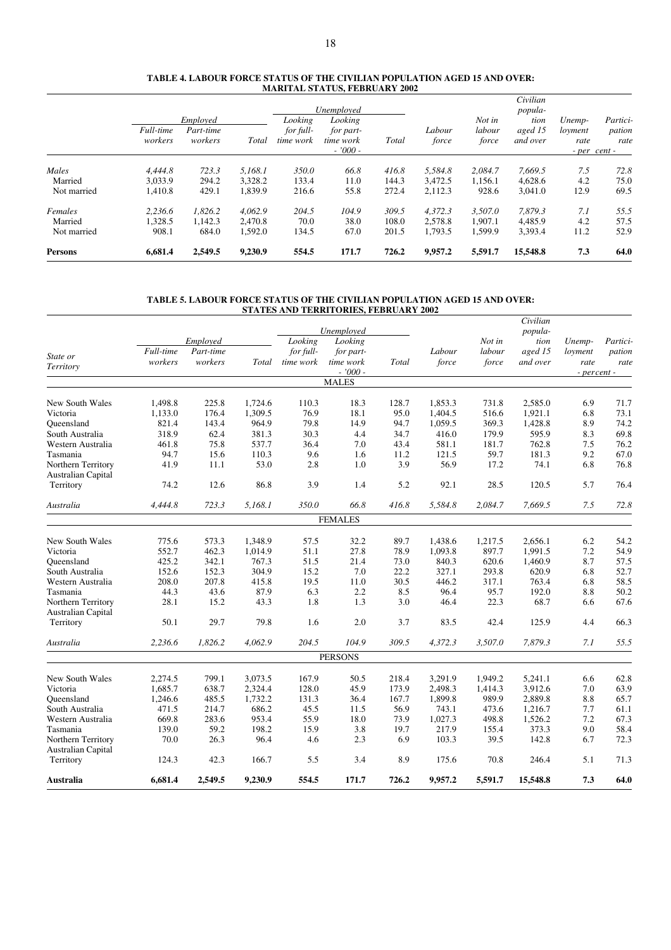#### **TABLE 4. LABOUR FORCE STATUS OF THE CIVILIAN POPULATION AGED 15 AND OVER: MARITAL STATUS, FEBRUARY 2002**

|                |                      |                                  |         |                                   | Unemployed                                     |       |                 |                           | Civilian<br>popula-         |                           |                                            |
|----------------|----------------------|----------------------------------|---------|-----------------------------------|------------------------------------------------|-------|-----------------|---------------------------|-----------------------------|---------------------------|--------------------------------------------|
|                | Full-time<br>workers | Employed<br>Part-time<br>workers | Total   | Looking<br>for full-<br>time work | Looking<br>for part-<br>time work<br>$-7000 -$ | Total | Labour<br>force | Not in<br>labour<br>force | tion<br>aged 15<br>and over | Unemp-<br>loyment<br>rate | Partici-<br>pation<br>rate<br>- per cent - |
| Males          | 4.444.8              | 723.3                            | 5.168.1 | 350.0                             | 66.8                                           | 416.8 | 5.584.8         | 2.084.7                   | 7,669.5                     | 7.5                       | 72.8                                       |
| Married        | 3.033.9              | 294.2                            | 3.328.2 | 133.4                             | 11.0                                           | 144.3 | 3.472.5         | 1,156.1                   | 4,628.6                     | 4.2                       | 75.0                                       |
| Not married    | 1.410.8              | 429.1                            | 1,839.9 | 216.6                             | 55.8                                           | 272.4 | 2.112.3         | 928.6                     | 3,041.0                     | 12.9                      | 69.5                                       |
| Females        | 2.236.6              | 1.826.2                          | 4.062.9 | 204.5                             | 104.9                                          | 309.5 | 4.372.3         | 3.507.0                   | 7.879.3                     | 7.1                       | 55.5                                       |
| Married        | 1.328.5              | 1.142.3                          | 2.470.8 | 70.0                              | 38.0                                           | 108.0 | 2.578.8         | 1.907.1                   | 4.485.9                     | 4.2                       | 57.5                                       |
| Not married    | 908.1                | 684.0                            | 1,592.0 | 134.5                             | 67.0                                           | 201.5 | 1,793.5         | 1,599.9                   | 3,393.4                     | 11.2                      | 52.9                                       |
| <b>Persons</b> | 6,681.4              | 2.549.5                          | 9,230.9 | 554.5                             | 171.7                                          | 726.2 | 9,957.2         | 5,591.7                   | 15,548.8                    | 7.3                       | 64.0                                       |

#### **TABLE 5. LABOUR FORCE STATUS OF THE CIVILIAN POPULATION AGED 15 AND OVER: STATES AND TERRITORIES, FEBRUARY 2002**

|                           |           |           |         |           |                       |       |         |         | Civilian        |                 |          |
|---------------------------|-----------|-----------|---------|-----------|-----------------------|-------|---------|---------|-----------------|-----------------|----------|
|                           |           | Employed  |         | Looking   | Unemployed<br>Looking |       |         | Not in  | popula-<br>tion |                 | Partici- |
|                           | Full-time | Part-time |         | for full- | for part-             |       | Labour  | labour  | aged 15         | Unemp-          |          |
| State or                  | workers   | workers   | Total   | time work | time work             | Total | force   | force   | and over        | loyment<br>rate | pation   |
| Territory                 |           |           |         |           | $-7000 -$             |       |         |         |                 | - percent -     | rate     |
|                           |           |           |         |           | <b>MALES</b>          |       |         |         |                 |                 |          |
|                           |           |           |         |           |                       |       |         |         |                 |                 |          |
| New South Wales           | 1,498.8   | 225.8     | 1,724.6 | 110.3     | 18.3                  | 128.7 | 1,853.3 | 731.8   | 2,585.0         | 6.9             | 71.7     |
| Victoria                  | 1,133.0   | 176.4     | 1,309.5 | 76.9      | 18.1                  | 95.0  | 1,404.5 | 516.6   | 1,921.1         | 6.8             | 73.1     |
| Oueensland                | 821.4     | 143.4     | 964.9   | 79.8      | 14.9                  | 94.7  | 1,059.5 | 369.3   | 1,428.8         | 8.9             | 74.2     |
| South Australia           | 318.9     | 62.4      | 381.3   | 30.3      | 4.4                   | 34.7  | 416.0   | 179.9   | 595.9           | 8.3             | 69.8     |
| Western Australia         | 461.8     | 75.8      | 537.7   | 36.4      | 7.0                   | 43.4  | 581.1   | 181.7   | 762.8           | 7.5             | 76.2     |
| Tasmania                  | 94.7      | 15.6      | 110.3   | 9.6       | 1.6                   | 11.2  | 121.5   | 59.7    | 181.3           | 9.2             | 67.0     |
| Northern Territory        | 41.9      | 11.1      | 53.0    | 2.8       | 1.0                   | 3.9   | 56.9    | 17.2    | 74.1            | 6.8             | 76.8     |
| <b>Australian Capital</b> |           |           |         |           |                       |       |         |         |                 |                 |          |
| Territory                 | 74.2      | 12.6      | 86.8    | 3.9       | 1.4                   | 5.2   | 92.1    | 28.5    | 120.5           | 5.7             | 76.4     |
| Australia                 | 4,444.8   | 723.3     | 5,168.1 | 350.0     | 66.8                  | 416.8 | 5,584.8 | 2,084.7 | 7,669.5         | 7.5             | 72.8     |
|                           |           |           |         |           | <b>FEMALES</b>        |       |         |         |                 |                 |          |
|                           |           |           |         |           |                       |       |         |         |                 |                 |          |
| New South Wales           | 775.6     | 573.3     | 1,348.9 | 57.5      | 32.2                  | 89.7  | 1,438.6 | 1,217.5 | 2,656.1         | 6.2             | 54.2     |
| Victoria                  | 552.7     | 462.3     | 1,014.9 | 51.1      | 27.8                  | 78.9  | 1,093.8 | 897.7   | 1,991.5         | 7.2             | 54.9     |
| Oueensland                | 425.2     | 342.1     | 767.3   | 51.5      | 21.4                  | 73.0  | 840.3   | 620.6   | 1,460.9         | 8.7             | 57.5     |
| South Australia           | 152.6     | 152.3     | 304.9   | 15.2      | 7.0                   | 22.2  | 327.1   | 293.8   | 620.9           | 6.8             | 52.7     |
| Western Australia         | 208.0     | 207.8     | 415.8   | 19.5      | 11.0                  | 30.5  | 446.2   | 317.1   | 763.4           | 6.8             | 58.5     |
| Tasmania                  | 44.3      | 43.6      | 87.9    | 6.3       | 2.2                   | 8.5   | 96.4    | 95.7    | 192.0           | 8.8             | 50.2     |
| Northern Territory        | 28.1      | 15.2      | 43.3    | 1.8       | 1.3                   | 3.0   | 46.4    | 22.3    | 68.7            | 6.6             | 67.6     |
| Australian Capital        |           |           |         |           |                       |       |         |         |                 |                 |          |
| Territory                 | 50.1      | 29.7      | 79.8    | 1.6       | 2.0                   | 3.7   | 83.5    | 42.4    | 125.9           | 4.4             | 66.3     |
| Australia                 | 2,236.6   | 1,826.2   | 4,062.9 | 204.5     | 104.9                 | 309.5 | 4,372.3 | 3,507.0 | 7,879.3         | 7.1             | 55.5     |
|                           |           |           |         |           | <b>PERSONS</b>        |       |         |         |                 |                 |          |
|                           |           |           |         |           |                       |       |         |         |                 |                 |          |
| New South Wales           | 2,274.5   | 799.1     | 3,073.5 | 167.9     | 50.5                  | 218.4 | 3,291.9 | 1,949.2 | 5,241.1         | 6.6             | 62.8     |
| Victoria                  | 1,685.7   | 638.7     | 2,324.4 | 128.0     | 45.9                  | 173.9 | 2,498.3 | 1,414.3 | 3,912.6         | 7.0             | 63.9     |
| Oueensland                | 1,246.6   | 485.5     | 1,732.2 | 131.3     | 36.4                  | 167.7 | 1,899.8 | 989.9   | 2,889.8         | 8.8             | 65.7     |
| South Australia           | 471.5     | 214.7     | 686.2   | 45.5      | 11.5                  | 56.9  | 743.1   | 473.6   | 1,216.7         | 7.7             | 61.1     |
| Western Australia         | 669.8     | 283.6     | 953.4   | 55.9      | 18.0                  | 73.9  | 1,027.3 | 498.8   | 1,526.2         | 7.2             | 67.3     |
| Tasmania                  | 139.0     | 59.2      | 198.2   | 15.9      | 3.8                   | 19.7  | 217.9   | 155.4   | 373.3           | 9.0             | 58.4     |
| Northern Territory        | 70.0      | 26.3      | 96.4    | 4.6       | 2.3                   | 6.9   | 103.3   | 39.5    | 142.8           | 6.7             | 72.3     |
| <b>Australian Capital</b> |           |           |         |           |                       |       |         |         |                 |                 |          |
| Territory                 | 124.3     | 42.3      | 166.7   | 5.5       | 3.4                   | 8.9   | 175.6   | 70.8    | 246.4           | 5.1             | 71.3     |
| Australia                 | 6,681.4   | 2,549.5   | 9,230.9 | 554.5     | 171.7                 | 726.2 | 9,957.2 | 5,591.7 | 15,548.8        | 7.3             | 64.0     |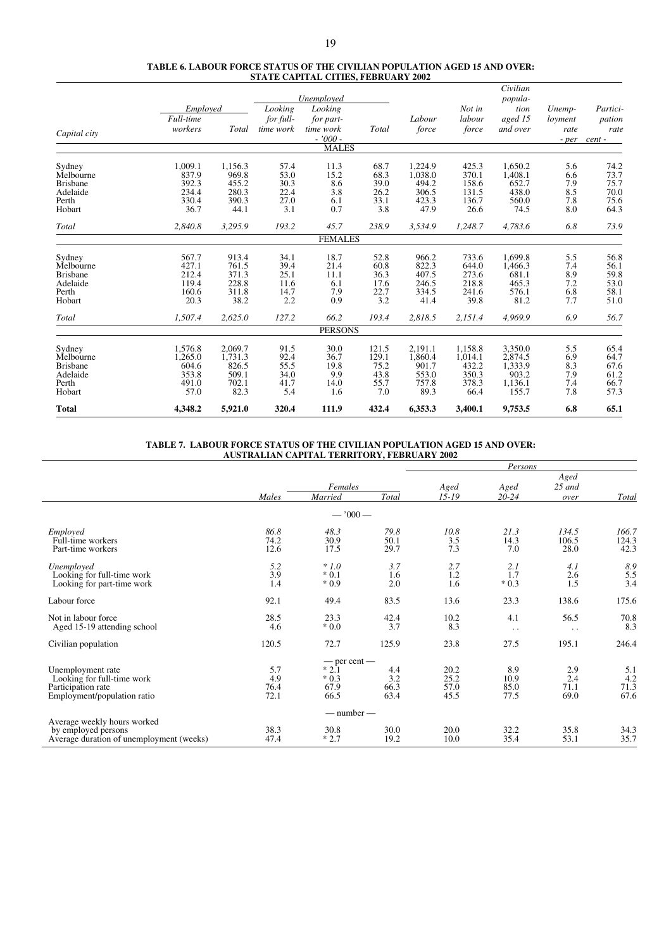|                 |           |         |           | Unemployed             |       |         |         | Civilian<br>popula- |         |          |
|-----------------|-----------|---------|-----------|------------------------|-------|---------|---------|---------------------|---------|----------|
|                 | Employed  |         | Looking   | Looking                |       |         | Not in  | tion                | Unemp-  | Partici- |
|                 | Full-time |         | for full- | for part-              |       | Labour  | labour  | aged 15             | loyment | pation   |
| Capital city    | workers   | Total   | time work | time work<br>$-7000 -$ | Total | force   | force   | and over            | rate    | rate     |
|                 |           |         |           | <b>MALES</b>           |       |         |         |                     | - per   | cent -   |
| Sydney          | 1,009.1   | 1,156.3 | 57.4      | 11.3                   | 68.7  | 1,224.9 | 425.3   | 1,650.2             | 5.6     | 74.2     |
| Melbourne       | 837.9     | 969.8   | 53.0      | 15.2                   | 68.3  | 1.038.0 | 370.1   | 1,408.1             | 6.6     | 73.7     |
| <b>Brisbane</b> | 392.3     | 455.2   | 30.3      | 8.6                    | 39.0  | 494.2   | 158.6   | 652.7               | 7.9     | 75.7     |
| Adelaide        | 234.4     | 280.3   | 22.4      | 3.8                    | 26.2  | 306.5   | 131.5   | 438.0               | 8.5     | 70.0     |
| Perth           | 330.4     | 390.3   | 27.0      | 6.1                    | 33.1  | 423.3   | 136.7   | 560.0               | 7.8     | 75.6     |
| Hobart          | 36.7      | 44.1    | 3.1       | 0.7                    | 3.8   | 47.9    | 26.6    | 74.5                | 8.0     | 64.3     |
| Total           | 2,840.8   | 3,295.9 | 193.2     | 45.7                   | 238.9 | 3,534.9 | 1,248.7 | 4,783.6             | 6.8     | 73.9     |
|                 |           |         |           | <b>FEMALES</b>         |       |         |         |                     |         |          |
| Sydney          | 567.7     | 913.4   | 34.1      | 18.7                   | 52.8  | 966.2   | 733.6   | 1,699.8             | 5.5     | 56.8     |
| Melbourne       | 427.1     | 761.5   | 39.4      | 21.4                   | 60.8  | 822.3   | 644.0   | 1,466.3             | 7.4     | 56.1     |
| <b>Brisbane</b> | 212.4     | 371.3   | 25.1      | 11.1                   | 36.3  | 407.5   | 273.6   | 681.1               | 8.9     | 59.8     |
| Adelaide        | 119.4     | 228.8   | 11.6      | 6.1                    | 17.6  | 246.5   | 218.8   | 465.3               | 7.2     | 53.0     |
| Perth           | 160.6     | 311.8   | 14.7      | 7.9                    | 22.7  | 334.5   | 241.6   | 576.1               | 6.8     | 58.1     |
| Hobart          | 20.3      | 38.2    | 2.2       | 0.9                    | 3.2   | 41.4    | 39.8    | 81.2                | 7.7     | 51.0     |
| <b>Total</b>    | 1.507.4   | 2,625.0 | 127.2     | 66.2                   | 193.4 | 2,818.5 | 2,151.4 | 4.969.9             | 6.9     | 56.7     |
|                 |           |         |           | <b>PERSONS</b>         |       |         |         |                     |         |          |
| Sydney          | 1,576.8   | 2,069.7 | 91.5      | 30.0                   | 121.5 | 2,191.1 | 1,158.8 | 3,350.0             | 5.5     | 65.4     |
| Melbourne       | 1.265.0   | 1.731.3 | 92.4      | 36.7                   | 129.1 | 1,860.4 | 1,014.1 | 2,874.5             | 6.9     | 64.7     |
| <b>Brisbane</b> | 604.6     | 826.5   | 55.5      | 19.8                   | 75.2  | 901.7   | 432.2   | 1,333.9             | 8.3     | 67.6     |
| Adelaide        | 353.8     | 509.1   | 34.0      | 9.9                    | 43.8  | 553.0   | 350.3   | 903.2               | 7.9     | 61.2     |
| Perth           | 491.0     | 702.1   | 41.7      | 14.0                   | 55.7  | 757.8   | 378.3   | 1,136.1             | 7.4     | 66.7     |
| Hobart          | 57.0      | 82.3    | 5.4       | 1.6                    | 7.0   | 89.3    | 66.4    | 155.7               | 7.8     | 57.3     |
| <b>Total</b>    | 4,348.2   | 5,921.0 | 320.4     | 111.9                  | 432.4 | 6,353.3 | 3,400.1 | 9,753.5             | 6.8     | 65.1     |

#### **TABLE 7. LABOUR FORCE STATUS OF THE CIVILIAN POPULATION AGED 15 AND OVER: AUSTRALIAN CAPITAL TERRITORY, FEBRUARY 2002**

|                                          |       |                  |       |           | Persons              |                      |       |
|------------------------------------------|-------|------------------|-------|-----------|----------------------|----------------------|-------|
|                                          |       |                  |       |           |                      | Aged                 |       |
|                                          |       | Females          |       | Aged      | Aged                 | $25$ and             |       |
|                                          | Males | Married          | Total | $15 - 19$ | $20 - 24$            | over                 | Total |
|                                          |       | $-7000-$         |       |           |                      |                      |       |
| Employed                                 | 86.8  | 48.3             | 79.8  | 10.8      | 21.3                 | 134.5                | 166.7 |
| Full-time workers                        | 74.2  | 30.9             | 50.1  | 3.5       | 14.3                 | 106.5                | 124.3 |
| Part-time workers                        | 12.6  | 17.5             | 29.7  | 7.3       | 7.0                  | 28.0                 | 42.3  |
| Unemployed                               | 5.2   | $*1.0$           | 3.7   | 2.7       | 2.1                  | 4.1                  | 8.9   |
| Looking for full-time work               | 3.9   | $*0.1$           | 1.6   | 1.2       | 1.7                  | 2.6                  | 5.5   |
| Looking for part-time work               | 1.4   | $*0.9$           | 2.0   | 1.6       | $*0.3$               | 1.5                  | 3.4   |
| Labour force                             | 92.1  | 49.4             | 83.5  | 13.6      | 23.3                 | 138.6                | 175.6 |
| Not in labour force                      | 28.5  | 23.3             | 42.4  | 10.2      | 4.1                  | 56.5                 | 70.8  |
| Aged 15-19 attending school              | 4.6   | $*0.0$           | 3.7   | 8.3       | $\ddot{\phantom{0}}$ | $\ddot{\phantom{0}}$ | 8.3   |
| Civilian population                      | 120.5 | 72.7             | 125.9 | 23.8      | 27.5                 | 195.1                | 246.4 |
|                                          |       | $-$ per cent $-$ |       |           |                      |                      |       |
| Unemployment rate                        | 5.7   | $*2.1$           | 4.4   | 20.2      | 8.9                  | 2.9                  | 5.1   |
| Looking for full-time work               | 4.9   | $*0.3$           | 3.2   | 25.2      | 10.9                 | 2.4                  | 4.2   |
| Participation rate                       | 76.4  | 67.9             | 66.3  | 57.0      | 85.0                 | 71.1                 | 71.3  |
| Employment/population ratio              | 72.1  | 66.5             | 63.4  | 45.5      | 77.5                 | 69.0                 | 67.6  |
|                                          |       | $-$ number $-$   |       |           |                      |                      |       |
| Average weekly hours worked              |       |                  |       |           |                      |                      |       |
| by employed persons                      | 38.3  | 30.8             | 30.0  | 20.0      | 32.2                 | 35.8                 | 34.3  |
| Average duration of unemployment (weeks) | 47.4  | $*2.7$           | 19.2  | 10.0      | 35.4                 | 53.1                 | 35.7  |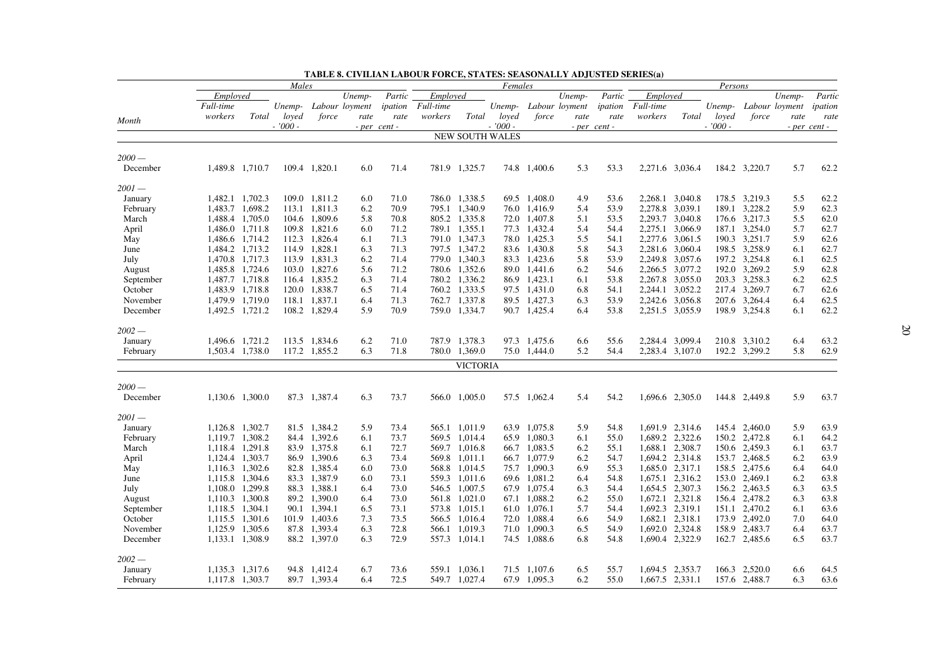|           |                 |                 | Males     |               |                |              |                  |                        | Females   |              |                       |              |                 |                 | Persons   |               |                |              |
|-----------|-----------------|-----------------|-----------|---------------|----------------|--------------|------------------|------------------------|-----------|--------------|-----------------------|--------------|-----------------|-----------------|-----------|---------------|----------------|--------------|
|           | Employed        |                 |           |               | Unemp-         | Partic       | Employed         |                        |           |              | Unemp-                | Partic       | Employed        |                 |           |               | Unemp-         | Partic       |
|           | Full-time       |                 | Unemp-    |               | Labour loyment | ipation      | <i>Full-time</i> |                        |           |              | Unemp- Labour loyment | ipation      | Full-time       |                 | Unemp-    |               | Labour loyment | ipation      |
|           | workers         | Total           | loyed     | force         | rate           | rate         | workers          | Total                  | loved     | force        | rate                  | rate         | workers         | Total           | loyed     | force         | rate           | rate         |
| Month     |                 |                 | $-7000 -$ |               |                | - per cent - |                  |                        | $-7000 -$ |              |                       | - per cent - |                 |                 | $-7000 -$ |               |                | - per cent - |
|           |                 |                 |           |               |                |              |                  | <b>NEW SOUTH WALES</b> |           |              |                       |              |                 |                 |           |               |                |              |
| $2000-$   |                 |                 |           |               |                |              |                  |                        |           |              |                       |              |                 |                 |           |               |                |              |
| December  | 1,489.8 1,710.7 |                 |           | 109.4 1,820.1 | 6.0            | 71.4         |                  | 781.9 1,325.7          |           | 74.8 1,400.6 | 5.3                   | 53.3         | 2,271.6 3,036.4 |                 |           | 184.2 3,220.7 | 5.7            | 62.2         |
| $2001 -$  |                 |                 |           |               |                |              |                  |                        |           |              |                       |              |                 |                 |           |               |                |              |
| January   | 1.482.1 1.702.3 |                 |           | 109.0 1,811.2 | 6.0            | 71.0         |                  | 786.0 1,338.5          |           | 69.5 1.408.0 | 4.9                   | 53.6         |                 | 2.268.1 3.040.8 |           | 178.5 3,219.3 | 5.5            | 62.2         |
| February  | 1,483.7 1,698.2 |                 | 113.1     | 1,811.3       | 6.2            | 70.9         |                  | 795.1 1,340.9          |           | 76.0 1,416.9 | 5.4                   | 53.9         | 2,278.8         | 3,039.1         |           | 189.1 3,228.2 | 5.9            | 62.3         |
| March     | 1,488.4 1,705.0 |                 |           | 104.6 1,809.6 | 5.8            | 70.8         |                  | 805.2 1,335.8          |           | 72.0 1,407.8 | 5.1                   | 53.5         | 2,293.7 3,040.8 |                 |           | 176.6 3,217.3 | 5.5            | 62.0         |
| April     | 1,486.0 1,711.8 |                 |           | 109.8 1,821.6 | 6.0            | 71.2         |                  | 789.1 1,355.1          |           | 77.3 1,432.4 | 5.4                   | 54.4         | 2,275.1         | 3,066.9         |           | 187.1 3,254.0 | 5.7            | 62.7         |
| May       | 1,486.6 1,714.2 |                 |           | 112.3 1,826.4 | 6.1            | 71.3         |                  | 791.0 1,347.3          |           | 78.0 1,425.3 | 5.5                   | 54.1         |                 | 2,277.6 3,061.5 |           | 190.3 3,251.7 | 5.9            | 62.6         |
| June      | 1,484.2 1,713.2 |                 |           | 114.9 1,828.1 | 6.3            | 71.3         |                  | 797.5 1,347.2          |           | 83.6 1,430.8 | 5.8                   | 54.3         |                 | 2,281.6 3,060.4 |           | 198.5 3,258.9 | 6.1            | 62.7         |
| July      | 1,470.8 1,717.3 |                 |           | 113.9 1,831.3 | 6.2            | 71.4         |                  | 779.0 1,340.3          |           | 83.3 1,423.6 | 5.8                   | 53.9         |                 | 2,249.8 3,057.6 |           | 197.2 3,254.8 | 6.1            | 62.5         |
| August    | 1,485.8 1,724.6 |                 |           | 103.0 1,827.6 | 5.6            | 71.2         |                  | 780.6 1,352.6          |           | 89.0 1,441.6 | 6.2                   | 54.6         |                 | 2,266.5 3,077.2 |           | 192.0 3,269.2 | 5.9            | 62.8         |
| September | 1,487.7 1,718.8 |                 |           | 116.4 1,835.2 | 6.3            | 71.4         |                  | 780.2 1,336.2          |           | 86.9 1,423.1 | 6.1                   | 53.8         |                 | 2,267.8 3,055.0 |           | 203.3 3,258.3 | 6.2            | 62.5         |
| October   | 1,483.9 1,718.8 |                 |           | 120.0 1,838.7 | 6.5            | 71.4         |                  | 760.2 1,333.5          |           | 97.5 1,431.0 | 6.8                   | 54.1         | 2,244.1         | 3,052.2         |           | 217.4 3,269.7 | 6.7            | 62.6         |
| November  |                 | 1,479.9 1,719.0 |           | 118.1 1,837.1 | 6.4            | 71.3         |                  | 762.7 1,337.8          |           | 89.5 1,427.3 | 6.3                   | 53.9         |                 | 2,242.6 3,056.8 |           | 207.6 3,264.4 | 6.4            | 62.5         |
| December  |                 | 1,492.5 1,721.2 |           | 108.2 1,829.4 | 5.9            | 70.9         |                  | 759.0 1,334.7          |           | 90.7 1,425.4 | 6.4                   | 53.8         | 2,251.5 3,055.9 |                 |           | 198.9 3,254.8 | 6.1            | 62.2         |
| $2002 -$  |                 |                 |           |               |                |              |                  |                        |           |              |                       |              |                 |                 |           |               |                |              |
| January   | 1,496.6 1,721.2 |                 |           | 113.5 1,834.6 | 6.2            | 71.0         |                  | 787.9 1,378.3          |           | 97.3 1,475.6 | 6.6                   | 55.6         |                 | 2,284.4 3,099.4 |           | 210.8 3,310.2 | 6.4            | 63.2         |
| February  |                 | 1,503.4 1,738.0 |           | 117.2 1,855.2 | 6.3            | 71.8         |                  | 780.0 1,369.0          |           | 75.0 1,444.0 | 5.2                   | 54.4         |                 | 2,283.4 3,107.0 |           | 192.2 3,299.2 | 5.8            | 62.9         |
|           |                 |                 |           |               |                |              |                  | <b>VICTORIA</b>        |           |              |                       |              |                 |                 |           |               |                |              |
| $2000-$   |                 |                 |           |               |                |              |                  |                        |           |              |                       |              |                 |                 |           |               |                |              |
| December  | 1,130.6 1,300.0 |                 |           | 87.3 1,387.4  | 6.3            | 73.7         |                  | 566.0 1,005.0          |           | 57.5 1,062.4 | 5.4                   | 54.2         |                 | 1,696.6 2,305.0 |           | 144.8 2,449.8 | 5.9            | 63.7         |
| $2001 -$  |                 |                 |           |               |                |              |                  |                        |           |              |                       |              |                 |                 |           |               |                |              |
| January   | 1,126.8 1,302.7 |                 |           | 81.5 1,384.2  | 5.9            | 73.4         |                  | 565.1 1,011.9          |           | 63.9 1,075.8 | 5.9                   | 54.8         |                 | 1,691.9 2,314.6 |           | 145.4 2,460.0 | 5.9            | 63.9         |
| February  | 1,119.7 1,308.2 |                 |           | 84.4 1,392.6  | 6.1            | 73.7         |                  | 569.5 1,014.4          |           | 65.9 1.080.3 | 6.1                   | 55.0         |                 | 1,689.2 2,322.6 |           | 150.2 2,472.8 | 6.1            | 64.2         |
| March     | 1,118.4 1,291.8 |                 |           | 83.9 1,375.8  | 6.1            | 72.7         |                  | 569.7 1,016.8          |           | 66.7 1,083.5 | 6.2                   | 55.1         | 1,688.1 2,308.7 |                 |           | 150.6 2,459.3 | 6.1            | 63.7         |
| April     | 1,124.4 1,303.7 |                 |           | 86.9 1,390.6  | 6.3            | 73.4         |                  | 569.8 1,011.1          |           | 66.7 1,077.9 | 6.2                   | 54.7         |                 | 1,694.2 2,314.8 |           | 153.7 2,468.5 | 6.2            | 63.9         |
| May       | 1,116.3 1,302.6 |                 |           | 82.8 1,385.4  | 6.0            | 73.0         |                  | 568.8 1,014.5          |           | 75.7 1,090.3 | 6.9                   | 55.3         | 1,685.0 2,317.1 |                 |           | 158.5 2,475.6 | 6.4            | 64.0         |
| June      | 1,115.8 1,304.6 |                 |           | 83.3 1,387.9  | 6.0            | 73.1         |                  | 559.3 1,011.6          |           | 69.6 1,081.2 | 6.4                   | 54.8         |                 | 1,675.1 2,316.2 |           | 153.0 2,469.1 | 6.2            | 63.8         |
| July      | 1,108.0 1,299.8 |                 |           | 88.3 1,388.1  | 6.4            | 73.0         |                  | 546.5 1,007.5          |           | 67.9 1,075.4 | 6.3                   | 54.4         | 1,654.5 2,307.3 |                 |           | 156.2 2,463.5 | 6.3            | 63.5         |
| August    | 1,110.3 1,300.8 |                 |           | 89.2 1,390.0  | 6.4            | 73.0         |                  | 561.8 1,021.0          |           | 67.1 1,088.2 | 6.2                   | 55.0         |                 | 1,672.1 2,321.8 |           | 156.4 2,478.2 | 6.3            | 63.8         |
| September | 1,118.5 1,304.1 |                 |           | 90.1 1,394.1  | 6.5            | 73.1         |                  | 573.8 1,015.1          |           | 61.0 1,076.1 | 5.7                   | 54.4         | 1,692.3 2,319.1 |                 |           | 151.1 2,470.2 | 6.1            | 63.6         |
| October   | 1,115.5 1,301.6 |                 |           | 101.9 1.403.6 | 7.3            | 73.5         |                  | 566.5 1,016.4          |           | 72.0 1.088.4 | 6.6                   | 54.9         | 1,682.1 2,318.1 |                 |           | 173.9 2,492.0 | 7.0            | 64.0         |
| November  | 1,125.9 1,305.6 |                 |           | 87.8 1,393.4  | 6.3            | 72.8         |                  | 566.1 1,019.3          |           | 71.0 1,090.3 | 6.5                   | 54.9         |                 | 1,692.0 2,324.8 |           | 158.9 2,483.7 | 6.4            | 63.7         |
| December  | 1,133.1 1,308.9 |                 |           | 88.2 1,397.0  | 6.3            | 72.9         |                  | 557.3 1,014.1          |           | 74.5 1,088.6 | 6.8                   | 54.8         |                 | 1,690.4 2,322.9 |           | 162.7 2,485.6 | 6.5            | 63.7         |
| $2002 -$  |                 |                 |           |               |                |              |                  |                        |           |              |                       |              |                 |                 |           |               |                |              |
| January   |                 | 1,135.3 1,317.6 |           | 94.8 1,412.4  | 6.7            | 73.6         |                  | 559.1 1.036.1          |           | 71.5 1.107.6 | 6.5                   | 55.7         |                 | 1,694.5 2,353.7 |           | 166.3 2,520.0 | 6.6            | 64.5         |
| February  | 1,117.8 1,303.7 |                 |           | 89.7 1,393.4  | 6.4            | 72.5         |                  | 549.7 1,027.4          |           | 67.9 1.095.3 | 6.2                   | 55.0         | 1,667.5 2,331.1 |                 |           | 157.6 2,488.7 | 6.3            | 63.6         |

**TABLE 8. CIVILIAN LABOUR FORCE, STATES: SEASONALLY ADJUSTED SERIES(a)**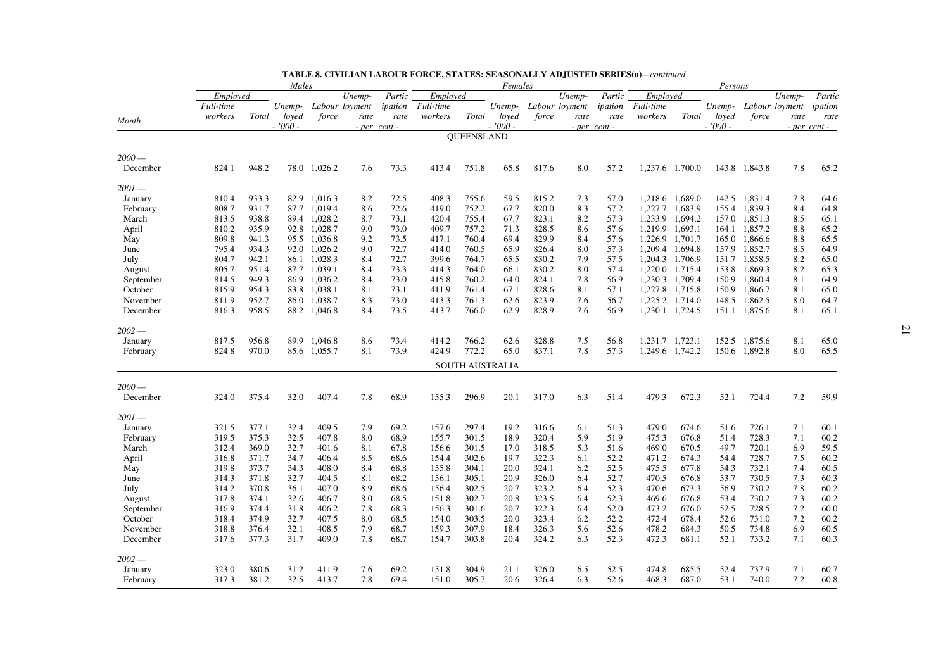|           |           |       | Males    |              |                |              |           |                   | Females         |       |                       |              |           |                 | Persons   |               |                |                |
|-----------|-----------|-------|----------|--------------|----------------|--------------|-----------|-------------------|-----------------|-------|-----------------------|--------------|-----------|-----------------|-----------|---------------|----------------|----------------|
|           | Employed  |       |          |              | Unemp-         | Partic       | Employed  |                   |                 |       | Unemp-                | Partic       | Employed  |                 |           |               | Unemp-         | Partic         |
|           | Full-time |       | Unemp-   |              | Labour loyment | ipation      | Full-time |                   |                 |       | Unemp- Labour loyment | ipation      | Full-time |                 | Unemp-    |               | Labour loyment | ipation        |
|           | workers   | Total | loved    | force        | rate           | rate         | workers   | Total             | loved           | force | rate                  | rate         | workers   | Total           | loved     | force         | rate           | rate           |
| Month     |           |       | - '000 - |              |                | - per cent - |           |                   | $-7000 -$       |       |                       | - per cent - |           |                 | $-7000 -$ |               |                | $- per cent -$ |
|           |           |       |          |              |                |              |           | <b>OUEENSLAND</b> |                 |       |                       |              |           |                 |           |               |                |                |
| $2000-$   |           |       |          |              |                |              |           |                   |                 |       |                       |              |           |                 |           |               |                |                |
| December  | 824.1     | 948.2 |          | 78.0 1,026.2 | 7.6            | 73.3         | 413.4     | 751.8             | 65.8            | 817.6 | 8.0                   | 57.2         |           | 1,237.6 1,700.0 |           | 143.8 1,843.8 | 7.8            | 65.2           |
| $2001 -$  |           |       |          |              |                |              |           |                   |                 |       |                       |              |           |                 |           |               |                |                |
| January   | 810.4     | 933.3 |          | 82.9 1.016.3 | 8.2            | 72.5         | 408.3     | 755.6             | 59.5            | 815.2 | 7.3                   | 57.0         |           | 1,218.6 1,689.0 |           | 142.5 1,831.4 | 7.8            | 64.6           |
| February  | 808.7     | 931.7 |          | 87.7 1,019.4 | 8.6            | 72.6         | 419.0     | 752.2             | 67.7            | 820.0 | 8.3                   | 57.2         | 1,227.7   | 1,683.9         | 155.4     | 1,839.3       | 8.4            | 64.8           |
| March     | 813.5     | 938.8 | 89.4     | 1,028.2      | 8.7            | 73.1         | 420.4     | 755.4             | 67.7            | 823.1 | 8.2                   | 57.3         |           | 1,233.9 1,694.2 | 157.0     | 1,851.3       | 8.5            | 65.1           |
| April     | 810.2     | 935.9 | 92.8     | 1,028.7      | 9.0            | 73.0         | 409.7     | 757.2             | 71.3            | 828.5 | 8.6                   | 57.6         |           | 1,219.9 1,693.1 | 164.1     | 1,857.2       | 8.8            | 65.2           |
| May       | 809.8     | 941.3 | 95.5     | 1,036.8      | 9.2            | 73.5         | 417.1     | 760.4             | 69.4            | 829.9 | 8.4                   | 57.6         |           | 1,226.9 1,701.7 | 165.0     | 1,866.6       | 8.8            | 65.5           |
| June      | 795.4     | 934.3 |          | 92.0 1,026.2 | 9.0            | 72.7         | 414.0     | 760.5             | 65.9            | 826.4 | 8.0                   | 57.3         |           | 1,209.4 1,694.8 | 157.9     | 1,852.7       | 8.5            | 64.9           |
| July      | 804.7     | 942.1 | 86.1     | 1.028.3      | 8.4            | 72.7         | 399.6     | 764.7             | 65.5            | 830.2 | 7.9                   | 57.5         |           | 1,204.3 1,706.9 | 151.7     | 1,858.5       | 8.2            | 65.0           |
| August    | 805.7     | 951.4 |          | 87.7 1,039.1 | 8.4            | 73.3         | 414.3     | 764.0             | 66.1            | 830.2 | 8.0                   | 57.4         |           | 1,220.0 1,715.4 | 153.8     | 1,869.3       | 8.2            | 65.3           |
| September | 814.5     | 949.3 | 86.9     | 1.036.2      | 8.4            | 73.0         | 415.8     | 760.2             | 64.0            | 824.1 | 7.8                   | 56.9         |           | 1,230.3 1,709.4 | 150.9     | 1,860.4       | 8.1            | 64.9           |
| October   | 815.9     | 954.3 | 83.8     | 1,038.1      | 8.1            | 73.1         | 411.9     | 761.4             | 67.1            | 828.6 | 8.1                   | 57.1         |           | 1,227.8 1,715.8 | 150.9     | 1,866.7       | 8.1            | 65.0           |
| November  | 811.9     | 952.7 | 86.0     | 1.038.7      | 8.3            | 73.0         | 413.3     | 761.3             | 62.6            | 823.9 | 7.6                   | 56.7         |           | 1,225.2 1,714.0 | 148.5     | 1,862.5       | 8.0            | 64.7           |
| December  | 816.3     | 958.5 |          | 88.2 1,046.8 | 8.4            | 73.5         | 413.7     | 766.0             | 62.9            | 828.9 | 7.6                   | 56.9         |           | 1,230.1 1,724.5 | 151.1     | 1,875.6       | 8.1            | 65.1           |
| $2002-$   |           |       |          |              |                |              |           |                   |                 |       |                       |              |           |                 |           |               |                |                |
| January   | 817.5     | 956.8 | 89.9     | 1,046.8      | 8.6            | 73.4         | 414.2     | 766.2             | 62.6            | 828.8 | 7.5                   | 56.8         |           | 1,231.7 1,723.1 | 152.5     | 1,875.6       | 8.1            | 65.0           |
| February  | 824.8     | 970.0 |          | 85.6 1,055.7 | 8.1            | 73.9         | 424.9     | 772.2             | 65.0            | 837.1 | 7.8                   | 57.3         |           | 1,249.6 1,742.2 |           | 150.6 1,892.8 | 8.0            | 65.5           |
|           |           |       |          |              |                |              |           |                   | SOUTH AUSTRALIA |       |                       |              |           |                 |           |               |                |                |
| $2000-$   |           |       |          |              |                |              |           |                   |                 |       |                       |              |           |                 |           |               |                |                |
| December  | 324.0     | 375.4 | 32.0     | 407.4        | 7.8            | 68.9         | 155.3     | 296.9             | 20.1            | 317.0 | 6.3                   | 51.4         | 479.3     | 672.3           | 52.1      | 724.4         | 7.2            | 59.9           |
| $2001 -$  |           |       |          |              |                |              |           |                   |                 |       |                       |              |           |                 |           |               |                |                |
| January   | 321.5     | 377.1 | 32.4     | 409.5        | 7.9            | 69.2         | 157.6     | 297.4             | 19.2            | 316.6 | 6.1                   | 51.3         | 479.0     | 674.6           | 51.6      | 726.1         | 7.1            | 60.1           |
| February  | 319.5     | 375.3 | 32.5     | 407.8        | 8.0            | 68.9         | 155.7     | 301.5             | 18.9            | 320.4 | 5.9                   | 51.9         | 475.3     | 676.8           | 51.4      | 728.3         | 7.1            | 60.2           |
| March     | 312.4     | 369.0 | 32.7     | 401.6        | 8.1            | 67.8         | 156.6     | 301.5             | 17.0            | 318.5 | 5.3                   | 51.6         | 469.0     | 670.5           | 49.7      | 720.1         | 6.9            | 59.5           |
| April     | 316.8     | 371.7 | 34.7     | 406.4        | 8.5            | 68.6         | 154.4     | 302.6             | 19.7            | 322.3 | 6.1                   | 52.2         | 471.2     | 674.3           | 54.4      | 728.7         | 7.5            | 60.2           |
| May       | 319.8     | 373.7 | 34.3     | 408.0        | 8.4            | 68.8         | 155.8     | 304.1             | 20.0            | 324.1 | 6.2                   | 52.5         | 475.5     | 677.8           | 54.3      | 732.1         | 7.4            | 60.5           |
| June      | 314.3     | 371.8 | 32.7     | 404.5        | 8.1            | 68.2         | 156.1     | 305.1             | 20.9            | 326.0 | 6.4                   | 52.7         | 470.5     | 676.8           | 53.7      | 730.5         | 7.3            | 60.3           |
| July      | 314.2     | 370.8 | 36.1     | 407.0        | 8.9            | 68.6         | 156.4     | 302.5             | 20.7            | 323.2 | 6.4                   | 52.3         | 470.6     | 673.3           | 56.9      | 730.2         | 7.8            | 60.2           |
| August    | 317.8     | 374.1 | 32.6     | 406.7        | 8.0            | 68.5         | 151.8     | 302.7             | 20.8            | 323.5 | 6.4                   | 52.3         | 469.6     | 676.8           | 53.4      | 730.2         | 7.3            | 60.2           |
| September | 316.9     | 374.4 | 31.8     | 406.2        | 7.8            | 68.3         | 156.3     | 301.6             | 20.7            | 322.3 | 6.4                   | 52.0         | 473.2     | 676.0           | 52.5      | 728.5         | 7.2            | 60.0           |
| October   | 318.4     | 374.9 | 32.7     | 407.5        | 8.0            | 68.5         | 154.0     | 303.5             | 20.0            | 323.4 | 6.2                   | 52.2         | 472.4     | 678.4           | 52.6      | 731.0         | 7.2            | 60.2           |
| November  | 318.8     | 376.4 | 32.1     | 408.5        | 7.9            | 68.7         | 159.3     | 307.9             | 18.4            | 326.3 | 5.6                   | 52.6         | 478.2     | 684.3           | 50.5      | 734.8         | 6.9            | 60.5           |
| December  | 317.6     | 377.3 | 31.7     | 409.0        | 7.8            | 68.7         | 154.7     | 303.8             | 20.4            | 324.2 | 6.3                   | 52.3         | 472.3     | 681.1           | 52.1      | 733.2         | 7.1            | 60.3           |
| $2002 -$  |           |       |          |              |                |              |           |                   |                 |       |                       |              |           |                 |           |               |                |                |
| January   | 323.0     | 380.6 | 31.2     | 411.9        | 7.6            | 69.2         | 151.8     | 304.9             | 21.1            | 326.0 | 6.5                   | 52.5         | 474.8     | 685.5           | 52.4      | 737.9         | 7.1            | 60.7           |
| February  | 317.3     | 381.2 | 32.5     | 413.7        | 7.8            | 69.4         | 151.0     | 305.7             | 20.6            | 326.4 | 6.3                   | 52.6         | 468.3     | 687.0           | 53.1      | 740.0         | 7.2            | 60.8           |
|           |           |       |          |              |                |              |           |                   |                 |       |                       |              |           |                 |           |               |                |                |

|  |  |  |  |  | <b>TABLE 8. CIVILIAN LABOUR FORCE, STATES: SEASONALLY ADJUSTED SERIES(a)—continued</b> |  |  |  |
|--|--|--|--|--|----------------------------------------------------------------------------------------|--|--|--|
|--|--|--|--|--|----------------------------------------------------------------------------------------|--|--|--|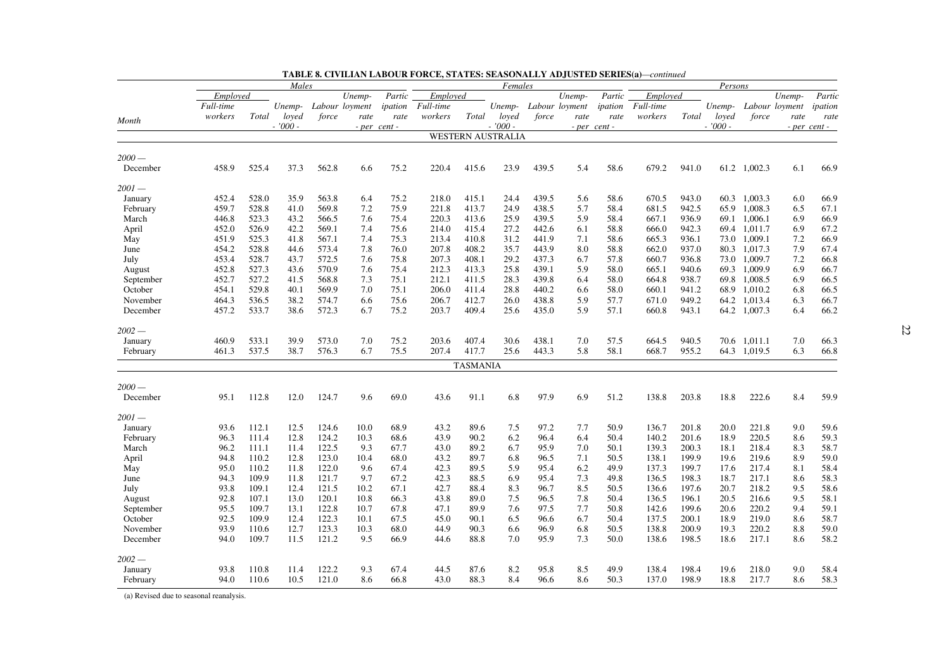|           |           | Males |           |       |                  |         |           |                 | Females                  |       |                       |                  |           |       | Persons   |                |        |              |
|-----------|-----------|-------|-----------|-------|------------------|---------|-----------|-----------------|--------------------------|-------|-----------------------|------------------|-----------|-------|-----------|----------------|--------|--------------|
|           | Employed  |       |           |       | Unemp-           | Partic  | Employed  |                 |                          |       | Unemp-                | Partic           | Employed  |       |           |                | Unemp- | Partic       |
|           | Full-time |       | Unemp-    |       | Labour loyment   | ipation | Full-time |                 |                          |       | Unemp- Labour loyment | ipation          | Full-time |       | Unemp-    | Labour loyment |        | ipation      |
|           | workers   | Total | loved     | force | rate             | rate    | workers   | Total           | loved                    | force | rate                  | rate             | workers   | Total | loyed     | force          | rate   | rate         |
| Month     |           |       | $-7000 -$ |       | $- per$ cent $-$ |         |           |                 | $-7000 -$                |       |                       | $-$ per cent $-$ |           |       | $-7000 -$ |                |        | - per cent - |
|           |           |       |           |       |                  |         |           |                 | <b>WESTERN AUSTRALIA</b> |       |                       |                  |           |       |           |                |        |              |
| $2000-$   |           |       |           |       |                  |         |           |                 |                          |       |                       |                  |           |       |           |                |        |              |
| December  | 458.9     | 525.4 | 37.3      | 562.8 | 6.6              | 75.2    | 220.4     | 415.6           | 23.9                     | 439.5 | 5.4                   | 58.6             | 679.2     | 941.0 | 61.2      | 1,002.3        | 6.1    | 66.9         |
| 2001 —    |           |       |           |       |                  |         |           |                 |                          |       |                       |                  |           |       |           |                |        |              |
| January   | 452.4     | 528.0 | 35.9      | 563.8 | 6.4              | 75.2    | 218.0     | 415.1           | 24.4                     | 439.5 | 5.6                   | 58.6             | 670.5     | 943.0 | 60.3      | 1,003.3        | 6.0    | 66.9         |
| February  | 459.7     | 528.8 | 41.0      | 569.8 | 7.2              | 75.9    | 221.8     | 413.7           | 24.9                     | 438.5 | 5.7                   | 58.4             | 681.5     | 942.5 | 65.9      | 1,008.3        | 6.5    | 67.1         |
| March     | 446.8     | 523.3 | 43.2      | 566.5 | 7.6              | 75.4    | 220.3     | 413.6           | 25.9                     | 439.5 | 5.9                   | 58.4             | 667.1     | 936.9 | 69.1      | 1,006.1        | 6.9    | 66.9         |
| April     | 452.0     | 526.9 | 42.2      | 569.1 | 7.4              | 75.6    | 214.0     | 415.4           | 27.2                     | 442.6 | 6.1                   | 58.8             | 666.0     | 942.3 | 69.4      | 1,011.7        | 6.9    | 67.2         |
| May       | 451.9     | 525.3 | 41.8      | 567.1 | 7.4              | 75.3    | 213.4     | 410.8           | 31.2                     | 441.9 | 7.1                   | 58.6             | 665.3     | 936.1 | 73.0      | 1,009.1        | 7.2    | 66.9         |
| June      | 454.2     | 528.8 | 44.6      | 573.4 | 7.8              | 76.0    | 207.8     | 408.2           | 35.7                     | 443.9 | 8.0                   | 58.8             | 662.0     | 937.0 | 80.3      | 1,017.3        | 7.9    | 67.4         |
| July      | 453.4     | 528.7 | 43.7      | 572.5 | 7.6              | 75.8    | 207.3     | 408.1           | 29.2                     | 437.3 | 6.7                   | 57.8             | 660.7     | 936.8 | 73.0      | 1,009.7        | 7.2    | 66.8         |
| August    | 452.8     | 527.3 | 43.6      | 570.9 | 7.6              | 75.4    | 212.3     | 413.3           | 25.8                     | 439.1 | 5.9                   | 58.0             | 665.1     | 940.6 | 69.3      | 1.009.9        | 6.9    | 66.7         |
| September | 452.7     | 527.2 | 41.5      | 568.8 | 7.3              | 75.1    | 212.1     | 411.5           | 28.3                     | 439.8 | 6.4                   | 58.0             | 664.8     | 938.7 | 69.8      | 1,008.5        | 6.9    | 66.5         |
| October   | 454.1     | 529.8 | 40.1      | 569.9 | 7.0              | 75.1    | 206.0     | 411.4           | 28.8                     | 440.2 | 6.6                   | 58.0             | 660.1     | 941.2 | 68.9      | 1,010.2        | 6.8    | 66.5         |
| November  | 464.3     | 536.5 | 38.2      | 574.7 | 6.6              | 75.6    | 206.7     | 412.7           | 26.0                     | 438.8 | 5.9                   | 57.7             | 671.0     | 949.2 | 64.2      | 1,013.4        | 6.3    | 66.7         |
| December  | 457.2     | 533.7 | 38.6      | 572.3 | 6.7              | 75.2    | 203.7     | 409.4           | 25.6                     | 435.0 | 5.9                   | 57.1             | 660.8     | 943.1 | 64.2      | 1,007.3        | 6.4    | 66.2         |
| $2002 -$  |           |       |           |       |                  |         |           |                 |                          |       |                       |                  |           |       |           |                |        |              |
| January   | 460.9     | 533.1 | 39.9      | 573.0 | 7.0              | 75.2    | 203.6     | 407.4           | 30.6                     | 438.1 | 7.0                   | 57.5             | 664.5     | 940.5 | 70.6      | 1,011.1        | 7.0    | 66.3         |
| February  | 461.3     | 537.5 | 38.7      | 576.3 | 6.7              | 75.5    | 207.4     | 417.7           | 25.6                     | 443.3 | 5.8                   | 58.1             | 668.7     | 955.2 |           | 64.3 1,019.5   | 6.3    | 66.8         |
|           |           |       |           |       |                  |         |           | <b>TASMANIA</b> |                          |       |                       |                  |           |       |           |                |        |              |
| $2000-$   |           |       |           |       |                  |         |           |                 |                          |       |                       |                  |           |       |           |                |        |              |
| December  | 95.1      | 112.8 | 12.0      | 124.7 | 9.6              | 69.0    | 43.6      | 91.1            | 6.8                      | 97.9  | 6.9                   | 51.2             | 138.8     | 203.8 | 18.8      | 222.6          | 8.4    | 59.9         |
| 2001 —    |           |       |           |       |                  |         |           |                 |                          |       |                       |                  |           |       |           |                |        |              |
| January   | 93.6      | 112.1 | 12.5      | 124.6 | 10.0             | 68.9    | 43.2      | 89.6            | 7.5                      | 97.2  | 7.7                   | 50.9             | 136.7     | 201.8 | 20.0      | 221.8          | 9.0    | 59.6         |
| February  | 96.3      | 111.4 | 12.8      | 124.2 | 10.3             | 68.6    | 43.9      | 90.2            | 6.2                      | 96.4  | 6.4                   | 50.4             | 140.2     | 201.6 | 18.9      | 220.5          | 8.6    | 59.3         |
| March     | 96.2      | 111.1 | 11.4      | 122.5 | 9.3              | 67.7    | 43.0      | 89.2            | 6.7                      | 95.9  | 7.0                   | 50.1             | 139.3     | 200.3 | 18.1      | 218.4          | 8.3    | 58.7         |
| April     | 94.8      | 110.2 | 12.8      | 123.0 | 10.4             | 68.0    | 43.2      | 89.7            | 6.8                      | 96.5  | 7.1                   | 50.5             | 138.1     | 199.9 | 19.6      | 219.6          | 8.9    | 59.0         |
| May       | 95.0      | 110.2 | 11.8      | 122.0 | 9.6              | 67.4    | 42.3      | 89.5            | 5.9                      | 95.4  | 6.2                   | 49.9             | 137.3     | 199.7 | 17.6      | 217.4          | 8.1    | 58.4         |
| June      | 94.3      | 109.9 | 11.8      | 121.7 | 9.7              | 67.2    | 42.3      | 88.5            | 6.9                      | 95.4  | 7.3                   | 49.8             | 136.5     | 198.3 | 18.7      | 217.1          | 8.6    | 58.3         |
| July      | 93.8      | 109.1 | 12.4      | 121.5 | 10.2             | 67.1    | 42.7      | 88.4            | 8.3                      | 96.7  | 8.5                   | 50.5             | 136.6     | 197.6 | 20.7      | 218.2          | 9.5    | 58.6         |
| August    | 92.8      | 107.1 | 13.0      | 120.1 | 10.8             | 66.3    | 43.8      | 89.0            | 7.5                      | 96.5  | 7.8                   | 50.4             | 136.5     | 196.1 | 20.5      | 216.6          | 9.5    | 58.1         |
| September | 95.5      | 109.7 | 13.1      | 122.8 | 10.7             | 67.8    | 47.1      | 89.9            | 7.6                      | 97.5  | 7.7                   | 50.8             | 142.6     | 199.6 | 20.6      | 220.2          | 9.4    | 59.1         |
| October   | 92.5      | 109.9 | 12.4      | 122.3 | 10.1             | 67.5    | 45.0      | 90.1            | 6.5                      | 96.6  | 6.7                   | 50.4             | 137.5     | 200.1 | 18.9      | 219.0          | 8.6    | 58.7         |
| November  | 93.9      | 110.6 | 12.7      | 123.3 | 10.3             | 68.0    | 44.9      | 90.3            | 6.6                      | 96.9  | 6.8                   | 50.5             | 138.8     | 200.9 | 19.3      | 220.2          | 8.8    | 59.0         |
| December  | 94.0      | 109.7 | 11.5      | 121.2 | 9.5              | 66.9    | 44.6      | 88.8            | 7.0                      | 95.9  | 7.3                   | 50.0             | 138.6     | 198.5 | 18.6      | 217.1          | 8.6    | 58.2         |
| $2002 -$  |           |       |           |       |                  |         |           |                 |                          |       |                       |                  |           |       |           |                |        |              |
| January   | 93.8      | 110.8 | 11.4      | 122.2 | 9.3              | 67.4    | 44.5      | 87.6            | 8.2                      | 95.8  | 8.5                   | 49.9             | 138.4     | 198.4 | 19.6      | 218.0          | 9.0    | 58.4         |
| February  | 94.0      | 110.6 | 10.5      | 121.0 | 8.6              | 66.8    | 43.0      | 88.3            | 8.4                      | 96.6  | 8.6                   | 50.3             | 137.0     | 198.9 | 18.8      | 217.7          | 8.6    | 58.3         |

| <b>TABLE 8. CIVILIAN LABOUR FORCE, STATES: SEASONALLY ADJUSTED SERIES(a)—continued</b> |  |  |  |
|----------------------------------------------------------------------------------------|--|--|--|
|----------------------------------------------------------------------------------------|--|--|--|

(a) Revised due to seasonal reanalysis.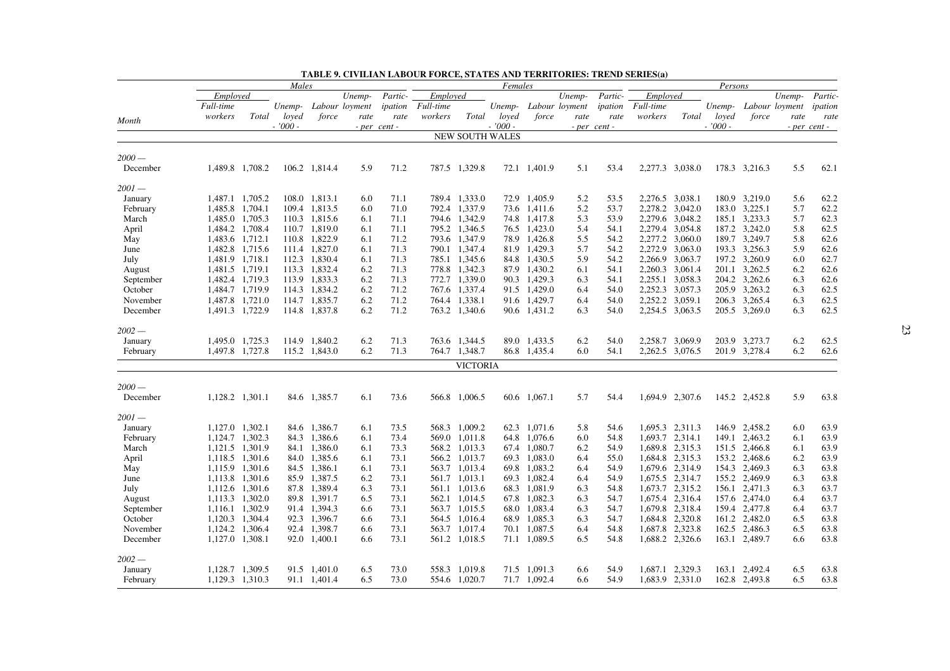|           |                                    |                 | Males     |                              |                       |              |                  |                                | Females                |                              |                       |              |                 |                 | Persons   |                                |                |              |
|-----------|------------------------------------|-----------------|-----------|------------------------------|-----------------------|--------------|------------------|--------------------------------|------------------------|------------------------------|-----------------------|--------------|-----------------|-----------------|-----------|--------------------------------|----------------|--------------|
|           | Employed                           |                 |           |                              | Unemp-                | Partic-      | Employed         |                                |                        |                              | Unemp-                | Partic-      | Employed        |                 |           |                                | Unemp-         | Partic-      |
|           | Full-time                          |                 |           |                              | Unemp- Labour loyment | ipation      | <i>Full-time</i> |                                |                        |                              | Unemp- Labour loyment | ipation      | Full-time       |                 | Unemp-    |                                | Labour loyment | ipation      |
|           | workers                            | Total           | loved     | force                        | rate                  | rate         | workers          | Total                          | loved                  | force                        | rate                  | rate         | workers         | Total           | loved     | force                          | rate           | rate         |
| Month     |                                    |                 | $-7000 -$ |                              |                       | - per cent - |                  |                                | $-7000 -$              |                              |                       | - per cent - |                 |                 | $-7000 -$ |                                |                | - per cent - |
|           |                                    |                 |           |                              |                       |              |                  |                                | <b>NEW SOUTH WALES</b> |                              |                       |              |                 |                 |           |                                |                |              |
| $2000-$   |                                    |                 |           |                              |                       |              |                  |                                |                        |                              |                       |              |                 |                 |           |                                |                |              |
| December  | 1,489.8 1,708.2                    |                 |           | 106.2 1,814.4                | 5.9                   | 71.2         |                  | 787.5 1,329.8                  |                        | 72.1 1,401.9                 | 5.1                   | 53.4         | 2,277.3 3,038.0 |                 |           | 178.3 3,216.3                  | 5.5            | 62.1         |
| $2001 -$  |                                    |                 |           |                              |                       |              |                  |                                |                        |                              |                       |              |                 |                 |           |                                |                |              |
| January   | 1,487.1 1,705.2                    |                 |           | 108.0 1,813.1                | 6.0                   | 71.1         |                  | 789.4 1,333.0                  |                        | 72.9 1,405.9                 | 5.2                   | 53.5         | 2,276.5 3,038.1 |                 |           | 180.9 3,219.0                  | 5.6            | 62.2         |
| February  | 1,485.8 1,704.1                    |                 |           | 109.4 1,813.5                | 6.0                   | 71.0         |                  | 792.4 1,337.9                  |                        | 73.6 1,411.6                 | 5.2                   | 53.7         | 2,278.2 3,042.0 |                 |           | 183.0 3,225.1                  | 5.7            | 62.2         |
| March     | 1,485.0 1,705.3                    |                 |           | 110.3 1,815.6                | 6.1                   | 71.1         |                  | 794.6 1,342.9                  |                        | 74.8 1,417.8                 | 5.3                   | 53.9         | 2,279.6 3,048.2 |                 |           | 185.1 3,233.3                  | 5.7            | 62.3         |
| April     | 1,484.2 1,708.4                    |                 |           | 110.7 1,819.0                | 6.1                   | 71.1         |                  | 795.2 1,346.5                  |                        | 76.5 1,423.0                 | 5.4                   | 54.1         | 2,279.4 3,054.8 |                 |           | 187.2 3,242.0                  | 5.8            | 62.5         |
| May       | 1,483.6 1,712.1                    |                 |           | 110.8 1,822.9                | 6.1                   | 71.2         |                  | 793.6 1,347.9                  |                        | 78.9 1.426.8                 | 5.5                   | 54.2         | 2,277.2 3,060.0 |                 |           | 189.7 3,249.7                  | 5.8            | 62.6         |
| June      | 1,482.8 1,715.6                    |                 |           | 111.4 1,827.0                | 6.1                   | 71.3         |                  | 790.1 1,347.4                  |                        | 81.9 1,429.3                 | 5.7                   | 54.2         | 2,272.9 3,063.0 |                 |           | 193.3 3,256.3                  | 5.9            | 62.6         |
| July      | 1,481.9 1,718.1                    |                 |           | 112.3 1,830.4                | 6.1                   | 71.3         |                  | 785.1 1,345.6                  |                        | 84.8 1,430.5                 | 5.9                   | 54.2         | 2,266.9 3,063.7 |                 |           | 197.2 3,260.9                  | 6.0            | 62.7         |
| August    | 1,481.5 1,719.1                    |                 |           | 113.3 1,832.4                | 6.2                   | 71.3         |                  | 778.8 1,342.3                  |                        | 87.9 1,430.2                 | 6.1                   | 54.1         | 2,260.3 3,061.4 |                 |           | 201.1 3,262.5                  | 6.2            | 62.6         |
| September | 1,482.4 1,719.3                    |                 |           | 113.9 1,833.3                | 6.2                   | 71.3         |                  | 772.7 1,339.0                  |                        | 90.3 1,429.3                 | 6.3                   | 54.1         | 2,255.1 3,058.3 |                 |           | 204.2 3,262.6                  | 6.3            | 62.6         |
| October   | 1,484.7 1,719.9                    |                 |           | 114.3 1,834.2                | 6.2                   | 71.2         |                  | 767.6 1,337.4                  |                        | 91.5 1,429.0                 | 6.4                   | 54.0         |                 | 2,252.3 3,057.3 |           | 205.9 3,263.2                  | 6.3            | 62.5         |
| November  |                                    | 1,487.8 1,721.0 |           | 114.7 1,835.7                | 6.2                   | 71.2         |                  | 764.4 1,338.1                  |                        | 91.6 1,429.7                 | 6.4                   | 54.0         | 2,252.2 3,059.1 |                 |           | 206.3 3,265.4                  | 6.3            | 62.5         |
| December  | 1,491.3 1,722.9                    |                 |           | 114.8 1,837.8                | 6.2                   | 71.2         |                  | 763.2 1,340.6                  |                        | 90.6 1,431.2                 | 6.3                   | 54.0         | 2,254.5 3,063.5 |                 |           | 205.5 3,269.0                  | 6.3            | 62.5         |
| $2002 -$  |                                    |                 |           |                              |                       |              |                  |                                |                        |                              |                       |              |                 |                 |           |                                |                |              |
| January   | 1,495.0 1,725.3                    |                 |           | 114.9 1,840.2                | 6.2                   | 71.3         | 763.6            | 1,344.5                        |                        | 89.0 1,433.5                 | 6.2                   | 54.0         |                 | 2,258.7 3,069.9 |           | 203.9 3,273.7                  | 6.2            | 62.5         |
| February  | 1,497.8 1,727.8                    |                 |           | 115.2 1,843.0                | 6.2                   | 71.3         |                  | 764.7 1,348.7                  |                        | 86.8 1,435.4                 | 6.0                   | 54.1         |                 | 2,262.5 3,076.5 |           | 201.9 3,278.4                  | 6.2            | 62.6         |
|           |                                    |                 |           |                              |                       |              |                  | <b>VICTORIA</b>                |                        |                              |                       |              |                 |                 |           |                                |                |              |
| $2000 -$  |                                    |                 |           |                              |                       |              |                  |                                |                        |                              |                       |              |                 |                 |           |                                |                |              |
| December  | 1,128.2 1,301.1                    |                 |           | 84.6 1,385.7                 | 6.1                   | 73.6         |                  | 566.8 1,006.5                  |                        | 60.6 1.067.1                 | 5.7                   | 54.4         |                 | 1,694.9 2,307.6 |           | 145.2 2,452.8                  | 5.9            | 63.8         |
|           |                                    |                 |           |                              |                       |              |                  |                                |                        |                              |                       |              |                 |                 |           |                                |                |              |
| $2001 -$  |                                    |                 |           |                              |                       |              |                  |                                |                        |                              |                       |              |                 |                 |           |                                |                | 63.9         |
| January   | 1,127.0 1,302.1<br>1,124.7 1,302.3 |                 |           | 84.6 1,386.7<br>84.3 1,386.6 | 6.1<br>6.1            | 73.5<br>73.4 |                  | 568.3 1,009.2<br>569.0 1,011.8 |                        | 62.3 1,071.6<br>64.8 1,076.6 | 5.8<br>6.0            | 54.6<br>54.8 | 1,693.7         | 1,695.3 2,311.3 |           | 146.9 2,458.2<br>149.1 2,463.2 | 6.0<br>6.1     | 63.9         |
| February  |                                    |                 |           |                              |                       | 73.3         |                  |                                |                        |                              |                       |              |                 | 2,314.1         |           |                                |                | 63.9         |
| March     | 1,121.5 1,301.9                    |                 |           | 84.1 1,386.0<br>84.0 1,385.6 | 6.1<br>6.1            | 73.1         |                  | 568.2 1,013.3                  |                        | 67.4 1,080.7<br>69.3 1.083.0 | 6.2<br>6.4            | 54.9         |                 | 1,689.8 2,315.3 |           | 151.5 2,466.8                  | 6.1<br>6.2     | 63.9         |
| April     | 1,118.5 1,301.6                    |                 |           |                              |                       | 73.1         |                  | 566.2 1,013.7                  |                        |                              |                       | 55.0         |                 | 1,684.8 2,315.3 |           | 153.2 2,468.6                  |                |              |
| May       | 1,115.9 1,301.6                    |                 |           | 84.5 1,386.1                 | 6.1                   |              |                  | 563.7 1,013.4                  |                        | 69.8 1,083.2                 | 6.4                   | 54.9         | 1,679.6 2,314.9 |                 |           | 154.3 2,469.3                  | 6.3            | 63.8         |
| June      | 1,113.8 1,301.6                    |                 |           | 85.9 1,387.5                 | 6.2                   | 73.1         |                  | 561.7 1.013.1                  |                        | 69.3 1.082.4                 | 6.4                   | 54.9         | 1,675.5 2,314.7 |                 |           | 155.2 2,469.9                  | 6.3            | 63.8         |
| July      | 1,112.6 1,301.6                    |                 |           | 87.8 1,389.4                 | 6.3                   | 73.1         |                  | 561.1 1,013.6                  |                        | 68.3 1,081.9                 | 6.3                   | 54.8         |                 | 1,673.7 2,315.2 |           | 156.1 2,471.3                  | 6.3            | 63.7         |
| August    | 1,113.3 1,302.0                    |                 |           | 89.8 1.391.7                 | 6.5                   | 73.1         |                  | 562.1 1.014.5                  |                        | 67.8 1.082.3                 | 6.3                   | 54.7         |                 | 1,675.4 2,316.4 |           | 157.6 2.474.0                  | 6.4            | 63.7         |
| September | 1,116.1 1,302.9                    |                 |           | 91.4 1,394.3                 | 6.6                   | 73.1         |                  | 563.7 1,015.5                  |                        | 68.0 1,083.4                 | 6.3                   | 54.7         |                 | 1,679.8 2,318.4 |           | 159.4 2,477.8                  | 6.4            | 63.7         |
| October   | 1,120.3 1,304.4                    |                 |           | 92.3 1,396.7                 | 6.6                   | 73.1         |                  | 564.5 1,016.4                  |                        | 68.9 1,085.3                 | 6.3                   | 54.7         |                 | 1,684.8 2,320.8 |           | 161.2 2,482.0                  | 6.5            | 63.8         |
| November  | 1,124.2 1,306.4                    |                 |           | 92.4 1,398.7                 | 6.6                   | 73.1         |                  | 563.7 1,017.4                  |                        | 70.1 1,087.5                 | 6.4                   | 54.8         |                 | 1,687.8 2,323.8 |           | 162.5 2,486.3                  | 6.5            | 63.8         |
| December  | 1,127.0                            | 1,308.1         |           | 92.0 1,400.1                 | 6.6                   | 73.1         |                  | 561.2 1,018.5                  |                        | 71.1 1,089.5                 | 6.5                   | 54.8         |                 | 1,688.2 2,326.6 |           | 163.1 2,489.7                  | 6.6            | 63.8         |
| $2002 -$  |                                    |                 |           |                              |                       |              |                  |                                |                        |                              |                       |              |                 |                 |           |                                |                |              |
| January   | 1,128.7 1,309.5                    |                 |           | 91.5 1,401.0                 | 6.5                   | 73.0         |                  | 558.3 1,019.8                  |                        | 71.5 1,091.3                 | 6.6                   | 54.9         |                 | 1,687.1 2,329.3 |           | 163.1 2,492.4                  | 6.5            | 63.8         |
| February  | 1,129.3 1,310.3                    |                 |           | 91.1 1,401.4                 | 6.5                   | 73.0         |                  | 554.6 1,020.7                  |                        | 71.7 1,092.4                 | 6.6                   | 54.9         |                 | 1,683.9 2,331.0 |           | 162.8 2,493.8                  | 6.5            | 63.8         |

**TABLE 9. CIVILIAN LABOUR FORCE, STATES AND TERRITORIES: TREND SERIES(a)**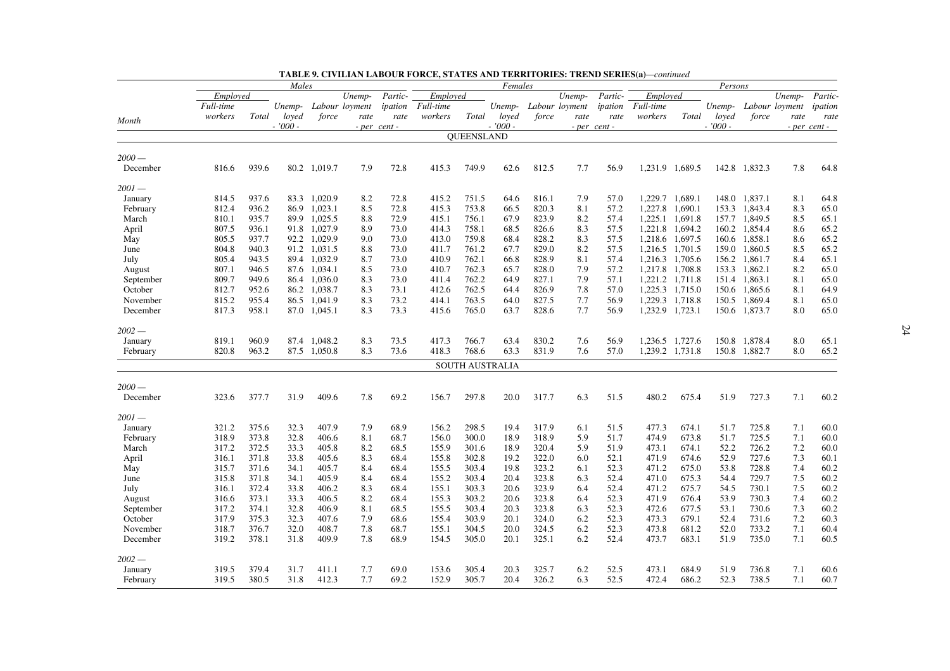| Partic-<br>Employed<br>Unemp-<br>Partic-<br>Employed<br>Unemp-<br>Partic-<br>Employed<br>Unemp-<br>Full-time<br>Full-time<br>ipation<br><i>Full-time</i><br>ipation<br>Unemp-<br>Labour loyment<br>Unemp- Labour loyment<br>Unemp-<br>Labour loyment<br>ipation<br>force<br>workers<br>Total<br>force<br>workers<br>Total<br>loved<br>workers<br>Total<br>loyed<br>loved<br>rate<br>force<br>rate<br>rate<br>rate<br>rate<br>rate<br>Month<br>$-7000 -$<br>$-7000 -$<br>$-7000 -$<br>$- per cent -$<br>- per cent -<br>- per cent -<br><b>OUEENSLAND</b><br>$2000-$<br>939.6<br>812.5<br>816.6<br>80.2 1,019.7<br>7.9<br>72.8<br>415.3<br>749.9<br>62.6<br>7.7<br>56.9<br>1,231.9 1,689.5<br>142.8 1,832.3<br>7.8<br>64.8<br>December<br>2001 —<br>937.6<br>64.8<br>814.5<br>83.3 1,020.9<br>8.2<br>72.8<br>415.2<br>751.5<br>64.6<br>816.1<br>7.9<br>57.0<br>1,229.7 1,689.1<br>148.0 1,837.1<br>8.1<br>January<br>936.2<br>1,023.1<br>8.5<br>72.8<br>415.3<br>753.8<br>820.3<br>8.1<br>57.2<br>1,227.8<br>1,690.1<br>1,843.4<br>8.3<br>65.0<br>812.4<br>86.9<br>66.5<br>153.3<br>February<br>810.1<br>935.7<br>1,025.5<br>72.9<br>756.1<br>823.9<br>57.4<br>1,225.1<br>1,691.8<br>1,849.5<br>8.5<br>65.1<br>89.9<br>8.8<br>415.1<br>67.9<br>8.2<br>157.7<br>March<br>807.5<br>936.1<br>91.8 1,027.9<br>73.0<br>758.1<br>826.6<br>57.5<br>1,221.8<br>1.694.2<br>1,854.4<br>65.2<br>8.9<br>414.3<br>68.5<br>8.3<br>160.2<br>8.6<br>April<br>805.5<br>937.7<br>92.2 1.029.9<br>73.0<br>413.0<br>759.8<br>68.4<br>828.2<br>8.3<br>57.5<br>1,218.6 1,697.5<br>1,858.1<br>65.2<br>9.0<br>160.6<br>8.6<br>May<br>65.2<br>804.8<br>940.3<br>91.2 1,031.5<br>73.0<br>761.2<br>67.7<br>829.0<br>8.2<br>57.5<br>1,216.5 1,701.5<br>1,860.5<br>8.5<br>8.8<br>411.7<br>159.0<br>June<br>805.4<br>943.5<br>89.4 1.032.9<br>73.0<br>410.9<br>762.1<br>66.8<br>828.9<br>8.1<br>57.4<br>1,216.3 1,705.6<br>156.2<br>1,861.7<br>8.4<br>65.1<br>July<br>8.7<br>65.0<br>807.1<br>946.5<br>87.6 1.034.1<br>8.5<br>73.0<br>410.7<br>762.3<br>65.7<br>828.0<br>7.9<br>57.2<br>1.217.8 1.708.8<br>153.3<br>1.862.1<br>8.2<br>August<br>809.7<br>949.6<br>86.4 1,036.0<br>8.3<br>73.0<br>411.4<br>762.2<br>64.9<br>827.1<br>7.9<br>57.1<br>1,221.2 1,711.8<br>151.4<br>1,863.1<br>8.1<br>65.0<br>September<br>64.9<br>October<br>812.7<br>952.6<br>86.2 1,038.7<br>8.3<br>73.1<br>412.6<br>762.5<br>64.4<br>826.9<br>7.8<br>57.0<br>1,225.3 1,715.0<br>150.6<br>1,865.6<br>8.1<br>763.5<br>1,229.3 1,718.8<br>8.1<br>65.0<br>November<br>815.2<br>955.4<br>86.5<br>1,041.9<br>8.3<br>73.2<br>414.1<br>64.0<br>827.5<br>7.7<br>56.9<br>150.5<br>1,869.4<br>8.0<br>65.0<br>December<br>817.3<br>958.1<br>87.0 1,045.1<br>8.3<br>73.3<br>415.6<br>765.0<br>63.7<br>828.6<br>7.7<br>56.9<br>1,232.9 1,723.1<br>150.6<br>1,873.7<br>2002 —<br>960.9<br>830.2<br>8.0<br>819.1<br>87.4 1,048.2<br>8.3<br>73.5<br>417.3<br>766.7<br>63.4<br>7.6<br>56.9<br>1,236.5 1,727.6<br>150.8<br>1,878.4<br>65.1<br>January<br>57.0<br>65.2<br>820.8<br>963.2<br>87.5 1,050.8<br>8.3<br>73.6<br>418.3<br>768.6<br>63.3<br>831.9<br>7.6<br>1,239.2 1,731.8<br>150.8<br>1,882.7<br>8.0<br>February<br><b>SOUTH AUSTRALIA</b><br>$2000-$<br>377.7<br>31.9<br>409.6<br>69.2<br>297.8<br>20.0<br>317.7<br>6.3<br>51.5<br>480.2<br>51.9<br>727.3<br>7.1<br>60.2<br>323.6<br>7.8<br>156.7<br>675.4<br>December<br>$2001-$<br>32.3<br>407.9<br>68.9<br>298.5<br>477.3<br>7.1<br>60.0<br>321.2<br>375.6<br>7.9<br>156.2<br>19.4<br>317.9<br>6.1<br>51.5<br>674.1<br>51.7<br>725.8<br>January<br>373.8<br>32.8<br>406.6<br>300.0<br>18.9<br>318.9<br>5.9<br>51.7<br>474.9<br>673.8<br>51.7<br>725.5<br>7.1<br>60.0<br>318.9<br>8.1<br>68.7<br>156.0<br>February<br>7.2<br>372.5<br>405.8<br>8.2<br>301.6<br>18.9<br>320.4<br>5.9<br>51.9<br>473.1<br>52.2<br>60.0<br>317.2<br>33.3<br>68.5<br>155.9<br>674.1<br>726.2<br>March<br>371.8<br>33.8<br>405.6<br>8.3<br>302.8<br>19.2<br>322.0<br>52.1<br>471.9<br>674.6<br>52.9<br>727.6<br>7.3<br>60.1<br>April<br>316.1<br>68.4<br>155.8<br>6.0<br>371.6<br>405.7<br>303.4<br>19.8<br>323.2<br>52.3<br>675.0<br>53.8<br>728.8<br>7.4<br>60.2<br>315.7<br>34.1<br>8.4<br>68.4<br>155.5<br>6.1<br>471.2<br>May<br>315.8<br>371.8<br>34.1<br>405.9<br>8.4<br>68.4<br>155.2<br>303.4<br>20.4<br>323.8<br>6.3<br>52.4<br>471.0<br>675.3<br>54.4<br>729.7<br>7.5<br>60.2<br>June<br>60.2<br>316.1<br>372.4<br>33.8<br>406.2<br>8.3<br>155.1<br>303.3<br>20.6<br>323.9<br>52.4<br>471.2<br>675.7<br>54.5<br>730.1<br>7.5<br>68.4<br>6.4<br>July<br>406.5<br>53.9<br>60.2<br>316.6<br>373.1<br>33.3<br>8.2<br>68.4<br>155.3<br>303.2<br>20.6<br>323.8<br>6.4<br>52.3<br>471.9<br>676.4<br>730.3<br>7.4<br>August<br>406.9<br>60.2<br>317.2<br>374.1<br>32.8<br>8.1<br>68.5<br>155.5<br>303.4<br>20.3<br>323.8<br>6.3<br>52.3<br>472.6<br>677.5<br>53.1<br>730.6<br>7.3<br>September<br>407.6<br>52.4<br>7.2<br>60.3<br>October<br>317.9<br>375.3<br>32.3<br>7.9<br>68.6<br>155.4<br>303.9<br>20.1<br>324.0<br>6.2<br>52.3<br>473.3<br>679.1<br>731.6<br>408.7<br>20.0<br>52.0<br>7.1<br>60.4<br>November<br>318.7<br>376.7<br>32.0<br>7.8<br>68.7<br>155.1<br>304.5<br>324.5<br>6.2<br>52.3<br>473.8<br>681.2<br>733.2<br>378.1<br>409.9<br>7.8<br>305.0<br>325.1<br>6.2<br>51.9<br>7.1<br>60.5<br>319.2<br>31.8<br>68.9<br>154.5<br>20.1<br>52.4<br>473.7<br>683.1<br>735.0<br>December<br>$2002 -$<br>69.0<br>305.4<br>20.3<br>325.7<br>6.2<br>473.1<br>684.9<br>51.9<br>7.1<br>60.6<br>319.5<br>379.4<br>31.7<br>411.1<br>7.7<br>153.6<br>52.5<br>736.8<br>January |       |       | Males |       |     |      |       |       | Females |       |     |      |       |       | Persons |       |     |      |
|----------------------------------------------------------------------------------------------------------------------------------------------------------------------------------------------------------------------------------------------------------------------------------------------------------------------------------------------------------------------------------------------------------------------------------------------------------------------------------------------------------------------------------------------------------------------------------------------------------------------------------------------------------------------------------------------------------------------------------------------------------------------------------------------------------------------------------------------------------------------------------------------------------------------------------------------------------------------------------------------------------------------------------------------------------------------------------------------------------------------------------------------------------------------------------------------------------------------------------------------------------------------------------------------------------------------------------------------------------------------------------------------------------------------------------------------------------------------------------------------------------------------------------------------------------------------------------------------------------------------------------------------------------------------------------------------------------------------------------------------------------------------------------------------------------------------------------------------------------------------------------------------------------------------------------------------------------------------------------------------------------------------------------------------------------------------------------------------------------------------------------------------------------------------------------------------------------------------------------------------------------------------------------------------------------------------------------------------------------------------------------------------------------------------------------------------------------------------------------------------------------------------------------------------------------------------------------------------------------------------------------------------------------------------------------------------------------------------------------------------------------------------------------------------------------------------------------------------------------------------------------------------------------------------------------------------------------------------------------------------------------------------------------------------------------------------------------------------------------------------------------------------------------------------------------------------------------------------------------------------------------------------------------------------------------------------------------------------------------------------------------------------------------------------------------------------------------------------------------------------------------------------------------------------------------------------------------------------------------------------------------------------------------------------------------------------------------------------------------------------------------------------------------------------------------------------------------------------------------------------------------------------------------------------------------------------------------------------------------------------------------------------------------------------------------------------------------------------------------------------------------------------------------------------------------------------------------------------------------------------------------------------------------------------------------------------------------------------------------------------------------------------------------------------------------------------------------------------------------------------------------------------------------------------------------------------------------------------------------------------------------------------------------------------------------------------------------------------------------------------------------------------------------------------------------------------------------------------------------------------------------------------------------------------------------------------------------------------------------------------------------------------------------------------------------------------------------------------------------------------------------------------------------------------------------------------------------------------------------------------------------------------------------------------------------------------------------------------------------------------------------------------------------------------------------------------------------------------------------------------------------------------------------------------------------|-------|-------|-------|-------|-----|------|-------|-------|---------|-------|-----|------|-------|-------|---------|-------|-----|------|
|                                                                                                                                                                                                                                                                                                                                                                                                                                                                                                                                                                                                                                                                                                                                                                                                                                                                                                                                                                                                                                                                                                                                                                                                                                                                                                                                                                                                                                                                                                                                                                                                                                                                                                                                                                                                                                                                                                                                                                                                                                                                                                                                                                                                                                                                                                                                                                                                                                                                                                                                                                                                                                                                                                                                                                                                                                                                                                                                                                                                                                                                                                                                                                                                                                                                                                                                                                                                                                                                                                                                                                                                                                                                                                                                                                                                                                                                                                                                                                                                                                                                                                                                                                                                                                                                                                                                                                                                                                                                                                                                                                                                                                                                                                                                                                                                                                                                                                                                                                                                                                                                                                                                                                                                                                                                                                                                                                                                                                                                                                                                                          |       |       |       |       |     |      |       |       |         |       |     |      |       |       |         |       |     |      |
|                                                                                                                                                                                                                                                                                                                                                                                                                                                                                                                                                                                                                                                                                                                                                                                                                                                                                                                                                                                                                                                                                                                                                                                                                                                                                                                                                                                                                                                                                                                                                                                                                                                                                                                                                                                                                                                                                                                                                                                                                                                                                                                                                                                                                                                                                                                                                                                                                                                                                                                                                                                                                                                                                                                                                                                                                                                                                                                                                                                                                                                                                                                                                                                                                                                                                                                                                                                                                                                                                                                                                                                                                                                                                                                                                                                                                                                                                                                                                                                                                                                                                                                                                                                                                                                                                                                                                                                                                                                                                                                                                                                                                                                                                                                                                                                                                                                                                                                                                                                                                                                                                                                                                                                                                                                                                                                                                                                                                                                                                                                                                          |       |       |       |       |     |      |       |       |         |       |     |      |       |       |         |       |     |      |
|                                                                                                                                                                                                                                                                                                                                                                                                                                                                                                                                                                                                                                                                                                                                                                                                                                                                                                                                                                                                                                                                                                                                                                                                                                                                                                                                                                                                                                                                                                                                                                                                                                                                                                                                                                                                                                                                                                                                                                                                                                                                                                                                                                                                                                                                                                                                                                                                                                                                                                                                                                                                                                                                                                                                                                                                                                                                                                                                                                                                                                                                                                                                                                                                                                                                                                                                                                                                                                                                                                                                                                                                                                                                                                                                                                                                                                                                                                                                                                                                                                                                                                                                                                                                                                                                                                                                                                                                                                                                                                                                                                                                                                                                                                                                                                                                                                                                                                                                                                                                                                                                                                                                                                                                                                                                                                                                                                                                                                                                                                                                                          |       |       |       |       |     |      |       |       |         |       |     |      |       |       |         |       |     |      |
|                                                                                                                                                                                                                                                                                                                                                                                                                                                                                                                                                                                                                                                                                                                                                                                                                                                                                                                                                                                                                                                                                                                                                                                                                                                                                                                                                                                                                                                                                                                                                                                                                                                                                                                                                                                                                                                                                                                                                                                                                                                                                                                                                                                                                                                                                                                                                                                                                                                                                                                                                                                                                                                                                                                                                                                                                                                                                                                                                                                                                                                                                                                                                                                                                                                                                                                                                                                                                                                                                                                                                                                                                                                                                                                                                                                                                                                                                                                                                                                                                                                                                                                                                                                                                                                                                                                                                                                                                                                                                                                                                                                                                                                                                                                                                                                                                                                                                                                                                                                                                                                                                                                                                                                                                                                                                                                                                                                                                                                                                                                                                          |       |       |       |       |     |      |       |       |         |       |     |      |       |       |         |       |     |      |
|                                                                                                                                                                                                                                                                                                                                                                                                                                                                                                                                                                                                                                                                                                                                                                                                                                                                                                                                                                                                                                                                                                                                                                                                                                                                                                                                                                                                                                                                                                                                                                                                                                                                                                                                                                                                                                                                                                                                                                                                                                                                                                                                                                                                                                                                                                                                                                                                                                                                                                                                                                                                                                                                                                                                                                                                                                                                                                                                                                                                                                                                                                                                                                                                                                                                                                                                                                                                                                                                                                                                                                                                                                                                                                                                                                                                                                                                                                                                                                                                                                                                                                                                                                                                                                                                                                                                                                                                                                                                                                                                                                                                                                                                                                                                                                                                                                                                                                                                                                                                                                                                                                                                                                                                                                                                                                                                                                                                                                                                                                                                                          |       |       |       |       |     |      |       |       |         |       |     |      |       |       |         |       |     |      |
|                                                                                                                                                                                                                                                                                                                                                                                                                                                                                                                                                                                                                                                                                                                                                                                                                                                                                                                                                                                                                                                                                                                                                                                                                                                                                                                                                                                                                                                                                                                                                                                                                                                                                                                                                                                                                                                                                                                                                                                                                                                                                                                                                                                                                                                                                                                                                                                                                                                                                                                                                                                                                                                                                                                                                                                                                                                                                                                                                                                                                                                                                                                                                                                                                                                                                                                                                                                                                                                                                                                                                                                                                                                                                                                                                                                                                                                                                                                                                                                                                                                                                                                                                                                                                                                                                                                                                                                                                                                                                                                                                                                                                                                                                                                                                                                                                                                                                                                                                                                                                                                                                                                                                                                                                                                                                                                                                                                                                                                                                                                                                          |       |       |       |       |     |      |       |       |         |       |     |      |       |       |         |       |     |      |
|                                                                                                                                                                                                                                                                                                                                                                                                                                                                                                                                                                                                                                                                                                                                                                                                                                                                                                                                                                                                                                                                                                                                                                                                                                                                                                                                                                                                                                                                                                                                                                                                                                                                                                                                                                                                                                                                                                                                                                                                                                                                                                                                                                                                                                                                                                                                                                                                                                                                                                                                                                                                                                                                                                                                                                                                                                                                                                                                                                                                                                                                                                                                                                                                                                                                                                                                                                                                                                                                                                                                                                                                                                                                                                                                                                                                                                                                                                                                                                                                                                                                                                                                                                                                                                                                                                                                                                                                                                                                                                                                                                                                                                                                                                                                                                                                                                                                                                                                                                                                                                                                                                                                                                                                                                                                                                                                                                                                                                                                                                                                                          |       |       |       |       |     |      |       |       |         |       |     |      |       |       |         |       |     |      |
|                                                                                                                                                                                                                                                                                                                                                                                                                                                                                                                                                                                                                                                                                                                                                                                                                                                                                                                                                                                                                                                                                                                                                                                                                                                                                                                                                                                                                                                                                                                                                                                                                                                                                                                                                                                                                                                                                                                                                                                                                                                                                                                                                                                                                                                                                                                                                                                                                                                                                                                                                                                                                                                                                                                                                                                                                                                                                                                                                                                                                                                                                                                                                                                                                                                                                                                                                                                                                                                                                                                                                                                                                                                                                                                                                                                                                                                                                                                                                                                                                                                                                                                                                                                                                                                                                                                                                                                                                                                                                                                                                                                                                                                                                                                                                                                                                                                                                                                                                                                                                                                                                                                                                                                                                                                                                                                                                                                                                                                                                                                                                          |       |       |       |       |     |      |       |       |         |       |     |      |       |       |         |       |     |      |
|                                                                                                                                                                                                                                                                                                                                                                                                                                                                                                                                                                                                                                                                                                                                                                                                                                                                                                                                                                                                                                                                                                                                                                                                                                                                                                                                                                                                                                                                                                                                                                                                                                                                                                                                                                                                                                                                                                                                                                                                                                                                                                                                                                                                                                                                                                                                                                                                                                                                                                                                                                                                                                                                                                                                                                                                                                                                                                                                                                                                                                                                                                                                                                                                                                                                                                                                                                                                                                                                                                                                                                                                                                                                                                                                                                                                                                                                                                                                                                                                                                                                                                                                                                                                                                                                                                                                                                                                                                                                                                                                                                                                                                                                                                                                                                                                                                                                                                                                                                                                                                                                                                                                                                                                                                                                                                                                                                                                                                                                                                                                                          |       |       |       |       |     |      |       |       |         |       |     |      |       |       |         |       |     |      |
|                                                                                                                                                                                                                                                                                                                                                                                                                                                                                                                                                                                                                                                                                                                                                                                                                                                                                                                                                                                                                                                                                                                                                                                                                                                                                                                                                                                                                                                                                                                                                                                                                                                                                                                                                                                                                                                                                                                                                                                                                                                                                                                                                                                                                                                                                                                                                                                                                                                                                                                                                                                                                                                                                                                                                                                                                                                                                                                                                                                                                                                                                                                                                                                                                                                                                                                                                                                                                                                                                                                                                                                                                                                                                                                                                                                                                                                                                                                                                                                                                                                                                                                                                                                                                                                                                                                                                                                                                                                                                                                                                                                                                                                                                                                                                                                                                                                                                                                                                                                                                                                                                                                                                                                                                                                                                                                                                                                                                                                                                                                                                          |       |       |       |       |     |      |       |       |         |       |     |      |       |       |         |       |     |      |
|                                                                                                                                                                                                                                                                                                                                                                                                                                                                                                                                                                                                                                                                                                                                                                                                                                                                                                                                                                                                                                                                                                                                                                                                                                                                                                                                                                                                                                                                                                                                                                                                                                                                                                                                                                                                                                                                                                                                                                                                                                                                                                                                                                                                                                                                                                                                                                                                                                                                                                                                                                                                                                                                                                                                                                                                                                                                                                                                                                                                                                                                                                                                                                                                                                                                                                                                                                                                                                                                                                                                                                                                                                                                                                                                                                                                                                                                                                                                                                                                                                                                                                                                                                                                                                                                                                                                                                                                                                                                                                                                                                                                                                                                                                                                                                                                                                                                                                                                                                                                                                                                                                                                                                                                                                                                                                                                                                                                                                                                                                                                                          |       |       |       |       |     |      |       |       |         |       |     |      |       |       |         |       |     |      |
|                                                                                                                                                                                                                                                                                                                                                                                                                                                                                                                                                                                                                                                                                                                                                                                                                                                                                                                                                                                                                                                                                                                                                                                                                                                                                                                                                                                                                                                                                                                                                                                                                                                                                                                                                                                                                                                                                                                                                                                                                                                                                                                                                                                                                                                                                                                                                                                                                                                                                                                                                                                                                                                                                                                                                                                                                                                                                                                                                                                                                                                                                                                                                                                                                                                                                                                                                                                                                                                                                                                                                                                                                                                                                                                                                                                                                                                                                                                                                                                                                                                                                                                                                                                                                                                                                                                                                                                                                                                                                                                                                                                                                                                                                                                                                                                                                                                                                                                                                                                                                                                                                                                                                                                                                                                                                                                                                                                                                                                                                                                                                          |       |       |       |       |     |      |       |       |         |       |     |      |       |       |         |       |     |      |
|                                                                                                                                                                                                                                                                                                                                                                                                                                                                                                                                                                                                                                                                                                                                                                                                                                                                                                                                                                                                                                                                                                                                                                                                                                                                                                                                                                                                                                                                                                                                                                                                                                                                                                                                                                                                                                                                                                                                                                                                                                                                                                                                                                                                                                                                                                                                                                                                                                                                                                                                                                                                                                                                                                                                                                                                                                                                                                                                                                                                                                                                                                                                                                                                                                                                                                                                                                                                                                                                                                                                                                                                                                                                                                                                                                                                                                                                                                                                                                                                                                                                                                                                                                                                                                                                                                                                                                                                                                                                                                                                                                                                                                                                                                                                                                                                                                                                                                                                                                                                                                                                                                                                                                                                                                                                                                                                                                                                                                                                                                                                                          |       |       |       |       |     |      |       |       |         |       |     |      |       |       |         |       |     |      |
|                                                                                                                                                                                                                                                                                                                                                                                                                                                                                                                                                                                                                                                                                                                                                                                                                                                                                                                                                                                                                                                                                                                                                                                                                                                                                                                                                                                                                                                                                                                                                                                                                                                                                                                                                                                                                                                                                                                                                                                                                                                                                                                                                                                                                                                                                                                                                                                                                                                                                                                                                                                                                                                                                                                                                                                                                                                                                                                                                                                                                                                                                                                                                                                                                                                                                                                                                                                                                                                                                                                                                                                                                                                                                                                                                                                                                                                                                                                                                                                                                                                                                                                                                                                                                                                                                                                                                                                                                                                                                                                                                                                                                                                                                                                                                                                                                                                                                                                                                                                                                                                                                                                                                                                                                                                                                                                                                                                                                                                                                                                                                          |       |       |       |       |     |      |       |       |         |       |     |      |       |       |         |       |     |      |
|                                                                                                                                                                                                                                                                                                                                                                                                                                                                                                                                                                                                                                                                                                                                                                                                                                                                                                                                                                                                                                                                                                                                                                                                                                                                                                                                                                                                                                                                                                                                                                                                                                                                                                                                                                                                                                                                                                                                                                                                                                                                                                                                                                                                                                                                                                                                                                                                                                                                                                                                                                                                                                                                                                                                                                                                                                                                                                                                                                                                                                                                                                                                                                                                                                                                                                                                                                                                                                                                                                                                                                                                                                                                                                                                                                                                                                                                                                                                                                                                                                                                                                                                                                                                                                                                                                                                                                                                                                                                                                                                                                                                                                                                                                                                                                                                                                                                                                                                                                                                                                                                                                                                                                                                                                                                                                                                                                                                                                                                                                                                                          |       |       |       |       |     |      |       |       |         |       |     |      |       |       |         |       |     |      |
|                                                                                                                                                                                                                                                                                                                                                                                                                                                                                                                                                                                                                                                                                                                                                                                                                                                                                                                                                                                                                                                                                                                                                                                                                                                                                                                                                                                                                                                                                                                                                                                                                                                                                                                                                                                                                                                                                                                                                                                                                                                                                                                                                                                                                                                                                                                                                                                                                                                                                                                                                                                                                                                                                                                                                                                                                                                                                                                                                                                                                                                                                                                                                                                                                                                                                                                                                                                                                                                                                                                                                                                                                                                                                                                                                                                                                                                                                                                                                                                                                                                                                                                                                                                                                                                                                                                                                                                                                                                                                                                                                                                                                                                                                                                                                                                                                                                                                                                                                                                                                                                                                                                                                                                                                                                                                                                                                                                                                                                                                                                                                          |       |       |       |       |     |      |       |       |         |       |     |      |       |       |         |       |     |      |
|                                                                                                                                                                                                                                                                                                                                                                                                                                                                                                                                                                                                                                                                                                                                                                                                                                                                                                                                                                                                                                                                                                                                                                                                                                                                                                                                                                                                                                                                                                                                                                                                                                                                                                                                                                                                                                                                                                                                                                                                                                                                                                                                                                                                                                                                                                                                                                                                                                                                                                                                                                                                                                                                                                                                                                                                                                                                                                                                                                                                                                                                                                                                                                                                                                                                                                                                                                                                                                                                                                                                                                                                                                                                                                                                                                                                                                                                                                                                                                                                                                                                                                                                                                                                                                                                                                                                                                                                                                                                                                                                                                                                                                                                                                                                                                                                                                                                                                                                                                                                                                                                                                                                                                                                                                                                                                                                                                                                                                                                                                                                                          |       |       |       |       |     |      |       |       |         |       |     |      |       |       |         |       |     |      |
|                                                                                                                                                                                                                                                                                                                                                                                                                                                                                                                                                                                                                                                                                                                                                                                                                                                                                                                                                                                                                                                                                                                                                                                                                                                                                                                                                                                                                                                                                                                                                                                                                                                                                                                                                                                                                                                                                                                                                                                                                                                                                                                                                                                                                                                                                                                                                                                                                                                                                                                                                                                                                                                                                                                                                                                                                                                                                                                                                                                                                                                                                                                                                                                                                                                                                                                                                                                                                                                                                                                                                                                                                                                                                                                                                                                                                                                                                                                                                                                                                                                                                                                                                                                                                                                                                                                                                                                                                                                                                                                                                                                                                                                                                                                                                                                                                                                                                                                                                                                                                                                                                                                                                                                                                                                                                                                                                                                                                                                                                                                                                          |       |       |       |       |     |      |       |       |         |       |     |      |       |       |         |       |     |      |
|                                                                                                                                                                                                                                                                                                                                                                                                                                                                                                                                                                                                                                                                                                                                                                                                                                                                                                                                                                                                                                                                                                                                                                                                                                                                                                                                                                                                                                                                                                                                                                                                                                                                                                                                                                                                                                                                                                                                                                                                                                                                                                                                                                                                                                                                                                                                                                                                                                                                                                                                                                                                                                                                                                                                                                                                                                                                                                                                                                                                                                                                                                                                                                                                                                                                                                                                                                                                                                                                                                                                                                                                                                                                                                                                                                                                                                                                                                                                                                                                                                                                                                                                                                                                                                                                                                                                                                                                                                                                                                                                                                                                                                                                                                                                                                                                                                                                                                                                                                                                                                                                                                                                                                                                                                                                                                                                                                                                                                                                                                                                                          |       |       |       |       |     |      |       |       |         |       |     |      |       |       |         |       |     |      |
|                                                                                                                                                                                                                                                                                                                                                                                                                                                                                                                                                                                                                                                                                                                                                                                                                                                                                                                                                                                                                                                                                                                                                                                                                                                                                                                                                                                                                                                                                                                                                                                                                                                                                                                                                                                                                                                                                                                                                                                                                                                                                                                                                                                                                                                                                                                                                                                                                                                                                                                                                                                                                                                                                                                                                                                                                                                                                                                                                                                                                                                                                                                                                                                                                                                                                                                                                                                                                                                                                                                                                                                                                                                                                                                                                                                                                                                                                                                                                                                                                                                                                                                                                                                                                                                                                                                                                                                                                                                                                                                                                                                                                                                                                                                                                                                                                                                                                                                                                                                                                                                                                                                                                                                                                                                                                                                                                                                                                                                                                                                                                          |       |       |       |       |     |      |       |       |         |       |     |      |       |       |         |       |     |      |
|                                                                                                                                                                                                                                                                                                                                                                                                                                                                                                                                                                                                                                                                                                                                                                                                                                                                                                                                                                                                                                                                                                                                                                                                                                                                                                                                                                                                                                                                                                                                                                                                                                                                                                                                                                                                                                                                                                                                                                                                                                                                                                                                                                                                                                                                                                                                                                                                                                                                                                                                                                                                                                                                                                                                                                                                                                                                                                                                                                                                                                                                                                                                                                                                                                                                                                                                                                                                                                                                                                                                                                                                                                                                                                                                                                                                                                                                                                                                                                                                                                                                                                                                                                                                                                                                                                                                                                                                                                                                                                                                                                                                                                                                                                                                                                                                                                                                                                                                                                                                                                                                                                                                                                                                                                                                                                                                                                                                                                                                                                                                                          |       |       |       |       |     |      |       |       |         |       |     |      |       |       |         |       |     |      |
|                                                                                                                                                                                                                                                                                                                                                                                                                                                                                                                                                                                                                                                                                                                                                                                                                                                                                                                                                                                                                                                                                                                                                                                                                                                                                                                                                                                                                                                                                                                                                                                                                                                                                                                                                                                                                                                                                                                                                                                                                                                                                                                                                                                                                                                                                                                                                                                                                                                                                                                                                                                                                                                                                                                                                                                                                                                                                                                                                                                                                                                                                                                                                                                                                                                                                                                                                                                                                                                                                                                                                                                                                                                                                                                                                                                                                                                                                                                                                                                                                                                                                                                                                                                                                                                                                                                                                                                                                                                                                                                                                                                                                                                                                                                                                                                                                                                                                                                                                                                                                                                                                                                                                                                                                                                                                                                                                                                                                                                                                                                                                          |       |       |       |       |     |      |       |       |         |       |     |      |       |       |         |       |     |      |
|                                                                                                                                                                                                                                                                                                                                                                                                                                                                                                                                                                                                                                                                                                                                                                                                                                                                                                                                                                                                                                                                                                                                                                                                                                                                                                                                                                                                                                                                                                                                                                                                                                                                                                                                                                                                                                                                                                                                                                                                                                                                                                                                                                                                                                                                                                                                                                                                                                                                                                                                                                                                                                                                                                                                                                                                                                                                                                                                                                                                                                                                                                                                                                                                                                                                                                                                                                                                                                                                                                                                                                                                                                                                                                                                                                                                                                                                                                                                                                                                                                                                                                                                                                                                                                                                                                                                                                                                                                                                                                                                                                                                                                                                                                                                                                                                                                                                                                                                                                                                                                                                                                                                                                                                                                                                                                                                                                                                                                                                                                                                                          |       |       |       |       |     |      |       |       |         |       |     |      |       |       |         |       |     |      |
|                                                                                                                                                                                                                                                                                                                                                                                                                                                                                                                                                                                                                                                                                                                                                                                                                                                                                                                                                                                                                                                                                                                                                                                                                                                                                                                                                                                                                                                                                                                                                                                                                                                                                                                                                                                                                                                                                                                                                                                                                                                                                                                                                                                                                                                                                                                                                                                                                                                                                                                                                                                                                                                                                                                                                                                                                                                                                                                                                                                                                                                                                                                                                                                                                                                                                                                                                                                                                                                                                                                                                                                                                                                                                                                                                                                                                                                                                                                                                                                                                                                                                                                                                                                                                                                                                                                                                                                                                                                                                                                                                                                                                                                                                                                                                                                                                                                                                                                                                                                                                                                                                                                                                                                                                                                                                                                                                                                                                                                                                                                                                          |       |       |       |       |     |      |       |       |         |       |     |      |       |       |         |       |     |      |
|                                                                                                                                                                                                                                                                                                                                                                                                                                                                                                                                                                                                                                                                                                                                                                                                                                                                                                                                                                                                                                                                                                                                                                                                                                                                                                                                                                                                                                                                                                                                                                                                                                                                                                                                                                                                                                                                                                                                                                                                                                                                                                                                                                                                                                                                                                                                                                                                                                                                                                                                                                                                                                                                                                                                                                                                                                                                                                                                                                                                                                                                                                                                                                                                                                                                                                                                                                                                                                                                                                                                                                                                                                                                                                                                                                                                                                                                                                                                                                                                                                                                                                                                                                                                                                                                                                                                                                                                                                                                                                                                                                                                                                                                                                                                                                                                                                                                                                                                                                                                                                                                                                                                                                                                                                                                                                                                                                                                                                                                                                                                                          |       |       |       |       |     |      |       |       |         |       |     |      |       |       |         |       |     |      |
|                                                                                                                                                                                                                                                                                                                                                                                                                                                                                                                                                                                                                                                                                                                                                                                                                                                                                                                                                                                                                                                                                                                                                                                                                                                                                                                                                                                                                                                                                                                                                                                                                                                                                                                                                                                                                                                                                                                                                                                                                                                                                                                                                                                                                                                                                                                                                                                                                                                                                                                                                                                                                                                                                                                                                                                                                                                                                                                                                                                                                                                                                                                                                                                                                                                                                                                                                                                                                                                                                                                                                                                                                                                                                                                                                                                                                                                                                                                                                                                                                                                                                                                                                                                                                                                                                                                                                                                                                                                                                                                                                                                                                                                                                                                                                                                                                                                                                                                                                                                                                                                                                                                                                                                                                                                                                                                                                                                                                                                                                                                                                          |       |       |       |       |     |      |       |       |         |       |     |      |       |       |         |       |     |      |
|                                                                                                                                                                                                                                                                                                                                                                                                                                                                                                                                                                                                                                                                                                                                                                                                                                                                                                                                                                                                                                                                                                                                                                                                                                                                                                                                                                                                                                                                                                                                                                                                                                                                                                                                                                                                                                                                                                                                                                                                                                                                                                                                                                                                                                                                                                                                                                                                                                                                                                                                                                                                                                                                                                                                                                                                                                                                                                                                                                                                                                                                                                                                                                                                                                                                                                                                                                                                                                                                                                                                                                                                                                                                                                                                                                                                                                                                                                                                                                                                                                                                                                                                                                                                                                                                                                                                                                                                                                                                                                                                                                                                                                                                                                                                                                                                                                                                                                                                                                                                                                                                                                                                                                                                                                                                                                                                                                                                                                                                                                                                                          |       |       |       |       |     |      |       |       |         |       |     |      |       |       |         |       |     |      |
|                                                                                                                                                                                                                                                                                                                                                                                                                                                                                                                                                                                                                                                                                                                                                                                                                                                                                                                                                                                                                                                                                                                                                                                                                                                                                                                                                                                                                                                                                                                                                                                                                                                                                                                                                                                                                                                                                                                                                                                                                                                                                                                                                                                                                                                                                                                                                                                                                                                                                                                                                                                                                                                                                                                                                                                                                                                                                                                                                                                                                                                                                                                                                                                                                                                                                                                                                                                                                                                                                                                                                                                                                                                                                                                                                                                                                                                                                                                                                                                                                                                                                                                                                                                                                                                                                                                                                                                                                                                                                                                                                                                                                                                                                                                                                                                                                                                                                                                                                                                                                                                                                                                                                                                                                                                                                                                                                                                                                                                                                                                                                          |       |       |       |       |     |      |       |       |         |       |     |      |       |       |         |       |     |      |
|                                                                                                                                                                                                                                                                                                                                                                                                                                                                                                                                                                                                                                                                                                                                                                                                                                                                                                                                                                                                                                                                                                                                                                                                                                                                                                                                                                                                                                                                                                                                                                                                                                                                                                                                                                                                                                                                                                                                                                                                                                                                                                                                                                                                                                                                                                                                                                                                                                                                                                                                                                                                                                                                                                                                                                                                                                                                                                                                                                                                                                                                                                                                                                                                                                                                                                                                                                                                                                                                                                                                                                                                                                                                                                                                                                                                                                                                                                                                                                                                                                                                                                                                                                                                                                                                                                                                                                                                                                                                                                                                                                                                                                                                                                                                                                                                                                                                                                                                                                                                                                                                                                                                                                                                                                                                                                                                                                                                                                                                                                                                                          |       |       |       |       |     |      |       |       |         |       |     |      |       |       |         |       |     |      |
|                                                                                                                                                                                                                                                                                                                                                                                                                                                                                                                                                                                                                                                                                                                                                                                                                                                                                                                                                                                                                                                                                                                                                                                                                                                                                                                                                                                                                                                                                                                                                                                                                                                                                                                                                                                                                                                                                                                                                                                                                                                                                                                                                                                                                                                                                                                                                                                                                                                                                                                                                                                                                                                                                                                                                                                                                                                                                                                                                                                                                                                                                                                                                                                                                                                                                                                                                                                                                                                                                                                                                                                                                                                                                                                                                                                                                                                                                                                                                                                                                                                                                                                                                                                                                                                                                                                                                                                                                                                                                                                                                                                                                                                                                                                                                                                                                                                                                                                                                                                                                                                                                                                                                                                                                                                                                                                                                                                                                                                                                                                                                          |       |       |       |       |     |      |       |       |         |       |     |      |       |       |         |       |     |      |
|                                                                                                                                                                                                                                                                                                                                                                                                                                                                                                                                                                                                                                                                                                                                                                                                                                                                                                                                                                                                                                                                                                                                                                                                                                                                                                                                                                                                                                                                                                                                                                                                                                                                                                                                                                                                                                                                                                                                                                                                                                                                                                                                                                                                                                                                                                                                                                                                                                                                                                                                                                                                                                                                                                                                                                                                                                                                                                                                                                                                                                                                                                                                                                                                                                                                                                                                                                                                                                                                                                                                                                                                                                                                                                                                                                                                                                                                                                                                                                                                                                                                                                                                                                                                                                                                                                                                                                                                                                                                                                                                                                                                                                                                                                                                                                                                                                                                                                                                                                                                                                                                                                                                                                                                                                                                                                                                                                                                                                                                                                                                                          |       |       |       |       |     |      |       |       |         |       |     |      |       |       |         |       |     |      |
|                                                                                                                                                                                                                                                                                                                                                                                                                                                                                                                                                                                                                                                                                                                                                                                                                                                                                                                                                                                                                                                                                                                                                                                                                                                                                                                                                                                                                                                                                                                                                                                                                                                                                                                                                                                                                                                                                                                                                                                                                                                                                                                                                                                                                                                                                                                                                                                                                                                                                                                                                                                                                                                                                                                                                                                                                                                                                                                                                                                                                                                                                                                                                                                                                                                                                                                                                                                                                                                                                                                                                                                                                                                                                                                                                                                                                                                                                                                                                                                                                                                                                                                                                                                                                                                                                                                                                                                                                                                                                                                                                                                                                                                                                                                                                                                                                                                                                                                                                                                                                                                                                                                                                                                                                                                                                                                                                                                                                                                                                                                                                          |       |       |       |       |     |      |       |       |         |       |     |      |       |       |         |       |     |      |
|                                                                                                                                                                                                                                                                                                                                                                                                                                                                                                                                                                                                                                                                                                                                                                                                                                                                                                                                                                                                                                                                                                                                                                                                                                                                                                                                                                                                                                                                                                                                                                                                                                                                                                                                                                                                                                                                                                                                                                                                                                                                                                                                                                                                                                                                                                                                                                                                                                                                                                                                                                                                                                                                                                                                                                                                                                                                                                                                                                                                                                                                                                                                                                                                                                                                                                                                                                                                                                                                                                                                                                                                                                                                                                                                                                                                                                                                                                                                                                                                                                                                                                                                                                                                                                                                                                                                                                                                                                                                                                                                                                                                                                                                                                                                                                                                                                                                                                                                                                                                                                                                                                                                                                                                                                                                                                                                                                                                                                                                                                                                                          |       |       |       |       |     |      |       |       |         |       |     |      |       |       |         |       |     |      |
|                                                                                                                                                                                                                                                                                                                                                                                                                                                                                                                                                                                                                                                                                                                                                                                                                                                                                                                                                                                                                                                                                                                                                                                                                                                                                                                                                                                                                                                                                                                                                                                                                                                                                                                                                                                                                                                                                                                                                                                                                                                                                                                                                                                                                                                                                                                                                                                                                                                                                                                                                                                                                                                                                                                                                                                                                                                                                                                                                                                                                                                                                                                                                                                                                                                                                                                                                                                                                                                                                                                                                                                                                                                                                                                                                                                                                                                                                                                                                                                                                                                                                                                                                                                                                                                                                                                                                                                                                                                                                                                                                                                                                                                                                                                                                                                                                                                                                                                                                                                                                                                                                                                                                                                                                                                                                                                                                                                                                                                                                                                                                          |       |       |       |       |     |      |       |       |         |       |     |      |       |       |         |       |     |      |
|                                                                                                                                                                                                                                                                                                                                                                                                                                                                                                                                                                                                                                                                                                                                                                                                                                                                                                                                                                                                                                                                                                                                                                                                                                                                                                                                                                                                                                                                                                                                                                                                                                                                                                                                                                                                                                                                                                                                                                                                                                                                                                                                                                                                                                                                                                                                                                                                                                                                                                                                                                                                                                                                                                                                                                                                                                                                                                                                                                                                                                                                                                                                                                                                                                                                                                                                                                                                                                                                                                                                                                                                                                                                                                                                                                                                                                                                                                                                                                                                                                                                                                                                                                                                                                                                                                                                                                                                                                                                                                                                                                                                                                                                                                                                                                                                                                                                                                                                                                                                                                                                                                                                                                                                                                                                                                                                                                                                                                                                                                                                                          |       |       |       |       |     |      |       |       |         |       |     |      |       |       |         |       |     |      |
|                                                                                                                                                                                                                                                                                                                                                                                                                                                                                                                                                                                                                                                                                                                                                                                                                                                                                                                                                                                                                                                                                                                                                                                                                                                                                                                                                                                                                                                                                                                                                                                                                                                                                                                                                                                                                                                                                                                                                                                                                                                                                                                                                                                                                                                                                                                                                                                                                                                                                                                                                                                                                                                                                                                                                                                                                                                                                                                                                                                                                                                                                                                                                                                                                                                                                                                                                                                                                                                                                                                                                                                                                                                                                                                                                                                                                                                                                                                                                                                                                                                                                                                                                                                                                                                                                                                                                                                                                                                                                                                                                                                                                                                                                                                                                                                                                                                                                                                                                                                                                                                                                                                                                                                                                                                                                                                                                                                                                                                                                                                                                          |       |       |       |       |     |      |       |       |         |       |     |      |       |       |         |       |     |      |
|                                                                                                                                                                                                                                                                                                                                                                                                                                                                                                                                                                                                                                                                                                                                                                                                                                                                                                                                                                                                                                                                                                                                                                                                                                                                                                                                                                                                                                                                                                                                                                                                                                                                                                                                                                                                                                                                                                                                                                                                                                                                                                                                                                                                                                                                                                                                                                                                                                                                                                                                                                                                                                                                                                                                                                                                                                                                                                                                                                                                                                                                                                                                                                                                                                                                                                                                                                                                                                                                                                                                                                                                                                                                                                                                                                                                                                                                                                                                                                                                                                                                                                                                                                                                                                                                                                                                                                                                                                                                                                                                                                                                                                                                                                                                                                                                                                                                                                                                                                                                                                                                                                                                                                                                                                                                                                                                                                                                                                                                                                                                                          |       |       |       |       |     |      |       |       |         |       |     |      |       |       |         |       |     |      |
|                                                                                                                                                                                                                                                                                                                                                                                                                                                                                                                                                                                                                                                                                                                                                                                                                                                                                                                                                                                                                                                                                                                                                                                                                                                                                                                                                                                                                                                                                                                                                                                                                                                                                                                                                                                                                                                                                                                                                                                                                                                                                                                                                                                                                                                                                                                                                                                                                                                                                                                                                                                                                                                                                                                                                                                                                                                                                                                                                                                                                                                                                                                                                                                                                                                                                                                                                                                                                                                                                                                                                                                                                                                                                                                                                                                                                                                                                                                                                                                                                                                                                                                                                                                                                                                                                                                                                                                                                                                                                                                                                                                                                                                                                                                                                                                                                                                                                                                                                                                                                                                                                                                                                                                                                                                                                                                                                                                                                                                                                                                                                          |       |       |       |       |     |      |       |       |         |       |     |      |       |       |         |       |     |      |
|                                                                                                                                                                                                                                                                                                                                                                                                                                                                                                                                                                                                                                                                                                                                                                                                                                                                                                                                                                                                                                                                                                                                                                                                                                                                                                                                                                                                                                                                                                                                                                                                                                                                                                                                                                                                                                                                                                                                                                                                                                                                                                                                                                                                                                                                                                                                                                                                                                                                                                                                                                                                                                                                                                                                                                                                                                                                                                                                                                                                                                                                                                                                                                                                                                                                                                                                                                                                                                                                                                                                                                                                                                                                                                                                                                                                                                                                                                                                                                                                                                                                                                                                                                                                                                                                                                                                                                                                                                                                                                                                                                                                                                                                                                                                                                                                                                                                                                                                                                                                                                                                                                                                                                                                                                                                                                                                                                                                                                                                                                                                                          |       |       |       |       |     |      |       |       |         |       |     |      |       |       |         |       |     |      |
|                                                                                                                                                                                                                                                                                                                                                                                                                                                                                                                                                                                                                                                                                                                                                                                                                                                                                                                                                                                                                                                                                                                                                                                                                                                                                                                                                                                                                                                                                                                                                                                                                                                                                                                                                                                                                                                                                                                                                                                                                                                                                                                                                                                                                                                                                                                                                                                                                                                                                                                                                                                                                                                                                                                                                                                                                                                                                                                                                                                                                                                                                                                                                                                                                                                                                                                                                                                                                                                                                                                                                                                                                                                                                                                                                                                                                                                                                                                                                                                                                                                                                                                                                                                                                                                                                                                                                                                                                                                                                                                                                                                                                                                                                                                                                                                                                                                                                                                                                                                                                                                                                                                                                                                                                                                                                                                                                                                                                                                                                                                                                          |       |       |       |       |     |      |       |       |         |       |     |      |       |       |         |       |     |      |
|                                                                                                                                                                                                                                                                                                                                                                                                                                                                                                                                                                                                                                                                                                                                                                                                                                                                                                                                                                                                                                                                                                                                                                                                                                                                                                                                                                                                                                                                                                                                                                                                                                                                                                                                                                                                                                                                                                                                                                                                                                                                                                                                                                                                                                                                                                                                                                                                                                                                                                                                                                                                                                                                                                                                                                                                                                                                                                                                                                                                                                                                                                                                                                                                                                                                                                                                                                                                                                                                                                                                                                                                                                                                                                                                                                                                                                                                                                                                                                                                                                                                                                                                                                                                                                                                                                                                                                                                                                                                                                                                                                                                                                                                                                                                                                                                                                                                                                                                                                                                                                                                                                                                                                                                                                                                                                                                                                                                                                                                                                                                                          |       |       |       |       |     |      |       |       |         |       |     |      |       |       |         |       |     |      |
| February                                                                                                                                                                                                                                                                                                                                                                                                                                                                                                                                                                                                                                                                                                                                                                                                                                                                                                                                                                                                                                                                                                                                                                                                                                                                                                                                                                                                                                                                                                                                                                                                                                                                                                                                                                                                                                                                                                                                                                                                                                                                                                                                                                                                                                                                                                                                                                                                                                                                                                                                                                                                                                                                                                                                                                                                                                                                                                                                                                                                                                                                                                                                                                                                                                                                                                                                                                                                                                                                                                                                                                                                                                                                                                                                                                                                                                                                                                                                                                                                                                                                                                                                                                                                                                                                                                                                                                                                                                                                                                                                                                                                                                                                                                                                                                                                                                                                                                                                                                                                                                                                                                                                                                                                                                                                                                                                                                                                                                                                                                                                                 | 319.5 | 380.5 | 31.8  | 412.3 | 7.7 | 69.2 | 152.9 | 305.7 | 20.4    | 326.2 | 6.3 | 52.5 | 472.4 | 686.2 | 52.3    | 738.5 | 7.1 | 60.7 |

| <b>TABLE 9. CIVILIAN LABOUR FORCE, STATES AND TERRITORIES: TREND SERIES(a)—continued</b> |  |  |  |
|------------------------------------------------------------------------------------------|--|--|--|
|------------------------------------------------------------------------------------------|--|--|--|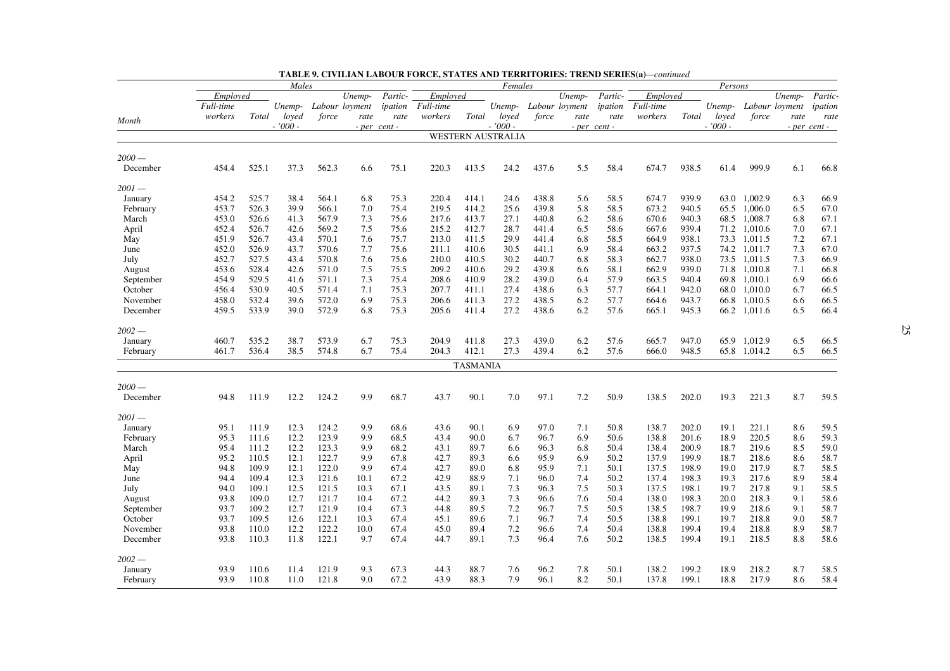|           | Males     |       |           |       |                | Females                                 |           |                 |                          |       |                       | Persons      |           |       |           |              |                |                |
|-----------|-----------|-------|-----------|-------|----------------|-----------------------------------------|-----------|-----------------|--------------------------|-------|-----------------------|--------------|-----------|-------|-----------|--------------|----------------|----------------|
|           | Employed  |       |           |       | Unemp-         | $\ensuremath{\mathit{Partic}}\xspace$ - | Employed  |                 |                          |       | Unemp-                | Partic-      | Employed  |       |           |              | Unemp-         | Partic-        |
|           | Full-time |       | Unemp-    |       | Labour loyment | ipation                                 | Full-time |                 |                          |       | Unemp- Labour loyment | ipation      | Full-time |       | Unemp-    |              | Labour loyment | ipation        |
|           | workers   | Total | loyed     | force | rate           | rate                                    | workers   | Total           | loved                    | force | rate                  | rate         | workers   | Total | loved     | force        | rate           | rate           |
| Month     |           |       | $-7000 -$ |       |                | - per cent -                            |           |                 | $-7000 -$                |       |                       | - per cent - |           |       | $-7000 -$ |              |                | $- per cent -$ |
|           |           |       |           |       |                |                                         |           |                 | <b>WESTERN AUSTRALIA</b> |       |                       |              |           |       |           |              |                |                |
| $2000-$   |           |       |           |       |                |                                         |           |                 |                          |       |                       |              |           |       |           |              |                |                |
| December  | 454.4     | 525.1 | 37.3      | 562.3 | 6.6            | 75.1                                    | 220.3     | 413.5           | 24.2                     | 437.6 | 5.5                   | 58.4         | 674.7     | 938.5 | 61.4      | 999.9        | 6.1            | 66.8           |
| 2001 —    |           |       |           |       |                |                                         |           |                 |                          |       |                       |              |           |       |           |              |                |                |
| January   | 454.2     | 525.7 | 38.4      | 564.1 | 6.8            | 75.3                                    | 220.4     | 414.1           | 24.6                     | 438.8 | 5.6                   | 58.5         | 674.7     | 939.9 |           | 63.0 1,002.9 | 6.3            | 66.9           |
| February  | 453.7     | 526.3 | 39.9      | 566.1 | 7.0            | 75.4                                    | 219.5     | 414.2           | 25.6                     | 439.8 | 5.8                   | 58.5         | 673.2     | 940.5 | 65.5      | 1,006.0      | 6.5            | 67.0           |
| March     | 453.0     | 526.6 | 41.3      | 567.9 | 7.3            | 75.6                                    | 217.6     | 413.7           | 27.1                     | 440.8 | 6.2                   | 58.6         | 670.6     | 940.3 | 68.5      | 1,008.7      | 6.8            | 67.1           |
| April     | 452.4     | 526.7 | 42.6      | 569.2 | 7.5            | 75.6                                    | 215.2     | 412.7           | 28.7                     | 441.4 | 6.5                   | 58.6         | 667.6     | 939.4 | 71.2      | 1,010.6      | 7.0            | 67.1           |
| May       | 451.9     | 526.7 | 43.4      | 570.1 | 7.6            | 75.7                                    | 213.0     | 411.5           | 29.9                     | 441.4 | 6.8                   | 58.5         | 664.9     | 938.1 | 73.3      | 1,011.5      | 7.2            | 67.1           |
| June      | 452.0     | 526.9 | 43.7      | 570.6 | 7.7            | 75.6                                    | 211.1     | 410.6           | 30.5                     | 441.1 | 6.9                   | 58.4         | 663.2     | 937.5 | 74.2      | 1,011.7      | 7.3            | 67.0           |
| July      | 452.7     | 527.5 | 43.4      | 570.8 | 7.6            | 75.6                                    | 210.0     | 410.5           | 30.2                     | 440.7 | 6.8                   | 58.3         | 662.7     | 938.0 | 73.5      | 1,011.5      | 7.3            | 66.9           |
| August    | 453.6     | 528.4 | 42.6      | 571.0 | 7.5            | 75.5                                    | 209.2     | 410.6           | 29.2                     | 439.8 | 6.6                   | 58.1         | 662.9     | 939.0 | 71.8      | 1.010.8      | 7.1            | 66.8           |
| September | 454.9     | 529.5 | 41.6      | 571.1 | 7.3            | 75.4                                    | 208.6     | 410.9           | 28.2                     | 439.0 | 6.4                   | 57.9         | 663.5     | 940.4 | 69.8      | 1,010.1      | 6.9            | 66.6           |
| October   | 456.4     | 530.9 | 40.5      | 571.4 | 7.1            | 75.3                                    | 207.7     | 411.1           | 27.4                     | 438.6 | 6.3                   | 57.7         | 664.1     | 942.0 | 68.0      | 1,010.0      | 6.7            | 66.5           |
| November  | 458.0     | 532.4 | 39.6      | 572.0 | 6.9            | 75.3                                    | 206.6     | 411.3           | 27.2                     | 438.5 | 6.2                   | 57.7         | 664.6     | 943.7 | 66.8      | 1,010.5      | 6.6            | 66.5           |
| December  | 459.5     | 533.9 | 39.0      | 572.9 | 6.8            | 75.3                                    | 205.6     | 411.4           | 27.2                     | 438.6 | 6.2                   | 57.6         | 665.1     | 945.3 | 66.2      | 1,011.6      | 6.5            | 66.4           |
| 2002 —    |           |       |           |       |                |                                         |           |                 |                          |       |                       |              |           |       |           |              |                |                |
| January   | 460.7     | 535.2 | 38.7      | 573.9 | 6.7            | 75.3                                    | 204.9     | 411.8           | 27.3                     | 439.0 | 6.2                   | 57.6         | 665.7     | 947.0 | 65.9      | 1,012.9      | 6.5            | 66.5           |
| February  | 461.7     | 536.4 | 38.5      | 574.8 | 6.7            | 75.4                                    | 204.3     | 412.1           | 27.3                     | 439.4 | 6.2                   | 57.6         | 666.0     | 948.5 |           | 65.8 1,014.2 | 6.5            | 66.5           |
|           |           |       |           |       |                |                                         |           | <b>TASMANIA</b> |                          |       |                       |              |           |       |           |              |                |                |
| $2000-$   |           |       |           |       |                |                                         |           |                 |                          |       |                       |              |           |       |           |              |                |                |
| December  | 94.8      | 111.9 | 12.2      | 124.2 | 9.9            | 68.7                                    | 43.7      | 90.1            | 7.0                      | 97.1  | 7.2                   | 50.9         | 138.5     | 202.0 | 19.3      | 221.3        | 8.7            | 59.5           |
| $2001-$   |           |       |           |       |                |                                         |           |                 |                          |       |                       |              |           |       |           |              |                |                |
| January   | 95.1      | 111.9 | 12.3      | 124.2 | 9.9            | 68.6                                    | 43.6      | 90.1            | 6.9                      | 97.0  | 7.1                   | 50.8         | 138.7     | 202.0 | 19.1      | 221.1        | 8.6            | 59.5           |
| February  | 95.3      | 111.6 | 12.2      | 123.9 | 9.9            | 68.5                                    | 43.4      | 90.0            | 6.7                      | 96.7  | 6.9                   | 50.6         | 138.8     | 201.6 | 18.9      | 220.5        | 8.6            | 59.3           |
| March     | 95.4      | 111.2 | 12.2      | 123.3 | 9.9            | 68.2                                    | 43.1      | 89.7            | 6.6                      | 96.3  | 6.8                   | 50.4         | 138.4     | 200.9 | 18.7      | 219.6        | 8.5            | 59.0           |
| April     | 95.2      | 110.5 | 12.1      | 122.7 | 9.9            | 67.8                                    | 42.7      | 89.3            | 6.6                      | 95.9  | 6.9                   | 50.2         | 137.9     | 199.9 | 18.7      | 218.6        | 8.6            | 58.7           |
| May       | 94.8      | 109.9 | 12.1      | 122.0 | 9.9            | 67.4                                    | 42.7      | 89.0            | 6.8                      | 95.9  | 7.1                   | 50.1         | 137.5     | 198.9 | 19.0      | 217.9        | 8.7            | 58.5           |
| June      | 94.4      | 109.4 | 12.3      | 121.6 | 10.1           | 67.2                                    | 42.9      | 88.9            | 7.1                      | 96.0  | 7.4                   | 50.2         | 137.4     | 198.3 | 19.3      | 217.6        | 8.9            | 58.4           |
| July      | 94.0      | 109.1 | 12.5      | 121.5 | 10.3           | 67.1                                    | 43.5      | 89.1            | 7.3                      | 96.3  | 7.5                   | 50.3         | 137.5     | 198.1 | 19.7      | 217.8        | 9.1            | 58.5           |
| August    | 93.8      | 109.0 | 12.7      | 121.7 | 10.4           | 67.2                                    | 44.2      | 89.3            | 7.3                      | 96.6  | 7.6                   | 50.4         | 138.0     | 198.3 | 20.0      | 218.3        | 9.1            | 58.6           |
| September | 93.7      | 109.2 | 12.7      | 121.9 | 10.4           | 67.3                                    | 44.8      | 89.5            | 7.2                      | 96.7  | 7.5                   | 50.5         | 138.5     | 198.7 | 19.9      | 218.6        | 9.1            | 58.7           |
| October   | 93.7      | 109.5 | 12.6      | 122.1 | 10.3           | 67.4                                    | 45.1      | 89.6            | 7.1                      | 96.7  | 7.4                   | 50.5         | 138.8     | 199.1 | 19.7      | 218.8        | 9.0            | 58.7           |
| November  | 93.8      | 110.0 | 12.2      | 122.2 | 10.0           | 67.4                                    | 45.0      | 89.4            | 7.2                      | 96.6  | 7.4                   | 50.4         | 138.8     | 199.4 | 19.4      | 218.8        | 8.9            | 58.7           |
| December  | 93.8      | 110.3 | 11.8      | 122.1 | 9.7            | 67.4                                    | 44.7      | 89.1            | 7.3                      | 96.4  | 7.6                   | 50.2         | 138.5     | 199.4 | 19.1      | 218.5        | 8.8            | 58.6           |
| $2002 -$  |           |       |           |       |                |                                         |           |                 |                          |       |                       |              |           |       |           |              |                |                |
| January   | 93.9      | 110.6 | 11.4      | 121.9 | 9.3            | 67.3                                    | 44.3      | 88.7            | 7.6                      | 96.2  | 7.8                   | 50.1         | 138.2     | 199.2 | 18.9      | 218.2        | 8.7            | 58.5           |
| February  | 93.9      | 110.8 | 11.0      | 121.8 | 9.0            | 67.2                                    | 43.9      | 88.3            | 7.9                      | 96.1  | 8.2                   | 50.1         | 137.8     | 199.1 | 18.8      | 217.9        | 8.6            | 58.4           |
|           |           |       |           |       |                |                                         |           |                 |                          |       |                       |              |           |       |           |              |                |                |

| <b>TABLE 9. CIVILIAN LABOUR FORCE, STATES AND TERRITORIES: TREND SERIES(a)—continued</b> |  |  |
|------------------------------------------------------------------------------------------|--|--|
|------------------------------------------------------------------------------------------|--|--|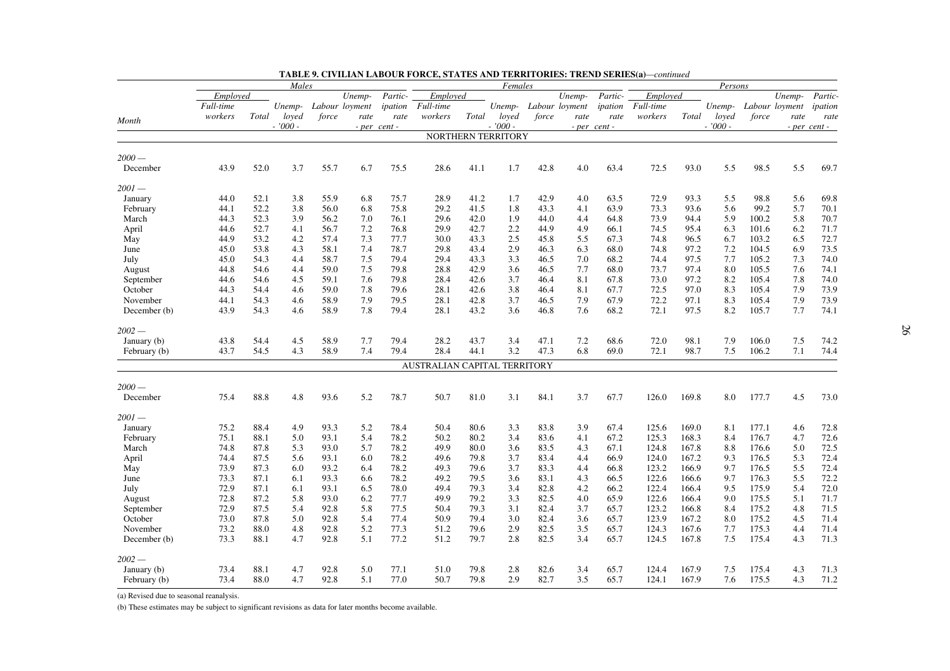|              | Males     |       |           |       |                | Females |                              |       |                    |       |                       | Persons      |           |       |           |                |        |              |
|--------------|-----------|-------|-----------|-------|----------------|---------|------------------------------|-------|--------------------|-------|-----------------------|--------------|-----------|-------|-----------|----------------|--------|--------------|
|              | Employed  |       |           |       | Unemp-         | Partic- | Employed                     |       |                    |       | Unemp-                | Partic-      | Employed  |       |           |                | Unemp- | Partic-      |
|              | Full-time |       | Unemp-    |       | Labour loyment | ipation | Full-time                    |       |                    |       | Unemp- Labour loyment | ipation      | Full-time |       | Unemp-    | Labour loyment |        | ipation      |
| Month        | workers   | Total | loved     | force | rate           | rate    | workers                      | Total | loved              | force | rate                  | rate         | workers   | Total | loved     | force          | rate   | rate         |
|              |           |       | $-7000 -$ |       | - per cent -   |         |                              |       | $-7000 -$          |       |                       | - per cent - |           |       | $-7000 -$ |                |        | - per cent - |
|              |           |       |           |       |                |         |                              |       | NORTHERN TERRITORY |       |                       |              |           |       |           |                |        |              |
| $2000-$      |           |       |           |       |                |         |                              |       |                    |       |                       |              |           |       |           |                |        |              |
| December     | 43.9      | 52.0  | 3.7       | 55.7  | 6.7            | 75.5    | 28.6                         | 41.1  | 1.7                | 42.8  | 4.0                   | 63.4         | 72.5      | 93.0  | 5.5       | 98.5           | 5.5    | 69.7         |
| $2001-$      |           |       |           |       |                |         |                              |       |                    |       |                       |              |           |       |           |                |        |              |
| January      | 44.0      | 52.1  | 3.8       | 55.9  | 6.8            | 75.7    | 28.9                         | 41.2  | 1.7                | 42.9  | 4.0                   | 63.5         | 72.9      | 93.3  | 5.5       | 98.8           | 5.6    | 69.8         |
| February     | 44.1      | 52.2  | 3.8       | 56.0  | 6.8            | 75.8    | 29.2                         | 41.5  | 1.8                | 43.3  | 4.1                   | 63.9         | 73.3      | 93.6  | 5.6       | 99.2           | 5.7    | 70.1         |
| March        | 44.3      | 52.3  | 3.9       | 56.2  | 7.0            | 76.1    | 29.6                         | 42.0  | 1.9                | 44.0  | 4.4                   | 64.8         | 73.9      | 94.4  | 5.9       | 100.2          | 5.8    | 70.7         |
| April        | 44.6      | 52.7  | 4.1       | 56.7  | 7.2            | 76.8    | 29.9                         | 42.7  | 2.2                | 44.9  | 4.9                   | 66.1         | 74.5      | 95.4  | 6.3       | 101.6          | 6.2    | 71.7         |
| May          | 44.9      | 53.2  | 4.2       | 57.4  | 7.3            | 77.7    | 30.0                         | 43.3  | 2.5                | 45.8  | 5.5                   | 67.3         | 74.8      | 96.5  | 6.7       | 103.2          | 6.5    | 72.7         |
| June         | 45.0      | 53.8  | 4.3       | 58.1  | 7.4            | 78.7    | 29.8                         | 43.4  | 2.9                | 46.3  | 6.3                   | 68.0         | 74.8      | 97.2  | 7.2       | 104.5          | 6.9    | 73.5         |
| July         | 45.0      | 54.3  | 4.4       | 58.7  | 7.5            | 79.4    | 29.4                         | 43.3  | 3.3                | 46.5  | 7.0                   | 68.2         | 74.4      | 97.5  | 7.7       | 105.2          | 7.3    | 74.0         |
| August       | 44.8      | 54.6  | 4.4       | 59.0  | 7.5            | 79.8    | 28.8                         | 42.9  | 3.6                | 46.5  | 7.7                   | 68.0         | 73.7      | 97.4  | 8.0       | 105.5          | 7.6    | 74.1         |
| September    | 44.6      | 54.6  | 4.5       | 59.1  | 7.6            | 79.8    | 28.4                         | 42.6  | 3.7                | 46.4  | 8.1                   | 67.8         | 73.0      | 97.2  | 8.2       | 105.4          | 7.8    | 74.0         |
| October      | 44.3      | 54.4  | 4.6       | 59.0  | 7.8            | 79.6    | 28.1                         | 42.6  | 3.8                | 46.4  | 8.1                   | 67.7         | 72.5      | 97.0  | 8.3       | 105.4          | 7.9    | 73.9         |
| November     | 44.1      | 54.3  | 4.6       | 58.9  | 7.9            | 79.5    | 28.1                         | 42.8  | 3.7                | 46.5  | 7.9                   | 67.9         | 72.2      | 97.1  | 8.3       | 105.4          | 7.9    | 73.9         |
| December (b) | 43.9      | 54.3  | 4.6       | 58.9  | 7.8            | 79.4    | 28.1                         | 43.2  | 3.6                | 46.8  | 7.6                   | 68.2         | 72.1      | 97.5  | 8.2       | 105.7          | 7.7    | 74.1         |
| $2002-$      |           |       |           |       |                |         |                              |       |                    |       |                       |              |           |       |           |                |        |              |
| January (b)  | 43.8      | 54.4  | 4.5       | 58.9  | 7.7            | 79.4    | 28.2                         | 43.7  | 3.4                | 47.1  | 7.2                   | 68.6         | 72.0      | 98.1  | 7.9       | 106.0          | 7.5    | 74.2         |
| February (b) | 43.7      | 54.5  | 4.3       | 58.9  | 7.4            | 79.4    | 28.4                         | 44.1  | 3.2                | 47.3  | 6.8                   | 69.0         | 72.1      | 98.7  | 7.5       | 106.2          | 7.1    | 74.4         |
|              |           |       |           |       |                |         | AUSTRALIAN CAPITAL TERRITORY |       |                    |       |                       |              |           |       |           |                |        |              |
| $2000-$      |           |       |           |       |                |         |                              |       |                    |       |                       |              |           |       |           |                |        |              |
| December     | 75.4      | 88.8  | 4.8       | 93.6  | 5.2            | 78.7    | 50.7                         | 81.0  | 3.1                | 84.1  | 3.7                   | 67.7         | 126.0     | 169.8 | 8.0       | 177.7          | 4.5    | 73.0         |
| $2001-$      |           |       |           |       |                |         |                              |       |                    |       |                       |              |           |       |           |                |        |              |
| January      | 75.2      | 88.4  | 4.9       | 93.3  | 5.2            | 78.4    | 50.4                         | 80.6  | 3.3                | 83.8  | 3.9                   | 67.4         | 125.6     | 169.0 | 8.1       | 177.1          | 4.6    | 72.8         |
| February     | 75.1      | 88.1  | 5.0       | 93.1  | 5.4            | 78.2    | 50.2                         | 80.2  | 3.4                | 83.6  | 4.1                   | 67.2         | 125.3     | 168.3 | 8.4       | 176.7          | 4.7    | 72.6         |
| March        | 74.8      | 87.8  | 5.3       | 93.0  | 5.7            | 78.2    | 49.9                         | 80.0  | 3.6                | 83.5  | 4.3                   | 67.1         | 124.8     | 167.8 | 8.8       | 176.6          | 5.0    | 72.5         |
| April        | 74.4      | 87.5  | 5.6       | 93.1  | 6.0            | 78.2    | 49.6                         | 79.8  | 3.7                | 83.4  | 4.4                   | 66.9         | 124.0     | 167.2 | 9.3       | 176.5          | 5.3    | 72.4         |
| May          | 73.9      | 87.3  | 6.0       | 93.2  | 6.4            | 78.2    | 49.3                         | 79.6  | 3.7                | 83.3  | 4.4                   | 66.8         | 123.2     | 166.9 | 9.7       | 176.5          | 5.5    | 72.4         |
| June         | 73.3      | 87.1  | 6.1       | 93.3  | 6.6            | 78.2    | 49.2                         | 79.5  | 3.6                | 83.1  | 4.3                   | 66.5         | 122.6     | 166.6 | 9.7       | 176.3          | 5.5    | 72.2         |
| July         | 72.9      | 87.1  | 6.1       | 93.1  | 6.5            | 78.0    | 49.4                         | 79.3  | 3.4                | 82.8  | 4.2                   | 66.2         | 122.4     | 166.4 | 9.5       | 175.9          | 5.4    | 72.0         |
| August       | 72.8      | 87.2  | 5.8       | 93.0  | 6.2            | 77.7    | 49.9                         | 79.2  | 3.3                | 82.5  | 4.0                   | 65.9         | 122.6     | 166.4 | 9.0       | 175.5          | 5.1    | 71.7         |
| September    | 72.9      | 87.5  | 5.4       | 92.8  | 5.8            | 77.5    | 50.4                         | 79.3  | 3.1                | 82.4  | 3.7                   | 65.7         | 123.2     | 166.8 | 8.4       | 175.2          | 4.8    | 71.5         |
| October      | 73.0      | 87.8  | 5.0       | 92.8  | 5.4            | 77.4    | 50.9                         | 79.4  | 3.0                | 82.4  | 3.6                   | 65.7         | 123.9     | 167.2 | 8.0       | 175.2          | 4.5    | 71.4         |
| November     | 73.2      | 88.0  | 4.8       | 92.8  | 5.2            | 77.3    | 51.2                         | 79.6  | 2.9                | 82.5  | 3.5                   | 65.7         | 124.3     | 167.6 | 7.7       | 175.3          | 4.4    | 71.4         |
| December (b) | 73.3      | 88.1  | 4.7       | 92.8  | 5.1            | 77.2    | 51.2                         | 79.7  | 2.8                | 82.5  | 3.4                   | 65.7         | 124.5     | 167.8 | 7.5       | 175.4          | 4.3    | 71.3         |
|              |           |       |           |       |                |         |                              |       |                    |       |                       |              |           |       |           |                |        |              |
| $2002 -$     |           |       |           |       |                |         |                              |       |                    |       |                       |              |           |       |           |                |        |              |
| January (b)  | 73.4      | 88.1  | 4.7       | 92.8  | 5.0            | 77.1    | 51.0                         | 79.8  | 2.8                | 82.6  | 3.4                   | 65.7         | 124.4     | 167.9 | 7.5       | 175.4          | 4.3    | 71.3         |
| February (b) | 73.4      | 88.0  | 4.7       | 92.8  | 5.1            | 77.0    | 50.7                         | 79.8  | 2.9                | 82.7  | 3.5                   | 65.7         | 124.1     | 167.9 | 7.6       | 175.5          | 4.3    | 71.2         |

**TABLE 9. CIVILIAN LABOUR FORCE, STATES AND TERRITORIES: TREND SERIES(a)** *—continued*

(a) Revised due to seasonal reanalysis.

(b) These estimates may be subject to significant revisions as data for later months become available.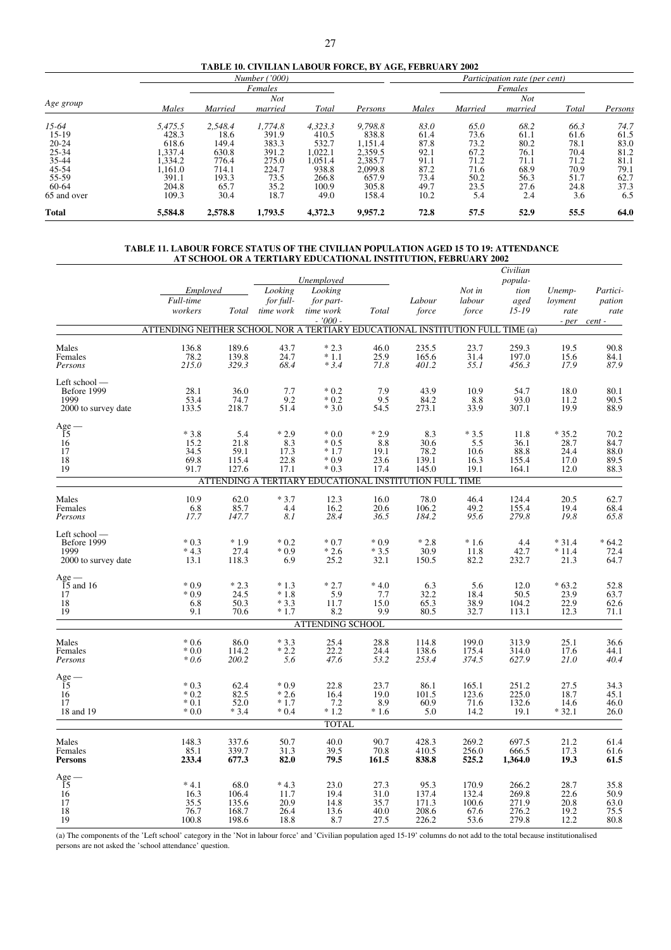|  |  |  |  | TABLE 10. CIVILIAN LABOUR FORCE. BY AGE. FEBRUARY 2002 |
|--|--|--|--|--------------------------------------------------------|
|--|--|--|--|--------------------------------------------------------|

|              |         |         | Number('000) |         |         | Participation rate (per cent) |         |            |       |         |  |  |  |
|--------------|---------|---------|--------------|---------|---------|-------------------------------|---------|------------|-------|---------|--|--|--|
|              |         |         | Females      |         |         |                               |         | Females    |       |         |  |  |  |
| Age group    |         |         | Not          |         |         |                               |         | <b>Not</b> |       |         |  |  |  |
|              | Males   | Married | married      | Total   | Persons | Males                         | Married | married    | Total | Persons |  |  |  |
| $15-64$      | 5,475.5 | 2,548.4 | 1,774.8      | 4,323.3 | 9,798.8 | 83.0                          | 65.0    | 68.2       | 66.3  | 74.7    |  |  |  |
| $15-19$      | 428.3   | 18.6    | 391.9        | 410.5   | 838.8   | 61.4                          | 73.6    | 61.1       | 61.6  | 61.5    |  |  |  |
| $20 - 24$    | 618.6   | 149.4   | 383.3        | 532.7   | 1,151.4 | 87.8                          | 73.2    | 80.2       | 78.1  | 83.0    |  |  |  |
| 25-34        | ,337.4  | 630.8   | 391.2        | 1,022.1 | 2,359.5 | 92.1                          | 67.2    | 76.1       | 70.4  | 81.2    |  |  |  |
| 35-44        | .334.2  | 776.4   | 275.0        | 1.051.4 | 2,385.7 | 91.1                          | 71.2    | 71.1       | 71.2  | 81.1    |  |  |  |
| 45-54        | .161.0  | 714.1   | 224.7        | 938.8   | 2,099.8 | 87.2                          | 71.6    | 68.9       | 70.9  | 79.1    |  |  |  |
| 55-59        | 391.1   | 193.3   | 73.5         | 266.8   | 657.9   | 73.4                          | 50.2    | 56.3       | 51.7  | 62.7    |  |  |  |
| 60-64        | 204.8   | 65.7    | 35.2         | 100.9   | 305.8   | 49.7                          | 23.5    | 27.6       | 24.8  | 37.3    |  |  |  |
| 65 and over  | 109.3   | 30.4    | 18.7         | 49.0    | 158.4   | 10.2                          | 5.4     | 2.4        | 3.6   | 6.5     |  |  |  |
| <b>Total</b> | 5,584.8 | 2,578.8 | 1,793.5      | 4,372.3 | 9,957.2 | 72.8                          | 57.5    | 52.9       | 55.5  | 64.0    |  |  |  |

#### **TABLE 11. LABOUR FORCE STATUS OF THE CIVILIAN POPULATION AGED 15 TO 19: ATTENDANCE AT SCHOOL OR A TERTIARY EDUCATIONAL INSTITUTION, FEBRUARY 2002**

|                                                             | Employed                                                                      |                                          | Looking                                | Unemployed<br>Looking                                                                                    |                                                                     |                                                 | Not in                                  | Civilian<br>popula-<br>tion               | Unemp-                                   | Partici-                                 |
|-------------------------------------------------------------|-------------------------------------------------------------------------------|------------------------------------------|----------------------------------------|----------------------------------------------------------------------------------------------------------|---------------------------------------------------------------------|-------------------------------------------------|-----------------------------------------|-------------------------------------------|------------------------------------------|------------------------------------------|
|                                                             | Full-time<br>workers                                                          |                                          | for full-<br>Total time work           | for part-<br>time work                                                                                   | Total                                                               | Labour<br>force                                 | labour<br>force                         | aged<br>$15 - 19$                         | loyment<br>rate                          | pation<br>rate                           |
|                                                             | ATTENDING NEITHER SCHOOL NOR A TERTIARY EDUCATIONAL INSTITUTION FULL TIME (a) |                                          |                                        | $-7000 -$                                                                                                |                                                                     |                                                 |                                         |                                           |                                          | $- per$ cent $-$                         |
| Males<br>Females<br>Persons                                 | 136.8<br>78.2<br>215.0                                                        | 189.6<br>139.8<br>329.3                  | 43.7<br>24.7<br>68.4                   | $*2.3$<br>$*1.1$<br>$*3.4$                                                                               | 46.0<br>25.9<br>71.8                                                | 235.5<br>165.6<br>401.2                         | 23.7<br>31.4<br>55.1                    | 259.3<br>197.0<br>456.3                   | 19.5<br>15.6<br>17.9                     | 90.8<br>84.1<br>87.9                     |
| Left school -<br>Before 1999<br>1999<br>2000 to survey date | 28.1<br>53.4<br>133.5                                                         | 36.0<br>74.7<br>218.7                    | 7.7<br>9.2<br>51.4                     | $*0.2$<br>$*0.2$<br>$*3.0$                                                                               | 7.9<br>9.5<br>54.5                                                  | 43.9<br>84.2<br>273.1                           | 10.9<br>8.8<br>33.9                     | 54.7<br>93.0<br>307.1                     | 18.0<br>11.2<br>19.9                     | 80.1<br>90.5<br>88.9                     |
| $Age-15$<br>16<br>17<br>$18\,$<br>19                        | $*3.8$<br>15.2<br>34.5<br>69.8<br>91.7                                        | 5.4<br>21.8<br>59.1<br>115.4<br>127.6    | $*2.9$<br>8.3<br>17.3<br>22.8<br>17.1  | $*0.0$<br>$*0.5$<br>$*1.7$<br>$*0.9$<br>$*0.3$<br>ATTENDING A TERTIARY EDUCATIONAL INSTITUTION FULL TIME | $*2.9$<br>8.8<br>19.1<br>23.6<br>17.4                               | 8.3<br>30.6<br>78.2<br>139.1<br>145.0           | $*3.5$<br>5.5<br>10.6<br>16.3<br>19.1   | 11.8<br>36.1<br>88.8<br>155.4<br>164.1    | $*35.2$<br>28.7<br>24.4<br>17.0<br>12.0  | 70.2<br>84.7<br>88.0<br>89.5<br>88.3     |
| Males<br>Females<br>Persons                                 | 10.9<br>6.8<br>17.7                                                           | 62.0<br>85.7<br>147.7                    | $*3.7$<br>4.4<br>8.1                   | 12.3<br>16.2<br>28.4                                                                                     | 16.0<br>20.6<br>36.5                                                | 78.0<br>106.2<br>184.2                          | 46.4<br>49.2<br>95.6                    | 124.4<br>155.4<br>279.8                   | 20.5<br>19.4<br>19.8                     | 62.7<br>68.4<br>65.8                     |
| Left school -<br>Before 1999<br>1999<br>2000 to survey date | $*0.3$<br>$*4.3$<br>13.1                                                      | $*1.9$<br>27.4<br>118.3                  | $*0.2$<br>$*0.9$<br>6.9                | $*0.7$<br>$*2.6$<br>25.2                                                                                 | $*0.9$<br>$*3.5$<br>32.1                                            | $*2.8$<br>30.9<br>150.5                         | $*1.6$<br>11.8<br>82.2                  | 4.4<br>42.7<br>232.7                      | $*31.4$<br>$*11.4$<br>21.3               | $*64.2$<br>72.4<br>64.7                  |
| $Age -$<br>$15$ and 16<br>17<br>18<br>19                    | $*0.9$<br>$*0.9$<br>6.8<br>9.1                                                | $*2.3$<br>24.5<br>50.3<br>70.6           | $*1.3$<br>$*1.8$<br>$*3.3$<br>$*1.7$   | $*2.7$<br>$\frac{5.9}{11.7}$<br>8.2                                                                      | $*4.0$<br>7.7<br>15.0<br>9.9                                        | 6.3<br>32.2<br>65.3<br>80.5                     | 5.6<br>18.4<br>38.9<br>32.7             | 12.0<br>50.5<br>104.2<br>113.1            | $*63.2$<br>$\frac{23.9}{22.9}$<br>12.3   | 52.8<br>63.7<br>62.6<br>71.1             |
|                                                             |                                                                               |                                          |                                        | <b>ATTENDING SCHOOL</b>                                                                                  |                                                                     |                                                 |                                         |                                           |                                          |                                          |
| Males<br>Females<br>Persons                                 | $*0.6$<br>$*0.0$<br>$*0.6$                                                    | 86.0<br>114.2<br>200.2                   | $*3.3$<br>$*2.2$<br>5.6                | 25.4<br>$\frac{22.2}{47.6}$                                                                              | 28.8<br>24.4<br>53.2                                                | 114.8<br>138.6<br>253.4                         | 199.0<br>175.4<br>374.5                 | 313.9<br>314.0<br>627.9                   | 25.1<br>17.6<br>21.0                     | 36.6<br>44.1<br>40.4                     |
| ${\rm Age}-15$<br>16<br>17<br>18 and 19                     | $*0.3$<br>$*0.2$<br>$*0.1$<br>$*0.0$                                          | 62.4<br>82.5<br>52.0<br>$*3.4$           | $*0.9$<br>$*2.6$<br>$*1.7$<br>$*0.4$   | 22.8<br>16.4<br>$7.2$<br>$*1.2$                                                                          | 23.7<br>19.0<br>8.9<br>$*1.6$                                       | 86.1<br>101.5<br>60.9<br>5.0                    | 165.1<br>123.6<br>71.6<br>14.2          | 251.2<br>225.0<br>132.6<br>19.1           | 27.5<br>18.7<br>14.6<br>$*32.1$          | 34.3<br>45.1<br>46.0<br>26.0             |
|                                                             |                                                                               |                                          |                                        | <b>TOTAL</b>                                                                                             |                                                                     |                                                 |                                         |                                           |                                          |                                          |
| Males<br>Females<br><b>Persons</b>                          | $\underset{85.1}{^{148.3}}$<br>233.4                                          | 337.6<br>339.7<br>677.3                  | 50.7<br>31.3<br>82.0                   | 40.0<br>39.5<br>79.5                                                                                     | 90.7<br>70.8<br>161.5                                               | 428.3<br>410.5<br>838.8                         | 269.2<br>256.0<br>525.2                 | 697.5<br>666.5<br>1,364.0                 | 21.2<br>17.3<br>19.3                     | 61.4<br>61.6<br>61.5                     |
| ${\rm Age}-15$<br>16<br>17<br>18<br>19                      | $*4.1$<br>16.3<br>35.5<br>76.7<br>100.8                                       | 68.0<br>106.4<br>135.6<br>168.7<br>198.6 | $*4.3$<br>11.7<br>20.9<br>26.4<br>18.8 | 23.0<br>19.4<br>14.8<br>13.6<br>8.7                                                                      | $\begin{array}{c} 27.3 \\ 31.0 \end{array}$<br>35.7<br>40.0<br>27.5 | $\frac{95.3}{137.4}$<br>171.3<br>208.6<br>226.2 | 170.9<br>132.4<br>100.6<br>67.6<br>53.6 | 266.2<br>269.8<br>271.9<br>276.2<br>279.8 | $^{28.7}_{22.6}$<br>20.8<br>19.2<br>12.2 | $35.8$<br>$50.9$<br>63.0<br>75.5<br>80.8 |

(a) The components of the 'Left school' category in the 'Not in labour force' and 'Civilian population aged 15-19' columns do not add to the total because institutionalised persons are not asked the 'school attendance' question.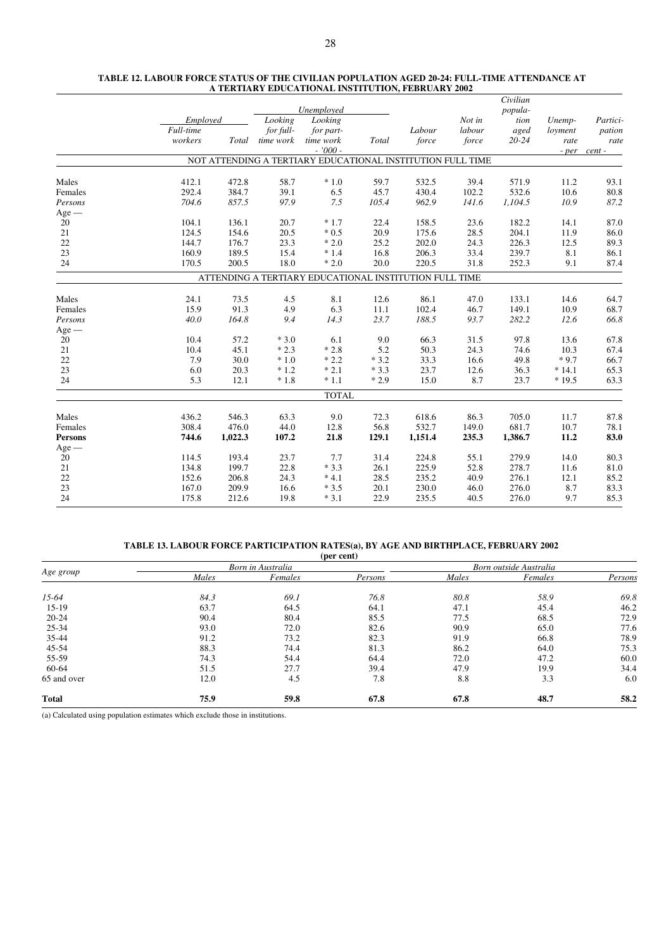|                |           |         |           |                                                            |        |         |        | Civilian  |         |          |
|----------------|-----------|---------|-----------|------------------------------------------------------------|--------|---------|--------|-----------|---------|----------|
|                |           |         |           | Unemployed                                                 |        |         |        | popula-   |         |          |
|                | Employed  |         | Looking   | Looking                                                    |        |         | Not in | tion      | Unemp-  | Partici- |
|                | Full-time |         | for full- | for part-                                                  |        | Labour  | labour | aged      | loyment | pation   |
|                | workers   | Total   | time work | time work                                                  | Total  | force   | force  | $20 - 24$ | rate    | rate     |
|                |           |         |           | $-7000 -$                                                  |        |         |        |           | - per   | cent -   |
|                |           |         |           | NOT ATTENDING A TERTIARY EDUCATIONAL INSTITUTION FULL TIME |        |         |        |           |         |          |
| Males          | 412.1     | 472.8   | 58.7      | $*1.0$                                                     | 59.7   | 532.5   | 39.4   | 571.9     | 11.2    | 93.1     |
| Females        | 292.4     | 384.7   | 39.1      | 6.5                                                        | 45.7   | 430.4   | 102.2  | 532.6     | 10.6    | 80.8     |
| Persons        | 704.6     | 857.5   | 97.9      | 7.5                                                        | 105.4  | 962.9   | 141.6  | 1,104.5   | 10.9    | 87.2     |
| $Age -$        |           |         |           |                                                            |        |         |        |           |         |          |
| 20             | 104.1     | 136.1   | 20.7      | $*1.7$                                                     | 22.4   | 158.5   | 23.6   | 182.2     | 14.1    | 87.0     |
| 21             | 124.5     | 154.6   | 20.5      | $*0.5$                                                     | 20.9   | 175.6   | 28.5   | 204.1     | 11.9    | 86.0     |
| 22             | 144.7     | 176.7   | 23.3      | $*2.0$                                                     | 25.2   | 202.0   | 24.3   | 226.3     | 12.5    | 89.3     |
| 23             | 160.9     | 189.5   | 15.4      | $*1.4$                                                     | 16.8   | 206.3   | 33.4   | 239.7     | 8.1     | 86.1     |
| 24             | 170.5     | 200.5   | 18.0      | $*2.0$                                                     | 20.0   | 220.5   | 31.8   | 252.3     | 9.1     | 87.4     |
|                |           |         |           | ATTENDING A TERTIARY EDUCATIONAL INSTITUTION FULL TIME     |        |         |        |           |         |          |
| Males          | 24.1      | 73.5    | 4.5       | 8.1                                                        | 12.6   | 86.1    | 47.0   | 133.1     | 14.6    | 64.7     |
| Females        | 15.9      | 91.3    | 4.9       | 6.3                                                        | 11.1   | 102.4   | 46.7   | 149.1     | 10.9    | 68.7     |
| Persons        | 40.0      | 164.8   | 9.4       | 14.3                                                       | 23.7   | 188.5   | 93.7   | 282.2     | 12.6    | 66.8     |
| $Age -$        |           |         |           |                                                            |        |         |        |           |         |          |
| 20             | 10.4      | 57.2    | $*3.0$    | 6.1                                                        | 9.0    | 66.3    | 31.5   | 97.8      | 13.6    | 67.8     |
| 21             | 10.4      | 45.1    | $*2.3$    | $*2.8$                                                     | 5.2    | 50.3    | 24.3   | 74.6      | 10.3    | 67.4     |
| 22             | 7.9       | 30.0    | $*1.0$    | $*2.2$                                                     | $*3.2$ | 33.3    | 16.6   | 49.8      | $*9.7$  | 66.7     |
| 23             | 6.0       | 20.3    | $*1.2$    | $*2.1$                                                     | $*3.3$ | 23.7    | 12.6   | 36.3      | $*14.1$ | 65.3     |
| 24             | 5.3       | 12.1    | $*1.8$    | $*1.1$                                                     | $*2.9$ | 15.0    | 8.7    | 23.7      | $*19.5$ | 63.3     |
|                |           |         |           | <b>TOTAL</b>                                               |        |         |        |           |         |          |
| Males          | 436.2     | 546.3   | 63.3      | 9.0                                                        | 72.3   | 618.6   | 86.3   | 705.0     | 11.7    | 87.8     |
| Females        | 308.4     | 476.0   | 44.0      | 12.8                                                       | 56.8   | 532.7   | 149.0  | 681.7     | 10.7    | 78.1     |
| <b>Persons</b> | 744.6     | 1,022.3 | 107.2     | 21.8                                                       | 129.1  | 1,151.4 | 235.3  | 1,386.7   | 11.2    | 83.0     |
| $Age -$        |           |         |           |                                                            |        |         |        |           |         |          |
| 20             | 114.5     | 193.4   | 23.7      | 7.7                                                        | 31.4   | 224.8   | 55.1   | 279.9     | 14.0    | 80.3     |
| 21             | 134.8     | 199.7   | 22.8      | $*3.3$                                                     | 26.1   | 225.9   | 52.8   | 278.7     | 11.6    | 81.0     |
| 22             | 152.6     | 206.8   | 24.3      | $*4.1$                                                     | 28.5   | 235.2   | 40.9   | 276.1     | 12.1    | 85.2     |
| 23             | 167.0     | 209.9   | 16.6      | $*3.5$                                                     | 20.1   | 230.0   | 46.0   | 276.0     | 8.7     | 83.3     |
| 24             | 175.8     | 212.6   | 19.8      | $*3.1$                                                     | 22.9   | 235.5   | 40.5   | 276.0     | 9.7     | 85.3     |
|                |           |         |           |                                                            |        |         |        |           |         |          |

#### **TABLE 12. LABOUR FORCE STATUS OF THE CIVILIAN POPULATION AGED 20-24: FULL-TIME ATTENDANCE AT A TERTIARY EDUCATIONAL INSTITUTION, FEBRUARY 2002**

# **TABLE 13. LABOUR FORCE PARTICIPATION RATES(a), BY AGE AND BIRTHPLACE, FEBRUARY 2002**

| (per cent)   |       |                   |         |                        |         |         |  |  |  |  |  |  |
|--------------|-------|-------------------|---------|------------------------|---------|---------|--|--|--|--|--|--|
|              |       | Born in Australia |         | Born outside Australia |         |         |  |  |  |  |  |  |
| Age group    | Males | Females           | Persons | Males                  | Females | Persons |  |  |  |  |  |  |
| $15-64$      | 84.3  | 69.1              | 76.8    | 80.8                   | 58.9    | 69.8    |  |  |  |  |  |  |
| $15-19$      | 63.7  | 64.5              | 64.1    | 47.1                   | 45.4    | 46.2    |  |  |  |  |  |  |
| $20 - 24$    | 90.4  | 80.4              | 85.5    | 77.5                   | 68.5    | 72.9    |  |  |  |  |  |  |
| 25-34        | 93.0  | 72.0              | 82.6    | 90.9                   | 65.0    | 77.6    |  |  |  |  |  |  |
| 35-44        | 91.2  | 73.2              | 82.3    | 91.9                   | 66.8    | 78.9    |  |  |  |  |  |  |
| 45-54        | 88.3  | 74.4              | 81.3    | 86.2                   | 64.0    | 75.3    |  |  |  |  |  |  |
| 55-59        | 74.3  | 54.4              | 64.4    | 72.0                   | 47.2    | 60.0    |  |  |  |  |  |  |
| 60-64        | 51.5  | 27.7              | 39.4    | 47.9                   | 19.9    | 34.4    |  |  |  |  |  |  |
| 65 and over  | 12.0  | 4.5               | 7.8     | 8.8                    | 3.3     | 6.0     |  |  |  |  |  |  |
| <b>Total</b> | 75.9  | 59.8              | 67.8    | 67.8                   | 48.7    | 58.2    |  |  |  |  |  |  |

(a) Calculated using population estimates which exclude those in institutions.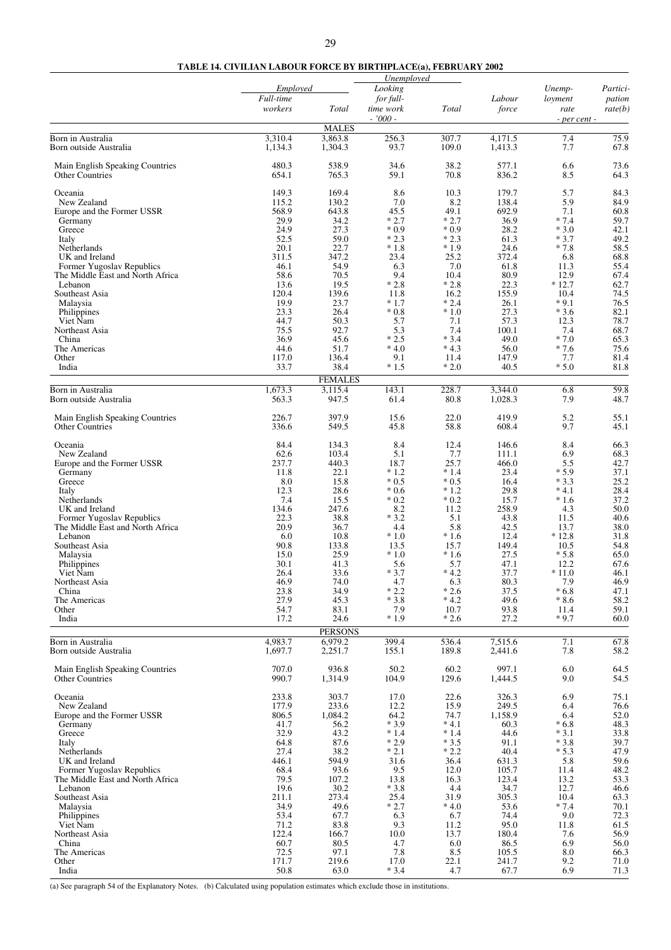# **TABLE 14. CIVILIAN LABOUR FORCE BY BIRTHPLACE(a), FEBRUARY 2002**

|                                                           |                      |                           | Unemployed             |                  |                  |                  |                   |
|-----------------------------------------------------------|----------------------|---------------------------|------------------------|------------------|------------------|------------------|-------------------|
|                                                           | Employed             |                           | Looking                |                  |                  | Unemp-           | Partici-          |
|                                                           | Full-time<br>workers | Total                     | for full-<br>time work | Total            | Labour<br>force  | loyment<br>rate  | pation<br>rate(b) |
|                                                           |                      | <b>MALES</b>              | $-7000 -$              |                  |                  | - per cent -     |                   |
| Born in Australia                                         | 3,310.4              | 3,863.8                   | 256.3                  | 307.7            | 4.171.5          | 7.4              | 75.9              |
| Born outside Australia                                    | 1,134.3              | 1,304.3                   | 93.7                   | 109.0            | 1,413.3          | 7.7              | 67.8              |
| Main English Speaking Countries<br><b>Other Countries</b> | 480.3<br>654.1       | 538.9<br>765.3            | 34.6<br>59.1           | 38.2<br>70.8     | 577.1<br>836.2   | 6.6<br>8.5       | 73.6<br>64.3      |
| Oceania                                                   | 149.3                | 169.4                     | 8.6                    | 10.3             | 179.7            | 5.7              | 84.3              |
| New Zealand                                               | 115.2                | 130.2                     | 7.0                    | 8.2              | 138.4            | 5.9              | 84.9              |
| Europe and the Former USSR<br>Germany                     | 568.9<br>29.9        | 643.8<br>34.2             | 45.5<br>$*2.7$         | 49.1<br>$*2.7$   | 692.9<br>36.9    | 7.1<br>$*7.4$    | 60.8<br>59.7      |
| Greece                                                    | 24.9                 | 27.3                      | $*0.9$                 | $*0.9$           | 28.2             | $*3.0$           | 42.1              |
| Italy                                                     | 52.5                 | 59.0                      | $*2.3$                 | $*2.3$           | 61.3             | $*3.7$           | 49.2              |
| Netherlands<br>UK and Ireland                             | 20.1<br>311.5        | 22.7<br>347.2             | $*1.8$<br>23.4         | $*1.9$<br>25.2   | 24.6<br>372.4    | $*7.8$<br>6.8    | 58.5<br>68.8      |
| Former Yugoslav Republics                                 | 46.1                 | 54.9                      | 6.3                    | 7.0              | 61.8             | 11.3             | 55.4              |
| The Middle East and North Africa                          | 58.6                 | 70.5                      | 9.4                    | 10.4             | 80.9             | 12.9             | 67.4              |
| Lebanon<br>Southeast Asia                                 | 13.6<br>120.4        | 19.5<br>139.6             | $*2.8$<br>11.8         | $*2.8$<br>16.2   | 22.3<br>155.9    | $*12.7$<br>10.4  | 62.7<br>74.5      |
| Malaysia                                                  | 19.9                 | 23.7                      | $*1.7$                 | $*2.4$           | 26.1             | $*9.1$           | 76.5              |
| Philippines                                               | 23.3                 | 26.4                      | $*0.8$                 | $*1.0$           | 27.3             | $*3.6$           | 82.1              |
| Viet Nam                                                  | 44.7                 | 50.3                      | 5.7                    | 7.1              | 57.3             | 12.3             | 78.7              |
| Northeast Asia<br>China                                   | 75.5<br>36.9         | 92.7<br>45.6              | 5.3<br>$*2.5$          | 7.4<br>$*3.4$    | 100.1<br>49.0    | 7.4<br>$*7.0$    | 68.7<br>65.3      |
| The Americas                                              | 44.6                 | 51.7                      | $*4.0$                 | $*4.3$           | 56.0             | $*7.6$           | 75.6              |
| Other                                                     | 117.0                | 136.4                     | 9.1                    | 11.4             | 147.9            | 7.7              | 81.4              |
| India                                                     | 33.7                 | 38.4                      | $*1.5$                 | $*2.0$           | 40.5             | $*5.0$           | 81.8              |
| Born in Australia                                         | 1,673.3              | <b>FEMALES</b><br>3,115.4 | 143.1                  | 228.7            | 3,344.0          | 6.8              | 59.8              |
| Born outside Australia                                    | 563.3                | 947.5                     | 61.4                   | 80.8             | 1,028.3          | 7.9              | 48.7              |
| Main English Speaking Countries<br><b>Other Countries</b> | 226.7<br>336.6       | 397.9<br>549.5            | 15.6<br>45.8           | 22.0<br>58.8     | 419.9<br>608.4   | 5.2<br>9.7       | 55.1<br>45.1      |
| Oceania                                                   | 84.4                 | 134.3                     | 8.4                    | 12.4             | 146.6            | 8.4              | 66.3              |
| New Zealand                                               | 62.6<br>237.7        | 103.4<br>440.3            | 5.1<br>18.7            | 7.7<br>25.7      | 111.1<br>466.0   | 6.9<br>5.5       | 68.3<br>42.7      |
| Europe and the Former USSR<br>Germany                     | 11.8                 | 22.1                      | $*1.2$                 | $*1.4$           | 23.4             | $*5.9$           | 37.1              |
| Greece                                                    | 8.0                  | 15.8                      | $*0.5$                 | $*0.5$           | 16.4             | $*3.3$           | 25.2              |
| Italy                                                     | 12.3<br>7.4          | 28.6                      | $*0.6$                 | $*1.2$<br>$*0.2$ | 29.8             | $*4.1$           | 28.4              |
| Netherlands<br>UK and Ireland                             | 134.6                | 15.5<br>247.6             | $*0.2$<br>8.2          | 11.2             | 15.7<br>258.9    | $*1.6$<br>4.3    | 37.2<br>50.0      |
| Former Yugoslav Republics                                 | 22.3                 | 38.8                      | $*3.2$                 | 5.1              | 43.8             | 11.5             | 40.6              |
| The Middle East and North Africa                          | 20.9                 | 36.7                      | 4.4                    | 5.8              | 42.5             | 13.7             | 38.0              |
| Lebanon<br>Southeast Asia                                 | 6.0<br>90.8          | 10.8<br>133.8             | $*1.0$<br>13.5         | $*1.6$<br>15.7   | 12.4<br>149.4    | $*12.8$<br>10.5  | 31.8<br>54.8      |
| Malaysia                                                  | 15.0                 | 25.9                      | $*1.0$                 | $*1.6$           | 27.5             | $*5.8$           | 65.0              |
| Philippines                                               | 30.1                 | 41.3                      | 5.6                    | 5.7              | 47.1             | 12.2             | 67.6              |
| Viet Nam                                                  | 26.4                 | 33.6<br>74.0              | $*3.7$                 | $*4.2$           | 37.7             | $*11.0$<br>7.9   | 46.1<br>46.9      |
| Northeast Asia<br>China                                   | 46.9<br>23.8         | 34.9                      | 4.7<br>$*2.2$          | 6.3<br>$*2.6$    | 80.3<br>37.5     | $*6.8$           | 47.1              |
| The Americas                                              | 27.9                 | 45.3                      | $*3.8$                 | $*4.2$           | 49.6             | $*8.6$           | 58.2              |
| Other                                                     | 54.7                 | 83.1                      | 7.9                    | 10.7             | 93.8             | 11.4             | 59.1              |
| India                                                     | 17.2                 | 24.6<br><b>PERSONS</b>    | $*1.9$                 | $*2.6$           | 27.2             | $*9.7$           | 60.0              |
| Born in Australia                                         | 4,983.7              | 6,979.2                   | 399.4                  | 536.4            | 7,515.6          | 7.1              | 67.8              |
| Born outside Australia                                    | 1,697.7              | 2,251.7                   | 155.1                  | 189.8            | 2,441.6          | 7.8              | 58.2              |
| Main English Speaking Countries<br><b>Other Countries</b> | 707.0<br>990.7       | 936.8<br>1,314.9          | 50.2<br>104.9          | 60.2<br>129.6    | 997.1<br>1,444.5 | 6.0<br>9.0       | 64.5<br>54.5      |
| Oceania<br>New Zealand                                    | 233.8<br>177.9       | 303.7                     | 17.0                   | 22.6<br>15.9     | 326.3            | 6.9<br>6.4       | 75.1              |
| Europe and the Former USSR                                | 806.5                | 233.6<br>1,084.2          | 12.2<br>64.2           | 74.7             | 249.5<br>1,158.9 | 6.4              | 76.6<br>52.0      |
| Germany                                                   | 41.7                 | 56.2                      | $*3.9$                 | $*4.1$           | 60.3             | $*6.8$           | 48.3              |
| Greece                                                    | 32.9                 | 43.2                      | $*1.4$                 | $*1.4$           | 44.6             | $*3.1$           | 33.8              |
| Italy<br>Netherlands                                      | 64.8<br>27.4         | 87.6<br>38.2              | $*2.9$<br>$*2.1$       | $*3.5$<br>$*2.2$ | 91.1<br>40.4     | $*3.8$<br>$*5.3$ | 39.7<br>47.9      |
| UK and Ireland                                            | 446.1                | 594.9                     | 31.6                   | 36.4             | 631.3            | 5.8              | 59.6              |
| Former Yugoslav Republics                                 | 68.4                 | 93.6                      | 9.5                    | 12.0             | 105.7            | 11.4             | 48.2              |
| The Middle East and North Africa<br>Lebanon               | 79.5<br>19.6         | 107.2<br>30.2             | 13.8<br>$*3.8$         | 16.3<br>4.4      | 123.4<br>34.7    | 13.2<br>12.7     | 53.3<br>46.6      |
| Southeast Asia                                            | 211.1                | 273.4                     | 25.4                   | 31.9             | 305.3            | 10.4             | 63.3              |
| Malaysia                                                  | 34.9                 | 49.6                      | $*2.7$                 | $*4.0$           | 53.6             | $*7.4$           | 70.1              |
| Philippines                                               | 53.4<br>71.2         | 67.7<br>83.8              | 6.3<br>9.3             | 6.7<br>11.2      | 74.4<br>95.0     | 9.0<br>11.8      | 72.3<br>61.5      |
| Viet Nam<br>Northeast Asia                                | 122.4                | 166.7                     | 10.0                   | 13.7             | 180.4            | 7.6              | 56.9              |
| China                                                     | 60.7                 | 80.5                      | 4.7                    | 6.0              | 86.5             | 6.9              | 56.0              |
| The Americas<br>Other                                     | 72.5<br>171.7        | 97.1<br>219.6             | 7.8<br>17.0            | 8.5<br>22.1      | 105.5<br>241.7   | 8.0<br>9.2       | 66.3<br>71.0      |
| India                                                     | 50.8                 | 63.0                      | $*3.4$                 | 4.7              | 67.7             | 6.9              | 71.3              |

(a) See paragraph 54 of the Explanatory Notes. (b) Calculated using population estimates which exclude those in institutions.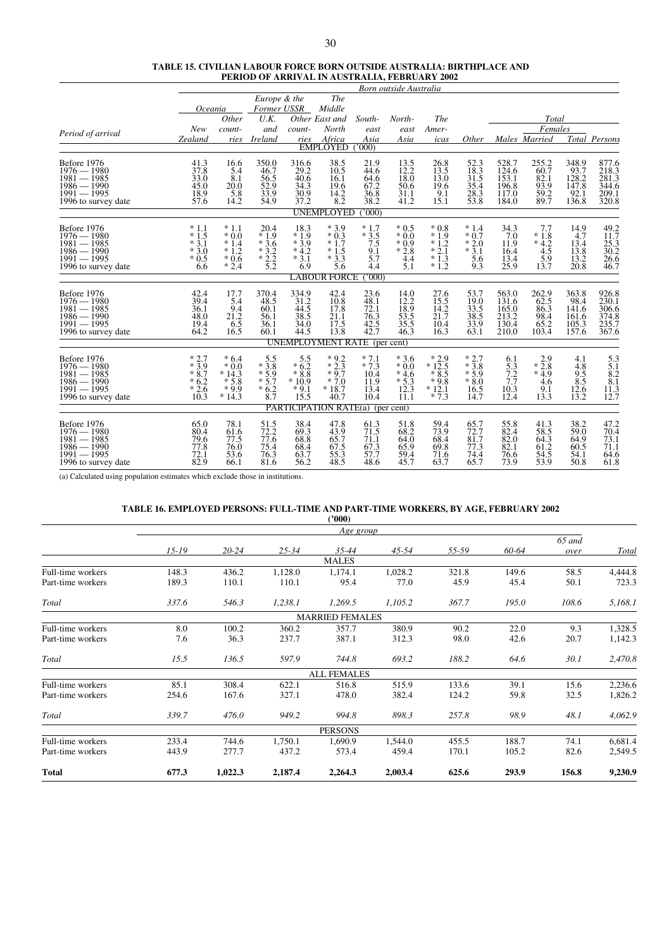|                                               | TABLE 15. CIVILIAN LABOUR FORCE BORN OUTSIDE AUSTRALIA: BIRTHPLACE AND |
|-----------------------------------------------|------------------------------------------------------------------------|
| PERIOD OF ARRIVAL IN AUSTRALIA, FEBRUARY 2002 |                                                                        |

|                                                                                                                               |                                                        |                                                                          |                                                          |                                                                              |                                                         |                                                         | Born outside Australia                                                              |                                                            |                                                                           |                                                                                   |                                                       |                                                         |                                                                         |
|-------------------------------------------------------------------------------------------------------------------------------|--------------------------------------------------------|--------------------------------------------------------------------------|----------------------------------------------------------|------------------------------------------------------------------------------|---------------------------------------------------------|---------------------------------------------------------|-------------------------------------------------------------------------------------|------------------------------------------------------------|---------------------------------------------------------------------------|-----------------------------------------------------------------------------------|-------------------------------------------------------|---------------------------------------------------------|-------------------------------------------------------------------------|
|                                                                                                                               |                                                        |                                                                          | Europe & the                                             |                                                                              | The                                                     |                                                         |                                                                                     |                                                            |                                                                           |                                                                                   |                                                       |                                                         |                                                                         |
|                                                                                                                               | Oceania                                                |                                                                          | Former USSR                                              |                                                                              | Middle                                                  |                                                         |                                                                                     |                                                            |                                                                           |                                                                                   |                                                       |                                                         |                                                                         |
|                                                                                                                               | <b>New</b>                                             | Other<br>count-                                                          | U.K.<br>and                                              | count-                                                                       | Other East and<br>North                                 | South-<br>east                                          | North-<br>east                                                                      | <b>The</b><br>Amer-                                        |                                                                           |                                                                                   | Total<br>Females                                      |                                                         |                                                                         |
| Period of arrival                                                                                                             | Zealand                                                | ries                                                                     | <b>Ireland</b>                                           | ries                                                                         | Africa                                                  | Asia                                                    | Asia                                                                                | icas                                                       | Other                                                                     |                                                                                   | Males Married                                         |                                                         | Total Persons                                                           |
|                                                                                                                               |                                                        |                                                                          |                                                          |                                                                              | <b>EMPLOYED</b>                                         | 000                                                     |                                                                                     |                                                            |                                                                           |                                                                                   |                                                       |                                                         |                                                                         |
| Before 1976<br>$1976 - 1980$<br>$\frac{1981 - 1985}{1986 - 1990}$<br>$1991 - 1995$<br>1996 to survey date                     | $\frac{41.3}{37.8}$<br>33.0<br>45.0<br>18.9<br>57.6    | 16.6<br>5.4<br>8.1<br>20.0<br>$\frac{5.8}{14.2}$                         | 350.0<br>46.7<br>$\frac{56.5}{52.9}$<br>33.9<br>54.9     | 316.6<br>29.2<br>40.6<br>34.3<br>$\frac{30.9}{37.2}$                         | 38.5<br>10.5<br>16.1<br>19.6<br>$\frac{14.2}{8.2}$      | $^{21.9}_{44.6}$<br>64.6<br>67.2<br>$\frac{36.8}{38.2}$ | $^{13.5}_{12.2}$<br>18.0<br>50.6<br>31.1<br>41.2                                    | $^{26.8}_{13.5}$<br>13.0<br>19.6<br>$\frac{9.1}{15.1}$     | $52.3$<br>18.3<br>$\frac{31.5}{35.4}$<br>$\frac{28.3}{53.8}$              | $528.7$<br>$124.6$<br>153.1<br>196.8<br>117.0<br>184.0                            | $\frac{255.2}{60.7}$<br>82.1<br>93.9<br>59.2<br>89.7  | 348.9<br>93.7<br>128.2<br>147.8<br>$\frac{92.1}{136.8}$ | 877.6<br>218.3<br>281.3<br>344.6<br>209.1<br>320.8                      |
|                                                                                                                               |                                                        |                                                                          |                                                          |                                                                              | <b>UNEMPLOYED</b>                                       | 000                                                     |                                                                                     |                                                            |                                                                           |                                                                                   |                                                       |                                                         |                                                                         |
| Before 1976<br>$1976 - 1980$<br>$\frac{1981 - 1985}{1986 - 1990}$<br>$1991 - 1995$<br>1996 to survey date                     | $*1.1$<br>$*1.5$<br>$*3.1$<br>$*3.0$<br>$*0.5$<br>6.6  | $*1.1$<br>$*0.0$<br>$*1.4$<br>$*1.2$<br>$*0.6$<br>$*2.4$                 | 20.4<br>$*1.9$<br>$*3.6$<br>$*3.2$<br>$*2.2$<br>5.2      | 18.3<br>$*1.9$<br>$*3.9$<br>$*4.2$<br>$*3.1$<br>6.9                          | $*3.9$<br>$*0.3$<br>$*1.7$<br>$*1.5$<br>$*3.3$<br>5.6   | $*1.7$<br>$*3.5$<br>7.5<br>9.1<br>5.7<br>4.4            | $*0.5$<br>$*0.0$<br>$*0.9$<br>$*2.8$<br>4.4<br>5.1                                  | $*0.8$<br>$*1.9$<br>$*1.2$<br>$*2.1$<br>$*1.3$<br>$*1.2$   | $*1.4$<br>$*0.7$<br>$*2.0$<br>$*3.1$<br>5.6<br>9.3                        | 34.3<br>7.0<br>11.9<br>16.4<br>13.4<br>25.9                                       | 7.7<br>$*1.8$<br>$*4.2$<br>4.5<br>5.9<br>13.7         | 14.9<br>4.7<br>13.4<br>13.8<br>13.2<br>20.8             | 49.2<br>11.7<br>25.3<br>30.2<br>26.6<br>46.7                            |
|                                                                                                                               |                                                        |                                                                          |                                                          |                                                                              | <b>LABOUR FORCE</b>                                     | 000                                                     |                                                                                     |                                                            |                                                                           |                                                                                   |                                                       |                                                         |                                                                         |
| Before 1976<br>$\begin{array}{l} 1976 - 1980 \\ 1981 - 1985 \\ 1986 - 1990 \\ 1991 - 1995 \end{array}$<br>1996 to survey date | 42.4<br>39.4<br>36.1<br>48.0<br>$\frac{19.4}{64.2}$    | 17.7<br>$\begin{array}{c} 5.4 \\ 9.4 \\ 21.2 \\ 6.5 \\ 16.5 \end{array}$ | 370.4<br>$^{48.5}_{60.1}$<br>56.1<br>36.1<br>60.1        | $\begin{array}{c} 334.9 \\ 31.2 \\ 44.5 \end{array}$<br>38.5<br>34.0<br>44.5 | $^{42.4}_{10.8}$<br>17.8<br>$^{21.1}_{17.5}$<br>13.8    | 23.6<br>$\frac{48.1}{72.1}$<br>76.3<br>$42.5$<br>$42.7$ | 14.0<br>$\begin{array}{c} 12.2 \\ 12.2 \\ 18.9 \\ 53.5 \\ 35.5 \\ 46.3 \end{array}$ | $27.6$<br>$15.5$<br>$14.2$<br>21.7<br>10.4<br>16.3         | 53.7<br>$\frac{19.0}{33.5}$<br>$\frac{38.5}{33.9}$<br>$\frac{33.9}{63.1}$ | 563.0<br>131.6<br>$\begin{array}{c} 165.0 \\ 213.2 \\ 130.4 \end{array}$<br>210.0 | $\frac{262.9}{62.5}$<br>86.3<br>98.4<br>65.2<br>103.4 | 363.8<br>98.4<br>141.6<br>161.6<br>105.3<br>157.6       | 926.8<br>230.1<br>306.6<br>374.8<br>235.7<br>367.6                      |
|                                                                                                                               |                                                        |                                                                          |                                                          |                                                                              | <b>UNEMPLOYMENT RATE</b> (per cent)                     |                                                         |                                                                                     |                                                            |                                                                           |                                                                                   |                                                       |                                                         |                                                                         |
| Before 1976<br>$1976 - 1980$<br>$\frac{1981}{1986} - \frac{1985}{1990}$<br>$1991 - 1995$<br>1996 to survey date               | $*3.7$<br>$*3.9$<br>$*8.7$<br>$*6.2$<br>$*2.6$<br>10.3 | $*6.4$<br>$*0.0$<br>$*14.3$<br>$*5.8$<br>$*9.9$<br>$*14.3$               | $* \frac{5.5}{3.8}$<br>$*5.9$<br>$*5.7$<br>$*6.2$<br>8.7 | $* \frac{5.5}{6.2}$<br>$*8.8$<br>$*10.9$<br>$*9.1$<br>15.5                   | $*9.2$<br>$*2.3$<br>$*9.7$<br>$*7.0$<br>$*18.7$<br>40.7 | $*7.1$<br>$*7.3$<br>10.4<br>11.9<br>13.4<br>10.4        | $*3.6$<br>$*0.0$<br>$*4.6$<br>$*5.3$<br>12.3<br>11.1                                | $*2.9$<br>$*12.5$<br>$*8.5$<br>$*9.8$<br>$*12.1$<br>$*7.3$ | $*3.7$<br>$*3.8$<br>$*5.9$<br>$*8.0$<br>16.5<br>14.7                      | $6.1$<br>5.3<br>$7.2$<br>$7.7$<br>10.3<br>12.4                                    | $* \frac{2.9}{2.8}$<br>$*4.9$<br>4.6<br>9.1<br>13.3   | $^{4.1}_{4.8}$<br>9.5<br>8.5<br>12.6<br>13.2            | $\begin{array}{c} 5.3 \\ 5.1 \\ 8.2 \\ 8.1 \\ 11.3 \\ 12.7 \end{array}$ |
|                                                                                                                               |                                                        |                                                                          |                                                          |                                                                              | <b>PARTICIPATION RATE(a)</b> (per cent)                 |                                                         |                                                                                     |                                                            |                                                                           |                                                                                   |                                                       |                                                         |                                                                         |
| Before 1976<br>$1976 - 1980$<br>$\frac{1981 - 1985}{1986 - 1990}$<br>$1991 - 1995$<br>1996 to survey date                     | 65.0<br>80.4<br>79.6<br>77.8<br>72.1<br>82.9           | $78.1$<br>61.6<br>77.5<br>76.0<br>53.6<br>66.1                           | 51.5<br>72.2<br>77.6<br>75.4<br>76.3<br>81.6             | $\begin{array}{c} 38.4 \\ 69.3 \end{array}$<br>68.8<br>68.4<br>63.7<br>56.2  | 47.8<br>43.9<br>65.7<br>67.5<br>55.3<br>48.5            | $^{61.3}_{71.5}$<br>71.1<br>67.3<br>57.7<br>48.6        | 51.8<br>68.2<br>64.0<br>65.9<br>59.4<br>45.7                                        | 59.4<br>73.9<br>68.4<br>69.8<br>71.6<br>63.7               | 65.7<br>72.7<br>81.7<br>77.3<br>74.4<br>65.7                              | 55.8<br>82.4<br>82.0<br>82.1<br>76.6<br>73.9                                      | $^{41.3}_{58.5}$<br>64.3<br>61.2<br>54.5<br>53.9      | $38.2$<br>59.0<br>64.9<br>60.5<br>54.1<br>50.8          | $\frac{47.2}{70.4}$<br>73.1<br>71.1<br>64.6<br>61.8                     |

(a) Calculated using population estimates which exclude those in institutions.

#### **TABLE 16. EMPLOYED PERSONS: FULL-TIME AND PART-TIME WORKERS, BY AGE, FEBRUARY 2002**

|                   |           |           |           | (2000)                 |           |       |       |                |         |
|-------------------|-----------|-----------|-----------|------------------------|-----------|-------|-------|----------------|---------|
|                   |           |           |           | Age group              |           |       |       |                |         |
|                   | $15 - 19$ | $20 - 24$ | $25 - 34$ | 35-44                  | $45 - 54$ | 55-59 | 60-64 | 65 and<br>over | Total   |
|                   |           |           |           | <b>MALES</b>           |           |       |       |                |         |
| Full-time workers | 148.3     | 436.2     | 1,128.0   | 1,174.1                | 1,028.2   | 321.8 | 149.6 | 58.5           | 4,444.8 |
| Part-time workers | 189.3     | 110.1     | 110.1     | 95.4                   | 77.0      | 45.9  | 45.4  | 50.1           | 723.3   |
| Total             | 337.6     | 546.3     | 1,238.1   | 1,269.5                | 1,105.2   | 367.7 | 195.0 | 108.6          | 5,168.1 |
|                   |           |           |           | <b>MARRIED FEMALES</b> |           |       |       |                |         |
| Full-time workers | 8.0       | 100.2     | 360.2     | 357.7                  | 380.9     | 90.2  | 22.0  | 9.3            | 1,328.5 |
| Part-time workers | 7.6       | 36.3      | 237.7     | 387.1                  | 312.3     | 98.0  | 42.6  | 20.7           | 1,142.3 |
| Total             | 15.5      | 136.5     | 597.9     | 744.8                  | 693.2     | 188.2 | 64.6  | 30.1           | 2,470.8 |
|                   |           |           |           | <b>ALL FEMALES</b>     |           |       |       |                |         |
| Full-time workers | 85.1      | 308.4     | 622.1     | 516.8                  | 515.9     | 133.6 | 39.1  | 15.6           | 2,236.6 |
| Part-time workers | 254.6     | 167.6     | 327.1     | 478.0                  | 382.4     | 124.2 | 59.8  | 32.5           | 1,826.2 |
| Total             | 339.7     | 476.0     | 949.2     | 994.8                  | 898.3     | 257.8 | 98.9  | 48.1           | 4,062.9 |
|                   |           |           |           | <b>PERSONS</b>         |           |       |       |                |         |
| Full-time workers | 233.4     | 744.6     | 1,750.1   | 1,690.9                | 1,544.0   | 455.5 | 188.7 | 74.1           | 6,681.4 |
| Part-time workers | 443.9     | 277.7     | 437.2     | 573.4                  | 459.4     | 170.1 | 105.2 | 82.6           | 2,549.5 |
| <b>Total</b>      | 677.3     | 1,022.3   | 2,187.4   | 2,264.3                | 2,003.4   | 625.6 | 293.9 | 156.8          | 9,230.9 |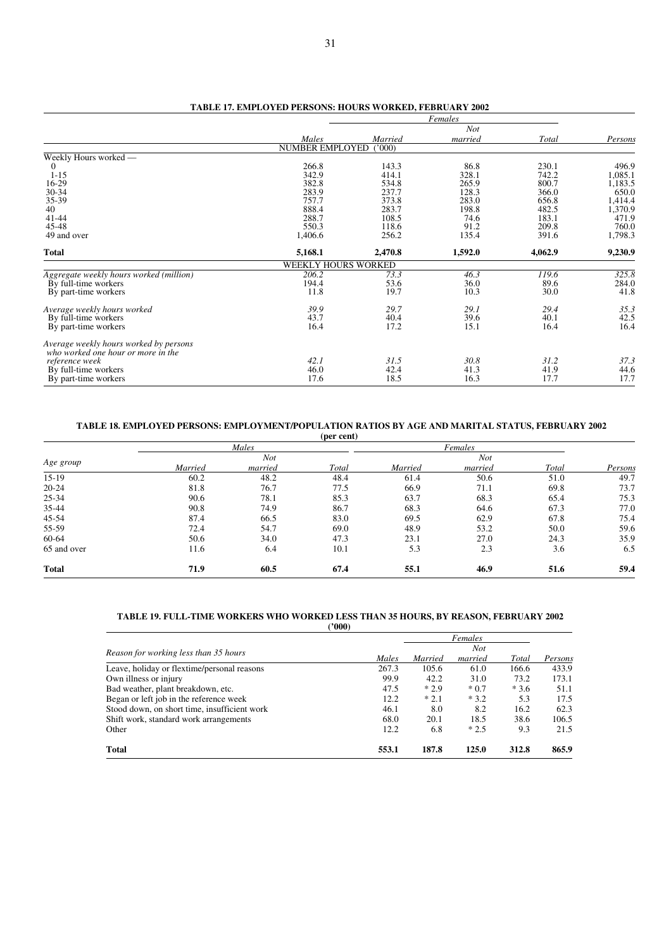|                                                                              |                        |         | Females    |         |         |
|------------------------------------------------------------------------------|------------------------|---------|------------|---------|---------|
|                                                                              |                        |         | <b>Not</b> |         |         |
|                                                                              | Males                  | Married | married    | Total   | Persons |
|                                                                              | <b>NUMBER EMPLOYED</b> | (000)   |            |         |         |
| Weekly Hours worked -                                                        |                        |         |            |         |         |
| 0                                                                            | 266.8                  | 143.3   | 86.8       | 230.1   | 496.9   |
| $1 - 15$                                                                     | 342.9                  | 414.1   | 328.1      | 742.2   | 1,085.1 |
| 16-29                                                                        | 382.8                  | 534.8   | 265.9      | 800.7   | 1,183.5 |
| $30-34$                                                                      | 283.9                  | 237.7   | 128.3      | 366.0   | 650.0   |
| 35-39                                                                        | 757.7                  | 373.8   | 283.0      | 656.8   | 1,414.4 |
| 40                                                                           | 888.4                  | 283.7   | 198.8      | 482.5   | 1,370.9 |
| $41 - 44$                                                                    | 288.7                  | 108.5   | 74.6       | 183.1   | 471.9   |
| 45-48                                                                        | 550.3                  | 118.6   | 91.2       | 209.8   | 760.0   |
| 49 and over                                                                  | 1,406.6                | 256.2   | 135.4      | 391.6   | 1,798.3 |
| <b>Total</b>                                                                 | 5,168.1                | 2,470.8 | 1,592.0    | 4,062.9 | 9,230.9 |
|                                                                              | WEEKLY HOURS WORKED    |         |            |         |         |
| Aggregate weekly hours worked (million)                                      | 206.2                  | 73.3    | 46.3       | 119.6   | 325.8   |
| By full-time workers                                                         | 194.4                  | 53.6    | 36.0       | 89.6    | 284.0   |
| By part-time workers                                                         | 11.8                   | 19.7    | 10.3       | 30.0    | 41.8    |
| Average weekly hours worked                                                  | 39.9                   | 29.7    | 29.1       | 29.4    | 35.3    |
| By full-time workers                                                         | 43.7                   | 40.4    | 39.6       | 40.1    | 42.5    |
| By part-time workers                                                         | 16.4                   | 17.2    | 15.1       | 16.4    | 16.4    |
| Average weekly hours worked by persons<br>who worked one hour or more in the |                        |         |            |         |         |
| reference week                                                               | 42.1                   | 31.5    | 30.8       | 31.2    | 37.3    |
| By full-time workers                                                         | 46.0                   | 42.4    | 41.3       | 41.9    | 44.6    |
| By part-time workers                                                         | 17.6                   | 18.5    | 16.3       | 17.7    | 17.7    |
|                                                                              |                        |         |            |         |         |

# **TABLE 17. EMPLOYED PERSONS: HOURS WORKED, FEBRUARY 2002**

# **TABLE 18. EMPLOYED PERSONS: EMPLOYMENT/POPULATION RATIOS BY AGE AND MARITAL STATUS, FEBRUARY 2002**

|              |         |            | (per cent) |         |         |       |         |  |
|--------------|---------|------------|------------|---------|---------|-------|---------|--|
|              |         | Males      |            |         | Females |       |         |  |
| Age group    |         | <b>Not</b> |            |         | Not     |       |         |  |
|              | Married | married    | Total      | Married | married | Total | Persons |  |
| $15-19$      | 60.2    | 48.2       | 48.4       | 61.4    | 50.6    | 51.0  | 49.7    |  |
| $20 - 24$    | 81.8    | 76.7       | 77.5       | 66.9    | 71.1    | 69.8  | 73.7    |  |
| 25-34        | 90.6    | 78.1       | 85.3       | 63.7    | 68.3    | 65.4  | 75.3    |  |
| 35-44        | 90.8    | 74.9       | 86.7       | 68.3    | 64.6    | 67.3  | 77.0    |  |
| 45-54        | 87.4    | 66.5       | 83.0       | 69.5    | 62.9    | 67.8  | 75.4    |  |
| 55-59        | 72.4    | 54.7       | 69.0       | 48.9    | 53.2    | 50.0  | 59.6    |  |
| 60-64        | 50.6    | 34.0       | 47.3       | 23.1    | 27.0    | 24.3  | 35.9    |  |
| 65 and over  | 11.6    | 6.4        | 10.1       | 5.3     | 2.3     | 3.6   | 6.5     |  |
| <b>Total</b> | 71.9    | 60.5       | 67.4       | 55.1    | 46.9    | 51.6  | 59.4    |  |

#### **TABLE 19. FULL-TIME WORKERS WHO WORKED LESS THAN 35 HOURS, BY REASON, FEBRUARY 2002 ('000)**

|                                              |       |         | Females |        |         |
|----------------------------------------------|-------|---------|---------|--------|---------|
|                                              |       |         | Not     |        |         |
| Reason for working less than 35 hours        | Males | Married | married | Total  | Persons |
| Leave, holiday or flextime/personal reasons  | 267.3 | 105.6   | 61.0    | 166.6  | 433.9   |
| Own illness or injury                        | 99.9  | 42.2    | 31.0    | 73.2   | 173.1   |
| Bad weather, plant breakdown, etc.           | 47.5  | $*2.9$  | $*0.7$  | $*3.6$ | 51.1    |
| Began or left job in the reference week      | 12.2  | $*2.1$  | $*3.2$  | 5.3    | 17.5    |
| Stood down, on short time, insufficient work | 46.1  | 8.0     | 8.2     | 16.2   | 62.3    |
| Shift work, standard work arrangements       | 68.0  | 20.1    | 18.5    | 38.6   | 106.5   |
| Other                                        | 12.2  | 6.8     | $*2.5$  | 9.3    | 21.5    |
| <b>Total</b>                                 | 553.1 | 187.8   | 125.0   | 312.8  | 865.9   |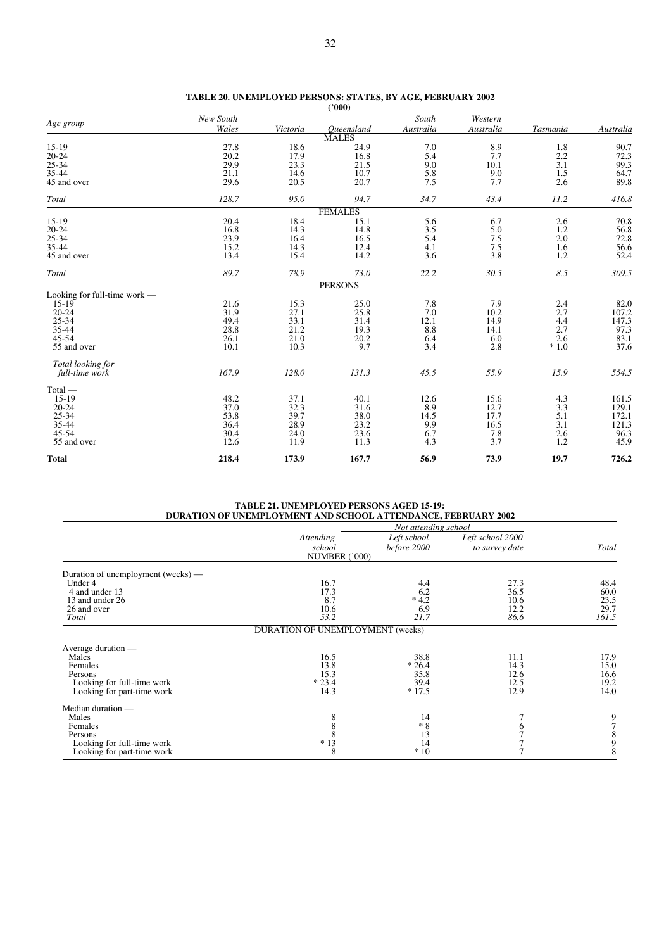| Age group                    | New South |          |                | South     | Western    |          |           |
|------------------------------|-----------|----------|----------------|-----------|------------|----------|-----------|
|                              | Wales     | Victoria | Oueensland     | Australia | Australia  | Tasmania | Australia |
|                              |           |          | <b>MALES</b>   |           |            |          |           |
| $15-19$                      | 27.8      | 18.6     | 24.9           | 7.0       | 8.9        | 1.8      | 90.7      |
| $20 - 24$                    | 20.2      | 17.9     | 16.8           | 5.4       | 7.7        | 2.2      | 72.3      |
| 25-34                        | 29.9      | 23.3     | 21.5           | 9.0       | 10.1       | 3.1      | 99.3      |
| 35-44                        | 21.1      | 14.6     | 10.7           | 5.8       | 9.0<br>7.7 | 1.5      | 64.7      |
| 45 and over                  | 29.6      | 20.5     | 20.7           | 7.5       |            | 2.6      | 89.8      |
| Total                        | 128.7     | 95.0     | 94.7           | 34.7      | 43.4       | 11.2     | 416.8     |
|                              |           |          | <b>FEMALES</b> |           |            |          |           |
| $15-19$                      | 20.4      | 18.4     | 15.1           | 5.6       | 6.7        | 2.6      | 70.8      |
| $20 - 24$                    | 16.8      | 14.3     | 14.8           | 3.5       | 5.0        | 1.2      | 56.8      |
| $25 - 34$                    | 23.9      | 16.4     | 16.5           | 5.4       | 7.5        | 2.0      | 72.8      |
| 35-44                        | 15.2      | 14.3     | 12.4           | 4.1       | 7.5        | 1.6      | 56.6      |
| 45 and over                  | 13.4      | 15.4     | 14.2           | 3.6       | 3.8        | 1.2      | 52.4      |
| Total                        | 89.7      | 78.9     | 73.0           | 22.2      | 30.5       | 8.5      | 309.5     |
|                              |           |          | <b>PERSONS</b> |           |            |          |           |
| Looking for full-time work — |           |          |                |           |            |          |           |
| $15-19$                      | 21.6      | 15.3     | 25.0           | 7.8       | 7.9        | 2.4      | 82.0      |
| $20 - 24$                    | 31.9      | 27.1     | 25.8           | 7.0       | 10.2       | 2.7      | 107.2     |
| $25 - 34$                    | 49.4      | 33.1     | 31.4           | 12.1      | 14.9       | 4.4      | 147.3     |
| 35-44                        | 28.8      | 21.2     | 19.3           | 8.8       | 14.1       | 2.7      | 97.3      |
| $45 - 54$                    | 26.1      | 21.0     | 20.2           | 6.4       | 6.0        | 2.6      | 83.1      |
| 55 and over                  | 10.1      | 10.3     | 9.7            | 3.4       | 2.8        | $*1.0$   | 37.6      |
| Total looking for            |           |          |                |           |            |          |           |
| full-time work               | 167.9     | 128.0    | 131.3          | 45.5      | 55.9       | 15.9     | 554.5     |
| $Total -$                    |           |          |                |           |            |          |           |
| $15-19$                      | 48.2      | 37.1     | 40.1           | 12.6      | 15.6       | 4.3      | 161.5     |
| $20 - 24$                    | 37.0      | 32.3     | 31.6           | 8.9       | 12.7       | 3.3      | 129.1     |
| $25 - 34$                    | 53.8      | 39.7     | 38.0           | 14.5      | 17.7       | 5.1      | 172.1     |
| 35-44                        | 36.4      | 28.9     | 23.2           | 9.9       | 16.5       | 3.1      | 121.3     |
| $45 - 54$                    | 30.4      | 24.0     | 23.6           | 6.7       | 7.8        | 2.6      | 96.3      |
| 55 and over                  | 12.6      | 11.9     | 11.3           | 4.3       | 3.7        | 1.2      | 45.9      |
| <b>Total</b>                 | 218.4     | 173.9    | 167.7          | 56.9      | 73.9       | 19.7     | 726.2     |

| TABLE 20. UNEMPLOYED PERSONS: STATES, BY AGE, FEBRUARY 2002 |        |  |  |
|-------------------------------------------------------------|--------|--|--|
|                                                             | (2000) |  |  |

**TABLE 21. UNEMPLOYED PERSONS AGED 15-19: DURATION OF UNEMPLOYMENT AND SCHOOL ATTENDANCE, FEBRUARY 2002**

|                                    |                                  | Not attending school |                  |       |
|------------------------------------|----------------------------------|----------------------|------------------|-------|
|                                    | Attending                        | Left school          | Left school 2000 |       |
|                                    | school                           | before 2000          | to survey date   | Total |
|                                    | NUMBER ('000)                    |                      |                  |       |
| Duration of unemployment (weeks) — |                                  |                      |                  |       |
| Under 4                            | 16.7                             | 4.4                  | 27.3             | 48.4  |
| 4 and under 13                     | 17.3                             | 6.2                  | 36.5             | 60.0  |
| 13 and under 26                    | 8.7                              | $*4.2$               | 10.6             | 23.5  |
| 26 and over                        | 10.6                             | 6.9                  | 12.2             | 29.7  |
| Total                              | 53.2                             | 21.7                 | 86.6             | 161.5 |
|                                    | DURATION OF UNEMPLOYMENT (weeks) |                      |                  |       |
| Average duration —                 |                                  |                      |                  |       |
| Males                              | 16.5                             | 38.8                 | 11.1             | 17.9  |
| Females                            | 13.8                             | $*26.4$              | 14.3             | 15.0  |
| Persons                            | 15.3                             | 35.8                 | 12.6             | 16.6  |
| Looking for full-time work         | $*23.4$                          | 39.4                 | 12.5             | 19.2  |
| Looking for part-time work         | 14.3                             | $*17.5$              | 12.9             | 14.0  |
| Median duration —                  |                                  |                      |                  |       |
| Males                              | 8                                | 14                   |                  | 9     |
| Females                            | 8                                | $*8$                 | 6                |       |
| Persons                            | 8                                | 13                   |                  |       |
| Looking for full-time work         | $*13$                            | 14                   |                  | 9     |
| Looking for part-time work         | 8                                | $*10$                |                  | 8     |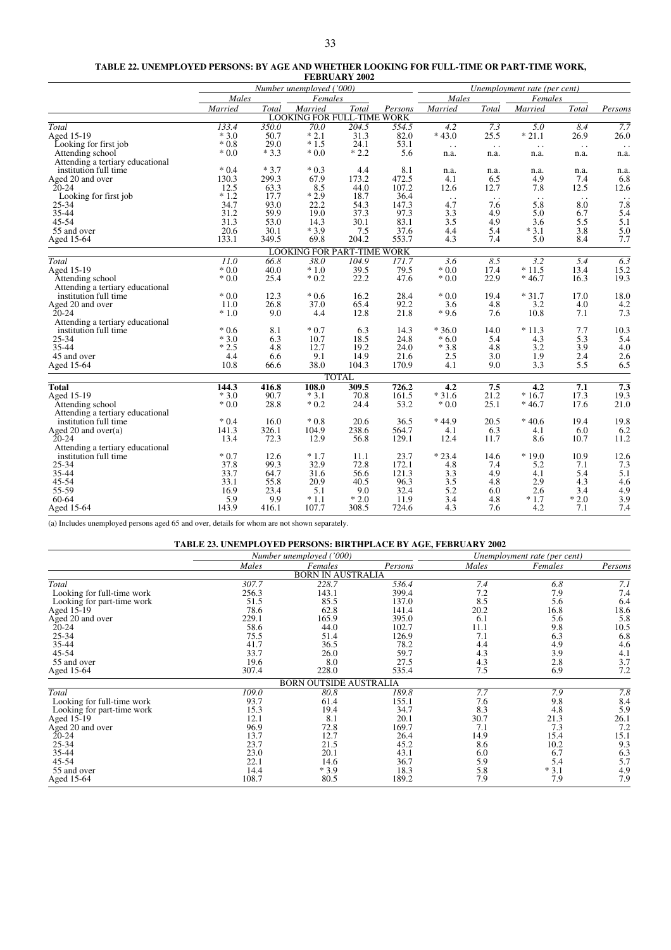#### **TABLE 22. UNEMPLOYED PERSONS: BY AGE AND WHETHER LOOKING FOR FULL-TIME OR PART-TIME WORK,**

|                                  |                          |        |                                   | <b>FEBRUARY 2002</b> |         |                  |              |                              |                  |                        |
|----------------------------------|--------------------------|--------|-----------------------------------|----------------------|---------|------------------|--------------|------------------------------|------------------|------------------------|
|                                  | Number unemployed ('000) |        |                                   |                      |         |                  |              | Unemployment rate (per cent) |                  |                        |
|                                  | Males                    |        | Females                           |                      |         | Males            |              | Females                      |                  |                        |
|                                  | Married                  | Total  | Married                           | Total                | Persons | Married          | Total        | Married                      | Total            | Persons                |
|                                  |                          |        | <b>LOOKING FOR FULL-TIME WORK</b> |                      |         |                  |              |                              |                  |                        |
| Total                            | 133.4                    | 350.0  | 70.0                              | 204.5                | 554.5   | 4.2              | 7.3          | $\overline{5.0}$             | 8.4              | 7.7                    |
| Aged 15-19                       | $*3.0$                   | 50.7   | $*2.1$                            | 31.3                 | 82.0    | $*43.0$          | 25.5         | $*21.1$                      | 26.9             | 26.0                   |
| Looking for first job            | $*0.8$                   | 29.0   | $*1.5$                            | 24.1                 | 53.1    | $\ddotsc$        | $\epsilon$ . | $\ddot{\phantom{1}}$ .       | $\sim$ .         |                        |
| Attending school                 | $*0.0$                   | $*3.3$ | $*0.0$                            | $*2.2$               | 5.6     | n.a.             | n.a.         | n.a.                         | n.a.             | n.a.                   |
| Attending a tertiary educational |                          |        |                                   |                      |         |                  |              |                              |                  |                        |
| institution full time            | $*0.4$                   | $*3.7$ | $*0.3$                            | 4.4                  | 8.1     | n.a.             | n.a.         | n.a.                         | n.a.             | n.a.                   |
| Aged 20 and over                 | 130.3                    | 299.3  | 67.9                              | 173.2                | 472.5   | 4.1              | 6.5          | 4.9                          | 7.4              | 6.8                    |
| $20 - 24$                        | 12.5                     | 63.3   | 8.5                               | 44.0                 | 107.2   | 12.6             | 12.7         | 7.8                          | 12.5             | 12.6                   |
| Looking for first job            | $*1.2$                   | 17.7   | $*2.9$                            | 18.7                 | 36.4    | $\ddotsc$        | $\ldots$     | $\ddotsc$                    | $\cdot$ .        | $\ddot{\phantom{1}}$ . |
| 25-34                            | 34.7                     | 93.0   | 22.2                              | 54.3                 | 147.3   | 4.7              | 7.6          | 5.8                          | 8.0              | 7.8                    |
| 35-44                            | 31.2                     | 59.9   | 19.0                              | 37.3                 | 97.3    | 3.3              | 4.9          | 5.0                          | 6.7              | 5.4                    |
| 45-54                            | 31.3                     | 53.0   | 14.3                              | 30.1                 | 83.1    | 3.5              | 4.9          | 3.6                          | 5.5              | 5.1                    |
| 55 and over                      | 20.6                     | 30.1   | $*3.9$                            | 7.5                  | 37.6    | 4.4              | 5.4          | $*3.1$                       | 3.8              | 5.0                    |
| Aged 15-64                       | 133.1                    | 349.5  | 69.8                              | 204.2                | 553.7   | 4.3              | 7.4          | 5.0                          | 8.4              | 7.7                    |
|                                  |                          |        | <b>LOOKING FOR PART-TIME WORK</b> |                      |         |                  |              |                              |                  |                        |
| Total                            | $\overline{11.0}$        | 66.8   | $\overline{38.0}$                 | 104.9                | 171.7   | $\overline{3.6}$ | 8.5          | $\overline{3.2}$             | $\overline{5.4}$ | $\overline{6.3}$       |
| Aged 15-19                       | $*0.0$                   | 40.0   | $*1.0$                            | 39.5                 | 79.5    | $*0.0$           | 17.4         | $*11.5$                      | 13.4             | $15.2$<br>19.3         |
| Attending school                 | $*0.0$                   | 25.4   | $*0.2$                            | 22.2                 | 47.6    | $*0.0$           | 22.9         | $*46.7$                      | 16.3             |                        |
| Attending a tertiary educational |                          |        |                                   |                      |         |                  |              |                              |                  |                        |
| institution full time            | $*0.0$                   | 12.3   | $*0.6$                            | 16.2                 | 28.4    | $*0.0$           | 19.4         | $*31.7$                      | 17.0             | 18.0                   |
| Aged 20 and over                 | 11.0                     | 26.8   | 37.0                              | 65.4                 | 92.2    | 3.6              | 4.8          | 3.2                          | 4.0              | 4.2                    |
| $20 - 24$                        | $*1.0$                   | 9.0    | 4.4                               | 12.8                 | 21.8    | $*9.6$           | 7.6          | 10.8                         | 7.1              | 7.3                    |
| Attending a tertiary educational |                          |        |                                   |                      |         |                  |              |                              |                  |                        |
| institution full time            | $*0.6$                   | 8.1    | $*0.7$                            | 6.3                  | 14.3    | $*36.0$          | 14.0         | $*11.3$                      | 7.7              | 10.3                   |
| 25-34                            | $*3.0$                   | 6.3    | 10.7                              | 18.5                 | 24.8    | $*6.0$           | 5.4          | 4.3                          | 5.3              | 5.4                    |
| 35-44                            | $*2.5$                   | 4.8    | 12.7                              | 19.2                 | 24.0    | $*3.8$           | 4.8          | 3.2                          | 3.9              | 4.0                    |
| 45 and over                      | 4.4                      | 6.6    | 9.1                               | 14.9                 | 21.6    | 2.5              | 3.0          | 1.9                          | 2.4              | 2.6                    |
| Aged 15-64                       | 10.8                     | 66.6   | 38.0                              | 104.3                | 170.9   | 4.1              | 9.0          | 3.3                          | 5.5              | 6.5                    |
|                                  |                          |        |                                   | <b>TOTAL</b>         |         |                  |              |                              |                  |                        |
| <b>Total</b>                     | 144.3                    | 416.8  | 108.0                             | 309.5                | 726.2   | 4.2              | 7.5          | $\overline{4.2}$             | 7.1              | $\overline{7.3}$       |
| Aged 15-19                       | $*3.0$                   | 90.7   | $*3.1$                            | 70.8                 | 161.5   | $*31.6$          | 21.2         | $*16.7$                      | 17.3             | 19.3                   |
| Attending school                 | $*0.0$                   | 28.8   | $*0.2$                            | 24.4                 | 53.2    | $*0.0$           | 25.1         | $*46.7$                      | 17.6             | 21.0                   |
| Attending a tertiary educational |                          |        |                                   |                      |         |                  |              |                              |                  |                        |
| institution full time            | $*0.4$                   | 16.0   | $*0.8$                            | 20.6                 | 36.5    | $*44.9$          | 20.5         | $*40.6$                      | 19.4             | 19.8                   |
| Aged 20 and over(a)              | 141.3                    | 326.1  | 104.9                             | 238.6                | 564.7   | 4.1              | 6.3          | 4.1                          | 6.0              | 6.2                    |
| $20 - 24$                        | 13.4                     | 72.3   | 12.9                              | 56.8                 | 129.1   | 12.4             | 11.7         | 8.6                          | 10.7             | 11.2                   |
| Attending a tertiary educational |                          |        |                                   |                      |         |                  |              |                              |                  |                        |
| institution full time            | $*0.7$                   | 12.6   | $*1.7$                            | 11.1                 | 23.7    | $*23.4$          | 14.6         | $*19.0$                      | 10.9             | 12.6                   |
| 25-34                            | 37.8                     | 99.3   | 32.9                              | 72.8                 | 172.1   | 4.8              | 7.4          | 5.2                          | 7.1              | 7.3                    |
| 35-44                            | 33.7                     | 64.7   | 31.6                              | 56.6                 | 121.3   | 3.3              | 4.9          | 4.1                          | 5.4              | 5.1                    |
| 45-54                            | 33.1                     | 55.8   | 20.9                              | 40.5                 | 96.3    | 3.5              | 4.8          | 2.9                          | 4.3              | 4.6                    |
| 55-59                            | 16.9                     | 23.4   | 5.1                               | 9.0                  | 32.4    | 5.2              | 6.0          | 2.6                          | 3.4              | 4.9                    |
| 60-64                            | 5.9                      | 9.9    | $*1.1$                            | $*2.0$               | 11.9    | 3.4              | 4.8          | $*1.7$                       | $*2.0$           | 3.9                    |
| Aged 15-64                       | 143.9                    | 416.1  | 107.7                             | 308.5                | 724.6   | 4.3              | 7.6          | 4.2                          | 7.1              | 7.4                    |

(a) Includes unemployed persons aged 65 and over, details for whom are not shown separately.

|                            | <b>TABLE 23. UNEMPLOYED PERSONS: BIRTHPLACE BY AGE, FEBRUARY 2002</b> |                               |         |                              |         |         |  |
|----------------------------|-----------------------------------------------------------------------|-------------------------------|---------|------------------------------|---------|---------|--|
|                            |                                                                       | Number unemployed ('000)      |         | Unemployment rate (per cent) |         |         |  |
|                            | Males                                                                 | Females                       | Persons | Males                        | Females | Persons |  |
|                            |                                                                       | <b>BORN IN AUSTRALIA</b>      |         |                              |         |         |  |
| Total                      | 307.7                                                                 | 228.7                         | 536.4   | 7.4                          | 6.8     | 7.1     |  |
| Looking for full-time work | 256.3                                                                 | 143.1                         | 399.4   | 7.2                          | 7.9     | 7.4     |  |
| Looking for part-time work | 51.5                                                                  | 85.5                          | 137.0   | 8.5                          | 5.6     | 6.4     |  |
| Aged 15-19                 | 78.6                                                                  | 62.8                          | 141.4   | 20.2                         | 16.8    | 18.6    |  |
| Aged 20 and over           | 229.1                                                                 | 165.9                         | 395.0   | 6.1                          | 5.6     | 5.8     |  |
| $20 - 24$                  | 58.6                                                                  | 44.0                          | 102.7   | 11.1                         | 9.8     | 10.5    |  |
| $25 - 34$                  | 75.5                                                                  | 51.4                          | 126.9   | 7.1                          | 6.3     | 6.8     |  |
| 35-44                      | 41.7                                                                  | 36.5                          | 78.2    | 4.4                          | 4.9     | 4.6     |  |
| $45 - 54$                  | 33.7                                                                  | 26.0                          | 59.7    | 4.3                          | 3.9     | 4.1     |  |
| 55 and over                | 19.6                                                                  | 8.0                           | 27.5    | 4.3                          | 2.8     | 3.7     |  |
| Aged 15-64                 | 307.4                                                                 | 228.0                         | 535.4   | 7.5                          | 6.9     | 7.2     |  |
|                            |                                                                       | <b>BORN OUTSIDE AUSTRALIA</b> |         |                              |         |         |  |
| Total                      | 109.0                                                                 | 80.8                          | 189.8   | 7.7                          | 7.9     | 7.8     |  |
| Looking for full-time work | 93.7                                                                  | 61.4                          | 155.1   | 7.6                          | 9.8     | 8.4     |  |
| Looking for part-time work | 15.3                                                                  | 19.4                          | 34.7    | 8.3                          | 4.8     | 5.9     |  |
| Aged 15-19                 | 12.1                                                                  | 8.1                           | 20.1    | 30.7                         | 21.3    | 26.1    |  |
| Aged 20 and over           | 96.9                                                                  | 72.8                          | 169.7   | 7.1                          | 7.3     | 7.2     |  |
| $20 - 24$                  | 13.7                                                                  | 12.7                          | 26.4    | 14.9                         | 15.4    | 15.1    |  |
| $25 - 34$                  | 23.7                                                                  | 21.5                          | 45.2    | 8.6                          | 10.2    | 9.3     |  |
| 35-44                      | 23.0                                                                  | 20.1                          | 43.1    | 6.0                          | 6.7     | 6.3     |  |
| 45-54                      | 22.1                                                                  | 14.6                          | 36.7    | 5.9                          | 5.4     | 5.7     |  |
| 55 and over                | 14.4                                                                  | $*3.9$                        | 18.3    | 5.8                          | $*3.1$  | 4.9     |  |
| Aged 15-64                 | 108.7                                                                 | 80.5                          | 189.2   | 7.9                          | 7.9     | 7.9     |  |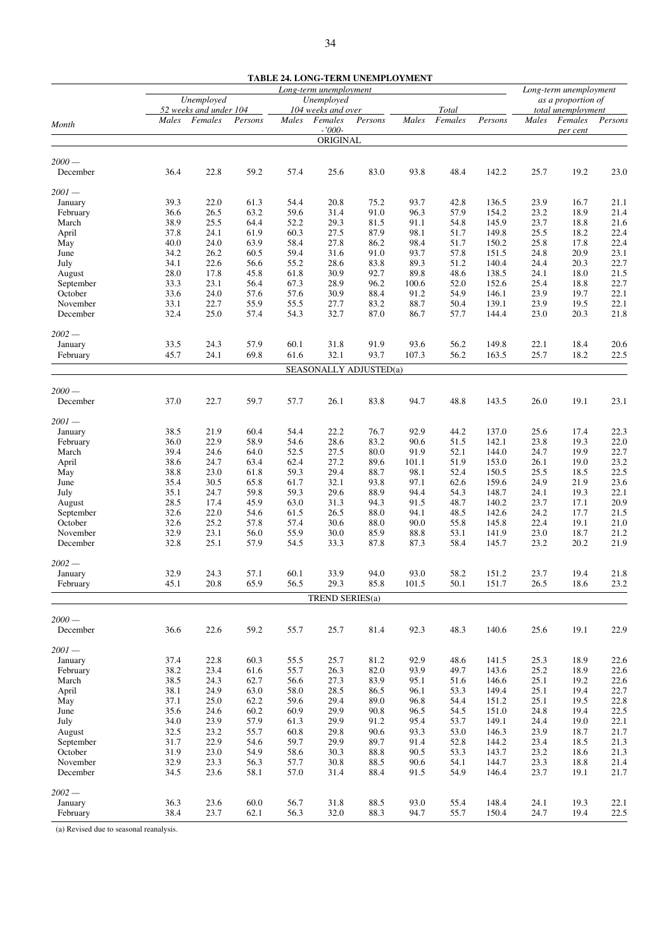|                      |              |                                   |              |              |                        | <b>TABLE 24. LONG-TERM UNEMPLOYMENT</b> |              |                  |                |              |                        |              |
|----------------------|--------------|-----------------------------------|--------------|--------------|------------------------|-----------------------------------------|--------------|------------------|----------------|--------------|------------------------|--------------|
|                      |              |                                   |              |              | Long-term unemployment |                                         |              |                  |                |              | Long-term unemployment |              |
|                      |              | Unemployed                        |              |              | Unemployed             |                                         |              |                  |                |              | as a proportion of     |              |
|                      |              | 52 weeks and under 104<br>Females |              |              | 104 weeks and over     |                                         | Males        | Total<br>Females |                |              | total unemployment     |              |
| Month                | Males        |                                   | Persons      | Males        | Females<br>$-7000-$    | Persons                                 |              |                  | Persons        | Males        | Females<br>per cent    | Persons      |
|                      |              |                                   |              |              | ORIGINAL               |                                         |              |                  |                |              |                        |              |
|                      |              |                                   |              |              |                        |                                         |              |                  |                |              |                        |              |
| $2000 -$             |              |                                   |              |              |                        |                                         |              |                  |                |              |                        |              |
| December             | 36.4         | 22.8                              | 59.2         | 57.4         | 25.6                   | 83.0                                    | 93.8         | 48.4             | 142.2          | 25.7         | 19.2                   | 23.0         |
|                      |              |                                   |              |              |                        |                                         |              |                  |                |              |                        |              |
| $2001 -$<br>January  | 39.3         | 22.0                              | 61.3         | 54.4         | 20.8                   | 75.2                                    | 93.7         | 42.8             | 136.5          | 23.9         | 16.7                   | 21.1         |
| February             | 36.6         | 26.5                              | 63.2         | 59.6         | 31.4                   | 91.0                                    | 96.3         | 57.9             | 154.2          | 23.2         | 18.9                   | 21.4         |
| March                | 38.9         | 25.5                              | 64.4         | 52.2         | 29.3                   | 81.5                                    | 91.1         | 54.8             | 145.9          | 23.7         | 18.8                   | 21.6         |
| April                | 37.8         | 24.1                              | 61.9         | 60.3         | 27.5                   | 87.9                                    | 98.1         | 51.7             | 149.8          | 25.5         | 18.2                   | 22.4         |
| May                  | 40.0         | 24.0                              | 63.9         | 58.4         | 27.8                   | 86.2                                    | 98.4         | 51.7             | 150.2          | 25.8         | 17.8                   | 22.4         |
| June                 | 34.2         | 26.2                              | 60.5         | 59.4         | 31.6                   | 91.0                                    | 93.7         | 57.8             | 151.5          | 24.8         | 20.9                   | 23.1         |
| July                 | 34.1         | 22.6                              | 56.6         | 55.2         | 28.6                   | 83.8                                    | 89.3         | 51.2             | 140.4          | 24.4         | 20.3                   | 22.7         |
| August               | 28.0         | 17.8                              | 45.8         | 61.8         | 30.9                   | 92.7                                    | 89.8         | 48.6             | 138.5          | 24.1         | 18.0                   | 21.5         |
| September            | 33.3         | 23.1                              | 56.4         | 67.3         | 28.9                   | 96.2                                    | 100.6        | 52.0             | 152.6          | 25.4         | 18.8                   | 22.7         |
| October              | 33.6         | 24.0                              | 57.6         | 57.6         | 30.9                   | 88.4                                    | 91.2         | 54.9             | 146.1          | 23.9         | 19.7                   | 22.1         |
| November             | 33.1         | 22.7                              | 55.9         | 55.5         | 27.7                   | 83.2                                    | 88.7         | 50.4             | 139.1          | 23.9         | 19.5                   | 22.1         |
| December             | 32.4         | 25.0                              | 57.4         | 54.3         | 32.7                   | 87.0                                    | 86.7         | 57.7             | 144.4          | 23.0         | 20.3                   | 21.8         |
|                      |              |                                   |              |              |                        |                                         |              |                  |                |              |                        |              |
| $2002 -$             |              |                                   |              |              |                        |                                         |              |                  |                |              |                        |              |
| January              | 33.5         | 24.3                              | 57.9         | 60.1         | 31.8                   | 91.9                                    | 93.6         | 56.2             | 149.8          | 22.1         | 18.4                   | 20.6         |
| February             | 45.7         | 24.1                              | 69.8         | 61.6         | 32.1                   | 93.7                                    | 107.3        | 56.2             | 163.5          | 25.7         | 18.2                   | 22.5         |
|                      |              |                                   |              |              |                        | SEASONALLY ADJUSTED(a)                  |              |                  |                |              |                        |              |
| $2000 -$             |              |                                   |              |              |                        |                                         |              |                  |                |              |                        |              |
| December             | 37.0         | 22.7                              | 59.7         | 57.7         | 26.1                   | 83.8                                    | 94.7         | 48.8             | 143.5          | 26.0         | 19.1                   | 23.1         |
|                      |              |                                   |              |              |                        |                                         |              |                  |                |              |                        |              |
| $2001 -$             |              |                                   |              |              |                        |                                         |              |                  |                |              |                        |              |
| January              | 38.5         | 21.9                              | 60.4         | 54.4         | 22.2                   | 76.7                                    | 92.9         | 44.2             | 137.0          | 25.6         | 17.4                   | 22.3         |
| February             | 36.0         | 22.9                              | 58.9         | 54.6         | 28.6                   | 83.2                                    | 90.6         | 51.5             | 142.1          | 23.8         | 19.3                   | 22.0         |
| March                | 39.4         | 24.6                              | 64.0         | 52.5         | 27.5                   | 80.0                                    | 91.9         | 52.1             | 144.0          | 24.7         | 19.9                   | 22.7         |
| April                | 38.6         | 24.7                              | 63.4         | 62.4         | 27.2                   | 89.6                                    | 101.1        | 51.9             | 153.0          | 26.1         | 19.0                   | 23.2         |
| May                  | 38.8         | 23.0                              | 61.8         | 59.3         | 29.4                   | 88.7                                    | 98.1         | 52.4             | 150.5          | 25.5         | 18.5                   | 22.5         |
| June                 | 35.4         | 30.5                              | 65.8         | 61.7         | 32.1                   | 93.8                                    | 97.1         | 62.6             | 159.6          | 24.9         | 21.9                   | 23.6         |
| July                 | 35.1         | 24.7                              | 59.8         | 59.3         | 29.6                   | 88.9                                    | 94.4         | 54.3             | 148.7          | 24.1         | 19.3                   | 22.1         |
| August               | 28.5         | 17.4                              | 45.9         | 63.0         | 31.3                   | 94.3                                    | 91.5         | 48.7             | 140.2          | 23.7         | 17.1                   | 20.9         |
| September            | 32.6         | 22.0                              | 54.6         | 61.5         | 26.5                   | 88.0                                    | 94.1         | 48.5             | 142.6          | 24.2         | 17.7                   | 21.5         |
| October              | 32.6         | 25.2                              | 57.8         | 57.4         | 30.6                   | 88.0                                    | 90.0         | 55.8             | 145.8          | 22.4         | 19.1                   | 21.0         |
| November             | 32.9         | 23.1                              | 56.0         | 55.9         | 30.0                   | 85.9                                    | 88.8         | 53.1             | 141.9          | 23.0         | 18.7                   | 21.2         |
| December             | 32.8         | 25.1                              | 57.9         | 54.5         | 33.3                   | 87.8                                    | 87.3         | 58.4             | 145.7          | 23.2         | 20.2                   | 21.9         |
| $2002 -$             |              |                                   |              |              |                        |                                         |              |                  |                |              |                        |              |
| January              | 32.9         | 24.3                              | 57.1         | 60.1         | 33.9                   | 94.0                                    | 93.0         | 58.2             | 151.2          | 23.7         | 19.4                   | 21.8         |
| February             | 45.1         | 20.8                              | 65.9         | 56.5         | 29.3                   | 85.8                                    | 101.5        | 50.1             | 151.7          | 26.5         | 18.6                   | 23.2         |
|                      |              |                                   |              |              | TREND SERIES(a)        |                                         |              |                  |                |              |                        |              |
|                      |              |                                   |              |              |                        |                                         |              |                  |                |              |                        |              |
| $2000 -$             |              |                                   |              |              |                        |                                         |              |                  |                |              |                        |              |
| December             | 36.6         | 22.6                              | 59.2         | 55.7         | 25.7                   | 81.4                                    | 92.3         | 48.3             | 140.6          | 25.6         | 19.1                   | 22.9         |
|                      |              |                                   |              |              |                        |                                         |              |                  |                |              |                        |              |
| $2001 -$             |              |                                   |              |              |                        |                                         |              |                  |                |              |                        |              |
| January              | 37.4         | 22.8                              | 60.3         | 55.5         | 25.7                   | 81.2                                    | 92.9         | 48.6             | 141.5          | 25.3         | 18.9                   | 22.6         |
| February             | 38.2         | 23.4                              | 61.6         | 55.7         | 26.3                   | 82.0                                    | 93.9         | 49.7             | 143.6          | 25.2         | 18.9                   | 22.6         |
| March                | 38.5         | 24.3                              | 62.7         | 56.6         | 27.3                   | 83.9                                    | 95.1         | 51.6             | 146.6          | 25.1         | 19.2                   | 22.6         |
| April                | 38.1         | 24.9                              | 63.0         | 58.0         | 28.5                   | 86.5                                    | 96.1         | 53.3             | 149.4          | 25.1         | 19.4                   | 22.7         |
| May                  | 37.1         | 25.0                              | 62.2         | 59.6         | 29.4                   | 89.0                                    | 96.8         | 54.4             | 151.2          | 25.1         | 19.5                   | 22.8         |
| June                 | 35.6         | 24.6                              | 60.2         | 60.9         | 29.9                   | 90.8                                    | 96.5         | 54.5             | 151.0          | 24.8         | 19.4                   | 22.5         |
| July                 | 34.0         | 23.9                              | 57.9         | 61.3         | 29.9                   | 91.2                                    | 95.4         | 53.7             | 149.1          | 24.4         | 19.0                   | 22.1         |
| August               | 32.5<br>31.7 | 23.2<br>22.9                      | 55.7<br>54.6 | 60.8<br>59.7 | 29.8<br>29.9           | 90.6<br>89.7                            | 93.3<br>91.4 | 53.0             | 146.3          | 23.9         | 18.7                   | 21.7         |
| September<br>October | 31.9         | 23.0                              | 54.9         | 58.6         | 30.3                   | 88.8                                    | 90.5         | 52.8<br>53.3     | 144.2<br>143.7 | 23.4<br>23.2 | 18.5<br>18.6           | 21.3<br>21.3 |
| November             | 32.9         | 23.3                              | 56.3         | 57.7         | 30.8                   | 88.5                                    | 90.6         | 54.1             | 144.7          | 23.3         | 18.8                   | 21.4         |
| December             | 34.5         | 23.6                              | 58.1         | 57.0         | 31.4                   | 88.4                                    | 91.5         | 54.9             | 146.4          | 23.7         | 19.1                   | 21.7         |
|                      |              |                                   |              |              |                        |                                         |              |                  |                |              |                        |              |
| $2002 -$             |              |                                   |              |              |                        |                                         |              |                  |                |              |                        |              |
| January              | 36.3         | 23.6                              | 60.0         | 56.7         | 31.8                   | 88.5                                    | 93.0         | 55.4             | 148.4          | 24.1         | 19.3                   | 22.1         |
| February             | 38.4         | 23.7                              | 62.1         | 56.3         | 32.0                   | 88.3                                    | 94.7         | 55.7             | 150.4          | 24.7         | 19.4                   | 22.5         |

(a) Revised due to seasonal reanalysis.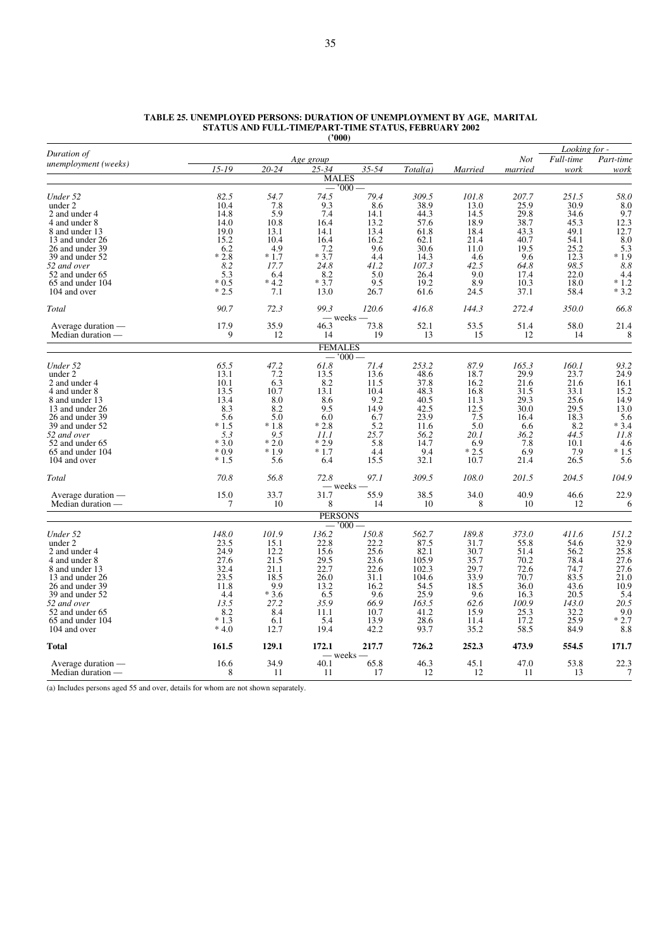| Duration of                             |                  |               |                         |             |              |                |              | Looking for - |               |
|-----------------------------------------|------------------|---------------|-------------------------|-------------|--------------|----------------|--------------|---------------|---------------|
| unemployment (weeks)                    |                  |               | Age group               |             |              |                | Not          | Full-time     | Part-time     |
|                                         | $15 - 19$        | 20-24         | $25 - 34$               | 35-54       | Total(a)     | Married        | married      | work          | work          |
|                                         |                  |               | <b>MALES</b><br>$-1000$ |             |              |                |              |               |               |
| Under 52                                | 82.5             | 54.7          | 74.5                    | 79.4        | 309.5        | 101.8          | 207.7        | 251.5         | 58.0          |
| under 2                                 | 10.4             | 7.8           | 9.3                     | 8.6         | 38.9         | 13.0           | 25.9         | 30.9          | 8.0           |
| 2 and under 4                           | 14.8             | 5.9           | 7.4                     | 14.1        | 44.3         | 14.5           | 29.8         | 34.6          | 9.7           |
| 4 and under 8                           | 14.0             | 10.8          | 16.4                    | 13.2        | 57.6         | 18.9           | 38.7         | 45.3          | 12.3          |
| 8 and under 13                          | 19.0             | 13.1          | 14.1                    | 13.4        | 61.8         | 18.4           | 43.3         | 49.1          | 12.7          |
| 13 and under 26                         | 15.2             | 10.4          | 16.4                    | 16.2        | 62.1         | 21.4           | 40.7         | 54.1          | 8.0           |
| 26 and under 39                         | 6.2              | 4.9           | 7.2                     | 9.6         | 30.6         | 11.0           | 19.5         | 25.2          | 5.3           |
| 39 and under 52                         | $*2.8$           | $*1.7$        | $*3.7$                  | 4.4         | 14.3         | 4.6            | 9.6          | 12.3          | $*1.9$        |
| 52 and over                             | 8.2              | 17.7          | 24.8                    | 41.2        | 107.3        | 42.5           | 64.8         | 98.5          | 8.8           |
| 52 and under 65                         | 5.3              | 6.4           | 8.2                     | 5.0         | 26.4         | 9.0            | 17.4         | 22.0          | 4.4           |
| 65 and under 104                        | $*0.5$           | $*4.2$        | $*3.7$                  | 9.5         | 19.2         | 8.9            | 10.3         | 18.0          | $*1.2$        |
| 104 and over                            | $*2.5$           | 7.1           | 13.0                    | 26.7        | 61.6         | 24.5           | 37.1         | 58.4          | $*3.2$        |
| Total                                   | 90.7             | 72.3          | 99.3                    | 120.6       | 416.8        | 144.3          | 272.4        | 350.0         | 66.8          |
| Average duration —                      | 17.9             | 35.9          | — weeks —<br>46.3       | 73.8        | 52.1         | 53.5           | 51.4         | 58.0          | 21.4          |
| Median duration —                       | 9                | 12            | 14                      | 19          | 13           | 15             | 12           | 14            | 8             |
|                                         |                  |               | <b>FEMALES</b>          |             |              |                |              |               |               |
|                                         |                  |               | $000^{\circ}$           |             |              |                |              |               |               |
| Under 52                                | 65.5             | 47.2          | 61.8                    | 71.4        | 253.2        | 87.9           | 165.3        | 160.1         | 93.2          |
| under 2                                 | 13.1             | 7.2           | 13.5                    | 13.6        | 48.6         | 18.7           | 29.9         | 23.7          | 24.9          |
| 2 and under 4                           | 10.1             | 6.3           | 8.2                     | 11.5        | 37.8         | 16.2           | 21.6         | 21.6          | 16.1          |
| 4 and under 8                           | 13.5             | 10.7          | 13.1                    | 10.4        | 48.3         | 16.8           | 31.5         | 33.1          | 15.2          |
| 8 and under 13                          | 13.4             | 8.0           | 8.6                     | 9.2         | 40.5         | 11.3           | 29.3         | 25.6          | 14.9          |
| 13 and under 26                         | 8.3              | 8.2           | 9.5                     | 14.9        | 42.5         | 12.5           | 30.0         | 29.5          | 13.0          |
| 26 and under 39                         | 5.6              | 5.0           | 6.0                     | 6.7         | 23.9         | 7.5            | 16.4         | 18.3          | 5.6           |
| 39 and under 52                         | $*1.5$           | $*1.8$        | $*2.8$                  | 5.2         | 11.6         | 5.0            | 6.6          | 8.2           | $*3.4$        |
| 52 and over                             | 5.3              | 9.5           | 11.1                    | 25.7        | 56.2         | 20.1           | 36.2         | 44.5          | 11.8          |
| 52 and under 65                         | $*3.0$           | $*2.0$        | $*2.9$                  | 5.8         | 14.7         | 6.9            | 7.8          | 10.1          | 4.6           |
| 65 and under 104<br>104 and over        | $*0.9$<br>$*1.5$ | $*1.9$<br>5.6 | $*1.7$<br>6.4           | 4.4<br>15.5 | 9.4<br>32.1  | $*2.5$<br>10.7 | 6.9<br>21.4  | 7.9<br>26.5   | $*1.5$<br>5.6 |
|                                         |                  |               |                         |             |              |                |              |               |               |
| Total                                   | 70.8             | 56.8          | 72.8                    | 97.1        | 309.5        | 108.0          | 201.5        | 204.5         | 104.9         |
| Average duration —                      | 15.0             | 33.7          | – weeks –<br>31.7       | 55.9        | 38.5         | 34.0           | 40.9         | 46.6          | 22.9          |
| Median duration -                       | 7                | 10            | 8                       | 14          | 10           | 8              | 10           | 12            | 6             |
|                                         |                  |               | <b>PERSONS</b>          |             |              |                |              |               |               |
|                                         |                  |               | $-7000-$                |             |              |                |              |               |               |
| Under 52                                | 148.0            | 101.9         | 136.2                   | 150.8       | 562.7        | 189.8          | 373.0        | 411.6         | 151.2         |
| under 2                                 | 23.5             | 15.1          | 22.8                    | 22.2        | 87.5         | 31.7           | 55.8         | 54.6          | 32.9          |
| 2 and under 4                           | 24.9             | 12.2          | 15.6                    | 25.6        | 82.1         | 30.7           | 51.4         | 56.2          | 25.8          |
| 4 and under 8                           | 27.6             | 21.5          | 29.5                    | 23.6        | 105.9        | 35.7           | 70.2         | 78.4          | 27.6          |
| 8 and under 13                          | 32.4             | 21.1          | 22.7                    | 22.6        | 102.3        | 29.7           | 72.6         | 74.7          | 27.6          |
| 13 and under 26                         | 23.5             | 18.5          | 26.0                    | 31.1        | 104.6        | 33.9           | 70.7         | 83.5          | 21.0          |
| 26 and under 39<br>39 and under 52      | 11.8<br>4.4      | 9.9<br>$*3.6$ | 13.2<br>6.5             | 16.2<br>9.6 | 54.5<br>25.9 | 18.5<br>9.6    | 36.0<br>16.3 | 43.6<br>20.5  | 10.9<br>5.4   |
| 52 and over                             | 13.5             | 27.2          | 35.9                    | 66.9        | 163.5        | 62.6           | 100.9        | 143.0         | 20.5          |
| 52 and under 65                         | 8.2              | 8.4           | 11.1                    | 10.7        | 41.2         | 15.9           | 25.3         | 32.2          | 9.0           |
| 65 and under 104                        | $*1.3$           | 6.1           | 5.4                     | 13.9        | 28.6         | 11.4           | 17.2         | 25.9          | $*2.7$        |
| 104 and over                            | $*4.0$           | 12.7          | 19.4                    | 42.2        | 93.7         | 35.2           | 58.5         | 84.9          | 8.8           |
| Total                                   | 161.5            | 129.1         | 172.1                   | 217.7       | 726.2        | 252.3          | 473.9        | 554.5         | 171.7         |
|                                         |                  |               | — weeks —               |             |              |                |              |               |               |
| Average duration —<br>Median duration — | 16.6<br>8        | 34.9<br>11    | 40.1<br>11              | 65.8<br>17  | 46.3<br>12   | 45.1<br>12     | 47.0<br>11   | 53.8<br>13    | 22.3<br>7     |
|                                         |                  |               |                         |             |              |                |              |               |               |

#### **TABLE 25. UNEMPLOYED PERSONS: DURATION OF UNEMPLOYMENT BY AGE, MARITAL STATUS AND FULL-TIME/PART-TIME STATUS, FEBRUARY 2002 ('000)**

(a) Includes persons aged 55 and over, details for whom are not shown separately.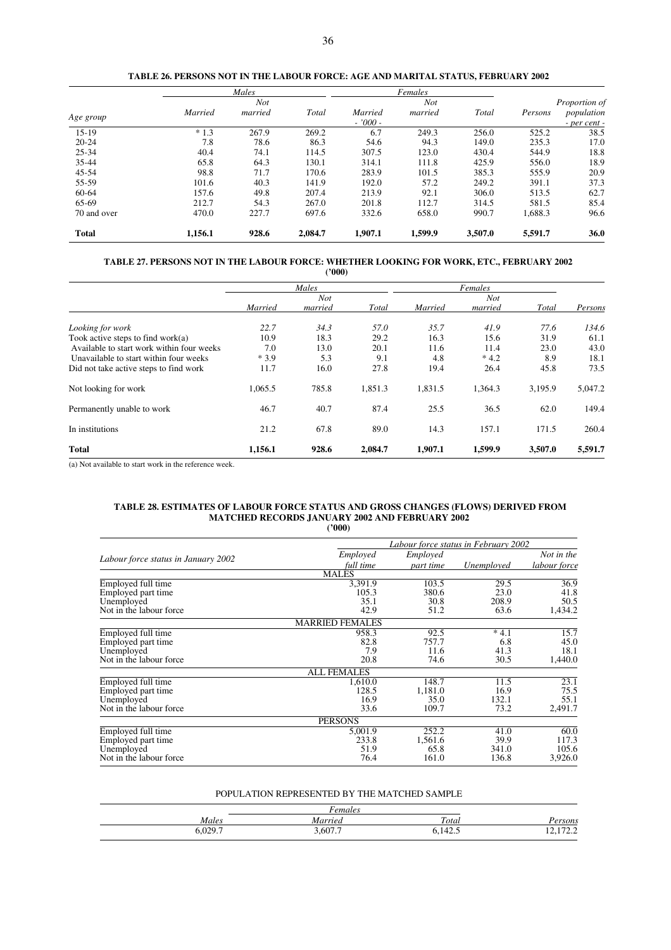|              |         | Males      |         |           | Females    |         |         |                  |
|--------------|---------|------------|---------|-----------|------------|---------|---------|------------------|
|              |         | <b>Not</b> |         |           | <b>Not</b> |         |         | Proportion of    |
|              | Married | married    | Total   | Married   | married    | Total   | Persons | population       |
| Age group    |         |            |         | $-7000 -$ |            |         |         | $-$ per cent $-$ |
| $15-19$      | $*1.3$  | 267.9      | 269.2   | 6.7       | 249.3      | 256.0   | 525.2   | 38.5             |
| $20 - 24$    | 7.8     | 78.6       | 86.3    | 54.6      | 94.3       | 149.0   | 235.3   | 17.0             |
| $25 - 34$    | 40.4    | 74.1       | 114.5   | 307.5     | 123.0      | 430.4   | 544.9   | 18.8             |
| 35-44        | 65.8    | 64.3       | 130.1   | 314.1     | 111.8      | 425.9   | 556.0   | 18.9             |
| $45 - 54$    | 98.8    | 71.7       | 170.6   | 283.9     | 101.5      | 385.3   | 555.9   | 20.9             |
| 55-59        | 101.6   | 40.3       | 141.9   | 192.0     | 57.2       | 249.2   | 391.1   | 37.3             |
| 60-64        | 157.6   | 49.8       | 207.4   | 213.9     | 92.1       | 306.0   | 513.5   | 62.7             |
| 65-69        | 212.7   | 54.3       | 267.0   | 201.8     | 112.7      | 314.5   | 581.5   | 85.4             |
| 70 and over  | 470.0   | 227.7      | 697.6   | 332.6     | 658.0      | 990.7   | 1,688.3 | 96.6             |
| <b>Total</b> | 1,156.1 | 928.6      | 2,084.7 | 1,907.1   | 1,599.9    | 3,507.0 | 5,591.7 | 36.0             |
|              |         |            |         |           |            |         |         |                  |

## **TABLE 26. PERSONS NOT IN THE LABOUR FORCE: AGE AND MARITAL STATUS, FEBRUARY 2002**

**TABLE 27. PERSONS NOT IN THE LABOUR FORCE: WHETHER LOOKING FOR WORK, ETC., FEBRUARY 2002 ('000)**

|                                           | Males<br>Not |         |         | Females<br>Not |         |         |         |
|-------------------------------------------|--------------|---------|---------|----------------|---------|---------|---------|
|                                           |              |         |         |                |         |         |         |
|                                           | Married      | married | Total   | Married        | married | Total   | Persons |
| Looking for work                          | 22.7         | 34.3    | 57.0    | 35.7           | 41.9    | 77.6    | 134.6   |
| Took active steps to find work $(a)$      | 10.9         | 18.3    | 29.2    | 16.3           | 15.6    | 31.9    | 61.1    |
| Available to start work within four weeks | 7.0          | 13.0    | 20.1    | 11.6           | 11.4    | 23.0    | 43.0    |
| Unavailable to start within four weeks    | $*3.9$       | 5.3     | 9.1     | 4.8            | $*4.2$  | 8.9     | 18.1    |
| Did not take active steps to find work    | 11.7         | 16.0    | 27.8    | 19.4           | 26.4    | 45.8    | 73.5    |
| Not looking for work                      | 1,065.5      | 785.8   | 1,851.3 | 1,831.5        | 1,364.3 | 3,195.9 | 5,047.2 |
| Permanently unable to work                | 46.7         | 40.7    | 87.4    | 25.5           | 36.5    | 62.0    | 149.4   |
| In institutions                           | 21.2         | 67.8    | 89.0    | 14.3           | 157.1   | 171.5   | 260.4   |
| <b>Total</b>                              | 1,156.1      | 928.6   | 2,084.7 | 1,907.1        | 1,599.9 | 3.507.0 | 5,591.7 |

(a) Not available to start work in the reference week.

#### **TABLE 28. ESTIMATES OF LABOUR FORCE STATUS AND GROSS CHANGES (FLOWS) DERIVED FROM MATCHED RECORDS JANUARY 2002 AND FEBRUARY 2002 ('000)**

|                                     | Labour force status in February 2002 |           |            |              |  |
|-------------------------------------|--------------------------------------|-----------|------------|--------------|--|
|                                     | Employed                             | Employed  |            | Not in the   |  |
| Labour force status in January 2002 | full time                            | part time | Unemployed | labour force |  |
|                                     | <b>MALES</b>                         |           |            |              |  |
| Employed full time                  | 3.391.9                              | 103.5     | 29.5       | 36.9         |  |
| Employed part time                  | 105.3                                | 380.6     | 23.0       | 41.8         |  |
| Unemployed                          | 35.1                                 | 30.8      | 208.9      | 50.5         |  |
| Not in the labour force             | 42.9                                 | 51.2      | 63.6       | 1,434.2      |  |
|                                     | <b>MARRIED FEMALES</b>               |           |            |              |  |
| Employed full time                  | 958.3                                | 92.5      | $*4.1$     | 15.7         |  |
| Employed part time                  | 82.8                                 | 757.7     | 6.8        | 45.0         |  |
| Unemployed                          | 7.9                                  | 11.6      | 41.3       | 18.1         |  |
| Not in the labour force             | 20.8                                 | 74.6      | 30.5       | 1,440.0      |  |
|                                     | <b>ALL FEMALES</b>                   |           |            |              |  |
| Employed full time                  | 1,610.0                              | 148.7     | 11.5       | 23.1         |  |
| Employed part time                  | 128.5                                | 1,181.0   | 16.9       | 75.5         |  |
| Unemployed                          | 16.9                                 | 35.0      | 132.1      | 55.1         |  |
| Not in the labour force             | 33.6                                 | 109.7     | 73.2       | 2,491.7      |  |
|                                     | <b>PERSONS</b>                       |           |            |              |  |
| Employed full time                  | 5,001.9                              | 252.2     | 41.0       | 60.0         |  |
| Employed part time                  | 233.8                                | 1,561.6   | 39.9       | 117.3        |  |
| Unemployed                          | 51.9                                 | 65.8      | 341.0      | 105.6        |  |
| Not in the labour force.            | 76.4                                 | 161.0     | 136.8      | 3,926.0      |  |

### POPULATION REPRESENTED BY THE MATCHED SAMPLE

| Males         | Married | Total   | rsons    |
|---------------|---------|---------|----------|
| റാവ<br>しいムラ・1 | 3,607.7 | 3,142.5 | 14.114.4 |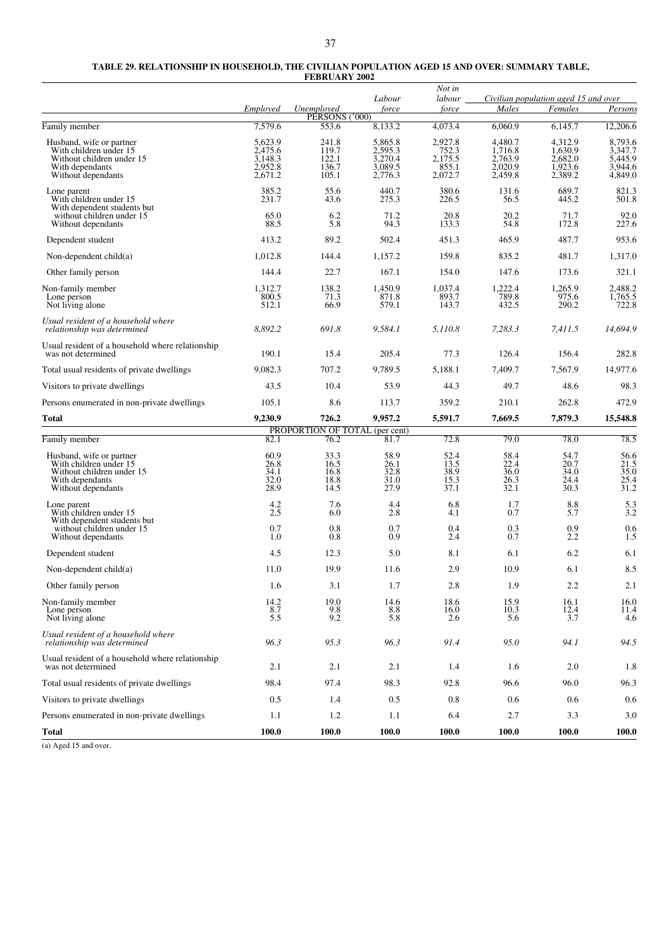| TABLE 29. RELATIONSHIP IN HOUSEHOLD. THE CIVILIAN POPULATION AGED 15 AND OVER: SUMMARY TABLE. |
|-----------------------------------------------------------------------------------------------|
| <b>FEBRUARY 2002</b>                                                                          |

|                                                                                                                          |                                                     |                                           | Labour                                              | Not in<br>labour                                |                                                     | Civilian population aged 15 and over                |                                                     |
|--------------------------------------------------------------------------------------------------------------------------|-----------------------------------------------------|-------------------------------------------|-----------------------------------------------------|-------------------------------------------------|-----------------------------------------------------|-----------------------------------------------------|-----------------------------------------------------|
|                                                                                                                          | Employed                                            | Unemployed<br>PÉRSONS ('000)              | force                                               | force                                           | Males                                               | Females                                             | Persons                                             |
| Family member                                                                                                            | 7,579.6                                             | 553.6                                     | 8,133.2                                             | 4,073.4                                         | 6.060.9                                             | 6,145.7                                             | 12,206.6                                            |
| Husband, wife or partner<br>With children under 15<br>Without children under 15<br>With dependants<br>Without dependants | 5,623.9<br>2,475.6<br>3,148.3<br>2.952.8<br>2,671.2 | 241.8<br>119.7<br>122.1<br>136.7<br>105.1 | 5,865.8<br>2,595.3<br>3,270.4<br>3,089.5<br>2,776.3 | 2,927.8<br>752.3<br>2,175.5<br>855.1<br>2,072.7 | 4.480.7<br>1,716.8<br>2,763.9<br>2,020.9<br>2,459.8 | 4,312.9<br>1,630.9<br>2,682.0<br>1,923.6<br>2,389.2 | 8,793.6<br>3,347.7<br>5,445.9<br>3,944.6<br>4,849.0 |
| Lone parent<br>With children under 15<br>With dependent students but                                                     | 385.2<br>231.7                                      | 55.6<br>43.6                              | 440.7<br>275.3                                      | 380.6<br>226.5                                  | 131.6<br>56.5                                       | 689.7<br>445.2                                      | 821.3<br>501.8                                      |
| without children under 15<br>Without dependants                                                                          | 65.0<br>88.5                                        | 6.2<br>5.8                                | 71.2<br>94.3                                        | 20.8<br>133.3                                   | 20.2<br>54.8                                        | 71.7<br>172.8                                       | 92.0<br>227.6                                       |
| Dependent student                                                                                                        | 413.2                                               | 89.2                                      | 502.4                                               | 451.3                                           | 465.9                                               | 487.7                                               | 953.6                                               |
| Non-dependent $child(a)$                                                                                                 | 1,012.8                                             | 144.4                                     | 1,157.2                                             | 159.8                                           | 835.2                                               | 481.7                                               | 1,317.0                                             |
| Other family person                                                                                                      | 144.4                                               | 22.7                                      | 167.1                                               | 154.0                                           | 147.6                                               | 173.6                                               | 321.1                                               |
| Non-family member<br>Lone person<br>Not living alone                                                                     | 1,312.7<br>800.5<br>512.1                           | 138.2<br>71.3<br>66.9                     | 1,450.9<br>871.8<br>579.1                           | 1,037.4<br>893.7<br>143.7                       | 1,222.4<br>789.8<br>432.5                           | 1,265.9<br>975.6<br>290.2                           | 2,488.2<br>1,765.5<br>722.8                         |
| Usual resident of a household where<br>relationship was determined                                                       | 8,892.2                                             | 691.8                                     | 9,584.1                                             | 5,110.8                                         | 7,283.3                                             | 7,411.5                                             | 14,694.9                                            |
| Usual resident of a household where relationship<br>was not determined                                                   | 190.1                                               | 15.4                                      | 205.4                                               | 77.3                                            | 126.4                                               | 156.4                                               | 282.8                                               |
| Total usual residents of private dwellings                                                                               | 9,082.3                                             | 707.2                                     | 9,789.5                                             | 5,188.1                                         | 7,409.7                                             | 7,567.9                                             | 14,977.6                                            |
| Visitors to private dwellings                                                                                            | 43.5                                                | 10.4                                      | 53.9                                                | 44.3                                            | 49.7                                                | 48.6                                                | 98.3                                                |
| Persons enumerated in non-private dwellings                                                                              | 105.1                                               | 8.6                                       | 113.7                                               | 359.2                                           | 210.1                                               | 262.8                                               | 472.9                                               |
| Total                                                                                                                    | 9,230.9                                             | 726.2                                     | 9,957.2                                             | 5,591.7                                         | 7,669.5                                             | 7,879.3                                             | 15,548.8                                            |
| Family member                                                                                                            | 82.1                                                | PROPORTION OF TOTAL (per cent)<br>76.2    | 81.7                                                | 72.8                                            | 79.0                                                | 78.0                                                | 78.5                                                |
| Husband, wife or partner<br>With children under 15<br>Without children under 15<br>With dependants<br>Without dependants | 60.9<br>26.8<br>34.1<br>32.0<br>28.9                | 33.3<br>16.5<br>16.8<br>18.8<br>14.5      | 58.9<br>26.1<br>32.8<br>31.0<br>27.9                | 52.4<br>13.5<br>38.9<br>15.3<br>37.1            | 58.4<br>22.4<br>36.0<br>26.3<br>32.1                | 54.7<br>20.7<br>34.0<br>24.4<br>30.3                | $\frac{56.6}{21.5}$<br>35.0<br>25.4<br>31.2         |
| Lone parent<br>With children under 15<br>With dependent students but<br>without children under 15                        | $^{4.2}_{2.5}$<br>0.7                               | 7.6<br>6.0<br>0.8                         | 4.4<br>2.8<br>0.7                                   | 6.8<br>4.1<br>0.4                               | 1.7<br>0.7<br>0.3                                   | 8.8<br>5.7<br>0.9                                   | $\frac{5.3}{3.2}$<br>0.6                            |
| Without dependants                                                                                                       | 1.0                                                 | 0.8                                       | 0.9                                                 | 2.4                                             | 0.7                                                 | 2.2                                                 | 1.5                                                 |
| Dependent student                                                                                                        | 4.5                                                 | 12.3                                      | 5.0                                                 | 8.1                                             | 6.1                                                 | 6.2                                                 | 6.1                                                 |
| Non-dependent $child(a)$                                                                                                 | 11.0                                                | 19.9                                      | 11.6                                                | 2.9                                             | 10.9                                                | 6.1                                                 | 8.5                                                 |
| Other family person                                                                                                      | 1.6                                                 | 3.1                                       | 1.7                                                 | 2.8                                             | 1.9                                                 | 2.2                                                 | 2.1                                                 |
| Non-family member<br>Lone person<br>Not living alone                                                                     | 14.2<br>8.7<br>5.5                                  | 19.0<br>9.8<br>9.2                        | 14.6<br>8.8<br>5.8                                  | 18.6<br>16.0<br>2.6                             | 15.9<br>10.3<br>5.6                                 | 16.1<br>12.4<br>3.7                                 | 16.0<br>11.4<br>4.6                                 |
| Usual resident of a household where<br>relationship was determined                                                       | 96.3                                                | 95.3                                      | 96.3                                                | 91.4                                            | 95.0                                                | 94.1                                                | 94.5                                                |
| Usual resident of a household where relationship<br>was not determined                                                   | 2.1                                                 | 2.1                                       | 2.1                                                 | 1.4                                             | 1.6                                                 | 2.0                                                 | 1.8                                                 |
| Total usual residents of private dwellings                                                                               | 98.4                                                | 97.4                                      | 98.3                                                | 92.8                                            | 96.6                                                | 96.0                                                | 96.3                                                |
| Visitors to private dwellings                                                                                            | 0.5                                                 | 1.4                                       | 0.5                                                 | 0.8                                             | 0.6                                                 | 0.6                                                 | 0.6                                                 |
| Persons enumerated in non-private dwellings                                                                              | 1.1                                                 | 1.2                                       | 1.1                                                 | 6.4                                             | 2.7                                                 | 3.3                                                 | 3.0                                                 |
| <b>Total</b>                                                                                                             | 100.0                                               | 100.0                                     | 100.0                                               | 100.0                                           | <b>100.0</b>                                        | 100.0                                               | 100.0                                               |

(a) Aged 15 and over.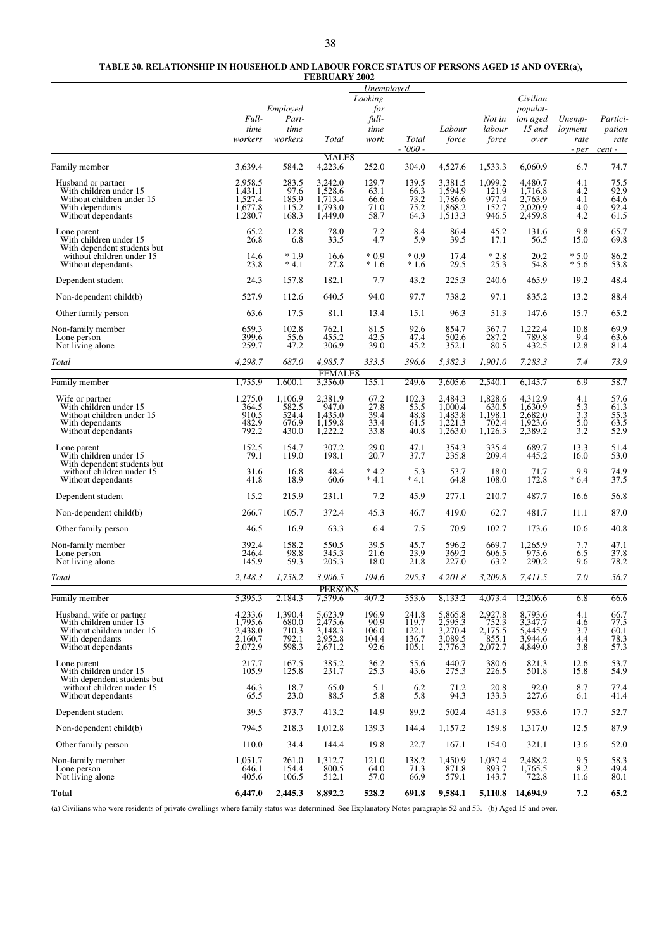#### **TABLE 30. RELATIONSHIP IN HOUSEHOLD AND LABOUR FORCE STATUS OF PERSONS AGED 15 AND OVER(a), FEBRUARY 2002**

|                                                                                                                          |                                                     | Employed                                    |                                                     | Unemployed<br>Looking<br>for            |                                           |                                                     |                                                 | Civilian<br>populat-                                |                                    |                                                 |
|--------------------------------------------------------------------------------------------------------------------------|-----------------------------------------------------|---------------------------------------------|-----------------------------------------------------|-----------------------------------------|-------------------------------------------|-----------------------------------------------------|-------------------------------------------------|-----------------------------------------------------|------------------------------------|-------------------------------------------------|
|                                                                                                                          | Full-<br>time<br>workers                            | Part-<br>time<br>workers                    | Total                                               | full-<br>time<br>work                   | Total<br>$-7000 -$                        | Labour<br>force                                     | Not in<br>labour<br>force                       | ion aged<br>$15$ and<br>over                        | Unemp-<br>loyment<br>rate<br>- per | Partici-<br>pation<br>rate<br>cent -            |
| Family member                                                                                                            | 3,639.4                                             | 584.2                                       | <b>MALES</b><br>4,223.6                             | 252.0                                   | 304.0                                     | 4,527.6                                             | 1,533.3                                         | 6,060.9                                             | 6.7                                | 74.7                                            |
| Husband or partner<br>With children under 15<br>Without children under 15<br>With dependants<br>Without dependants       | 2,958.5<br>1,431.1<br>1,527.4<br>1,677.8<br>1,280.7 | 283.5<br>97.6<br>185.9<br>115.2<br>168.3    | 3,242.0<br>1,528.6<br>1,713.4<br>1,793.0<br>1,449.0 | 129.7<br>63.1<br>66.6<br>71.0<br>58.7   | 139.5<br>66.3<br>73.2<br>75.2<br>64.3     | 3,381.5<br>1,594.9<br>1,786.6<br>1,868.2<br>1,513.3 | 1,099.2<br>121.9<br>977.4<br>152.7<br>946.5     | 4,480.7<br>1,716.8<br>2,763.9<br>2.020.9<br>2,459.8 | 4.1<br>4.2<br>4.1<br>4.0<br>4.2    | 75.5<br>92.9<br>64.6<br>92.4<br>61.5            |
| Lone parent<br>With children under 15                                                                                    | 65.2<br>26.8                                        | 12.8<br>6.8                                 | 78.0<br>33.5                                        | 7.2<br>4.7                              | 8.4<br>5.9                                | 86.4<br>39.5                                        | 45.2<br>17.1                                    | 131.6<br>56.5                                       | 9.8<br>15.0                        | 65.7<br>69.8                                    |
| With dependent students but<br>without children under 15<br>Without dependants                                           | 14.6<br>23.8                                        | $*1.9$<br>$*4.1$                            | 16.6<br>27.8                                        | $*0.9$<br>$*1.6$                        | $*0.9$<br>$*1.6$                          | 17.4<br>29.5                                        | $*2.8$<br>25.3                                  | 20.2<br>54.8                                        | $*5.0$<br>$*5.6$                   | 86.2<br>53.8                                    |
| Dependent student                                                                                                        | 24.3                                                | 157.8                                       | 182.1                                               | 7.7                                     | 43.2                                      | 225.3                                               | 240.6                                           | 465.9                                               | 19.2                               | 48.4                                            |
| Non-dependent child(b)                                                                                                   | 527.9                                               | 112.6                                       | 640.5                                               | 94.0                                    | 97.7                                      | 738.2                                               | 97.1                                            | 835.2                                               | 13.2                               | 88.4                                            |
| Other family person                                                                                                      | 63.6                                                | 17.5                                        | 81.1                                                | 13.4                                    | 15.1                                      | 96.3                                                | 51.3                                            | 147.6                                               | 15.7                               | 65.2                                            |
| Non-family member<br>Lone person<br>Not living alone                                                                     | 659.3<br>399.6<br>259.7                             | 102.8<br>55.6<br>47.2                       | 762.1<br>455.2<br>306.9                             | 81.5<br>42.5<br>39.0                    | 92.6<br>47.4<br>45.2                      | 854.7<br>502.6<br>352.1                             | 367.7<br>287.2<br>80.5                          | 1,222.4<br>789.8<br>432.5                           | 10.8<br>9.4<br>12.8                | 69.9<br>63.6<br>81.4                            |
| Total                                                                                                                    | 4,298.7                                             | 687.0                                       | 4,985.7                                             | 333.5                                   | 396.6                                     | 5,382.3                                             | 1,901.0                                         | 7,283.3                                             | 7.4                                | 73.9                                            |
| Family member                                                                                                            | 1,755.9                                             | 1,600.1                                     | <b>FEMALES</b><br>3,356.0                           | 155.1                                   | 249.6                                     | 3,605.6                                             | 2,540.1                                         | 6,145.7                                             | 6.9                                | 58.7                                            |
| Wife or partner<br>With children under 15<br>Without children under 15<br>With dependants<br>Without dependants          | 1,275.0<br>364.5<br>910.5<br>482.9<br>792.2         | 1,106.9<br>582.5<br>524.4<br>676.9<br>430.0 | 2,381.9<br>947.0<br>1,435.0<br>1,159.8<br>1,222.2   | 67.2<br>27.8<br>39.4<br>33.4<br>33.8    | 102.3<br>53.5<br>48.8<br>61.5<br>40.8     | 2,484.3<br>1,000.4<br>1,483.8<br>1,221.3<br>1,263.0 | 1,828.6<br>630.5<br>1,198.1<br>702.4<br>1,126.3 | 4,312.9<br>1,630.9<br>2,682.0<br>1,923.6<br>2,389.2 | 4.1<br>5.3<br>3.3<br>5.0<br>3.2    | 57.6<br>61.3<br>55.3<br>63.5<br>52.9            |
| Lone parent<br>With children under 15<br>With dependent students but                                                     | 152.5<br>79.1                                       | 154.7<br>119.0                              | 307.2<br>198.1                                      | 29.0<br>20.7                            | 47.1<br>37.7                              | 354.3<br>235.8                                      | 335.4<br>209.4                                  | 689.7<br>445.2                                      | 13.3<br>16.0                       | 51.4<br>53.0                                    |
| without children under 15<br>Without dependants                                                                          | 31.6<br>41.8                                        | 16.8<br>18.9                                | 48.4<br>60.6                                        | $*4.2$<br>$*4.1$                        | 5.3<br>$*4.1$                             | 53.7<br>64.8                                        | 18.0<br>108.0                                   | 71.7<br>172.8                                       | 9.9<br>$*6.4$                      | 74.9<br>37.5                                    |
| Dependent student                                                                                                        | 15.2                                                | 215.9                                       | 231.1                                               | 7.2                                     | 45.9                                      | 277.1                                               | 210.7                                           | 487.7                                               | 16.6                               | 56.8                                            |
| Non-dependent child(b)                                                                                                   | 266.7                                               | 105.7                                       | 372.4                                               | 45.3                                    | 46.7                                      | 419.0                                               | 62.7                                            | 481.7                                               | 11.1                               | 87.0                                            |
| Other family person                                                                                                      | 46.5                                                | 16.9                                        | 63.3                                                | 6.4                                     | 7.5                                       | 70.9                                                | 102.7                                           | 173.6                                               | 10.6                               | 40.8                                            |
| Non-family member<br>Lone person<br>Not living alone                                                                     | 392.4<br>246.4<br>145.9                             | 158.2<br>98.8<br>59.3                       | 550.5<br>345.3<br>205.3                             | 39.5<br>21.6<br>18.0                    | 45.7<br>23.9<br>21.8                      | 596.2<br>369.2<br>227.0                             | 669.7<br>606.5<br>63.2                          | 1,265.9<br>975.6<br>290.2                           | 7.7<br>6.5<br>9.6                  | 47.1<br>37.8<br>78.2                            |
| Total                                                                                                                    | 2,148.3                                             | 1,758.2                                     | 3,906.5                                             | 194.6                                   | 295.3                                     | 4,201.8                                             | 3,209.8                                         | 7,411.5                                             | 7.0                                | 56.7                                            |
| Family member                                                                                                            | 5,395.3                                             | 2,184.3                                     | <b>PERSONS</b><br>7,579.6                           | 407.2                                   | 553.6                                     | 8,133.2                                             | 4,073.4                                         | 12,206.6                                            | 6.8                                | 66.6                                            |
| Husband, wife or partner<br>With children under 15<br>Without children under 15<br>With dependants<br>Without dependants | 4,233.6<br>1,795.6<br>2,438.0<br>2,160.7<br>2,072.9 | 1,390.4<br>680.0<br>710.3<br>792.1<br>598.3 | 5,623.9<br>2,475.6<br>3,148.3<br>2,952.8<br>2,671.2 | 196.9<br>90.9<br>106.0<br>104.4<br>92.6 | 241.8<br>119.7<br>122.1<br>136.7<br>105.1 | 5,865.8<br>2,595.3<br>3,270.4<br>3,089.5<br>2,776.3 | 2,927.8<br>752.3<br>2,175.5<br>855.1<br>2,072.7 | 8,793.6<br>3,347.7<br>5,445.9<br>3,944.6<br>4,849.0 | 4.1<br>4.6<br>3.7<br>4.4<br>3.8    | $\frac{66.7}{77.5}$<br>60.1<br>$78.3$<br>$57.3$ |
| Lone parent<br>With children under 15<br>With dependent students but                                                     | 217.7<br>105.9                                      | 167.5<br>125.8                              | 385.2<br>231.7                                      | 36.2<br>25.3                            | 55.6<br>43.6                              | 440.7<br>275.3                                      | 380.6<br>226.5                                  | 821.3<br>501.8                                      | 12.6<br>15.8                       | 53.7<br>54.9                                    |
| without children under 15<br>Without dependants                                                                          | 46.3<br>65.5                                        | $^{18.7}_{23.0}$                            | 65.0<br>88.5                                        | 5.1<br>5.8                              | $6.2$<br>5.8                              | $71.2$<br>94.3                                      | 20.8<br>133.3                                   | 92.0<br>227.6                                       | 8.7<br>6.1                         | $77.4$<br>$41.4$                                |
| Dependent student                                                                                                        | 39.5                                                | 373.7                                       | 413.2                                               | 14.9                                    | 89.2                                      | 502.4                                               | 451.3                                           | 953.6                                               | 17.7                               | 52.7                                            |
| Non-dependent child(b)                                                                                                   | 794.5                                               | 218.3                                       | 1,012.8                                             | 139.3                                   | 144.4                                     | 1,157.2                                             | 159.8                                           | 1,317.0                                             | 12.5                               | 87.9                                            |
| Other family person                                                                                                      | 110.0                                               | 34.4                                        | 144.4                                               | 19.8                                    | 22.7                                      | 167.1                                               | 154.0                                           | 321.1                                               | 13.6                               | 52.0                                            |
| Non-family member<br>Lone person<br>Not living alone                                                                     | 1,051.7<br>646.1<br>405.6                           | 261.0<br>154.4<br>106.5                     | 1,312.7<br>800.5<br>512.1                           | 121.0<br>64.0<br>57.0                   | 138.2<br>71.3<br>66.9                     | 1,450.9<br>871.8<br>579.1                           | 1,037.4<br>893.7<br>143.7                       | 2,488.2<br>1,765.5<br>722.8                         | 9.5<br>8.2<br>11.6                 | 58.3<br>49.4<br>80.1                            |
| Total                                                                                                                    | 6,447.0                                             | 2,445.3                                     | 8,892.2                                             | 528.2                                   | 691.8                                     | 9,584.1                                             | 5,110.8                                         | 14,694.9                                            | 7.2                                | 65.2                                            |

(a) Civilians who were residents of private dwellings where family status was determined. See Explanatory Notes paragraphs 52 and 53. (b) Aged 15 and over.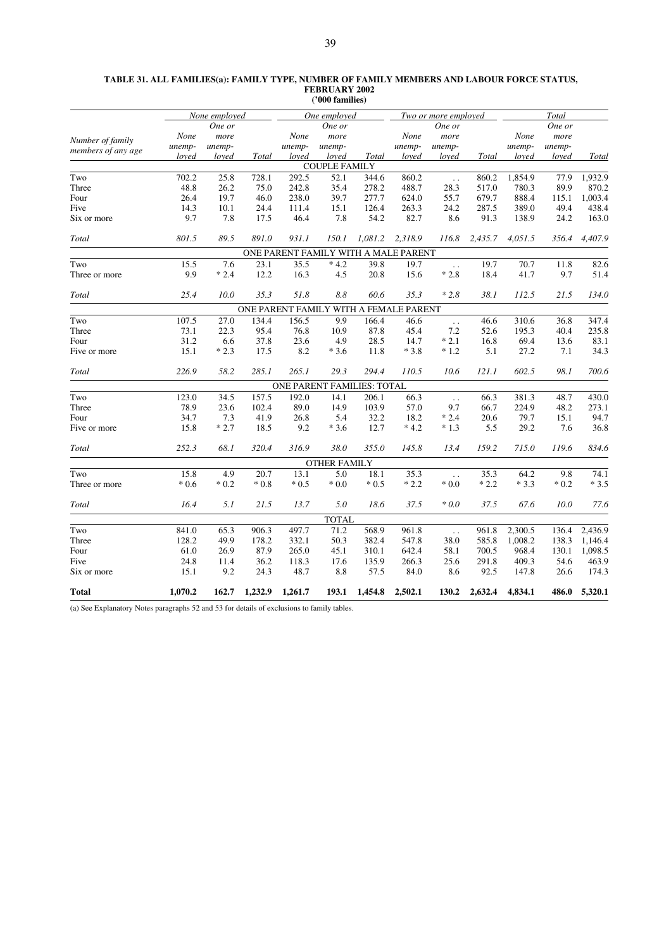| TABLE 31. ALL FAMILIES(a): FAMILY TYPE, NUMBER OF FAMILY MEMBERS AND LABOUR FORCE STATUS, |
|-------------------------------------------------------------------------------------------|
| <b>FEBRUARY 2002</b>                                                                      |
| ('000 families)                                                                           |

|                                        |         | None employed |         |         | One employed                         |              |         | Two or more employed   |         |         | Total  |         |
|----------------------------------------|---------|---------------|---------|---------|--------------------------------------|--------------|---------|------------------------|---------|---------|--------|---------|
|                                        |         | One or        |         |         | One or                               |              |         | One or                 |         |         | One or |         |
|                                        | None    | more          |         | None    | more                                 |              | None    | more                   |         | None    | more   |         |
| Number of family<br>members of any age | unemp-  | unemp-        |         | unemp-  | unemp-                               |              | unemp-  | unemp-                 |         | unemp-  | unemp- |         |
|                                        | loved   | loved         | Total   | loyed   | loved                                | <b>Total</b> | loved   | loved                  | Total   | loved   | loved  | Total   |
|                                        |         |               |         |         | <b>COUPLE FAMILY</b>                 |              |         |                        |         |         |        |         |
| Two                                    | 702.2   | 25.8          | 728.1   | 292.5   | 52.1                                 | 344.6        | 860.2   | $\ddotsc$              | 860.2   | 1,854.9 | 77.9   | 1,932.9 |
| Three                                  | 48.8    | 26.2          | 75.0    | 242.8   | 35.4                                 | 278.2        | 488.7   | 28.3                   | 517.0   | 780.3   | 89.9   | 870.2   |
| Four                                   | 26.4    | 19.7          | 46.0    | 238.0   | 39.7                                 | 277.7        | 624.0   | 55.7                   | 679.7   | 888.4   | 115.1  | 1,003.4 |
| Five                                   | 14.3    | 10.1          | 24.4    | 111.4   | 15.1                                 | 126.4        | 263.3   | 24.2                   | 287.5   | 389.0   | 49.4   | 438.4   |
| Six or more                            | 9.7     | 7.8           | 17.5    | 46.4    | 7.8                                  | 54.2         | 82.7    | 8.6                    | 91.3    | 138.9   | 24.2   | 163.0   |
| Total                                  | 801.5   | 89.5          | 891.0   | 931.1   | 150.1                                | 1,081.2      | 2,318.9 | 116.8                  | 2,435.7 | 4,051.5 | 356.4  | 4,407.9 |
|                                        |         |               |         |         | ONE PARENT FAMILY WITH A MALE PARENT |              |         |                        |         |         |        |         |
| Two                                    | 15.5    | 7.6           | 23.1    | 35.5    | $*4.2$                               | 39.8         | 19.7    | $\ddot{\phantom{1}}$ . | 19.7    | 70.7    | 11.8   | 82.6    |
| Three or more                          | 9.9     | $*2.4$        | 12.2    | 16.3    | 4.5                                  | 20.8         | 15.6    | $*2.8$                 | 18.4    | 41.7    | 9.7    | 51.4    |
| Total                                  | 25.4    | 10.0          | 35.3    | 51.8    | 8.8                                  | 60.6         | 35.3    | $*2.8$                 | 38.1    | 112.5   | 21.5   | 134.0   |
| ONE PARENT FAMILY WITH A FEMALE PARENT |         |               |         |         |                                      |              |         |                        |         |         |        |         |
| Two                                    | 107.5   | 27.0          | 134.4   | 156.5   | 9.9                                  | 166.4        | 46.6    | $\ddotsc$              | 46.6    | 310.6   | 36.8   | 347.4   |
| Three                                  | 73.1    | 22.3          | 95.4    | 76.8    | 10.9                                 | 87.8         | 45.4    | 7.2                    | 52.6    | 195.3   | 40.4   | 235.8   |
| Four                                   | 31.2    | 6.6           | 37.8    | 23.6    | 4.9                                  | 28.5         | 14.7    | $*2.1$                 | 16.8    | 69.4    | 13.6   | 83.1    |
| Five or more                           | 15.1    | $*2.3$        | 17.5    | 8.2     | $*3.6$                               | 11.8         | $*3.8$  | $*1.2$                 | 5.1     | 27.2    | 7.1    | 34.3    |
| Total                                  | 226.9   | 58.2          | 285.1   | 265.1   | 29.3                                 | 294.4        | 110.5   | 10.6                   | 121.1   | 602.5   | 98.1   | 700.6   |
|                                        |         |               |         |         | ONE PARENT FAMILIES: TOTAL           |              |         |                        |         |         |        |         |
| Two                                    | 123.0   | 34.5          | 157.5   | 192.0   | 14.1                                 | 206.1        | 66.3    | $\ddotsc$              | 66.3    | 381.3   | 48.7   | 430.0   |
| Three                                  | 78.9    | 23.6          | 102.4   | 89.0    | 14.9                                 | 103.9        | 57.0    | 9.7                    | 66.7    | 224.9   | 48.2   | 273.1   |
| Four                                   | 34.7    | 7.3           | 41.9    | 26.8    | 5.4                                  | 32.2         | 18.2    | $*2.4$                 | 20.6    | 79.7    | 15.1   | 94.7    |
| Five or more                           | 15.8    | $*2.7$        | 18.5    | 9.2     | $*3.6$                               | 12.7         | $*4.2$  | $*1.3$                 | 5.5     | 29.2    | 7.6    | 36.8    |
| Total                                  | 252.3   | 68.1          | 320.4   | 316.9   | 38.0                                 | 355.0        | 145.8   | 13.4                   | 159.2   | 715.0   | 119.6  | 834.6   |
|                                        |         |               |         |         | <b>OTHER FAMILY</b>                  |              |         |                        |         |         |        |         |
| Two                                    | 15.8    | 4.9           | 20.7    | 13.1    | 5.0                                  | 18.1         | 35.3    | $\ddot{\phantom{a}}$   | 35.3    | 64.2    | 9.8    | 74.1    |
| Three or more                          | $*0.6$  | $*0.2$        | $*0.8$  | $*0.5$  | $*0.0$                               | $*0.5$       | $*2.2$  | $*0.0*$                | $*2.2$  | $*3.3$  | $*0.2$ | $*3.5$  |
| Total                                  | 16.4    | 5.1           | 21.5    | 13.7    | 5.0                                  | 18.6         | 37.5    | $*0.0$                 | 37.5    | 67.6    | 10.0   | 77.6    |
|                                        |         |               |         |         | <b>TOTAL</b>                         |              |         |                        |         |         |        |         |
| Two                                    | 841.0   | 65.3          | 906.3   | 497.7   | 71.2                                 | 568.9        | 961.8   | $\ddot{\phantom{1}}$ . | 961.8   | 2,300.5 | 136.4  | 2,436.9 |
| Three                                  | 128.2   | 49.9          | 178.2   | 332.1   | 50.3                                 | 382.4        | 547.8   | 38.0                   | 585.8   | 1,008.2 | 138.3  | 1,146.4 |
| Four                                   | 61.0    | 26.9          | 87.9    | 265.0   | 45.1                                 | 310.1        | 642.4   | 58.1                   | 700.5   | 968.4   | 130.1  | 1,098.5 |
| Five                                   | 24.8    | 11.4          | 36.2    | 118.3   | 17.6                                 | 135.9        | 266.3   | 25.6                   | 291.8   | 409.3   | 54.6   | 463.9   |
| Six or more                            | 15.1    | 9.2           | 24.3    | 48.7    | 8.8                                  | 57.5         | 84.0    | 8.6                    | 92.5    | 147.8   | 26.6   | 174.3   |
| <b>Total</b>                           | 1,070.2 | 162.7         | 1,232.9 | 1,261.7 | 193.1                                | 1,454.8      | 2,502.1 | 130.2                  | 2,632.4 | 4,834.1 | 486.0  | 5,320.1 |

(a) See Explanatory Notes paragraphs 52 and 53 for details of exclusions to family tables.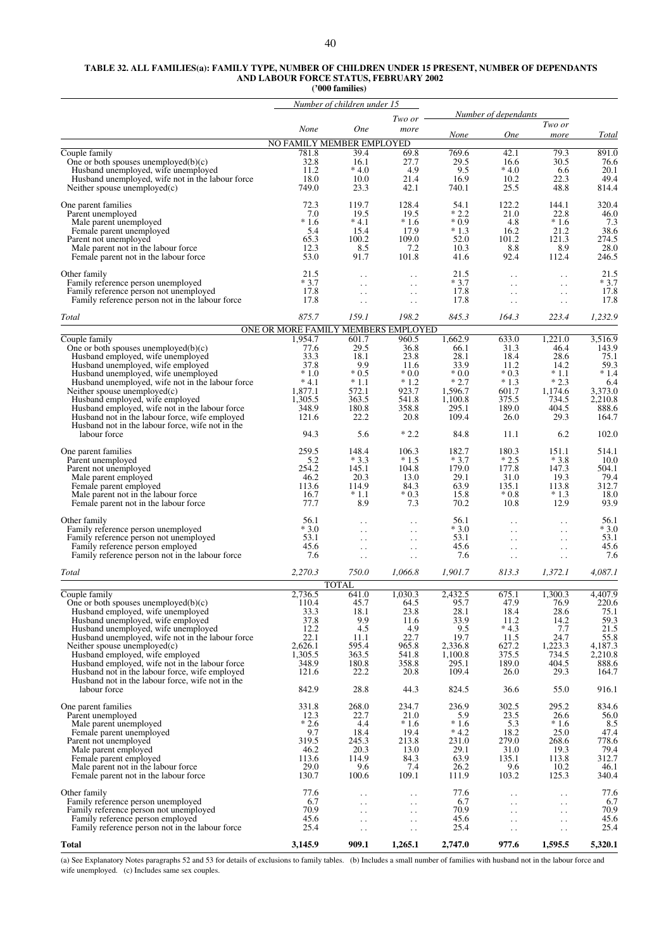#### **TABLE 32. ALL FAMILIES(a): FAMILY TYPE, NUMBER OF CHILDREN UNDER 15 PRESENT, NUMBER OF DEPENDANTS AND LABOUR FORCE STATUS, FEBRUARY 2002**

**('000 families)**

|                                                                                                    |                                                | Number of children under 15       |                                                |                  |                                              |                                              |                 |
|----------------------------------------------------------------------------------------------------|------------------------------------------------|-----------------------------------|------------------------------------------------|------------------|----------------------------------------------|----------------------------------------------|-----------------|
|                                                                                                    |                                                |                                   | Two or                                         |                  | Number of dependants                         |                                              |                 |
|                                                                                                    | None                                           | <b>One</b>                        | more                                           | None             | <b>One</b>                                   | Two or<br>more                               | Total           |
|                                                                                                    | NO FAMILY MEMBER EMPLOYED                      |                                   |                                                |                  |                                              |                                              |                 |
| Couple family                                                                                      | 781.8                                          | 39.4                              | 69.8                                           | 769.6            | 42.1                                         | 79.3                                         | 891.0           |
| One or both spouses unemployed $(b)(c)$<br>Husband unemployed, wife unemployed                     | 32.8<br>11.2                                   | 16.1<br>$*4.0$                    | 27.7<br>4.9                                    | 29.5<br>9.5      | 16.6<br>$*4.0$                               | 30.5<br>6.6                                  | 76.6<br>20.1    |
| Husband unemployed, wife not in the labour force                                                   | 18.0                                           | 10.0                              | 21.4                                           | 16.9             | 10.2                                         | 22.3                                         | 49.4            |
| Neither spouse unemployed $(c)$                                                                    | 749.0                                          | 23.3                              | 42.1                                           | 740.1            | 25.5                                         | 48.8                                         | 814.4           |
| One parent families                                                                                | 72.3                                           | 119.7                             | 128.4                                          | 54.1             | 122.2                                        | 144.1                                        | 320.4           |
| Parent unemployed                                                                                  | 7.0                                            | 19.5                              | 19.5                                           | $*2.2$           | 21.0                                         | 22.8                                         | 46.0            |
| Male parent unemployed<br>Female parent unemployed                                                 | $*1.6$<br>5.4                                  | $*4.1$<br>15.4                    | $*1.6$<br>17.9                                 | $*0.9$<br>$*1.3$ | 4.8<br>16.2                                  | $*1.6$<br>21.2                               | 7.3<br>38.6     |
| Parent not unemployed                                                                              | 65.3                                           | 100.2                             | 109.0                                          | 52.0             | 101.2                                        | 121.3                                        | 274.5           |
| Male parent not in the labour force                                                                | 12.3                                           | 8.5                               | 7.2                                            | 10.3             | 8.8                                          | 8.9                                          | 28.0            |
| Female parent not in the labour force                                                              | 53.0                                           | 91.7                              | 101.8                                          | 41.6             | 92.4                                         | 112.4                                        | 246.5           |
| Other family                                                                                       | 21.5                                           | $\ddot{\phantom{0}}$              | $\ddot{\phantom{0}}$                           | 21.5             | $\ddot{\phantom{0}}$                         | $\ddot{\phantom{0}}$                         | 21.5            |
| Family reference person unemployed                                                                 | $*3.7$                                         | $\ddot{\phantom{0}}$              | $\ddot{\phantom{0}}$                           | $*3.7$           | $\ddot{\phantom{0}}$                         | $\ddot{\phantom{0}}$                         | $*3.7$          |
| Family reference person not unemployed<br>Family reference person not in the labour force          | 17.8<br>17.8                                   | $\ddot{\phantom{a}}$<br>$\ddotsc$ | $\ddot{\phantom{0}}$<br>$\ddot{\phantom{0}}$   | 17.8<br>17.8     | $\ddot{\phantom{0}}$<br>$\ddot{\phantom{0}}$ | $\ddotsc$<br>$\ddot{\phantom{0}}$            | 17.8<br>17.8    |
|                                                                                                    |                                                |                                   |                                                |                  |                                              |                                              |                 |
| Total                                                                                              | 875.7                                          | 159.1                             | 198.2                                          | 845.3            | 164.3                                        | 223.4                                        | 1,232.9         |
| Couple family                                                                                      | ONE OR MORE FAMILY MEMBERS EMPLOYED<br>1.954.7 | 601.7                             | 960.5                                          | 1,662.9          | 633.0                                        | 1,221.0                                      | 3,516.9         |
| One or both spouses unemployed $(b)(c)$                                                            | 77.6                                           | 29.5                              | 36.8                                           | 66.1             | 31.3                                         | 46.4                                         | 143.9           |
| Husband employed, wife unemployed                                                                  | 33.3                                           | 18.1                              | 23.8                                           | 28.1             | 18.4                                         | 28.6                                         | 75.1            |
| Husband unemployed, wife employed                                                                  | 37.8<br>$*1.0$                                 | 9.9<br>$*0.5$                     | 11.6<br>$*0.0$                                 | 33.9<br>$*0.0$   | 11.2<br>$*0.3$                               | 14.2<br>$*1.1$                               | 59.3<br>$*1.4$  |
| Husband unemployed, wife unemployed<br>Husband unemployed, wife not in the labour force            | $*4.1$                                         | $*1.1$                            | $*1.2$                                         | $*2.7$           | $*1.3$                                       | $*2.3$                                       | 6.4             |
| Neither spouse unemployed $(c)$                                                                    | 1,877.1                                        | 572.1                             | 923.7                                          | 1,596.7          | 601.7                                        | 1,174.6                                      | 3,373.0         |
| Husband employed, wife employed                                                                    | 1,305.5                                        | 363.5                             | 541.8                                          | 1,100.8          | 375.5                                        | 734.5                                        | 2,210.8         |
| Husband employed, wife not in the labour force<br>Husband not in the labour force, wife employed   | 348.9<br>121.6                                 | 180.8<br>22.2                     | 358.8<br>20.8                                  | 295.1<br>109.4   | 189.0<br>26.0                                | 404.5<br>29.3                                | 888.6<br>164.7  |
| Husband not in the labour force, wife not in the                                                   |                                                |                                   |                                                |                  |                                              |                                              |                 |
| labour force                                                                                       | 94.3                                           | 5.6                               | $*2.2$                                         | 84.8             | 11.1                                         | 6.2                                          | 102.0           |
| One parent families                                                                                | 259.5                                          | 148.4                             | 106.3                                          | 182.7            | 180.3                                        | 151.1                                        | 514.1           |
| Parent unemployed<br>Parent not unemployed                                                         | 5.2<br>254.2                                   | $*3.3$<br>145.1                   | $*1.5$<br>104.8                                | $*3.7$<br>179.0  | $*2.5$<br>177.8                              | $*3.8$<br>147.3                              | 10.0<br>504.1   |
| Male parent employed                                                                               | 46.2                                           | 20.3                              | 13.0                                           | 29.1             | 31.0                                         | 19.3                                         | 79.4            |
| Female parent employed                                                                             | 113.6                                          | 114.9                             | 84.3                                           | 63.9             | 135.1                                        | 113.8                                        | 312.7           |
| Male parent not in the labour force                                                                | 16.7<br>77.7                                   | $*1.1$<br>8.9                     | $*0.3$<br>7.3                                  | 15.8<br>70.2     | $*0.8$<br>10.8                               | $*1.3$<br>12.9                               | 18.0<br>93.9    |
| Female parent not in the labour force                                                              |                                                |                                   |                                                |                  |                                              |                                              |                 |
| Other family                                                                                       | 56.1                                           |                                   | $\ddot{\phantom{0}}$ .                         | 56.1             | $\ddot{\phantom{0}}$                         | $\ddot{\phantom{0}}$                         | 56.1            |
| Family reference person unemployed<br>Family reference person not unemployed                       | $*3.0$<br>53.1                                 | . .<br>$\ddotsc$                  | $\ddotsc$<br>$\ddot{\phantom{0}}$              | $*3.0$<br>53.1   | $\ddot{\phantom{0}}$<br>$\ddot{\phantom{0}}$ | $\ddot{\phantom{0}}$<br>$\ddot{\phantom{0}}$ | $*3.0$<br>53.1  |
| Family reference person employed                                                                   | 45.6                                           | . .                               | $\ddot{\phantom{0}}$                           | 45.6             | $\ddot{\phantom{0}}$                         | $\ddot{\phantom{0}}$                         | 45.6            |
| Family reference person not in the labour force                                                    | 7.6                                            | $\ddotsc$                         | $\ddot{\phantom{0}}$                           | 7.6              | $\ddot{\phantom{0}}$                         | $\ddot{\phantom{0}}$                         | 7.6             |
| <b>Total</b>                                                                                       | 2,270.3                                        | 750.0                             | 1.066.8                                        | 1,901.7          | 813.3                                        | 1,372.1                                      | 4,087.1         |
|                                                                                                    |                                                | <b>TOTAL</b>                      |                                                |                  |                                              |                                              |                 |
| Couple family                                                                                      | 2,736.5                                        | 641.0                             | 1,030.3                                        | 2,432.5          | 675.1                                        | 1,300.3                                      | 4.407.9         |
| One or both spouses unemployed $(b)(c)$<br>Husband employed, wife unemployed                       | 110.4<br>33.3                                  | 45.7<br>18.1                      | 64.5<br>23.8                                   | 95.7<br>28.1     | 47.9<br>18.4                                 | 76.9<br>28.6                                 | 220.6<br>75.1   |
| Husband unemployed, wife employed                                                                  | 37.8                                           | 9.9                               | 11.6                                           | 33.9             | 11.2                                         | 14.2                                         | 59.3            |
| Husband unemployed, wife unemployed                                                                | 12.2                                           | 4.5                               | 4.9                                            | 9.5              | $*4.3$                                       | 7.7                                          | 21.5            |
| Husband unemployed, wife not in the labour force<br>Neither spouse unemployed $(c)$                | 22.1<br>2,626.1                                | 11.1<br>595.4                     | 22.7<br>965.8                                  | 19.7<br>2,336.8  | 11.5<br>627.2                                | 24.7<br>1,223.3                              | 55.8<br>4,187.3 |
| Husband employed, wife employed                                                                    | 1,305.5                                        | 363.5                             | 541.8                                          | 1,100.8          | 375.5                                        | 734.5                                        | 2,210.8         |
| Husband employed, wife not in the labour force                                                     | 348.9                                          | 180.8                             | 358.8                                          | 295.1            | 189.0                                        | 404.5                                        | 888.6           |
| Husband not in the labour force, wife employed<br>Husband not in the labour force, wife not in the | 121.6                                          | 22.2                              | 20.8                                           | 109.4            | 26.0                                         | 29.3                                         | 164.7           |
| labour force                                                                                       | 842.9                                          | 28.8                              | 44.3                                           | 824.5            | 36.6                                         | 55.0                                         | 916.1           |
| One parent families                                                                                | 331.8                                          | 268.0                             | 234.7                                          | 236.9            | 302.5                                        | 295.2                                        | 834.6           |
| Parent unemployed                                                                                  | 12.3                                           | 22.7                              | 21.0                                           | 5.9              | 23.5                                         | 26.6                                         | 56.0            |
| Male parent unemployed                                                                             | $*2.6$                                         | 4.4                               | $*1.6$                                         | $*1.6$           | 5.3                                          | $*1.6$                                       | 8.5             |
| Female parent unemployed<br>Parent not unemployed                                                  | 9.7<br>319.5                                   | 18.4<br>245.3                     | 19.4<br>213.8                                  | $*4.2$<br>231.0  | 18.2<br>279.0                                | 25.0<br>268.6                                | 47.4<br>778.6   |
| Male parent employed                                                                               | 46.2                                           | 20.3                              | 13.0                                           | 29.1             | 31.0                                         | 19.3                                         | 79.4            |
| Female parent employed                                                                             | 113.6                                          | 114.9                             | 84.3                                           | 63.9             | 135.1                                        | 113.8                                        | 312.7           |
| Male parent not in the labour force                                                                | 29.0<br>130.7                                  | 9.6<br>100.6                      | 7.4<br>109.1                                   | 26.2<br>111.9    | 9.6<br>103.2                                 | 10.2<br>125.3                                | 46.1<br>340.4   |
| Female parent not in the labour force                                                              |                                                |                                   |                                                |                  |                                              |                                              |                 |
| Other family                                                                                       | 77.6                                           | . .                               | $\ddotsc$                                      | 77.6             | $\ddot{\phantom{0}}$                         | $\ddotsc$                                    | 77.6            |
| Family reference person unemployed<br>Family reference person not unemployed                       | 6.7<br>70.9                                    | $\ddotsc$<br>$\ddot{\phantom{0}}$ | $\ddot{\phantom{1}}$ .<br>$\ddot{\phantom{0}}$ | 6.7<br>70.9      | $\ddot{\phantom{0}}$<br>$\ddotsc$            | $\ddotsc$<br>$\ddotsc$                       | 6.7<br>70.9     |
| Family reference person employed                                                                   | 45.6                                           | $\ddotsc$                         | $\ddot{\phantom{0}}$                           | 45.6             | $\ddot{\phantom{0}}$                         | $\ddot{\phantom{0}}$                         | 45.6            |
| Family reference person not in the labour force                                                    | 25.4                                           | $\ddot{\phantom{0}}$              | $\ddot{\phantom{0}}$                           | 25.4             | $\ddot{\phantom{0}}$                         | $\ddot{\phantom{1}}$ .                       | 25.4            |
| Total                                                                                              | 3,145.9                                        | 909.1                             | 1,265.1                                        | 2,747.0          | 977.6                                        | 1,595.5                                      | 5,320.1         |

(a) See Explanatory Notes paragraphs 52 and 53 for details of exclusions to family tables. (b) Includes a small number of families with husband not in the labour force and wife unemployed. (c) Includes same sex couples.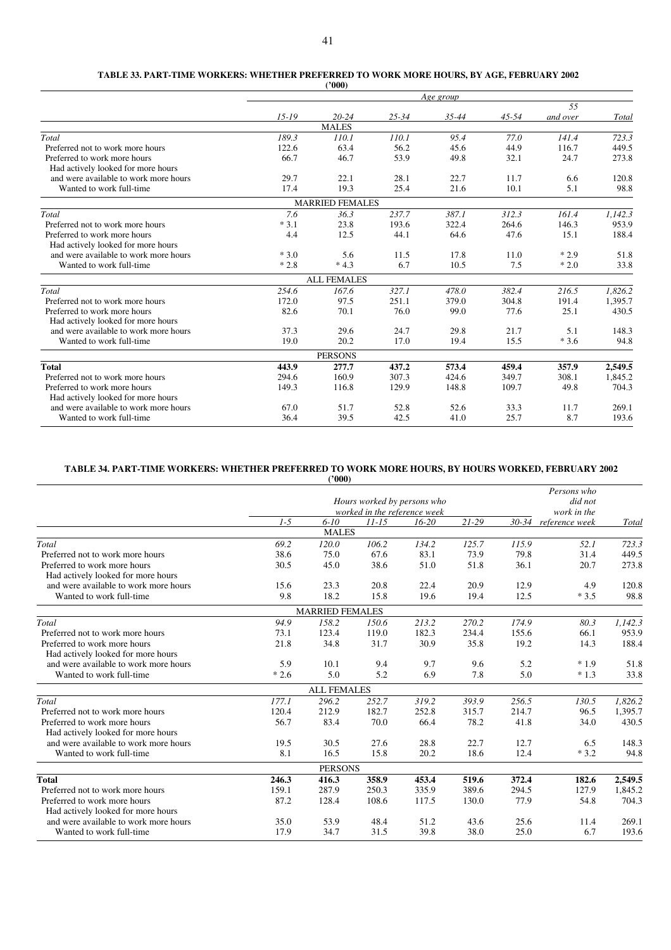#### **TABLE 33. PART-TIME WORKERS: WHETHER PREFERRED TO WORK MORE HOURS, BY AGE, FEBRUARY 2002 ('000)**

|                                       | Age group |                        |           |       |           |          |         |  |  |  |  |  |
|---------------------------------------|-----------|------------------------|-----------|-------|-----------|----------|---------|--|--|--|--|--|
|                                       |           |                        |           |       |           | 55       |         |  |  |  |  |  |
|                                       | $15 - 19$ | $20 - 24$              | $25 - 34$ | 35-44 | $45 - 54$ | and over | Total   |  |  |  |  |  |
|                                       |           | <b>MALES</b>           |           |       |           |          |         |  |  |  |  |  |
| Total                                 | 189.3     | 110.1                  | 110.1     | 95.4  | 77.0      | 141.4    | 723.3   |  |  |  |  |  |
| Preferred not to work more hours      | 122.6     | 63.4                   | 56.2      | 45.6  | 44.9      | 116.7    | 449.5   |  |  |  |  |  |
| Preferred to work more hours          | 66.7      | 46.7                   | 53.9      | 49.8  | 32.1      | 24.7     | 273.8   |  |  |  |  |  |
| Had actively looked for more hours    |           |                        |           |       |           |          |         |  |  |  |  |  |
| and were available to work more hours | 29.7      | 22.1                   | 28.1      | 22.7  | 11.7      | 6.6      | 120.8   |  |  |  |  |  |
| Wanted to work full-time              | 17.4      | 19.3                   | 25.4      | 21.6  | 10.1      | 5.1      | 98.8    |  |  |  |  |  |
|                                       |           | <b>MARRIED FEMALES</b> |           |       |           |          |         |  |  |  |  |  |
| Total                                 | 7.6       | 36.3                   | 237.7     | 387.1 | 312.3     | 161.4    | 1,142.3 |  |  |  |  |  |
| Preferred not to work more hours      | $*3.1$    | 23.8                   | 193.6     | 322.4 | 264.6     | 146.3    | 953.9   |  |  |  |  |  |
| Preferred to work more hours          | 4.4       | 12.5                   | 44.1      | 64.6  | 47.6      | 15.1     | 188.4   |  |  |  |  |  |
| Had actively looked for more hours    |           |                        |           |       |           |          |         |  |  |  |  |  |
| and were available to work more hours | $*3.0$    | 5.6                    | 11.5      | 17.8  | 11.0      | $*2.9$   | 51.8    |  |  |  |  |  |
| Wanted to work full-time              | $*2.8$    | $*4.3$                 | 6.7       | 10.5  | 7.5       | $*2.0$   | 33.8    |  |  |  |  |  |
|                                       |           | <b>ALL FEMALES</b>     |           |       |           |          |         |  |  |  |  |  |
| Total                                 | 254.6     | 167.6                  | 327.1     | 478.0 | 382.4     | 216.5    | 1,826.2 |  |  |  |  |  |
| Preferred not to work more hours      | 172.0     | 97.5                   | 251.1     | 379.0 | 304.8     | 191.4    | 1,395.7 |  |  |  |  |  |
| Preferred to work more hours          | 82.6      | 70.1                   | 76.0      | 99.0  | 77.6      | 25.1     | 430.5   |  |  |  |  |  |
| Had actively looked for more hours    |           |                        |           |       |           |          |         |  |  |  |  |  |
| and were available to work more hours | 37.3      | 29.6                   | 24.7      | 29.8  | 21.7      | 5.1      | 148.3   |  |  |  |  |  |
| Wanted to work full-time              | 19.0      | 20.2                   | 17.0      | 19.4  | 15.5      | $*3.6$   | 94.8    |  |  |  |  |  |
|                                       |           | <b>PERSONS</b>         |           |       |           |          |         |  |  |  |  |  |
| <b>Total</b>                          | 443.9     | 277.7                  | 437.2     | 573.4 | 459.4     | 357.9    | 2,549.5 |  |  |  |  |  |
| Preferred not to work more hours      | 294.6     | 160.9                  | 307.3     | 424.6 | 349.7     | 308.1    | 1,845.2 |  |  |  |  |  |
| Preferred to work more hours          | 149.3     | 116.8                  | 129.9     | 148.8 | 109.7     | 49.8     | 704.3   |  |  |  |  |  |
| Had actively looked for more hours    |           |                        |           |       |           |          |         |  |  |  |  |  |
| and were available to work more hours | 67.0      | 51.7                   | 52.8      | 52.6  | 33.3      | 11.7     | 269.1   |  |  |  |  |  |
| Wanted to work full-time              | 36.4      | 39.5                   | 42.5      | 41.0  | 25.7      | 8.7      | 193.6   |  |  |  |  |  |

## **TABLE 34. PART-TIME WORKERS: WHETHER PREFERRED TO WORK MORE HOURS, BY HOURS WORKED, FEBRUARY 2002**

|                                       |        | (2000)                 |                              |           |           |       |                      |         |
|---------------------------------------|--------|------------------------|------------------------------|-----------|-----------|-------|----------------------|---------|
|                                       |        |                        |                              |           |           |       | Persons who          |         |
|                                       |        |                        | Hours worked by persons who  |           |           |       | did not              |         |
|                                       |        |                        | worked in the reference week |           |           |       | work in the          |         |
|                                       | $1-5$  | $6 - 10$               | $11 - 15$                    | $16 - 20$ | $21 - 29$ |       | 30-34 reference week | Total   |
|                                       |        | <b>MALES</b>           |                              |           |           |       |                      |         |
| Total                                 | 69.2   | 120.0                  | 106.2                        | 134.2     | 125.7     | 115.9 | 52.1                 | 723.3   |
| Preferred not to work more hours      | 38.6   | 75.0                   | 67.6                         | 83.1      | 73.9      | 79.8  | 31.4                 | 449.5   |
| Preferred to work more hours          | 30.5   | 45.0                   | 38.6                         | 51.0      | 51.8      | 36.1  | 20.7                 | 273.8   |
| Had actively looked for more hours    |        |                        |                              |           |           |       |                      |         |
| and were available to work more hours | 15.6   | 23.3                   | 20.8                         | 22.4      | 20.9      | 12.9  | 4.9                  | 120.8   |
| Wanted to work full-time              | 9.8    | 18.2                   | 15.8                         | 19.6      | 19.4      | 12.5  | $*3.5$               | 98.8    |
|                                       |        | <b>MARRIED FEMALES</b> |                              |           |           |       |                      |         |
| Total                                 | 94.9   | 158.2                  | 150.6                        | 213.2     | 270.2     | 174.9 | 80.3                 | 1,142.3 |
| Preferred not to work more hours      | 73.1   | 123.4                  | 119.0                        | 182.3     | 234.4     | 155.6 | 66.1                 | 953.9   |
| Preferred to work more hours          | 21.8   | 34.8                   | 31.7                         | 30.9      | 35.8      | 19.2  | 14.3                 | 188.4   |
| Had actively looked for more hours    |        |                        |                              |           |           |       |                      |         |
| and were available to work more hours | 5.9    | 10.1                   | 9.4                          | 9.7       | 9.6       | 5.2   | $*1.9$               | 51.8    |
| Wanted to work full-time              | $*2.6$ | 5.0                    | 5.2                          | 6.9       | 7.8       | 5.0   | $*1.3$               | 33.8    |
|                                       |        | <b>ALL FEMALES</b>     |                              |           |           |       |                      |         |
| Total                                 | 177.1  | 296.2                  | 252.7                        | 319.2     | 393.9     | 256.5 | 130.5                | 1,826.2 |
| Preferred not to work more hours      | 120.4  | 212.9                  | 182.7                        | 252.8     | 315.7     | 214.7 | 96.5                 | 1,395.7 |
| Preferred to work more hours          | 56.7   | 83.4                   | 70.0                         | 66.4      | 78.2      | 41.8  | 34.0                 | 430.5   |
| Had actively looked for more hours    |        |                        |                              |           |           |       |                      |         |
| and were available to work more hours | 19.5   | 30.5                   | 27.6                         | 28.8      | 22.7      | 12.7  | 6.5                  | 148.3   |
| Wanted to work full-time              | 8.1    | 16.5                   | 15.8                         | 20.2      | 18.6      | 12.4  | $*3.2$               | 94.8    |
|                                       |        | <b>PERSONS</b>         |                              |           |           |       |                      |         |
| <b>Total</b>                          | 246.3  | 416.3                  | 358.9                        | 453.4     | 519.6     | 372.4 | 182.6                | 2,549.5 |
| Preferred not to work more hours      | 159.1  | 287.9                  | 250.3                        | 335.9     | 389.6     | 294.5 | 127.9                | 1,845.2 |
| Preferred to work more hours          | 87.2   | 128.4                  | 108.6                        | 117.5     | 130.0     | 77.9  | 54.8                 | 704.3   |
| Had actively looked for more hours    |        |                        |                              |           |           |       |                      |         |
| and were available to work more hours | 35.0   | 53.9                   | 48.4                         | 51.2      | 43.6      | 25.6  | 11.4                 | 269.1   |
| Wanted to work full-time              | 17.9   | 34.7                   | 31.5                         | 39.8      | 38.0      | 25.0  | 6.7                  | 193.6   |
|                                       |        |                        |                              |           |           |       |                      |         |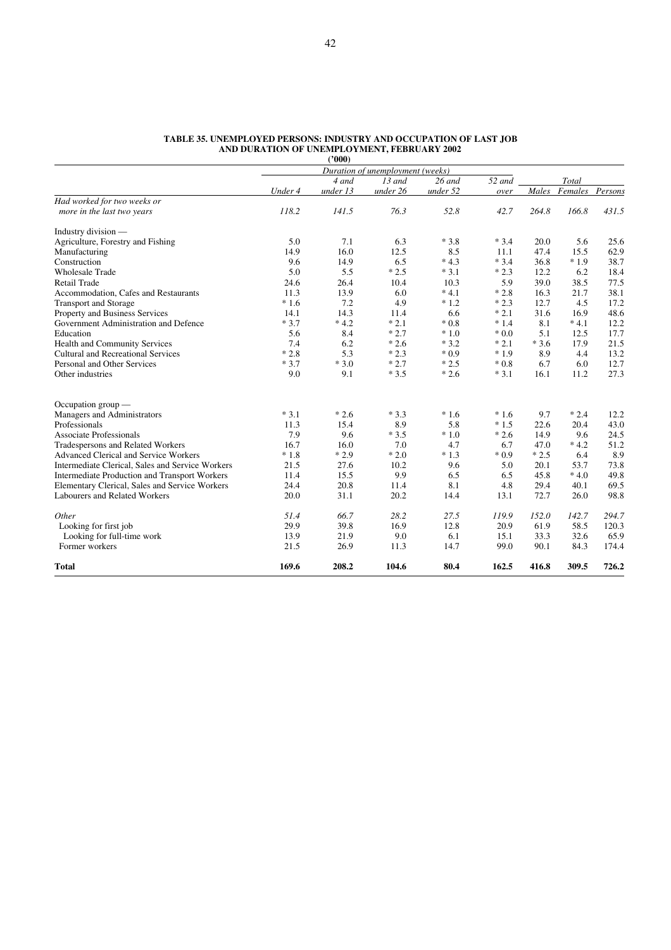|                                                  |         | (2000)   |                                  |          |        |        |                       |       |
|--------------------------------------------------|---------|----------|----------------------------------|----------|--------|--------|-----------------------|-------|
|                                                  |         |          | Duration of unemployment (weeks) |          |        |        |                       |       |
|                                                  |         | 4 and    | $13$ and                         | $26$ and | 52 and |        | Total                 |       |
|                                                  | Under 4 | under 13 | under 26                         | under 52 | over   |        | Males Females Persons |       |
| Had worked for two weeks or                      |         |          |                                  |          |        |        |                       |       |
| more in the last two years                       | 118.2   | 141.5    | 76.3                             | 52.8     | 42.7   | 264.8  | 166.8                 | 431.5 |
| Industry division —                              |         |          |                                  |          |        |        |                       |       |
| Agriculture, Forestry and Fishing                | 5.0     | 7.1      | 6.3                              | $*3.8$   | $*3.4$ | 20.0   | 5.6                   | 25.6  |
| Manufacturing                                    | 14.9    | 16.0     | 12.5                             | 8.5      | 11.1   | 47.4   | 15.5                  | 62.9  |
| Construction                                     | 9.6     | 14.9     | 6.5                              | $*4.3$   | $*3.4$ | 36.8   | $*1.9$                | 38.7  |
| <b>Wholesale Trade</b>                           | 5.0     | 5.5      | $*2.5$                           | $*3.1$   | $*2.3$ | 12.2   | 6.2                   | 18.4  |
| <b>Retail Trade</b>                              | 24.6    | 26.4     | 10.4                             | 10.3     | 5.9    | 39.0   | 38.5                  | 77.5  |
| Accommodation, Cafes and Restaurants             | 11.3    | 13.9     | 6.0                              | $*4.1$   | $*2.8$ | 16.3   | 21.7                  | 38.1  |
| <b>Transport and Storage</b>                     | $*1.6$  | 7.2      | 4.9                              | $*1.2$   | $*2.3$ | 12.7   | 4.5                   | 17.2  |
| Property and Business Services                   | 14.1    | 14.3     | 11.4                             | 6.6      | $*2.1$ | 31.6   | 16.9                  | 48.6  |
| Government Administration and Defence            | $*3.7$  | $*4.2$   | $*2.1$                           | $*0.8$   | $*1.4$ | 8.1    | $*4.1$                | 12.2  |
| Education                                        | 5.6     | 8.4      | $*2.7$                           | $*1.0$   | $*0.0$ | 5.1    | 12.5                  | 17.7  |
| Health and Community Services                    | 7.4     | 6.2      | $*2.6$                           | $*3.2$   | $*2.1$ | $*3.6$ | 17.9                  | 21.5  |
| <b>Cultural and Recreational Services</b>        | $*2.8$  | 5.3      | $*2.3$                           | $*0.9$   | $*1.9$ | 8.9    | 4.4                   | 13.2  |
| Personal and Other Services                      | $*3.7$  | $*3.0$   | $*2.7$                           | $*2.5$   | $*0.8$ | 6.7    | 6.0                   | 12.7  |
| Other industries                                 | 9.0     | 9.1      | $*3.5$                           | $*2.6$   | $*3.1$ | 16.1   | 11.2                  | 27.3  |
| Occupation group $-$                             |         |          |                                  |          |        |        |                       |       |
| Managers and Administrators                      | $*3.1$  | $*2.6$   | $*3.3$                           | $*1.6$   | $*1.6$ | 9.7    | $*2.4$                | 12.2  |
| Professionals                                    | 11.3    | 15.4     | 8.9                              | 5.8      | $*1.5$ | 22.6   | 20.4                  | 43.0  |
| <b>Associate Professionals</b>                   | 7.9     | 9.6      | $*3.5$                           | $*1.0$   | $*2.6$ | 14.9   | 9.6                   | 24.5  |
| Tradespersons and Related Workers                | 16.7    | 16.0     | 7.0                              | 4.7      | 6.7    | 47.0   | $*4.2$                | 51.2  |
| Advanced Clerical and Service Workers            | $*1.8$  | $*2.9$   | $*2.0$                           | $*1.3$   | $*0.9$ | $*2.5$ | 6.4                   | 8.9   |
| Intermediate Clerical, Sales and Service Workers | 21.5    | 27.6     | 10.2                             | 9.6      | 5.0    | 20.1   | 53.7                  | 73.8  |
| Intermediate Production and Transport Workers    | 11.4    | 15.5     | 9.9                              | 6.5      | 6.5    | 45.8   | $*4.0$                | 49.8  |
| Elementary Clerical, Sales and Service Workers   | 24.4    | 20.8     | 11.4                             | 8.1      | 4.8    | 29.4   | 40.1                  | 69.5  |
| Labourers and Related Workers                    | 20.0    | 31.1     | 20.2                             | 14.4     | 13.1   | 72.7   | 26.0                  | 98.8  |
| Other                                            | 51.4    | 66.7     | 28.2                             | 27.5     | 119.9  | 152.0  | 142.7                 | 294.7 |
| Looking for first job                            | 29.9    | 39.8     | 16.9                             | 12.8     | 20.9   | 61.9   | 58.5                  | 120.3 |
| Looking for full-time work                       | 13.9    | 21.9     | 9.0                              | 6.1      | 15.1   | 33.3   | 32.6                  | 65.9  |
| Former workers                                   | 21.5    | 26.9     | 11.3                             | 14.7     | 99.0   | 90.1   | 84.3                  | 174.4 |
| <b>Total</b>                                     | 169.6   | 208.2    | 104.6                            | 80.4     | 162.5  | 416.8  | 309.5                 | 726.2 |

#### **TABLE 35. UNEMPLOYED PERSONS: INDUSTRY AND OCCUPATION OF LAST JOB AND DURATION OF UNEMPLOYMENT, FEBRUARY 2002**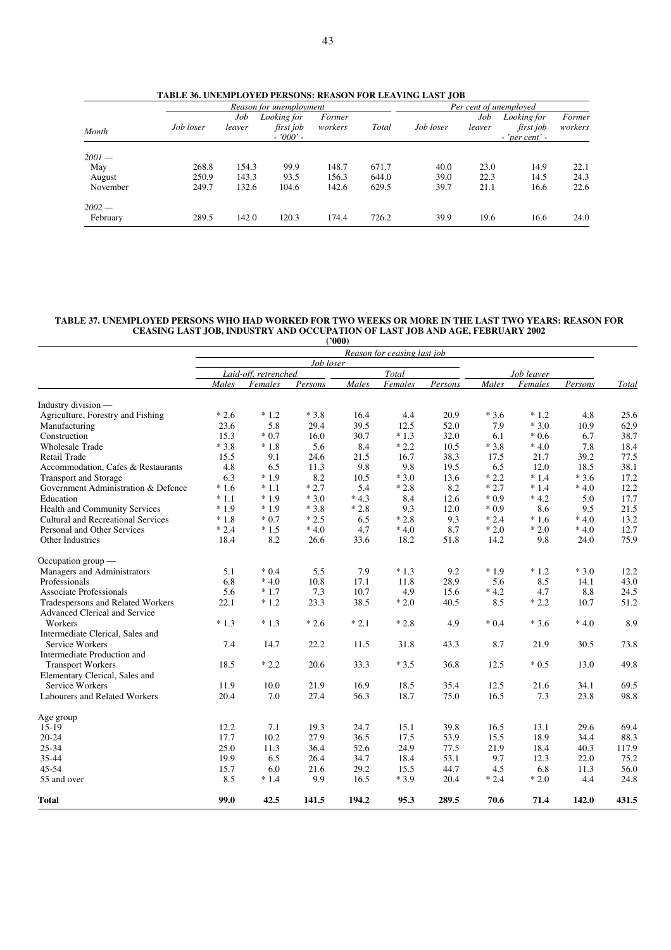|          | TABLE 36. UNEMPLOYED PERSONS: REASON FOR LEAVING LAST JOB |       | Reason for unemployment                                 |       |                            |      |           | Per cent of unemployed |                                                |                   |
|----------|-----------------------------------------------------------|-------|---------------------------------------------------------|-------|----------------------------|------|-----------|------------------------|------------------------------------------------|-------------------|
| Month    | Job loser                                                 |       | Looking for<br>Job<br>first job<br>leaver<br>$-7000'$ - |       | Former<br>Total<br>workers |      | Job loser | Job<br>leaver          | Looking for<br>first job<br>$-$ 'per cent' $-$ | Former<br>workers |
| $2001 -$ |                                                           |       |                                                         |       |                            |      |           |                        |                                                |                   |
| May      | 268.8                                                     | 154.3 | 99.9                                                    | 148.7 | 671.7                      | 40.0 | 23.0      | 14.9                   | 22.1                                           |                   |
| August   | 250.9                                                     | 143.3 | 93.5                                                    | 156.3 | 644.0                      | 39.0 | 22.3      | 14.5                   | 24.3                                           |                   |
| November | 249.7                                                     | 132.6 | 104.6                                                   | 142.6 | 629.5                      | 39.7 | 21.1      | 16.6                   | 22.6                                           |                   |
| $2002 -$ |                                                           |       |                                                         |       |                            |      |           |                        |                                                |                   |
| February | 289.5                                                     | 142.0 | 120.3                                                   | 174.4 | 726.2                      | 39.9 | 19.6      | 16.6                   | 24.0                                           |                   |

**TABLE 36. UNEMPLOYED PERSONS: REASON FOR LEAVING LAST JOB**

## **TABLE 37. UNEMPLOYED PERSONS WHO HAD WORKED FOR TWO WEEKS OR MORE IN THE LAST TWO YEARS: REASON FOR CEASING LAST JOB, INDUSTRY AND OCCUPATION OF LAST JOB AND AGE, FEBRUARY 2002**

|                                     |                             |                      |           | (2000) |         |         |        |            |         |       |  |  |  |
|-------------------------------------|-----------------------------|----------------------|-----------|--------|---------|---------|--------|------------|---------|-------|--|--|--|
|                                     | Reason for ceasing last job |                      |           |        |         |         |        |            |         |       |  |  |  |
|                                     |                             |                      | Job loser |        |         |         |        |            |         |       |  |  |  |
|                                     |                             | Laid-off, retrenched |           |        | Total   |         |        | Job leaver |         |       |  |  |  |
|                                     | Males                       | Females              | Persons   | Males  | Females | Persons | Males  | Females    | Persons | Total |  |  |  |
| Industry division -                 |                             |                      |           |        |         |         |        |            |         |       |  |  |  |
| Agriculture, Forestry and Fishing   | $*2.6$                      | $*1.2$               | $*3.8$    | 16.4   | 4.4     | 20.9    | $*3.6$ | $*1.2$     | 4.8     | 25.6  |  |  |  |
| Manufacturing                       | 23.6                        | 5.8                  | 29.4      | 39.5   | 12.5    | 52.0    | 7.9    | $*3.0$     | 10.9    | 62.9  |  |  |  |
| Construction                        | 15.3                        | $*0.7$               | 16.0      | 30.7   | $*1.3$  | 32.0    | 6.1    | $*0.6$     | 6.7     | 38.7  |  |  |  |
| <b>Wholesale Trade</b>              | $*3.8$                      | $*1.8$               | 5.6       | 8.4    | $*2.2$  | 10.5    | $*3.8$ | $*4.0$     | 7.8     | 18.4  |  |  |  |
| Retail Trade                        | 15.5                        | 9.1                  | 24.6      | 21.5   | 16.7    | 38.3    | 17.5   | 21.7       | 39.2    | 77.5  |  |  |  |
| Accommodation, Cafes & Restaurants  | 4.8                         | 6.5                  | 11.3      | 9.8    | 9.8     | 19.5    | 6.5    | 12.0       | 18.5    | 38.1  |  |  |  |
| <b>Transport and Storage</b>        | 6.3                         | $*1.9$               | 8.2       | 10.5   | $*3.0$  | 13.6    | $*2.2$ | $*1.4$     | $*3.6$  | 17.2  |  |  |  |
| Government Administration & Defence | $*1.6$                      | $*1.1$               | $*2.7$    | 5.4    | $*2.8$  | 8.2     | $*2.7$ | $*1.4$     | $*4.0$  | 12.2  |  |  |  |
| Education                           | $*1.1$                      | $*1.9$               | $*3.0$    | $*4.3$ | 8.4     | 12.6    | $*0.9$ | $*4.2$     | 5.0     | 17.7  |  |  |  |
| Health and Community Services       | $*1.9$                      | $*1.9$               | $*3.8$    | $*2.8$ | 9.3     | 12.0    | $*0.9$ | 8.6        | 9.5     | 21.5  |  |  |  |
| Cultural and Recreational Services  | $*1.8$                      | $*0.7$               | $*2.5$    | 6.5    | $*2.8$  | 9.3     | $*2.4$ | $*1.6$     | $*4.0$  | 13.2  |  |  |  |
| Personal and Other Services         | $*2.4$                      | $*1.5$               | $*4.0$    | 4.7    | $*4.0$  | 8.7     | $*2.0$ | $*2.0$     | $*4.0$  | 12.7  |  |  |  |
| Other Industries                    | 18.4                        | 8.2                  | 26.6      | 33.6   | 18.2    | 51.8    | 14.2   | 9.8        | 24.0    | 75.9  |  |  |  |
| Occupation group -                  |                             |                      |           |        |         |         |        |            |         |       |  |  |  |
| Managers and Administrators         | 5.1                         | $*0.4$               | 5.5       | 7.9    | $*1.3$  | 9.2     | $*1.9$ | $*1.2$     | $*3.0$  | 12.2  |  |  |  |
| Professionals                       | 6.8                         | $*4.0$               | 10.8      | 17.1   | 11.8    | 28.9    | 5.6    | 8.5        | 14.1    | 43.0  |  |  |  |
| <b>Associate Professionals</b>      | 5.6                         | $*1.7$               | 7.3       | 10.7   | 4.9     | 15.6    | $*4.2$ | 4.7        | 8.8     | 24.5  |  |  |  |
| Tradespersons and Related Workers   | 22.1                        | $*1.2$               | 23.3      | 38.5   | $*2.0$  | 40.5    | 8.5    | $*2.2$     | 10.7    | 51.2  |  |  |  |
| Advanced Clerical and Service       |                             |                      |           |        |         |         |        |            |         |       |  |  |  |
| Workers                             | $*1.3$                      | $*1.3$               | $*2.6$    | $*2.1$ | $*2.8$  | 4.9     | $*0.4$ | $*3.6$     | $*4.0$  | 8.9   |  |  |  |
| Intermediate Clerical, Sales and    |                             |                      |           |        |         |         |        |            |         |       |  |  |  |
| Service Workers                     | 7.4                         | 14.7                 | 22.2      | 11.5   | 31.8    | 43.3    | 8.7    | 21.9       | 30.5    | 73.8  |  |  |  |
| Intermediate Production and         |                             |                      |           |        |         |         |        |            |         |       |  |  |  |
| <b>Transport Workers</b>            | 18.5                        | $*2.2$               | 20.6      | 33.3   | $*3.5$  | 36.8    | 12.5   | $*0.5$     | 13.0    | 49.8  |  |  |  |
| Elementary Clerical, Sales and      |                             |                      |           |        |         |         |        |            |         |       |  |  |  |
| Service Workers                     | 11.9                        | 10.0                 | 21.9      | 16.9   | 18.5    | 35.4    | 12.5   | 21.6       | 34.1    | 69.5  |  |  |  |
| Labourers and Related Workers       | 20.4                        | 7.0                  | 27.4      | 56.3   | 18.7    | 75.0    | 16.5   | 7.3        | 23.8    | 98.8  |  |  |  |
| Age group                           |                             |                      |           |        |         |         |        |            |         |       |  |  |  |
| $15-19$                             | 12.2                        | 7.1                  | 19.3      | 24.7   | 15.1    | 39.8    | 16.5   | 13.1       | 29.6    | 69.4  |  |  |  |
| $20 - 24$                           | 17.7                        | 10.2                 | 27.9      | 36.5   | 17.5    | 53.9    | 15.5   | 18.9       | 34.4    | 88.3  |  |  |  |
| 25-34                               | 25.0                        | 11.3                 | 36.4      | 52.6   | 24.9    | 77.5    | 21.9   | 18.4       | 40.3    | 117.9 |  |  |  |
| 35-44                               | 19.9                        | 6.5                  | 26.4      | 34.7   | 18.4    | 53.1    | 9.7    | 12.3       | 22.0    | 75.2  |  |  |  |
| 45-54                               | 15.7                        | 6.0                  | 21.6      | 29.2   | 15.5    | 44.7    | 4.5    | 6.8        | 11.3    | 56.0  |  |  |  |
| 55 and over                         | 8.5                         | $*1.4$               | 9.9       | 16.5   | $*3.9$  | 20.4    | $*2.4$ | $*2.0$     | 4.4     | 24.8  |  |  |  |
| <b>Total</b>                        | 99.0                        | 42.5                 | 141.5     | 194.2  | 95.3    | 289.5   | 70.6   | 71.4       | 142.0   | 431.5 |  |  |  |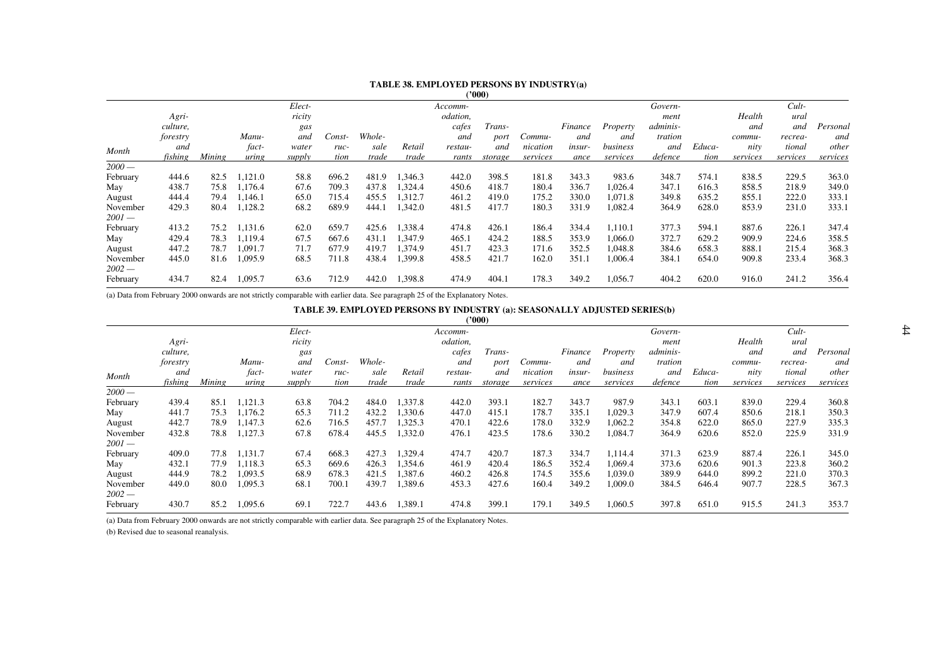# **TABLE 38. EMPLOYED PERSONS BY INDUSTRY(a)**

**('000)**

|          |        |         | Elect- |        |        |         | Accomm-  |               |          |               |          | Govern-  |        |          | Cult-    |          |
|----------|--------|---------|--------|--------|--------|---------|----------|---------------|----------|---------------|----------|----------|--------|----------|----------|----------|
| Agri-    |        |         | ricity |        |        |         | odation, |               |          |               |          | ment     |        | Health   | ural     |          |
| culture, |        |         | gas    |        |        |         | cafes    | <i>Trans-</i> |          | Finance       | Property | adminis- |        | and      | and      | Personal |
| forestry |        | Manu-   | and    | Const- | Whole- |         | and      | port          | Commu-   | and           | and      | tration  |        | commu-   | recrea-  | and      |
| and      |        | fact-   | water  | ruc-   | sale   | Retail  | restau-  | and           | nication | <i>insur-</i> | business | and      | Educa- | nity     | tional   | other    |
| fishing  | Mining | uring   | supply | tion   | trade  | trade   | rants    | storage       | services | ance          | services | defence  | tion   | services | services | services |
|          |        |         |        |        |        |         |          |               |          |               |          |          |        |          |          |          |
| 444.6    | 82.5   | 1,121.0 | 58.8   | 696.2  | 481.9  | 1,346.3 | 442.0    | 398.5         | 181.8    | 343.3         | 983.6    | 348.7    | 574.1  | 838.5    | 229.5    | 363.0    |
| 438.7    | 75.8   | 1,176.4 | 67.6   | 709.3  | 437.8  | 1,324.4 | 450.6    | 418.7         | 180.4    | 336.7         | 1,026.4  | 347.1    | 616.3  | 858.5    | 218.9    | 349.0    |
| 444.4    | 79.4   | 1,146.1 | 65.0   | 715.4  | 455.5  | 1,312.7 | 461.2    | 419.0         | 175.2    | 330.0         | 1.071.8  | 349.8    | 635.2  | 855.1    | 222.0    | 333.1    |
| 429.3    | 80.4   | 1,128.2 | 68.2   | 689.9  | 444.1  | 1,342.0 | 481.5    | 417.7         | 180.3    | 331.9         | 1,082.4  | 364.9    | 628.0  | 853.9    | 231.0    | 333.1    |
| 413.2    | 75.2   | 1,131.6 | 62.0   | 659.7  | 425.6  | 1.338.4 | 474.8    | 426.1         | 186.4    | 334.4         | 1,110.1  | 377.3    | 594.1  | 887.6    | 226.1    | 347.4    |
| 429.4    | 78.3   | 1,119.4 | 67.5   | 667.6  | 431.1  | 1,347.9 | 465.1    | 424.2         | 188.5    | 353.9         | 1,066.0  | 372.7    | 629.2  | 909.9    | 224.6    | 358.5    |
| 447.2    | 78.7   | 1,091.7 | 71.7   | 677.9  | 419.7  | 1,374.9 | 451.7    | 423.3         | 171.6    | 352.5         | 1,048.8  | 384.6    | 658.3  | 888.1    | 215.4    | 368.3    |
| 445.0    | 81.6   | 1,095.9 | 68.5   | 711.8  | 438.4  | 1,399.8 | 458.5    | 421.7         | 162.0    | 351.1         | 1,006.4  | 384.1    | 654.0  | 909.8    | 233.4    | 368.3    |
| 434.7    | 82.4   | 1,095.7 | 63.6   | 712.9  | 442.0  | 1,398.8 | 474.9    | 404.1         | 178.3    | 349.2         | 1,056.7  | 404.2    | 620.0  | 916.0    | 241.2    | 356.4    |
|          |        |         |        |        |        |         |          |               |          |               |          |          |        |          |          |          |

(a) Data from February 2000 onwards are not strictly comparable with earlier data. See paragraph 25 of the Explanatory Notes.

#### **TABLE 39. EMPLOYED PERSONS BY INDUSTRY (a): SEASONALLY ADJUSTED SERIES(b)**

|          |          |        |         |        |        |        |         |          | '000)   |          |               |          |                 |        |          |          |          |
|----------|----------|--------|---------|--------|--------|--------|---------|----------|---------|----------|---------------|----------|-----------------|--------|----------|----------|----------|
|          |          |        |         | Elect- |        |        |         | Accomm-  |         |          |               |          | Govern-         |        |          | Cult     |          |
|          | Agri-    |        |         | ricity |        |        |         | odation, |         |          |               |          | ment            |        | Health   | ural     |          |
|          | culture, |        |         | gas    |        |        |         | cafes    | Trans-  |          | Finance       | Property | <i>adminis-</i> |        | and      | and      | Personal |
|          | forestry |        | Manu-   | and    | Const- | Whole- |         | and      | port    | Commu-   | and           | and      | tration         |        | commu-   | recrea-  | and      |
| Month    | and      |        | fact-   | water  | ruc-   | sale   | Retail  | restau-  | and     | nication | <i>insur-</i> | business | and             | Educa- | nity     | tional   | other    |
|          | fishing  | Mining | uring   | supply | tion   | trade  | trade   | rants    | storage | services | ance          | services | defence         | tion   | services | services | services |
| $2000-$  |          |        |         |        |        |        |         |          |         |          |               |          |                 |        |          |          |          |
| February | 439.4    | 85.1   | 1,121.3 | 63.8   | 704.2  | 484.0  | 1,337.8 | 442.0    | 393.1   | 182.7    | 343.7         | 987.9    | 343.1           | 603.1  | 839.0    | 229.4    | 360.8    |
| May      | 441.7    | 75.3   | 1,176.2 | 65.3   | 711.2  | 432.2  | 1,330.6 | 447.0    | 415.1   | 178.7    | 335.1         | 1,029.3  | 347.9           | 607.4  | 850.6    | 218.1    | 350.3    |
| August   | 442.7    | 78.9   | 1,147.3 | 62.6   | 716.5  | 457.7  | 1,325.3 | 470.1    | 422.6   | 178.0    | 332.9         | 1,062.2  | 354.8           | 622.0  | 865.0    | 227.9    | 335.3    |
| November | 432.8    | 78.8   | 1,127.3 | 67.8   | 678.4  | 445.5  | 1,332.0 | 476.1    | 423.5   | 178.6    | 330.2         | 1,084.7  | 364.9           | 620.6  | 852.0    | 225.9    | 331.9    |
| $2001 -$ |          |        |         |        |        |        |         |          |         |          |               |          |                 |        |          |          |          |
| February | 409.0    | 77.8   | 1,131.7 | 67.4   | 668.3  | 427.3  | 1,329.4 | 474.7    | 420.7   | 187.3    | 334.7         | 1,114.4  | 371.3           | 623.9  | 887.4    | 226.1    | 345.0    |
| May      | 432.1    | 77.9   | 1,118.3 | 65.3   | 669.6  | 426.3  | 1,354.6 | 461.9    | 420.4   | 186.5    | 352.4         | 1.069.4  | 373.6           | 620.6  | 901.3    | 223.8    | 360.2    |
| August   | 444.9    | 78.2   | 1,093.5 | 68.9   | 678.3  | 421.5  | 1,387.6 | 460.2    | 426.8   | 174.5    | 355.6         | 1,039.0  | 389.9           | 644.0  | 899.2    | 221.0    | 370.3    |
| November | 449.0    | 80.0   | 1,095.3 | 68.1   | 700.1  | 439.7  | 1,389.6 | 453.3    | 427.6   | 160.4    | 349.2         | 1,009.0  | 384.5           | 646.4  | 907.7    | 228.5    | 367.3    |
| $2002-$  |          |        |         |        |        |        |         |          |         |          |               |          |                 |        |          |          |          |
| February | 430.7    | 85.2   | 1,095.6 | 69.1   | 722.7  | 443.6  | 1,389.1 | 474.8    | 399.1   | 179.1    | 349.5         | 1,060.5  | 397.8           | 651.0  | 915.5    | 241.3    | 353.7    |

(a) Data from February 2000 onwards are not strictly comparable with earlier data. See paragraph 25 of the Explanatory Notes.

(b) Revised due to seasonal reanalysis.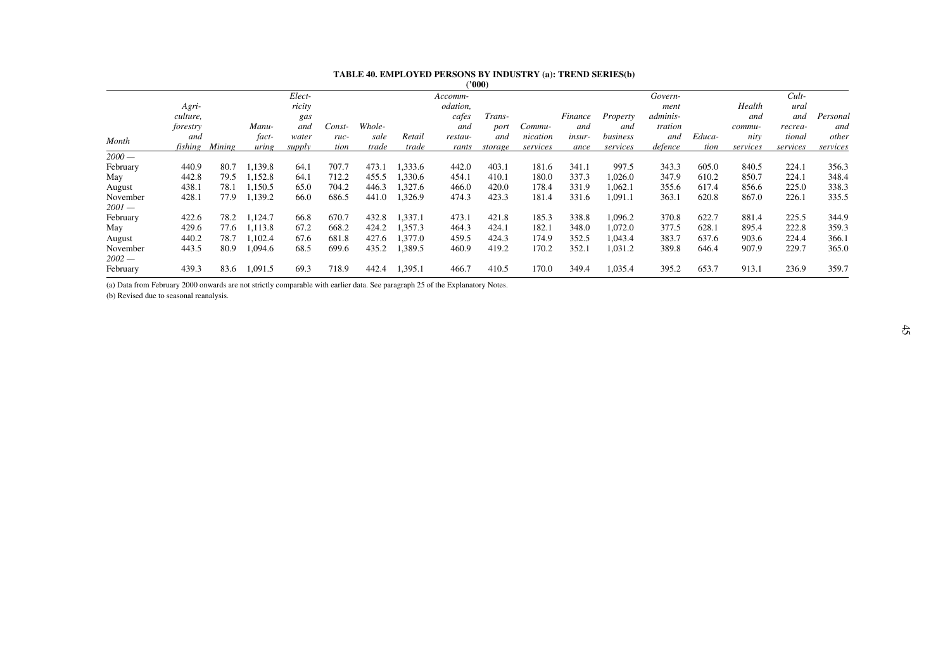#### **TABLE 40. EMPLOYED PERSONS BY INDUSTRY (a): TREND SERIES(b)**

|                     |          |        |         |        |        |        |         |          | ('000)  |          |         |          |          |        |          |          |          |
|---------------------|----------|--------|---------|--------|--------|--------|---------|----------|---------|----------|---------|----------|----------|--------|----------|----------|----------|
|                     |          |        |         | Elect- |        |        |         | Accomm-  |         |          |         |          | Govern-  |        |          | $Cult-$  |          |
|                     | Agri-    |        |         | ricity |        |        |         | odation, |         |          |         |          | ment     |        | Health   | ural     |          |
|                     | culture, |        |         | gas    |        |        |         | cafes    | Trans-  |          | Finance | Property | adminis- |        | and      | and      | Personal |
|                     | forestry |        | Manu-   | and    | Const- | Whole- |         | and      | port    | Commu-   | and     | and      | tration  |        | commu-   | recrea-  | and      |
| Month               | and      |        | fact-   | water  | ruc-   | sale   | Retail  | restau-  | and     | nication | insur-  | business | and      | Educa- | nity     | tional   | other    |
|                     | fishing  | Mining | uring   | supply | tion   | trade  | trade   | rants    | storage | services | ance    | services | defence  | tion   | services | services | services |
| $2000-$             |          |        |         |        |        |        |         |          |         |          |         |          |          |        |          |          |          |
| February            | 440.9    | 80.7   | 1,139.8 | 64.    | 707.7  | 473.1  | 1,333.6 | 442.0    | 403.1   | 181.6    | 341.1   | 997.5    | 343.3    | 605.0  | 840.5    | 224.1    | 356.3    |
| May                 | 442.8    | 79.5   | 1,152.8 | 64.1   | 712.2  | 455.5  | 1,330.6 | 454.1    | 410.1   | 180.0    | 337.3   | 1,026.0  | 347.9    | 610.2  | 850.7    | 224.1    | 348.4    |
| August              | 438.1    | 78.1   | 1,150.5 | 65.0   | 704.2  | 446.3  | 1,327.6 | 466.0    | 420.0   | 178.4    | 331.9   | 1,062.1  | 355.6    | 617.4  | 856.6    | 225.0    | 338.3    |
| November            | 428.1    | 77.9   | 1,139.2 | 66.0   | 686.5  | 441.0  | 1,326.9 | 474.3    | 423.3   | 181.4    | 331.6   | l,091.1  | 363.1    | 620.8  | 867.0    | 226.1    | 335.5    |
| $2001-$             |          |        |         |        |        |        |         |          |         |          |         |          |          |        |          |          |          |
| February            | 422.6    | 78.2   | 1,124.7 | 66.8   | 670.7  | 432.8  | 1,337.1 | 473.1    | 421.8   | 185.3    | 338.8   | 1,096.2  | 370.8    | 622.7  | 881.4    | 225.5    | 344.9    |
| May                 | 429.6    | 77.6   | 1,113.8 | 67.2   | 668.2  | 424.2  | 1,357.3 | 464.3    | 424.1   | 182.1    | 348.0   | 1.072.0  | 377.5    | 628.1  | 895.4    | 222.8    | 359.3    |
| August              | 440.2    | 78.7   | 1,102.4 | 67.6   | 681.8  | 427.6  | 1,377.0 | 459.5    | 424.3   | 174.9    | 352.5   | 1,043.4  | 383.7    | 637.6  | 903.6    | 224.4    | 366.1    |
| November<br>$2002-$ | 443.5    | 80.9   | 1,094.6 | 68.5   | 699.6  | 435.2  | 1,389.5 | 460.9    | 419.2   | 170.2    | 352.1   | 1,031.2  | 389.8    | 646.4  | 907.9    | 229.7    | 365.0    |
| February            | 439.3    | 83.6   | 1,091.5 | 69.3   | 718.9  | 442.4  | 1,395.1 | 466.7    | 410.5   | 170.0    | 349.4   | 1,035.4  | 395.2    | 653.7  | 913.1    | 236.9    | 359.7    |

(a) Data from February 2000 onwards are not strictly comparable with earlier data. See paragraph 25 of the Explanatory Notes.

(b) Revised due to seasonal reanalysis.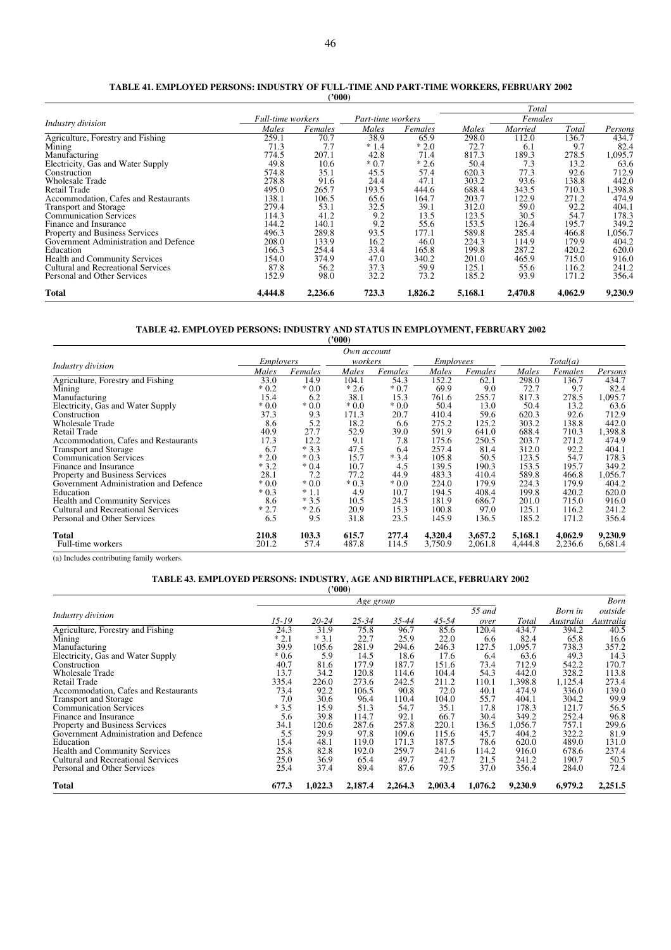|                                       |                          |         |                   |         |         | Total   |         |         |
|---------------------------------------|--------------------------|---------|-------------------|---------|---------|---------|---------|---------|
| Industry division                     | <b>Full-time</b> workers |         | Part-time workers |         |         |         |         |         |
|                                       | Males                    | Females | Males             | Females | Males   | Married | Total   | Persons |
| Agriculture, Forestry and Fishing     | 259.1                    | 70.7    | 38.9              | 65.9    | 298.0   | 112.0   | 136.7   | 434.7   |
| Mining                                | 71.3                     | 7.7     | $*1.4$            | $*2.0$  | 72.7    | 6.1     | 9.7     | 82.4    |
| Manufacturing                         | 774.5                    | 207.1   | 42.8              | 71.4    | 817.3   | 189.3   | 278.5   | 1,095.7 |
| Electricity, Gas and Water Supply     | 49.8                     | 10.6    | $*0.7$            | $*2.6$  | 50.4    | 7.3     | 13.2    | 63.6    |
| Construction                          | 574.8                    | 35.1    | 45.5              | 57.4    | 620.3   | 77.3    | 92.6    | 712.9   |
| <b>Wholesale Trade</b>                | 278.8                    | 91.6    | 24.4              | 47.1    | 303.2   | 93.6    | 138.8   | 442.0   |
| Retail Trade                          | 495.0                    | 265.7   | 193.5             | 444.6   | 688.4   | 343.5   | 710.3   | 1,398.8 |
| Accommodation, Cafes and Restaurants  | 138.1                    | 106.5   | 65.6              | 164.7   | 203.7   | 122.9   | 271.2   | 474.9   |
| <b>Transport and Storage</b>          | 279.4                    | 53.1    | 32.5              | 39.1    | 312.0   | 59.0    | 92.2    | 404.1   |
| <b>Communication Services</b>         | 114.3                    | 41.2    | 9.2               | 13.5    | 123.5   | 30.5    | 54.7    | 178.3   |
| Finance and Insurance                 | 144.2                    | 140.1   | 9.2               | 55.6    | 153.5   | 126.4   | 195.7   | 349.2   |
| Property and Business Services        | 496.3                    | 289.8   | 93.5              | 177.1   | 589.8   | 285.4   | 466.8   | 1,056.7 |
| Government Administration and Defence | 208.0                    | 133.9   | 16.2              | 46.0    | 224.3   | 114.9   | 179.9   | 404.2   |
| Education                             | 166.3                    | 254.4   | 33.4              | 165.8   | 199.8   | 287.2   | 420.2   | 620.0   |
| <b>Health and Community Services</b>  | 154.0                    | 374.9   | 47.0              | 340.2   | 201.0   | 465.9   | 715.0   | 916.0   |
| Cultural and Recreational Services    | 87.8                     | 56.2    | 37.3              | 59.9    | 125.1   | 55.6    | 116.2   | 241.2   |
| Personal and Other Services           | 152.9                    | 98.0    | 32.2              | 73.2    | 185.2   | 93.9    | 171.2   | 356.4   |
| <b>Total</b>                          | 4,444.8                  | 2,236.6 | 723.3             | 1,826.2 | 5,168.1 | 2,470.8 | 4,062.9 | 9,230.9 |

#### **TABLE 41. EMPLOYED PERSONS: INDUSTRY OF FULL-TIME AND PART-TIME WORKERS, FEBRUARY 2002 ('000)**

#### **TABLE 42. EMPLOYED PERSONS: INDUSTRY AND STATUS IN EMPLOYMENT, FEBRUARY 2002 ('000)**

|                                       |                  |         | VVV)        |         |                  |         |         |          |         |
|---------------------------------------|------------------|---------|-------------|---------|------------------|---------|---------|----------|---------|
|                                       |                  |         | Own account |         |                  |         |         |          |         |
|                                       | <i>Employers</i> |         | workers     |         | <i>Employees</i> |         |         | Total(a) |         |
| Industry division                     | Males            | Females | Males       | Females | Males            | Females | Males   | Females  | Persons |
| Agriculture, Forestry and Fishing     | 33.0             | 14.9    | 104.1       | 54.3    | 152.2            | 62.1    | 298.0   | 136.7    | 434.7   |
| Mining                                | $*0.2$           | $*0.0$  | $*2.6$      | $*0.7$  | 69.9             | 9.0     | 72.7    | 9.7      | 82.4    |
| Manufacturing                         | 15.4             | 6.2     | 38.1        | 15.3    | 761.6            | 255.7   | 817.3   | 278.5    | 1,095.7 |
| Electricity, Gas and Water Supply     | $*0.0$           | $*0.0$  | $*0.0$      | $*0.0$  | 50.4             | 13.0    | 50.4    | 13.2     | 63.6    |
| Construction                          | 37.3             | 9.3     | 171.3       | 20.7    | 410.4            | 59.6    | 620.3   | 92.6     | 712.9   |
| <b>Wholesale Trade</b>                | 8.6              | 5.2     | 18.2        | 6.6     | 275.2            | 125.2   | 303.2   | 138.8    | 442.0   |
| Retail Trade                          | 40.9             | 27.7    | 52.9        | 39.0    | 591.9            | 641.0   | 688.4   | 710.3    | 1,398.8 |
| Accommodation, Cafes and Restaurants  | 17.3             | 12.2    | 9.1         | 7.8     | 175.6            | 250.5   | 203.7   | 271.2    | 474.9   |
| <b>Transport and Storage</b>          | 6.7              | $*3.3$  | 47.5        | 6.4     | 257.4            | 81.4    | 312.0   | 92.2     | 404.1   |
| <b>Communication Services</b>         | $*2.0$           | $*0.3$  | 15.7        | $*3.4$  | 105.8            | 50.5    | 123.5   | 54.7     | 178.3   |
| Finance and Insurance                 | $*3.2$           | $*0.4$  | 10.7        | 4.5     | 139.5            | 190.3   | 153.5   | 195.7    | 349.2   |
| Property and Business Services        | 28.1             | 7.2     | 77.2        | 44.9    | 483.3            | 410.4   | 589.8   | 466.8    | 1,056.7 |
| Government Administration and Defence | $*0.0$           | $*0.0$  | $*0.3$      | $*0.0$  | 224.0            | 179.9   | 224.3   | 179.9    | 404.2   |
| Education                             | $*0.3$           | $*1.1$  | 4.9         | 10.7    | 194.5            | 408.4   | 199.8   | 420.2    | 620.0   |
| Health and Community Services         | 8.6              | $*3.5$  | 10.5        | 24.5    | 181.9            | 686.7   | 201.0   | 715.0    | 916.0   |
| Cultural and Recreational Services    | $*2.7$           | $*2.6$  | 20.9        | 15.3    | 100.8            | 97.0    | 125.1   | 116.2    | 241.2   |
| Personal and Other Services           | 6.5              | 9.5     | 31.8        | 23.5    | 145.9            | 136.5   | 185.2   | 171.2    | 356.4   |
| <b>Total</b>                          | 210.8            | 103.3   | 615.7       | 277.4   | 4,320.4          | 3,657.2 | 5,168.1 | 4,062.9  | 9,230.9 |
| Full-time workers                     | 201.2            | 57.4    | 487.8       | 114.5   | 3,750.9          | 2,061.8 | 4,444.8 | 2,236.6  | 6,681.4 |

(a) Includes contributing family workers.

#### **TABLE 43. EMPLOYED PERSONS: INDUSTRY, AGE AND BIRTHPLACE, FEBRUARY 2002**

|                                       |           |           | ('000)    |         |           |         |         |           |           |
|---------------------------------------|-----------|-----------|-----------|---------|-----------|---------|---------|-----------|-----------|
|                                       |           |           | Age group |         |           |         | Born    |           |           |
| Industry division                     |           |           |           |         |           | 55 and  |         | Born in   | outside   |
|                                       | $15 - 19$ | $20 - 24$ | $25 - 34$ | 35-44   | $45 - 54$ | over    | Total   | Australia | Australia |
| Agriculture, Forestry and Fishing     | 24.3      | 31.9      | 75.8      | 96.7    | 85.6      | 120.4   | 434.7   | 394.2     | 40.5      |
| Mining                                | $*2.1$    | $*3.1$    | 22.7      | 25.9    | 22.0      | 6.6     | 82.4    | 65.8      | 16.6      |
| Manufacturing                         | 39.9      | 105.6     | 281.9     | 294.6   | 246.3     | 127.5   | 1,095.7 | 738.3     | 357.2     |
| Electricity, Gas and Water Supply     | $*0.6$    | 5.9       | 14.5      | 18.6    | 17.6      | 6.4     | 63.6    | 49.3      | 14.3      |
| Construction                          | 40.7      | 81.6      | 177.9     | 187.7   | 151.6     | 73.4    | 712.9   | 542.2     | 170.7     |
| <b>Wholesale Trade</b>                | 13.7      | 34.2      | 120.8     | 114.6   | 104.4     | 54.3    | 442.0   | 328.2     | 113.8     |
| Retail Trade                          | 335.4     | 226.0     | 273.6     | 242.5   | 211.2     | 110.1   | 1,398.8 | 1,125.4   | 273.4     |
| Accommodation, Cafes and Restaurants  | 73.4      | 92.2      | 106.5     | 90.8    | 72.0      | 40.1    | 474.9   | 336.0     | 139.0     |
| <b>Transport and Storage</b>          | 7.0       | 30.6      | 96.4      | 110.4   | 104.0     | 55.7    | 404.1   | 304.2     | 99.9      |
| <b>Communication Services</b>         | $*3.5$    | 15.9      | 51.3      | 54.7    | 35.1      | 17.8    | 178.3   | 121.7     | 56.5      |
| Finance and Insurance                 | 5.6       | 39.8      | 114.7     | 92.1    | 66.7      | 30.4    | 349.2   | 252.4     | 96.8      |
| Property and Business Services        | 34.1      | 120.6     | 287.6     | 257.8   | 220.1     | 136.5   | 1,056.7 | 757.1     | 299.6     |
| Government Administration and Defence | 5.5       | 29.9      | 97.8      | 109.6   | 115.6     | 45.7    | 404.2   | 322.2     | 81.9      |
| Education                             | 15.4      | 48.1      | 119.0     | 171.3   | 187.5     | 78.6    | 620.0   | 489.0     | 131.0     |
| <b>Health and Community Services</b>  | 25.8      | 82.8      | 192.0     | 259.7   | 241.6     | 114.2   | 916.0   | 678.6     | 237.4     |
| Cultural and Recreational Services    | 25.0      | 36.9      | 65.4      | 49.7    | 42.7      | 21.5    | 241.2   | 190.7     | 50.5      |
| Personal and Other Services           | 25.4      | 37.4      | 89.4      | 87.6    | 79.5      | 37.0    | 356.4   | 284.0     | 72.4      |
| <b>Total</b>                          | 677.3     | 1,022.3   | 2,187.4   | 2,264.3 | 2,003.4   | 1,076.2 | 9,230.9 | 6,979.2   | 2,251.5   |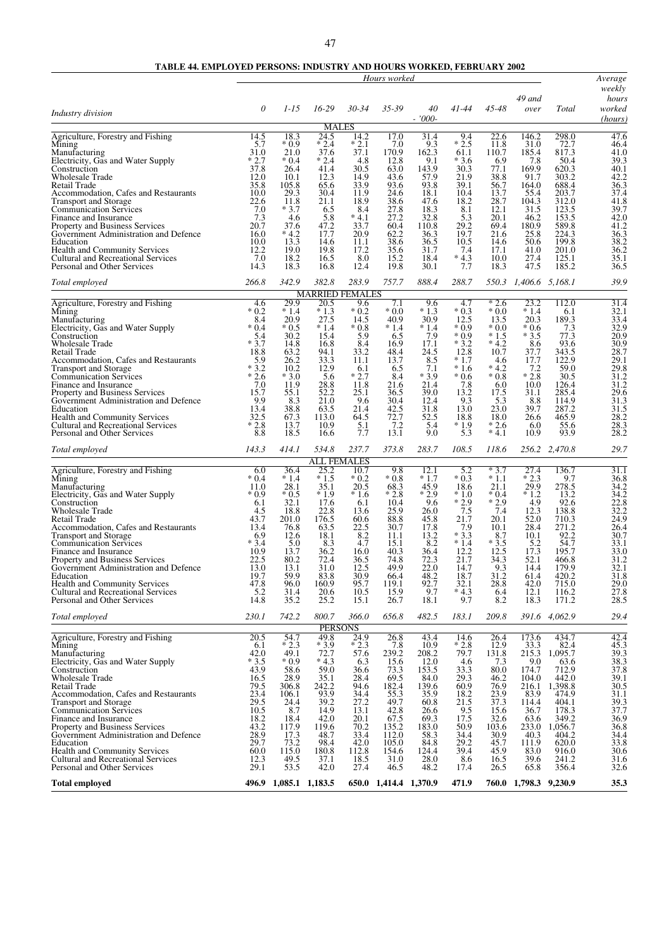|                                                                                                                                                                                                                                                                                                                                                                                                                                                                                                    |                                                                                                                                           |                                                                                                                                             |                                                                                                                                                                            |                                                                                                                                        | Hours worked                                                                                                                                |                                                                                                                                           |                                                                                                                                                 |                                                                                                                                                               |                                                                                                                                                |                                                                                                                                                           | Average                                                                                                                                                                 |
|----------------------------------------------------------------------------------------------------------------------------------------------------------------------------------------------------------------------------------------------------------------------------------------------------------------------------------------------------------------------------------------------------------------------------------------------------------------------------------------------------|-------------------------------------------------------------------------------------------------------------------------------------------|---------------------------------------------------------------------------------------------------------------------------------------------|----------------------------------------------------------------------------------------------------------------------------------------------------------------------------|----------------------------------------------------------------------------------------------------------------------------------------|---------------------------------------------------------------------------------------------------------------------------------------------|-------------------------------------------------------------------------------------------------------------------------------------------|-------------------------------------------------------------------------------------------------------------------------------------------------|---------------------------------------------------------------------------------------------------------------------------------------------------------------|------------------------------------------------------------------------------------------------------------------------------------------------|-----------------------------------------------------------------------------------------------------------------------------------------------------------|-------------------------------------------------------------------------------------------------------------------------------------------------------------------------|
| Industry division                                                                                                                                                                                                                                                                                                                                                                                                                                                                                  | 0                                                                                                                                         | $1 - 15$                                                                                                                                    | $16-29$                                                                                                                                                                    | $30 - 34$                                                                                                                              | 35-39                                                                                                                                       | 40<br>$-7000-$                                                                                                                            | 41-44                                                                                                                                           | 45-48                                                                                                                                                         | 49 and<br>over                                                                                                                                 | Total                                                                                                                                                     | weekly<br>hours<br>worked<br>(hours)                                                                                                                                    |
| Agriculture, Forestry and Fishing<br>Mining<br>Manufacturing<br>Electricity, Gas and Water Supply<br>Construction<br><b>Wholesale Trade</b><br>Retail Trade<br>Accommodation, Cafes and Restaurants<br>Transport and Storage<br><b>Communication Services</b><br>Finance and Insurance<br>Property and Business Services<br>Government Administration and Defence<br>Education<br><b>Health and Community Services</b><br>Cultural and Recreational Services<br>Personal and Other Services        | 14.5<br>5.7<br>31.0<br>$*2.7$<br>37.8<br>12.0<br>35.8<br>10.0<br>22.6<br>7.0<br>7.3<br>20.7<br>16.0<br>10.0<br>12.2<br>7.0<br>14.3        | 18.3<br>* 0.9<br>21.0<br>$*0.4$<br>26.4<br>10.1<br>105.8<br>29.3<br>11.8<br>$*3.7$<br>4.6<br>37.6<br>$*4.2$<br>13.3<br>19.0<br>18.2<br>18.3 | <b>MALES</b><br>24.5<br>$*2.4$<br>37.6<br>$*2.4$<br>41.4<br>12.3<br>65.6<br>30.4<br>21.1<br>6.5<br>5.8<br>47.2<br>17.7<br>14.6<br>19.8<br>16.5<br>16.8                     | 14.2<br>$*2.1$<br>37.1<br>4.8<br>30.5<br>14.9<br>33.9<br>11.9<br>18.9<br>8.4<br>$*4.1$<br>33.7<br>20.9<br>11.1<br>17.2<br>8.0<br>12.4  | 17.0<br>7.0<br>170.9<br>12.8<br>63.0<br>43.6<br>93.6<br>24.6<br>38.6<br>27.8<br>27.2<br>60.4<br>62.2<br>38.6<br>35.6<br>15.2<br>19.8        | 31.4<br>9.3<br>162.3<br>9.1<br>143.9<br>57.9<br>93.8<br>18.1<br>47.6<br>18.3<br>32.8<br>110.8<br>36.3<br>36.5<br>31.7<br>18.4<br>30.1     | 9.4<br>$*2.5$<br>61.1<br>$*3.6$<br>30.3<br>21.9<br>39.1<br>10.4<br>18.2<br>8.1<br>5.3<br>29.2<br>19.7<br>10.5<br>7.4<br>$*4.3$<br>7.7           | 22.6<br>11.8<br>110.7<br>6.9<br>77.1<br>38.8<br>56.7<br>13.7<br>28.7<br>12.1<br>20.1<br>69.4<br>21.6<br>14.6<br>17.1<br>10.0<br>18.3                          | 146.2<br>31.0<br>185.4<br>7.8<br>169.9<br>91.7<br>164.0<br>55.4<br>104.3<br>31.5<br>46.2<br>180.9<br>25.8<br>50.6<br>41.0<br>27.4<br>47.5      | 298.0<br>$72.7$<br>817.3<br>50.4<br>620.3<br>303.2<br>688.4<br>203.7<br>312.0<br>123.5<br>153.5<br>589.8<br>224.3<br>199.8<br>201.0<br>125.1<br>185.2     | 47.6<br>46.4<br>41.0<br>39.3<br>40.1<br>42.2<br>36.3<br>37.4<br>41.8<br>39.7<br>42.0<br>41.2<br>$36.\overline{3}$<br>38.2<br>36.2<br>35.1<br>36.5                       |
| Total employed                                                                                                                                                                                                                                                                                                                                                                                                                                                                                     | 266.8                                                                                                                                     | 342.9                                                                                                                                       | 382.8                                                                                                                                                                      | 283.9                                                                                                                                  | 757.7                                                                                                                                       | 888.4                                                                                                                                     | 288.7                                                                                                                                           | 550.3                                                                                                                                                         | 1,406.6                                                                                                                                        | 5,168.1                                                                                                                                                   | 39.9                                                                                                                                                                    |
| Agriculture, Forestry and Fishing<br>Mining<br>Manufacturing<br>Electricity, Gas and Water Supply<br>Construction<br>Wholesale Trade<br>Retail Trade<br>Accommodation, Cafes and Restaurants<br><b>Transport and Storage</b><br><b>Communication Services</b><br>Finance and Insurance<br>Property and Business Services<br>Government Administration and Defence<br>Education<br><b>Health and Community Services</b><br>Cultural and Recreational Services<br>Personal and Other Services        | 4.6<br>$*0.2$<br>8.4<br>$*0.4$<br>5.4<br>$*3.7$<br>18.8<br>5.9<br>$*3.2$<br>$*2.6$<br>7.0<br>15.7<br>9.9<br>13.4<br>32.5<br>* 2.8<br>8.8  | 29.9<br>$*1.4$<br>20.9<br>$*0.5$<br>30.2<br>14.8<br>63.2<br>26.2<br>10.2<br>$*3.0$<br>11.9<br>55.1<br>8.3<br>38.8<br>67.3<br>13.7<br>18.5   | <b>MARRIED FEMALES</b><br>20.5<br>$*1.3$<br>27.5<br>$*1.4$<br>15.4<br>16.8<br>94.1<br>33.3<br>12.9<br>5.6<br>28.8<br>52.2<br>21.0<br>63.5<br>113.0<br>10.9<br>16.6         | 9.6<br>$*0.2$<br>14.5<br>$*0.8$<br>5.9<br>8.4<br>33.2<br>11.1<br>6.1<br>$*2.7$<br>11.8<br>25.1<br>9.6<br>21.4<br>64.5<br>5.1<br>7.7    | 7.1<br>$*0.0$<br>40.9<br>$*1.4$<br>6.5<br>16.9<br>48.4<br>13.7<br>6.5<br>8.4<br>21.6<br>36.5<br>30.4<br>42.5<br>72.7<br>7.2<br>13.1         | 9.6<br>$*1.3$<br>30.9<br>$*1.4$<br>7.9<br>17.1<br>24.5<br>8.5<br>7.1<br>$*3.9$<br>21.4<br>39.0<br>12.4<br>31.8<br>52.5<br>5.4<br>9.0      | 4.7<br>$*0.3$<br>12.5<br>$*0.9$<br>$*0.9$<br>$*3.2$<br>12.8<br>$*1.7$<br>$*1.6$<br>$*0.6$<br>7.8<br>13.2<br>9.3<br>13.0<br>18.8<br>* 1.9<br>5.3 | $\overline{2.6}$<br>$*0.0$<br>13.5<br>$*0.0$<br>$*1.5$<br>$*4.2$<br>10.7<br>4.6<br>$*4.2$<br>$*0.8$<br>6.0<br>17.5<br>5.3<br>23.0<br>18.0<br>$*2.6$<br>$*4.1$ | 23.2<br>$*1.4$<br>20.3<br>$*0.6$<br>$*3.5$<br>8.6<br>37.7<br>17.7<br>$* \frac{7.2}{2.8}$<br>10.0<br>31.1<br>8.8<br>39.7<br>26.6<br>6.0<br>10.9 | 112.0<br>6.1<br>189.3<br>7.3<br>77.3<br>93.6<br>343.5<br>122.9<br>59.0<br>30.5<br>126.4<br>285.4<br>114.9<br>287.2<br>465.9<br>55.6<br>93.9               | 31.4<br>32.1<br>33.4<br>32.9<br>20.9<br>30.9<br>28.7<br>29.1<br>29.8<br>31.2<br>31.2<br>29.6<br>31.3<br>31.5<br>28.2<br>28.3<br>28.2                                    |
| Total employed                                                                                                                                                                                                                                                                                                                                                                                                                                                                                     | 143.3                                                                                                                                     | 414.1                                                                                                                                       | 534.8                                                                                                                                                                      | 237.7                                                                                                                                  | 373.8                                                                                                                                       | 283.7                                                                                                                                     | 108.5                                                                                                                                           | 118.6                                                                                                                                                         |                                                                                                                                                | 256.2 2,470.8                                                                                                                                             | 29.7                                                                                                                                                                    |
| Agriculture, Forestry and Fishing<br>Mining<br>Manufacturing<br>Electricity, Gas and Water Supply<br>Construction<br><b>Wholesale Trade</b><br>Retail Trade<br>Accommodation, Cafes and Restaurants<br><b>Transport and Storage</b><br><b>Communication Services</b><br>Finance and Insurance<br>Property and Business Services<br>Government Administration and Defence<br>Education<br><b>Health and Community Services</b><br>Cultural and Recreational Services<br>Personal and Other Services | 6.0<br>$*0.4$<br>11.0<br>* 0.9<br>6.1<br>4.5<br>43.7<br>13.4<br>6.9<br>$*3.4$<br>10.9<br>22.5<br>13.0<br>19.7<br>47.8<br>5.2<br>14.8      | 36.4<br>$*1.4$<br>28.1<br>$*0.5$<br>32.1<br>18.8<br>201.0<br>76.8<br>12.6<br>5.0<br>13.7<br>80.2<br>13.1<br>59.9<br>96.0<br>31.4<br>35.2    | <b>ALL FEMALES</b><br>25.2<br>$*1.5$<br>35.1<br>$*1.9$<br>17.6<br>22.8<br>176.5<br>63.5<br>18.1<br>8.3<br>36.2<br>72.4<br>31.0<br>83.8<br>160.9<br>20.6<br>25.2            | 10.7<br>$*0.2$<br>20.5<br>$*1.6$<br>6.1<br>13.6<br>60.6<br>22.5<br>8.2<br>4.7<br>16.0<br>36.5<br>12.5<br>30.9<br>95.7<br>10.5<br>15.1  | 9.8<br>$*0.8$<br>68.3<br>$*2.8$<br>10.4<br>25.9<br>88.8<br>30.7<br>11.1<br>15.1<br>40.3<br>74.8<br>49.9<br>66.4<br>119.1<br>15.9<br>26.7    | 12.1<br>$*1.7$<br>45.9<br>$*2.9$<br>9.6<br>26.0<br>45.8<br>17.8<br>13.2<br>8.2<br>36.4<br>72.3<br>22.0<br>48.2<br>92.7<br>9.7<br>18.1     | 5.2<br>$*0.3$<br>18.6<br>$*1.0$<br>$*2.9$<br>7.5<br>21.7<br>7.9<br>$*3.3$<br>$*1.4$<br>12.2<br>21.7<br>14.7<br>18.7<br>32.1<br>$*4.3$<br>9.7    | $*3.7$<br>$*1.1$<br>21.1<br>$*0.4$<br>$*2.9$<br>7.4<br>20.1<br>10.1<br>8.7<br>$*3.5$<br>12.5<br>34.3<br>9.3<br>31.2<br>28.8<br>6.4<br>8.2                     | 27.4<br>$*2.3$<br>29.9<br>$*1.2$<br>4.9<br>12.3<br>52.0<br>28.4<br>10.1<br>5.2<br>17.3<br>52.1<br>14.4<br>61.4<br>$^{42.0}_{12.1}$<br>18.3     | 136.7<br>9.7<br>278.5<br>13.2<br>92.6<br>138.8<br>710.3<br>271.2<br>92.2<br>54.7<br>195.7<br>466.8<br>179.9<br>420.2<br>715.0<br>116.2<br>171.2           | 31.1<br>36.8<br>34.2<br>34.2<br>$\frac{22.8}{32.2}$<br>24.9<br>26.4<br>30.7<br>33.1<br>33.0<br>31.2<br>32.1<br>31.8<br>$^{29.0}_{27.8}$<br>28.5                         |
| Total employed                                                                                                                                                                                                                                                                                                                                                                                                                                                                                     | 230.1                                                                                                                                     | 742.2                                                                                                                                       | 800.7                                                                                                                                                                      | 366.0                                                                                                                                  | 656.8                                                                                                                                       | 482.5                                                                                                                                     | 183.1                                                                                                                                           | 209.8                                                                                                                                                         |                                                                                                                                                | 391.6 4,062.9                                                                                                                                             | 29.4                                                                                                                                                                    |
| Agriculture, Forestry and Fishing<br>Mining<br>Manufacturing<br>Electricity, Gas and Water Supply<br>Construction<br>Wholesale Trade<br>Retail Trade<br>Accommodation, Cafes and Restaurants<br><b>Transport and Storage</b><br><b>Communication Services</b><br>Finance and Insurance<br>Property and Business Services<br>Government Administration and Defence<br>Education<br><b>Health and Community Services</b><br>Cultural and Recreational Services<br>Personal and Other Services        | 20.5<br>6.1<br>42.0<br>$*3.5$<br>43.9<br>16.5<br>$79.5$<br>$23.4$<br>29.5<br>10.5<br>18.2<br>43.2<br>28.9<br>29.7<br>60.0<br>12.3<br>29.1 | 54.7<br>$*2.3$<br>49.1<br>$*0.9$<br>58.6<br>28.9<br>306.8<br>106.1<br>24.4<br>8.7<br>18.4<br>117.9<br>17.3<br>73.2<br>115.0<br>49.5<br>53.5 | <b>PERSONS</b><br>49.8<br>$*3.9$<br>72.7<br>$*4.3$<br>59.0<br>35.1<br>242.2<br>$93.\overline{9}$<br>39.2<br>14.9<br>42.0<br>119.6<br>48.7<br>98.4<br>180.8<br>37.1<br>42.0 | 24.9<br>$*2.3$<br>57.6<br>6.3<br>36.6<br>28.4<br>94.6<br>34.4<br>27.2<br>13.1<br>20.1<br>70.2<br>33.4<br>42.0<br>112.8<br>18.5<br>27.4 | 26.8<br>$7.8$<br>239.2<br>15.6<br>73.3<br>69.5<br>182.4<br>55.3<br>49.7<br>42.8<br>67.5<br>135.2<br>112.0<br>105.0<br>154.6<br>31.0<br>46.5 | 43.4<br>10.9<br>208.2<br>12.0<br>153.5<br>84.0<br>139.6<br>35.9<br>60.8<br>26.6<br>69.3<br>183.0<br>58.3<br>84.8<br>124.4<br>28.0<br>48.2 | 14.6<br>$*2.8$<br>79.7<br>4.6<br>33.3<br>29.3<br>60.9<br>18.2<br>21.5<br>9.5<br>17.5<br>50.9<br>34.4<br>29.2<br>39.4<br>8.6<br>17.4             | 26.4<br>12.9<br>131.8<br>7.3<br>80.0<br>46.2<br>76.9<br>23.9<br>37.3<br>15.6<br>32.6<br>103.6<br>30.9<br>45.7<br>45.9<br>16.5<br>26.5                         | 173.6<br>33.3<br>215.3<br>9.0<br>174.7<br>104.0<br>216.1<br>83.9<br>114.4<br>36.7<br>63.6<br>233.0<br>40.3<br>111.9<br>83.0<br>39.6<br>65.8    | 434.7<br>82.4<br>1,095.7<br>63.6<br>712.9<br>442.0<br>1,398.8<br>474.9<br>404.1<br>178.3<br>349.2<br>1,056.7<br>404.2<br>620.0<br>916.0<br>241.2<br>356.4 | 42.4<br>$\frac{45.3}{39.3}$<br>$\frac{38.3}{37.8}$<br>39.1<br>$\frac{30.5}{31.1}$<br>$\frac{39.3}{37.7}$<br>$\frac{36.9}{36.8}$<br>34.4<br>33.8<br>30.6<br>31.6<br>32.6 |
| <b>Total employed</b>                                                                                                                                                                                                                                                                                                                                                                                                                                                                              |                                                                                                                                           | 496.9 1,085.1 1,183.5                                                                                                                       |                                                                                                                                                                            |                                                                                                                                        | 650.0 1,414.4 1,370.9                                                                                                                       |                                                                                                                                           | 471.9                                                                                                                                           |                                                                                                                                                               | 760.0 1,798.3 9,230.9                                                                                                                          |                                                                                                                                                           | 35.3                                                                                                                                                                    |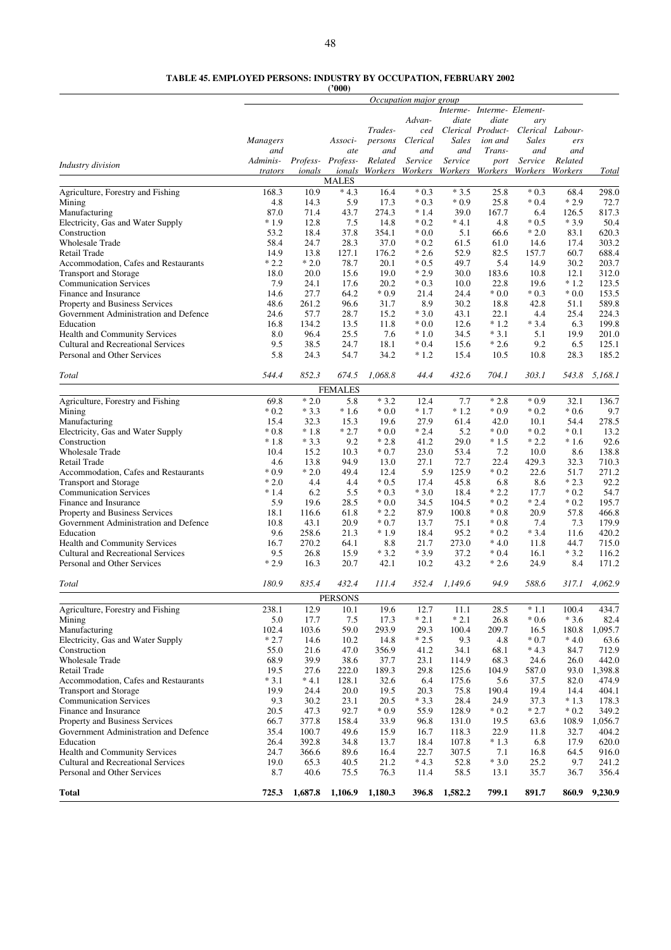**TABLE 45. EMPLOYED PERSONS: INDUSTRY BY OCCUPATION, FEBRUARY 2002**

|                                                        |                 |              | (2000)            |                |                        |               |                   |                            |                  |                |
|--------------------------------------------------------|-----------------|--------------|-------------------|----------------|------------------------|---------------|-------------------|----------------------------|------------------|----------------|
|                                                        |                 |              |                   |                | Occupation major group |               |                   |                            |                  |                |
|                                                        |                 |              |                   |                |                        |               |                   | Interme- Interme- Element- |                  |                |
|                                                        |                 |              |                   |                | Advan-                 | diate         | diate             | ary                        |                  |                |
|                                                        |                 |              |                   | Trades-        | ced                    |               | Clerical Product- |                            | Clerical Labour- |                |
|                                                        | <b>Managers</b> |              | Associ-           | persons        | Clerical               | <b>Sales</b>  | ion and           | <b>Sales</b>               | ers              |                |
|                                                        | and             |              | ate               | and            | and                    | and           | Trans-            | and                        | and              |                |
| Industry division                                      | Adminis-        |              | Profess- Profess- | Related        | Service                | Service       | port              | Service                    | Related          |                |
|                                                        | trators         | ionals       | ionals            | Workers        | Workers                |               | Workers Workers   | Workers                    | Workers          | Total          |
|                                                        |                 |              | <b>MALES</b>      |                |                        |               |                   |                            |                  |                |
| Agriculture, Forestry and Fishing                      | 168.3           | 10.9         | $*4.3$            | 16.4           | $*0.3$                 | $*3.5$        | 25.8              | $*0.3$                     | 68.4             | 298.0          |
| Mining                                                 | 4.8             | 14.3         | 5.9               | 17.3           | $*0.3$                 | $*0.9$        | 25.8              | $*0.4$                     | $*2.9$           | 72.7           |
| Manufacturing                                          | 87.0            | 71.4         | 43.7              | 274.3          | $*1.4$                 | 39.0          | 167.7             | 6.4                        | 126.5            | 817.3          |
| Electricity, Gas and Water Supply                      | $*1.9$          | 12.8         | 7.5               | 14.8           | $*0.2$                 | $*4.1$        | 4.8               | $*0.5$                     | $*3.9$           | 50.4           |
| Construction                                           | 53.2            | 18.4         | 37.8              | 354.1          | $*0.0$                 | 5.1           | 66.6              | $*2.0$                     | 83.1             | 620.3          |
| <b>Wholesale Trade</b>                                 | 58.4            | 24.7         | 28.3              | 37.0           | $*0.2$                 | 61.5          | 61.0              | 14.6                       | 17.4             | 303.2          |
| Retail Trade                                           | 14.9            | 13.8         | 127.1             | 176.2          | $*2.6$                 | 52.9          | 82.5              | 157.7                      | 60.7             | 688.4          |
| Accommodation, Cafes and Restaurants                   | $*2.2$          | $*2.0$       | 78.7              | 20.1           | $*0.5$                 | 49.7          | 5.4               | 14.9                       | 30.2             | 203.7          |
| <b>Transport and Storage</b>                           | 18.0            | 20.0         | 15.6              | 19.0           | $*2.9$                 | 30.0          | 183.6             | 10.8                       | 12.1<br>$*1.2$   | 312.0          |
| <b>Communication Services</b><br>Finance and Insurance | 7.9<br>14.6     | 24.1<br>27.7 | 17.6<br>64.2      | 20.2<br>$*0.9$ | $*0.3$<br>21.4         | 10.0<br>24.4  | 22.8<br>$*0.0$    | 19.6<br>$*0.3$             | $*0.0$           | 123.5<br>153.5 |
| Property and Business Services                         | 48.6            | 261.2        | 96.6              | 31.7           | 8.9                    | 30.2          | 18.8              | 42.8                       | 51.1             | 589.8          |
| Government Administration and Defence                  | 24.6            | 57.7         | 28.7              | 15.2           | $*3.0$                 | 43.1          | 22.1              | 4.4                        | 25.4             | 224.3          |
| Education                                              | 16.8            | 134.2        | 13.5              | 11.8           | $*0.0$                 | 12.6          | $*1.2$            | $*3.4$                     | 6.3              | 199.8          |
| <b>Health and Community Services</b>                   | 8.0             | 96.4         | 25.5              | 7.6            | $*1.0$                 | 34.5          | $*3.1$            | 5.1                        | 19.9             | 201.0          |
| <b>Cultural and Recreational Services</b>              | 9.5             | 38.5         | 24.7              | 18.1           | $*0.4$                 | 15.6          | $*2.6$            | 9.2                        | 6.5              | 125.1          |
| Personal and Other Services                            | 5.8             | 24.3         | 54.7              | 34.2           | $*1.2$                 | 15.4          | 10.5              | 10.8                       | 28.3             | 185.2          |
|                                                        |                 |              |                   |                |                        |               |                   |                            |                  |                |
| Total                                                  | 544.4           | 852.3        | 674.5             | 1,068.8        | 44.4                   | 432.6         | 704.1             | 303.1                      | 543.8            | 5,168.1        |
|                                                        |                 |              | <b>FEMALES</b>    |                |                        |               |                   |                            |                  |                |
| Agriculture, Forestry and Fishing                      | 69.8            | $*2.0$       | 5.8               | $*3.2$         | 12.4                   | 7.7           | $*2.8$            | $*0.9$                     | 32.1             | 136.7          |
| Mining                                                 | $*0.2$          | $*3.3$       | $*1.6$            | $*0.0$         | $*1.7$                 | $*1.2$        | $*0.9$            | $*0.2$                     | $*0.6$           | 9.7            |
| Manufacturing                                          | 15.4            | 32.3         | 15.3              | 19.6           | 27.9                   | 61.4          | 42.0              | 10.1                       | 54.4             | 278.5          |
| Electricity, Gas and Water Supply                      | $*0.8$          | $*1.8$       | $*2.7$            | $*0.0$         | $*2.4$                 | 5.2           | $*0.0$            | $*0.2$                     | $*0.1$           | 13.2           |
| Construction                                           | $*1.8$          | $*3.3$       | 9.2               | $*2.8$         | 41.2                   | 29.0          | $*1.5$            | $*2.2$                     | $*1.6$           | 92.6           |
| <b>Wholesale Trade</b>                                 | 10.4            | 15.2         | 10.3              | $*0.7$         | 23.0                   | 53.4          | 7.2               | 10.0                       | 8.6              | 138.8          |
| Retail Trade                                           | 4.6             | 13.8         | 94.9              | 13.0           | 27.1                   | 72.7          | 22.4              | 429.3                      | 32.3             | 710.3          |
| Accommodation, Cafes and Restaurants                   | $*0.9$          | $*2.0$       | 49.4              | 12.4           | 5.9                    | 125.9         | $*0.2$            | 22.6                       | 51.7             | 271.2          |
| <b>Transport and Storage</b>                           | $*2.0$          | 4.4          | 4.4               | $*0.5$         | 17.4                   | 45.8          | 6.8               | 8.6                        | $*2.3$           | 92.2           |
| <b>Communication Services</b>                          | $*1.4$          | 6.2          | 5.5               | $*0.3$         | $*3.0$                 | 18.4          | $*2.2$            | 17.7                       | $*0.2$           | 54.7           |
| Finance and Insurance                                  | 5.9             | 19.6         | 28.5              | $*0.0$         | 34.5                   | 104.5         | $*0.2$            | $*2.4$                     | $*0.2$           | 195.7          |
| Property and Business Services                         | 18.1            | 116.6        | 61.8              | $*2.2$         | 87.9                   | 100.8         | $*0.8$            | 20.9                       | 57.8             | 466.8          |
| Government Administration and Defence                  | 10.8            | 43.1         | 20.9              | $*0.7$         | 13.7                   | 75.1          | $*0.8$            | 7.4                        | 7.3              | 179.9          |
| Education                                              | 9.6             | 258.6        | 21.3              | $*1.9$         | 18.4                   | 95.2          | $*0.2$            | $*3.4$                     | 11.6             | 420.2          |
| Health and Community Services                          | 16.7            | 270.2        | 64.1              | 8.8            | 21.7                   | 273.0         | $*4.0$            | 11.8                       | 44.7             | 715.0          |
| <b>Cultural and Recreational Services</b>              | 9.5             | 26.8         | 15.9              | $*3.2$         | $*3.9$                 | 37.2          | $*0.4$            | 16.1                       | $*3.2$           | 116.2          |
| Personal and Other Services                            | $*2.9$          | 16.3         | 20.7              | 42.1           | 10.2                   | 43.2          | $*2.6$            | 24.9                       | 8.4              | 171.2          |
| Total                                                  | 180.9           | 835.4        | 432.4             | 111.4          | 352.4                  | 1,149.6       | 94.9              | 588.6                      | 317.1            | 4,062.9        |
|                                                        |                 |              |                   |                |                        |               |                   |                            |                  |                |
|                                                        |                 |              | <b>PERSONS</b>    |                |                        |               |                   |                            |                  |                |
| Agriculture, Forestry and Fishing                      | 238.1           | 12.9         | 10.1              | 19.6           | 12.7                   | 11.1          | 28.5              | $*1.1$                     | 100.4            | 434.7          |
| Mining                                                 | 5.0             | 17.7         | 7.5               | 17.3           | $*2.1$                 | $*2.1$        | 26.8              | $*0.6$                     | $*3.6$           | 82.4           |
| Manufacturing                                          | 102.4           | 103.6        | 59.0              | 293.9          | 29.3                   | 100.4         | 209.7             | 16.5                       | 180.8            | 1,095.7        |
| Electricity, Gas and Water Supply                      | $*2.7$          | 14.6         | 10.2              | 14.8           | $*2.5$                 | 9.3           | 4.8               | $*0.7$                     | $*4.0$           | 63.6           |
| Construction<br><b>Wholesale Trade</b>                 | 55.0<br>68.9    | 21.6<br>39.9 | 47.0<br>38.6      | 356.9<br>37.7  | 41.2<br>23.1           | 34.1<br>114.9 | 68.1<br>68.3      | $*4.3$<br>24.6             | 84.7<br>26.0     | 712.9<br>442.0 |
| Retail Trade                                           | 19.5            | 27.6         | 222.0             | 189.3          | 29.8                   | 125.6         | 104.9             | 587.0                      | 93.0             | 1,398.8        |
| Accommodation, Cafes and Restaurants                   | $*3.1$          | $*4.1$       | 128.1             | 32.6           | 6.4                    | 175.6         | 5.6               | 37.5                       | 82.0             | 474.9          |
| <b>Transport and Storage</b>                           | 19.9            | 24.4         | 20.0              | 19.5           | 20.3                   | 75.8          | 190.4             | 19.4                       | 14.4             | 404.1          |
| <b>Communication Services</b>                          | 9.3             | 30.2         | 23.1              | 20.5           | $*3.3$                 | 28.4          | 24.9              | 37.3                       | $*1.3$           | 178.3          |
| Finance and Insurance                                  | 20.5            | 47.3         | 92.7              | $*0.9$         | 55.9                   | 128.9         | $*0.2$            | $*2.7$                     | $*0.2$           | 349.2          |
| Property and Business Services                         | 66.7            | 377.8        | 158.4             | 33.9           | 96.8                   | 131.0         | 19.5              | 63.6                       | 108.9            | 1,056.7        |
| Government Administration and Defence                  | 35.4            | 100.7        | 49.6              | 15.9           | 16.7                   | 118.3         | 22.9              | 11.8                       | 32.7             | 404.2          |
| Education                                              | 26.4            | 392.8        | 34.8              | 13.7           | 18.4                   | 107.8         | $*1.3$            | 6.8                        | 17.9             | 620.0          |
| Health and Community Services                          | 24.7            | 366.6        | 89.6              | 16.4           | 22.7                   | 307.5         | 7.1               | 16.8                       | 64.5             | 916.0          |
| <b>Cultural and Recreational Services</b>              | 19.0            | 65.3         | 40.5              | 21.2           | $*4.3$                 | 52.8          | $*3.0$            | 25.2                       | 9.7              | 241.2          |
| Personal and Other Services                            | 8.7             | 40.6         | 75.5              | 76.3           | 11.4                   | 58.5          | 13.1              | 35.7                       | 36.7             | 356.4          |
|                                                        |                 |              |                   |                |                        |               |                   |                            |                  |                |
| <b>Total</b>                                           | 725.3           | 1,687.8      | 1,106.9           | 1,180.3        | 396.8                  | 1,582.2       | 799.1             | 891.7                      | 860.9            | 9,230.9        |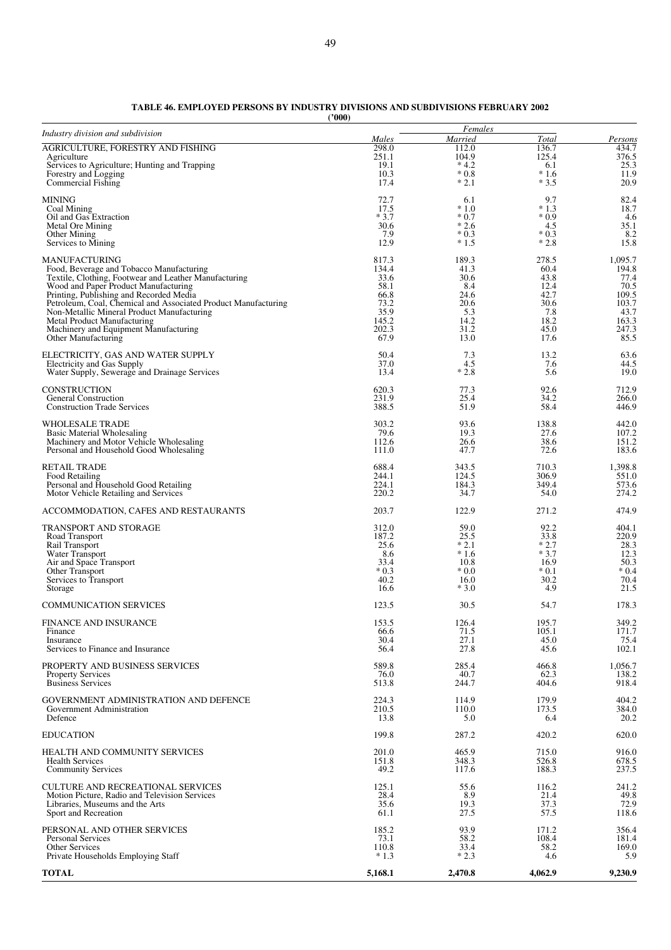| TABLE 46. EMPLOYED PERSONS BY INDUSTRY DIVISIONS AND SUBDIVISIONS FEBRUARY 2002 |  |
|---------------------------------------------------------------------------------|--|
| $^{\prime\prime}000$                                                            |  |

| ('000 |  |
|-------|--|
|-------|--|

| Industry division and subdivision                                                  |                | Females          |                  |                         |
|------------------------------------------------------------------------------------|----------------|------------------|------------------|-------------------------|
| <b>AGRICULTURE, FORESTRY AND FISHING</b>                                           | Males<br>298.0 | Married<br>112.0 | Total<br>136.7   | <u>Persons</u><br>434.7 |
| Agriculture                                                                        | 251.1          | 104.9            | 125.4            | 376.5                   |
| Services to Agriculture; Hunting and Trapping<br>Forestry and Logging              | 19.1<br>10.3   | $*4.2$<br>$*0.8$ | 6.1<br>$*1.6$    | 25.3<br>11.9            |
| Commercial Fishing                                                                 | 17.4           | $*2.1$           | $*3.5$           | 20.9                    |
| MINING                                                                             | 72.7           | 6.1              | 9.7              | 82.4                    |
| Coal Mining<br>Oil and Gas Extraction                                              | 17.5<br>$*3.7$ | $*1.0$<br>$*0.7$ | $*1.3$<br>$*0.9$ | 18.7<br>4.6             |
| Metal Ore Mining                                                                   | 30.6           | $*2.6$           | 4.5              | 35.1                    |
| Other Mining<br>Services to Mining                                                 | 7.9<br>12.9    | $*0.3$<br>$*1.5$ | $*0.3$<br>$*2.8$ | 8.2<br>15.8             |
|                                                                                    |                |                  |                  |                         |
| MANUFACTURING<br>Food, Beverage and Tobacco Manufacturing                          | 817.3<br>134.4 | 189.3<br>41.3    | 278.5<br>60.4    | 1,095.7<br>194.8        |
| Textile, Clothing, Footwear and Leather Manufacturing                              | 33.6           | 30.6             | 43.8             | 77.4                    |
| Wood and Paper Product Manufacturing<br>Printing, Publishing and Recorded Media    | 58.1<br>66.8   | 8.4<br>24.6      | 12.4<br>42.7     | 70.5<br>109.5           |
| Petroleum, Coal, Chemical and Associated Product Manufacturing                     | 73.2           | 20.6             | 30.6             | 103.7                   |
| Non-Metallic Mineral Product Manufacturing                                         | 35.9<br>145.2  | 5.3<br>14.2      | 7.8<br>18.2      | 43.7<br>163.3           |
| Metal Product Manufacturing<br>Machinery and Equipment Manufacturing               | 202.3          | 31.2             | 45.0             | 247.3                   |
| Other Manufacturing                                                                | 67.9           | 13.0             | 17.6             | 85.5                    |
| ELECTRICITY, GAS AND WATER SUPPLY                                                  | 50.4           | 7.3              | 13.2             | 63.6                    |
| Electricity and Gas Supply<br>Water Supply, Sewerage and Drainage Services         | 37.0<br>13.4   | 4.5<br>$*2.8$    | 7.6<br>5.6       | 44.5<br>19.0            |
|                                                                                    |                |                  |                  |                         |
| CONSTRUCTION<br>General Construction                                               | 620.3<br>231.9 | 77.3<br>25.4     | 92.6<br>34.2     | 712.9<br>266.0          |
| <b>Construction Trade Services</b>                                                 | 388.5          | 51.9             | 58.4             | 446.9                   |
| WHOLESALE TRADE                                                                    | 303.2          | 93.6             | 138.8            | 442.0                   |
| <b>Basic Material Wholesaling</b>                                                  | 79.6           | 19.3             | 27.6             | 107.2                   |
| Machinery and Motor Vehicle Wholesaling<br>Personal and Household Good Wholesaling | 112.6<br>111.0 | 26.6<br>47.7     | 38.6<br>72.6     | 151.2<br>183.6          |
| RETAIL TRADE                                                                       | 688.4          | 343.5            | 710.3            | 1,398.8                 |
| Food Retailing                                                                     | 244.1          | 124.5            | 306.9            | 551.0                   |
| Personal and Household Good Retailing                                              | 224.1<br>220.2 | 184.3            | 349.4            | 573.6                   |
| Motor Vehicle Retailing and Services                                               |                | 34.7             | 54.0             | 274.2                   |
| ACCOMMODATION, CAFES AND RESTAURANTS                                               | 203.7          | 122.9            | 271.2            | 474.9                   |
| TRANSPORT AND STORAGE                                                              | 312.0<br>187.2 | 59.0<br>25.5     | 92.2<br>33.8     | 404.1                   |
| Road Transport<br>Rail Transport                                                   | 25.6           | $*2.1$           | $*2.7$           | 220.9<br>28.3           |
| Water Transport                                                                    | 8.6            | $*1.6$           | $*3.7$           | 12.3                    |
| Air and Space Transport<br><b>Other Transport</b>                                  | 33.4<br>$*0.3$ | 10.8<br>$*0.0$   | 16.9<br>$*0.1$   | 50.3<br>$*0.4$          |
| Services to Transport                                                              | 40.2           | 16.0             | 30.2             | 70.4                    |
| Storage                                                                            | 16.6           | $*3.0$           | 4.9              | 21.5                    |
| COMMUNICATION SERVICES                                                             | 123.5          | 30.5             | 54.7             | 178.3                   |
| FINANCE AND INSURANCE                                                              | 153.5          | 126.4            | 195.7            | 349.2                   |
| <b>Finance</b><br>Insurance                                                        | 66.6<br>30.4   | 71.5<br>27.1     | 105.1<br>45.0    | 171.7<br>75.4           |
| Services to Finance and Insurance                                                  | 56.4           | 27.8             | 45.6             | 102.1                   |
| PROPERTY AND BUSINESS SERVICES                                                     | 589.8          | 285.4            | 466.8            | 1,056.7                 |
| <b>Property Services</b><br><b>Business Services</b>                               | 76.0<br>513.8  | 40.7<br>244.7    | 62.3<br>404.6    | 138.2<br>918.4          |
|                                                                                    |                |                  |                  |                         |
| GOVERNMENT ADMINISTRATION AND DEFENCE<br>Government Administration                 | 224.3<br>210.5 | 114.9<br>110.0   | 179.9<br>173.5   | 404.2<br>384.0          |
| Defence                                                                            | 13.8           | 5.0              | 6.4              | 20.2                    |
| <b>EDUCATION</b>                                                                   | 199.8          | 287.2            | 420.2            | 620.0                   |
| HEALTH AND COMMUNITY SERVICES                                                      | 201.0          | 465.9            | 715.0            | 916.0                   |
| <b>Health Services</b><br><b>Community Services</b>                                | 151.8<br>49.2  | 348.3<br>117.6   | 526.8<br>188.3   | 678.5<br>237.5          |
|                                                                                    |                |                  |                  |                         |
| CULTURE AND RECREATIONAL SERVICES<br>Motion Picture, Radio and Television Services | 125.1<br>28.4  | 55.6<br>8.9      | 116.2<br>21.4    | 241.2<br>49.8           |
| Libraries, Museums and the Arts                                                    | 35.6           | 19.3             | 37.3             | 72.9                    |
| Sport and Recreation                                                               | 61.1           | 27.5             | 57.5             | 118.6                   |
| PERSONAL AND OTHER SERVICES                                                        | 185.2          | 93.9             | 171.2            | 356.4                   |
| <b>Personal Services</b><br>Other Services                                         | 73.1<br>110.8  | 58.2<br>33.4     | 108.4<br>58.2    | 181.4<br>169.0          |
| Private Households Employing Staff                                                 | $*1.3$         | $*2.3$           | 4.6              | 5.9                     |
| <b>TOTAL</b>                                                                       | 5,168.1        | 2,470.8          | 4,062.9          | 9,230.9                 |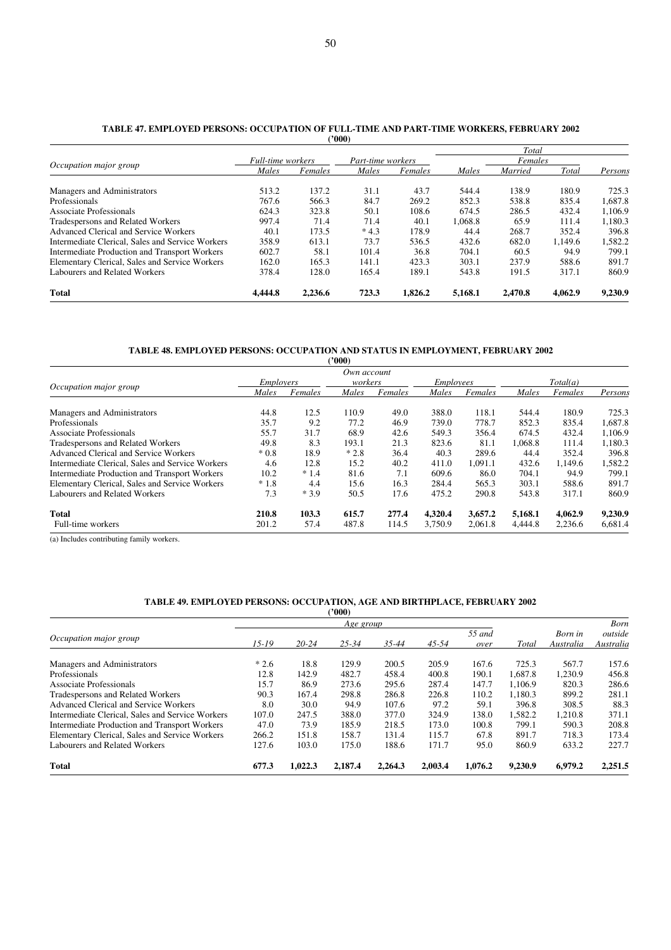#### **TABLE 47. EMPLOYED PERSONS: OCCUPATION OF FULL-TIME AND PART-TIME WORKERS, FEBRUARY 2002 ('000)**

|                                                  |                          |         | $\cdots$          |         |         | Total   |         |         |
|--------------------------------------------------|--------------------------|---------|-------------------|---------|---------|---------|---------|---------|
|                                                  | <b>Full-time</b> workers |         | Part-time workers |         |         | Females |         |         |
| Occupation major group                           | Males                    | Females | Males             | Females | Males   | Married | Total   | Persons |
| Managers and Administrators                      | 513.2                    | 137.2   | 31.1              | 43.7    | 544.4   | 138.9   | 180.9   | 725.3   |
| Professionals                                    | 767.6                    | 566.3   | 84.7              | 269.2   | 852.3   | 538.8   | 835.4   | 1.687.8 |
| Associate Professionals                          | 624.3                    | 323.8   | 50.1              | 108.6   | 674.5   | 286.5   | 432.4   | 1.106.9 |
| Tradespersons and Related Workers                | 997.4                    | 71.4    | 71.4              | 40.1    | 1,068.8 | 65.9    | 111.4   | 1,180.3 |
| <b>Advanced Clerical and Service Workers</b>     | 40.1                     | 173.5   | $*4.3$            | 178.9   | 44.4    | 268.7   | 352.4   | 396.8   |
| Intermediate Clerical, Sales and Service Workers | 358.9                    | 613.1   | 73.7              | 536.5   | 432.6   | 682.0   | 1.149.6 | 1,582.2 |
| Intermediate Production and Transport Workers    | 602.7                    | 58.1    | 101.4             | 36.8    | 704.1   | 60.5    | 94.9    | 799.1   |
| Elementary Clerical, Sales and Service Workers   | 162.0                    | 165.3   | 141.1             | 423.3   | 303.1   | 237.9   | 588.6   | 891.7   |
| Labourers and Related Workers                    | 378.4                    | 128.0   | 165.4             | 189.1   | 543.8   | 191.5   | 317.1   | 860.9   |
| <b>Total</b>                                     | 4,444.8                  | 2.236.6 | 723.3             | 1.826.2 | 5.168.1 | 2.470.8 | 4.062.9 | 9,230.9 |

#### **TABLE 48. EMPLOYED PERSONS: OCCUPATION AND STATUS IN EMPLOYMENT, FEBRUARY 2002**

|                                                  |                  |         | (2000)  |         |                  |         |         |          |         |
|--------------------------------------------------|------------------|---------|---------|---------|------------------|---------|---------|----------|---------|
| Own account                                      |                  |         |         |         |                  |         |         |          |         |
|                                                  | <i>Employers</i> |         | workers |         | <i>Employees</i> |         |         | Total(a) |         |
| Occupation major group                           | Males            | Females | Males   | Females | Males            | Females | Males   | Females  | Persons |
| Managers and Administrators                      | 44.8             | 12.5    | 110.9   | 49.0    | 388.0            | 118.1   | 544.4   | 180.9    | 725.3   |
| Professionals                                    | 35.7             | 9.2     | 77.2    | 46.9    | 739.0            | 778.7   | 852.3   | 835.4    | 1,687.8 |
| Associate Professionals                          | 55.7             | 31.7    | 68.9    | 42.6    | 549.3            | 356.4   | 674.5   | 432.4    | 1.106.9 |
| <b>Tradespersons and Related Workers</b>         | 49.8             | 8.3     | 193.1   | 21.3    | 823.6            | 81.1    | 1.068.8 | 111.4    | 1,180.3 |
| Advanced Clerical and Service Workers            | $*0.8$           | 18.9    | $*2.8$  | 36.4    | 40.3             | 289.6   | 44.4    | 352.4    | 396.8   |
| Intermediate Clerical, Sales and Service Workers | 4.6              | 12.8    | 15.2    | 40.2    | 411.0            | 1.091.1 | 432.6   | 1.149.6  | 1,582.2 |
| Intermediate Production and Transport Workers    | 10.2             | $*1.4$  | 81.6    | 7.1     | 609.6            | 86.0    | 704.1   | 94.9     | 799.1   |
| Elementary Clerical, Sales and Service Workers   | $*1.8$           | 4.4     | 15.6    | 16.3    | 284.4            | 565.3   | 303.1   | 588.6    | 891.7   |
| Labourers and Related Workers                    | 7.3              | $*3.9$  | 50.5    | 17.6    | 475.2            | 290.8   | 543.8   | 317.1    | 860.9   |
| <b>Total</b>                                     | 210.8            | 103.3   | 615.7   | 277.4   | 4,320.4          | 3,657.2 | 5,168.1 | 4,062.9  | 9,230.9 |
| Full-time workers                                | 201.2            | 57.4    | 487.8   | 114.5   | 3.750.9          | 2,061.8 | 4,444.8 | 2,236.6  | 6,681.4 |

(a) Includes contributing family workers.

#### **TABLE 49. EMPLOYED PERSONS: OCCUPATION, AGE AND BIRTHPLACE, FEBRUARY 2002**

|                                                  | ('000)    |           |           |         |           |                |         |                      |                      |  |
|--------------------------------------------------|-----------|-----------|-----------|---------|-----------|----------------|---------|----------------------|----------------------|--|
|                                                  |           | Age group |           |         |           |                |         |                      | <b>Born</b>          |  |
| Occupation major group                           | $15 - 19$ | $20 - 24$ | $25 - 34$ | 35-44   | $45 - 54$ | 55 and<br>over | Total   | Born in<br>Australia | outside<br>Australia |  |
| Managers and Administrators                      | $*2.6$    | 18.8      | 129.9     | 200.5   | 205.9     | 167.6          | 725.3   | 567.7                | 157.6                |  |
| Professionals                                    | 12.8      | 142.9     | 482.7     | 458.4   | 400.8     | 190.1          | 1,687.8 | 1,230.9              | 456.8                |  |
| Associate Professionals                          | 15.7      | 86.9      | 273.6     | 295.6   | 287.4     | 147.7          | 1.106.9 | 820.3                | 286.6                |  |
| <b>Tradespersons and Related Workers</b>         | 90.3      | 167.4     | 298.8     | 286.8   | 226.8     | 110.2          | 1.180.3 | 899.2                | 281.1                |  |
| <b>Advanced Clerical and Service Workers</b>     | 8.0       | 30.0      | 94.9      | 107.6   | 97.2      | 59.1           | 396.8   | 308.5                | 88.3                 |  |
| Intermediate Clerical, Sales and Service Workers | 107.0     | 247.5     | 388.0     | 377.0   | 324.9     | 138.0          | 1.582.2 | 1.210.8              | 371.1                |  |
| Intermediate Production and Transport Workers    | 47.0      | 73.9      | 185.9     | 218.5   | 173.0     | 100.8          | 799.1   | 590.3                | 208.8                |  |
| Elementary Clerical, Sales and Service Workers   | 266.2     | 151.8     | 158.7     | 131.4   | 115.7     | 67.8           | 891.7   | 718.3                | 173.4                |  |
| Labourers and Related Workers                    | 127.6     | 103.0     | 175.0     | 188.6   | 171.7     | 95.0           | 860.9   | 633.2                | 227.7                |  |
| <b>Total</b>                                     | 677.3     | 1.022.3   | 2.187.4   | 2.264.3 | 2,003.4   | 1.076.2        | 9.230.9 | 6.979.2              | 2.251.5              |  |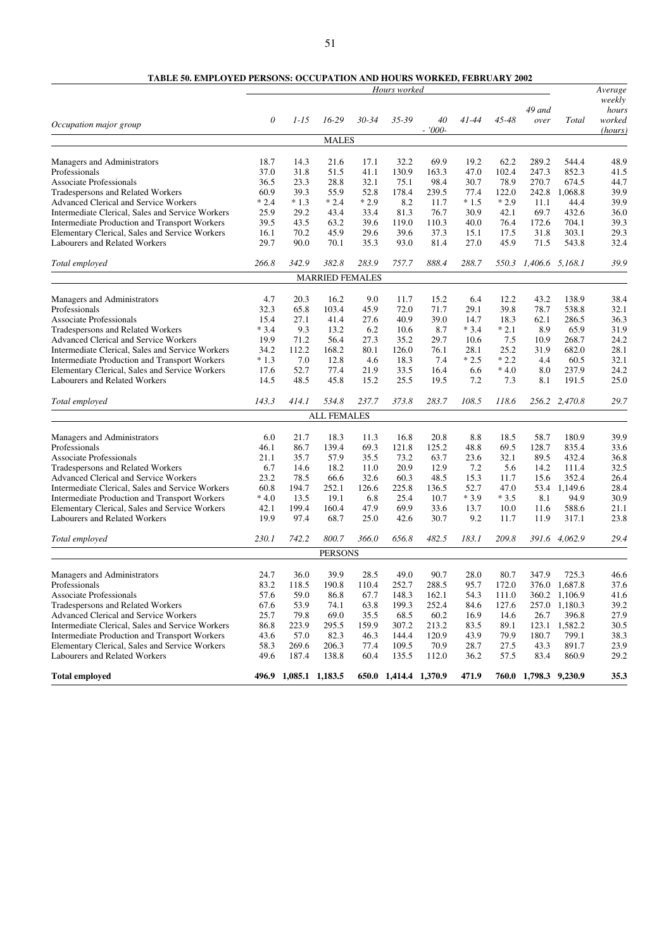# **TABLE 50. EMPLOYED PERSONS: OCCUPATION AND HOURS WORKED, FEBRUARY 2002**

|                                                                                 | Hours worked |                       |                        |              |                       |               | Average     |               |                       |                |                           |
|---------------------------------------------------------------------------------|--------------|-----------------------|------------------------|--------------|-----------------------|---------------|-------------|---------------|-----------------------|----------------|---------------------------|
|                                                                                 | 0            | $1 - 15$              | $16-29$                | $30 - 34$    | 35-39                 | 40            | $41 - 44$   | 45-48         | 49 and<br>over        | Total          | weekly<br>hours<br>worked |
| Occupation major group                                                          |              |                       |                        |              |                       | $-7000-$      |             |               |                       |                | (hours)                   |
|                                                                                 |              |                       | <b>MALES</b>           |              |                       |               |             |               |                       |                |                           |
|                                                                                 |              |                       |                        |              |                       |               |             |               |                       |                |                           |
| Managers and Administrators                                                     | 18.7         | 14.3                  | 21.6                   | 17.1         | 32.2                  | 69.9          | 19.2        | 62.2          | 289.2                 | 544.4          | 48.9                      |
| Professionals                                                                   | 37.0         | 31.8                  | 51.5                   | 41.1         | 130.9                 | 163.3         | 47.0        | 102.4         | 247.3                 | 852.3          | 41.5                      |
| <b>Associate Professionals</b>                                                  | 36.5         | 23.3                  | 28.8                   | 32.1         | 75.1                  | 98.4          | 30.7        | 78.9          | 270.7                 | 674.5          | 44.7                      |
| Tradespersons and Related Workers                                               | 60.9         | 39.3                  | 55.9                   | 52.8         | 178.4                 | 239.5         | 77.4        | 122.0         | 242.8                 | 1,068.8        | 39.9                      |
| <b>Advanced Clerical and Service Workers</b>                                    | $*2.4$       | $*1.3$                | $*2.4$                 | $*2.9$       | 8.2                   | 11.7          | $*1.5$      | $*2.9$        | 11.1                  | 44.4           | 39.9                      |
| Intermediate Clerical, Sales and Service Workers                                | 25.9         | 29.2                  | 43.4                   | 33.4         | 81.3                  | 76.7          | 30.9        | 42.1          | 69.7                  | 432.6          | 36.0                      |
| Intermediate Production and Transport Workers                                   | 39.5         | 43.5                  | 63.2                   | 39.6         | 119.0                 | 110.3         | 40.0        | 76.4          | 172.6                 | 704.1          | 39.3                      |
| Elementary Clerical, Sales and Service Workers                                  | 16.1         | 70.2                  | 45.9                   | 29.6         | 39.6                  | 37.3          | 15.1        | 17.5          | 31.8                  | 303.1          | 29.3                      |
| Labourers and Related Workers                                                   | 29.7         | 90.0                  | 70.1                   | 35.3         | 93.0                  | 81.4          | 27.0        | 45.9          | 71.5                  | 543.8          | 32.4                      |
| Total employed                                                                  | 266.8        | 342.9                 | 382.8                  | 283.9        | 757.7                 | 888.4         | 288.7       | 550.3         | 1,406.6 5,168.1       |                | 39.9                      |
|                                                                                 |              |                       | <b>MARRIED FEMALES</b> |              |                       |               |             |               |                       |                |                           |
|                                                                                 |              |                       |                        |              |                       |               |             |               |                       |                |                           |
| Managers and Administrators                                                     | 4.7          | 20.3                  | 16.2                   | 9.0          | 11.7                  | 15.2          | 6.4         | 12.2          | 43.2                  | 138.9          | 38.4                      |
| Professionals                                                                   | 32.3         | 65.8                  | 103.4                  | 45.9         | 72.0                  | 71.7          | 29.1        | 39.8          | 78.7                  | 538.8          | 32.1                      |
| <b>Associate Professionals</b>                                                  | 15.4         | 27.1                  | 41.4                   | 27.6         | 40.9                  | 39.0          | 14.7        | 18.3          | 62.1                  | 286.5          | 36.3                      |
| Tradespersons and Related Workers                                               | $*3.4$       | 9.3                   | 13.2                   | 6.2          | 10.6                  | 8.7           | $*3.4$      | $*2.1$        | 8.9                   | 65.9           | 31.9                      |
| <b>Advanced Clerical and Service Workers</b>                                    | 19.9         | 71.2                  | 56.4                   | 27.3         | 35.2                  | 29.7          | 10.6        | 7.5           | 10.9                  | 268.7          | 24.2                      |
| Intermediate Clerical, Sales and Service Workers                                | 34.2         | 112.2                 | 168.2                  | 80.1         | 126.0                 | 76.1          | 28.1        | 25.2          | 31.9                  | 682.0          | 28.1                      |
| Intermediate Production and Transport Workers                                   | $*1.3$       | 7.0                   | 12.8                   | 4.6          | 18.3                  | 7.4           | $*2.5$      | $*2.2$        | 4.4                   | 60.5           | 32.1                      |
| Elementary Clerical, Sales and Service Workers<br>Labourers and Related Workers | 17.6<br>14.5 | 52.7<br>48.5          | 77.4<br>45.8           | 21.9<br>15.2 | 33.5<br>25.5          | 16.4<br>19.5  | 6.6<br>7.2  | $*4.0$<br>7.3 | 8.0<br>8.1            | 237.9<br>191.5 | 24.2<br>25.0              |
|                                                                                 |              |                       |                        |              |                       |               |             |               |                       |                |                           |
| Total employed                                                                  | 143.3        | 414.1                 | 534.8                  | 237.7        | 373.8                 | 283.7         | 108.5       | 118.6         |                       | 256.2 2,470.8  | 29.7                      |
|                                                                                 |              |                       | <b>ALL FEMALES</b>     |              |                       |               |             |               |                       |                |                           |
|                                                                                 | 6.0          | 21.7                  |                        |              |                       |               |             |               |                       | 180.9          | 39.9                      |
| Managers and Administrators<br>Professionals                                    | 46.1         | 86.7                  | 18.3<br>139.4          | 11.3<br>69.3 | 16.8<br>121.8         | 20.8<br>125.2 | 8.8<br>48.8 | 18.5<br>69.5  | 58.7<br>128.7         | 835.4          | 33.6                      |
| <b>Associate Professionals</b>                                                  | 21.1         | 35.7                  | 57.9                   | 35.5         | 73.2                  | 63.7          | 23.6        | 32.1          | 89.5                  | 432.4          | 36.8                      |
| Tradespersons and Related Workers                                               | 6.7          | 14.6                  | 18.2                   | 11.0         | 20.9                  | 12.9          | 7.2         | 5.6           | 14.2                  | 111.4          | 32.5                      |
| Advanced Clerical and Service Workers                                           | 23.2         | 78.5                  | 66.6                   | 32.6         | 60.3                  | 48.5          | 15.3        | 11.7          | 15.6                  | 352.4          | 26.4                      |
| Intermediate Clerical, Sales and Service Workers                                | 60.8         | 194.7                 | 252.1                  | 126.6        | 225.8                 | 136.5         | 52.7        | 47.0          | 53.4                  | 1,149.6        | 28.4                      |
| Intermediate Production and Transport Workers                                   | $*4.0$       | 13.5                  | 19.1                   | 6.8          | 25.4                  | 10.7          | $*3.9$      | $*3.5$        | 8.1                   | 94.9           | 30.9                      |
| Elementary Clerical, Sales and Service Workers                                  | 42.1         | 199.4                 | 160.4                  | 47.9         | 69.9                  | 33.6          | 13.7        | 10.0          | 11.6                  | 588.6          | 21.1                      |
| Labourers and Related Workers                                                   | 19.9         | 97.4                  | 68.7                   | 25.0         | 42.6                  | 30.7          | 9.2         | 11.7          | 11.9                  | 317.1          | 23.8                      |
| Total employed                                                                  | 230.1        | 742.2                 | 800.7                  | 366.0        | 656.8                 | 482.5         | 183.1       | 209.8         |                       | 391.6 4,062.9  | 29.4                      |
|                                                                                 |              |                       | <b>PERSONS</b>         |              |                       |               |             |               |                       |                |                           |
|                                                                                 |              |                       |                        |              |                       |               |             |               |                       |                |                           |
| Managers and Administrators                                                     | 24.7         | 36.0                  | 39.9                   | 28.5         | 49.0                  | 90.7          | 28.0        | 80.7          | 347.9                 | 725.3          | 46.6                      |
| Professionals                                                                   | 83.2         | 118.5                 | 190.8                  | 110.4        | 252.7                 | 288.5         | 95.7        | 172.0         | 376.0                 | 1,687.8        | 37.6                      |
| Associate Professionals                                                         | 57.6         | 59.0                  | 86.8                   | 67.7         | 148.3                 | 162.1         | 54.3        | 111.0         |                       | 360.2 1,106.9  | 41.6                      |
| Tradespersons and Related Workers                                               | 67.6         | 53.9                  | 74.1                   | 63.8         | 199.3                 | 252.4         | 84.6        | 127.6         |                       | 257.0 1,180.3  | 39.2                      |
| Advanced Clerical and Service Workers                                           | 25.7         | 79.8                  | 69.0                   | 35.5         | 68.5                  | 60.2          | 16.9        | 14.6          | 26.7                  | 396.8          | 27.9                      |
| Intermediate Clerical, Sales and Service Workers                                | 86.8         | 223.9                 | 295.5                  | 159.9        | 307.2                 | 213.2         | 83.5        | 89.1          |                       | 123.1 1,582.2  | 30.5                      |
| <b>Intermediate Production and Transport Workers</b>                            | 43.6         | 57.0                  | 82.3                   | 46.3         | 144.4                 | 120.9         | 43.9        | 79.9          | 180.7                 | 799.1          | 38.3                      |
| Elementary Clerical, Sales and Service Workers                                  | 58.3         | 269.6                 | 206.3                  | 77.4         | 109.5                 | 70.9          | 28.7        | 27.5          | 43.3                  | 891.7          | 23.9                      |
| Labourers and Related Workers                                                   | 49.6         | 187.4                 | 138.8                  | 60.4         | 135.5                 | 112.0         | 36.2        | 57.5          | 83.4                  | 860.9          | 29.2                      |
| <b>Total employed</b>                                                           |              | 496.9 1,085.1 1,183.5 |                        |              | 650.0 1,414.4 1,370.9 |               | 471.9       |               | 760.0 1,798.3 9,230.9 |                | 35.3                      |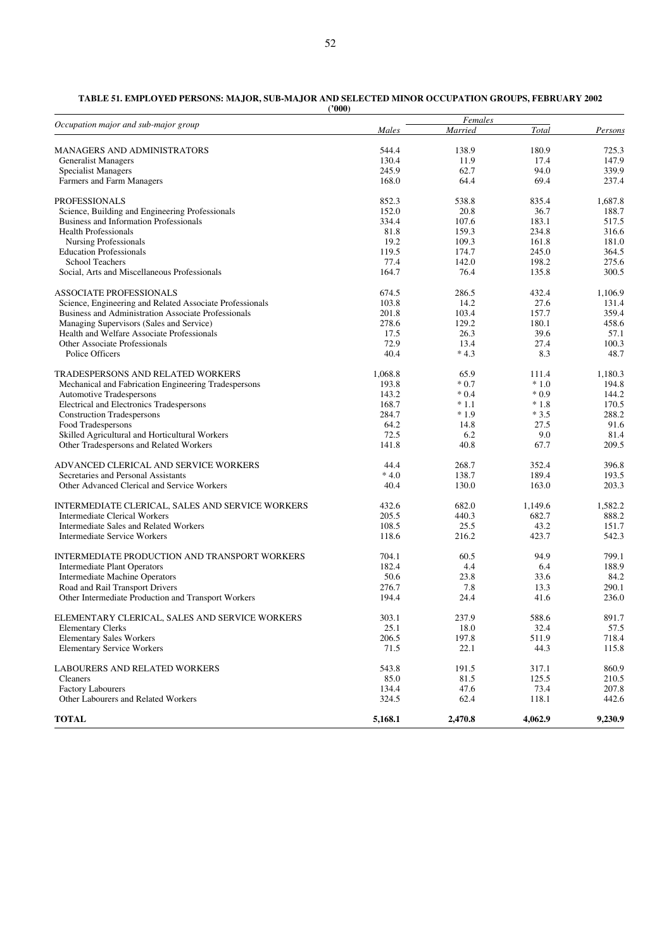| ('000) |
|--------|
|        |

| Occupation major and sub-major group                     |         | Females |         |         |  |
|----------------------------------------------------------|---------|---------|---------|---------|--|
|                                                          | Males   | Married | Total   | Persons |  |
| <b>MANAGERS AND ADMINISTRATORS</b>                       | 544.4   | 138.9   | 180.9   | 725.3   |  |
| <b>Generalist Managers</b>                               | 130.4   | 11.9    | 17.4    | 147.9   |  |
| <b>Specialist Managers</b>                               | 245.9   | 62.7    | 94.0    | 339.9   |  |
| Farmers and Farm Managers                                | 168.0   | 64.4    | 69.4    | 237.4   |  |
| <b>PROFESSIONALS</b>                                     | 852.3   | 538.8   | 835.4   | 1,687.8 |  |
| Science, Building and Engineering Professionals          | 152.0   | 20.8    | 36.7    | 188.7   |  |
| Business and Information Professionals                   | 334.4   | 107.6   | 183.1   | 517.5   |  |
| <b>Health Professionals</b>                              | 81.8    | 159.3   | 234.8   | 316.6   |  |
| <b>Nursing Professionals</b>                             | 19.2    | 109.3   | 161.8   | 181.0   |  |
| <b>Education Professionals</b>                           | 119.5   | 174.7   | 245.0   | 364.5   |  |
| <b>School Teachers</b>                                   | 77.4    | 142.0   | 198.2   | 275.6   |  |
| Social, Arts and Miscellaneous Professionals             | 164.7   | 76.4    | 135.8   | 300.5   |  |
| ASSOCIATE PROFESSIONALS                                  | 674.5   | 286.5   | 432.4   | 1,106.9 |  |
| Science, Engineering and Related Associate Professionals | 103.8   | 14.2    | 27.6    | 131.4   |  |
| Business and Administration Associate Professionals      | 201.8   | 103.4   | 157.7   | 359.4   |  |
| Managing Supervisors (Sales and Service)                 | 278.6   | 129.2   | 180.1   | 458.6   |  |
| Health and Welfare Associate Professionals               | 17.5    | 26.3    | 39.6    | 57.1    |  |
| Other Associate Professionals                            | 72.9    | 13.4    | 27.4    | 100.3   |  |
| Police Officers                                          | 40.4    | $*4.3$  | 8.3     | 48.7    |  |
| TRADESPERSONS AND RELATED WORKERS                        | 1,068.8 | 65.9    | 111.4   | 1,180.3 |  |
| Mechanical and Fabrication Engineering Tradespersons     | 193.8   | $*0.7$  | $*1.0$  | 194.8   |  |
| <b>Automotive Tradespersons</b>                          | 143.2   | $*0.4$  | $*0.9$  | 144.2   |  |
| Electrical and Electronics Tradespersons                 | 168.7   | $*1.1$  | $*1.8$  | 170.5   |  |
| <b>Construction Tradespersons</b>                        | 284.7   | $*1.9$  | $*3.5$  | 288.2   |  |
| Food Tradespersons                                       | 64.2    | 14.8    | 27.5    | 91.6    |  |
| Skilled Agricultural and Horticultural Workers           | 72.5    | 6.2     | 9.0     | 81.4    |  |
| Other Tradespersons and Related Workers                  | 141.8   | 40.8    | 67.7    | 209.5   |  |
| ADVANCED CLERICAL AND SERVICE WORKERS                    | 44.4    | 268.7   | 352.4   | 396.8   |  |
| Secretaries and Personal Assistants                      | $*4.0$  | 138.7   | 189.4   | 193.5   |  |
| Other Advanced Clerical and Service Workers              | 40.4    | 130.0   | 163.0   | 203.3   |  |
| INTERMEDIATE CLERICAL, SALES AND SERVICE WORKERS         | 432.6   | 682.0   | 1,149.6 | 1,582.2 |  |
| <b>Intermediate Clerical Workers</b>                     | 205.5   | 440.3   | 682.7   | 888.2   |  |
| Intermediate Sales and Related Workers                   | 108.5   | 25.5    | 43.2    | 151.7   |  |
| <b>Intermediate Service Workers</b>                      | 118.6   | 216.2   | 423.7   | 542.3   |  |
| INTERMEDIATE PRODUCTION AND TRANSPORT WORKERS            | 704.1   | 60.5    | 94.9    | 799.1   |  |
| <b>Intermediate Plant Operators</b>                      | 182.4   | 4.4     | 6.4     | 188.9   |  |
| Intermediate Machine Operators                           | 50.6    | 23.8    | 33.6    | 84.2    |  |
| Road and Rail Transport Drivers                          | 276.7   | 7.8     | 13.3    | 290.1   |  |
| Other Intermediate Production and Transport Workers      | 194.4   | 24.4    | 41.6    | 236.0   |  |
| ELEMENTARY CLERICAL, SALES AND SERVICE WORKERS           | 303.1   | 237.9   | 588.6   | 891.7   |  |
| <b>Elementary Clerks</b>                                 | 25.1    | 18.0    | 32.4    | 57.5    |  |
| <b>Elementary Sales Workers</b>                          | 206.5   | 197.8   | 511.9   | 718.4   |  |
| <b>Elementary Service Workers</b>                        | 71.5    | 22.1    | 44.3    | 115.8   |  |
| LABOURERS AND RELATED WORKERS                            | 543.8   | 191.5   | 317.1   | 860.9   |  |
| Cleaners                                                 | 85.0    | 81.5    | 125.5   | 210.5   |  |
| <b>Factory Labourers</b>                                 | 134.4   | 47.6    | 73.4    | 207.8   |  |
| Other Labourers and Related Workers                      | 324.5   | 62.4    | 118.1   | 442.6   |  |
| <b>TOTAL</b>                                             | 5,168.1 | 2,470.8 | 4,062.9 | 9,230.9 |  |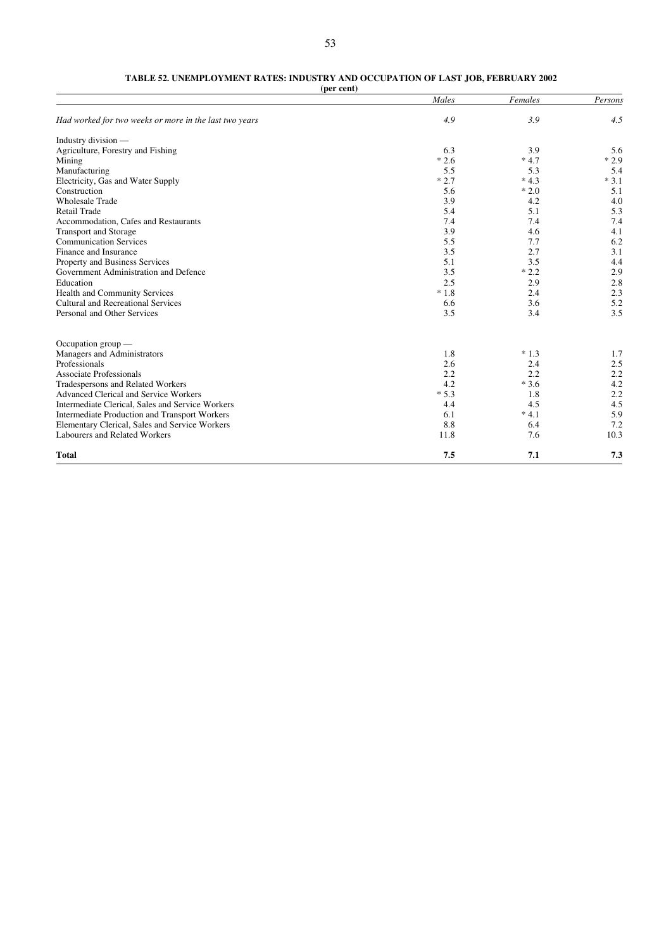# **TABLE 52. UNEMPLOYMENT RATES: INDUSTRY AND OCCUPATION OF LAST JOB, FEBRUARY 2002**

**(per cent)**

|                                                        | Males  | Females | Persons |
|--------------------------------------------------------|--------|---------|---------|
| Had worked for two weeks or more in the last two years | 4.9    | 3.9     | 4.5     |
| Industry division -                                    |        |         |         |
| Agriculture, Forestry and Fishing                      | 6.3    | 3.9     | 5.6     |
| Mining                                                 | $*2.6$ | $*4.7$  | $*2.9$  |
| Manufacturing                                          | 5.5    | 5.3     | 5.4     |
| Electricity, Gas and Water Supply                      | $*2.7$ | $*4.3$  | $*3.1$  |
| Construction                                           | 5.6    | $*2.0$  | 5.1     |
| <b>Wholesale Trade</b>                                 | 3.9    | 4.2     | 4.0     |
| <b>Retail Trade</b>                                    | 5.4    | 5.1     | 5.3     |
| Accommodation, Cafes and Restaurants                   | 7.4    | 7.4     | 7.4     |
| <b>Transport and Storage</b>                           | 3.9    | 4.6     | 4.1     |
| <b>Communication Services</b>                          | 5.5    | 7.7     | 6.2     |
| Finance and Insurance                                  | 3.5    | 2.7     | 3.1     |
| Property and Business Services                         | 5.1    | 3.5     | 4.4     |
| Government Administration and Defence                  | 3.5    | $*2.2$  | 2.9     |
| Education                                              | 2.5    | 2.9     | 2.8     |
| Health and Community Services                          | $*1.8$ | 2.4     | 2.3     |
| <b>Cultural and Recreational Services</b>              | 6.6    | 3.6     | 5.2     |
| Personal and Other Services                            | 3.5    | 3.4     | 3.5     |
| Occupation group $-$                                   |        |         |         |
| Managers and Administrators                            | 1.8    | $*1.3$  | 1.7     |
| Professionals                                          | 2.6    | 2.4     | 2.5     |
| <b>Associate Professionals</b>                         | 2.2    | 2.2     | 2.2     |
| Tradespersons and Related Workers                      | 4.2    | $*3.6$  | 4.2     |
| Advanced Clerical and Service Workers                  | $*5.3$ | 1.8     | 2.2     |
| Intermediate Clerical, Sales and Service Workers       | 4.4    | 4.5     | 4.5     |
| Intermediate Production and Transport Workers          | 6.1    | $*4.1$  | 5.9     |
| Elementary Clerical, Sales and Service Workers         | 8.8    | 6.4     | 7.2     |
| Labourers and Related Workers                          | 11.8   | 7.6     | 10.3    |
| <b>Total</b>                                           | 7.5    | 7.1     | 7.3     |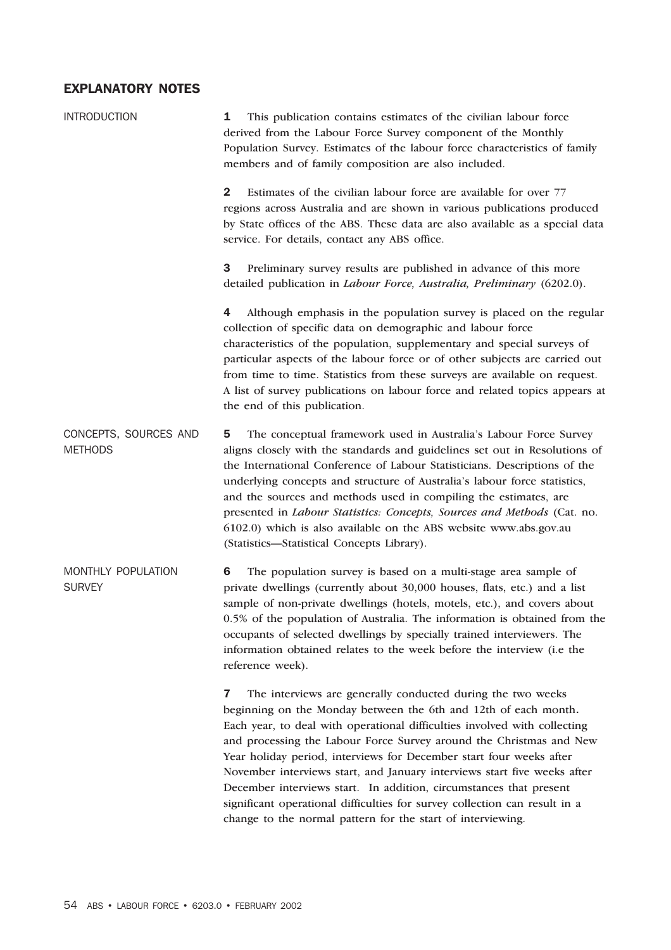# EXPLANATORY NOTES

| <b>INTRODUCTION</b>                     | This publication contains estimates of the civilian labour force<br>1<br>derived from the Labour Force Survey component of the Monthly<br>Population Survey. Estimates of the labour force characteristics of family<br>members and of family composition are also included.                                                                                                                                                                                                                                                                                                                                                                                             |  |  |  |  |  |
|-----------------------------------------|--------------------------------------------------------------------------------------------------------------------------------------------------------------------------------------------------------------------------------------------------------------------------------------------------------------------------------------------------------------------------------------------------------------------------------------------------------------------------------------------------------------------------------------------------------------------------------------------------------------------------------------------------------------------------|--|--|--|--|--|
|                                         | Estimates of the civilian labour force are available for over 77<br>$\mathbf{2}$<br>regions across Australia and are shown in various publications produced<br>by State offices of the ABS. These data are also available as a special data<br>service. For details, contact any ABS office.                                                                                                                                                                                                                                                                                                                                                                             |  |  |  |  |  |
|                                         | 3<br>Preliminary survey results are published in advance of this more<br>detailed publication in Labour Force, Australia, Preliminary (6202.0).                                                                                                                                                                                                                                                                                                                                                                                                                                                                                                                          |  |  |  |  |  |
|                                         | 4<br>Although emphasis in the population survey is placed on the regular<br>collection of specific data on demographic and labour force<br>characteristics of the population, supplementary and special surveys of<br>particular aspects of the labour force or of other subjects are carried out<br>from time to time. Statistics from these surveys are available on request.<br>A list of survey publications on labour force and related topics appears at<br>the end of this publication.                                                                                                                                                                           |  |  |  |  |  |
| CONCEPTS, SOURCES AND<br><b>METHODS</b> | The conceptual framework used in Australia's Labour Force Survey<br>5<br>aligns closely with the standards and guidelines set out in Resolutions of<br>the International Conference of Labour Statisticians. Descriptions of the<br>underlying concepts and structure of Australia's labour force statistics,<br>and the sources and methods used in compiling the estimates, are<br>presented in Labour Statistics: Concepts, Sources and Methods (Cat. no.<br>6102.0) which is also available on the ABS website www.abs.gov.au<br>(Statistics-Statistical Concepts Library).                                                                                          |  |  |  |  |  |
| MONTHLY POPULATION<br><b>SURVEY</b>     | The population survey is based on a multi-stage area sample of<br>6<br>private dwellings (currently about 30,000 houses, flats, etc.) and a list<br>sample of non-private dwellings (hotels, motels, etc.), and covers about<br>0.5% of the population of Australia. The information is obtained from the<br>occupants of selected dwellings by specially trained interviewers. The<br>information obtained relates to the week before the interview (i.e the<br>reference week).                                                                                                                                                                                        |  |  |  |  |  |
|                                         | $\mathbf{7}$<br>The interviews are generally conducted during the two weeks<br>beginning on the Monday between the 6th and 12th of each month.<br>Each year, to deal with operational difficulties involved with collecting<br>and processing the Labour Force Survey around the Christmas and New<br>Year holiday period, interviews for December start four weeks after<br>November interviews start, and January interviews start five weeks after<br>December interviews start. In addition, circumstances that present<br>significant operational difficulties for survey collection can result in a<br>change to the normal pattern for the start of interviewing. |  |  |  |  |  |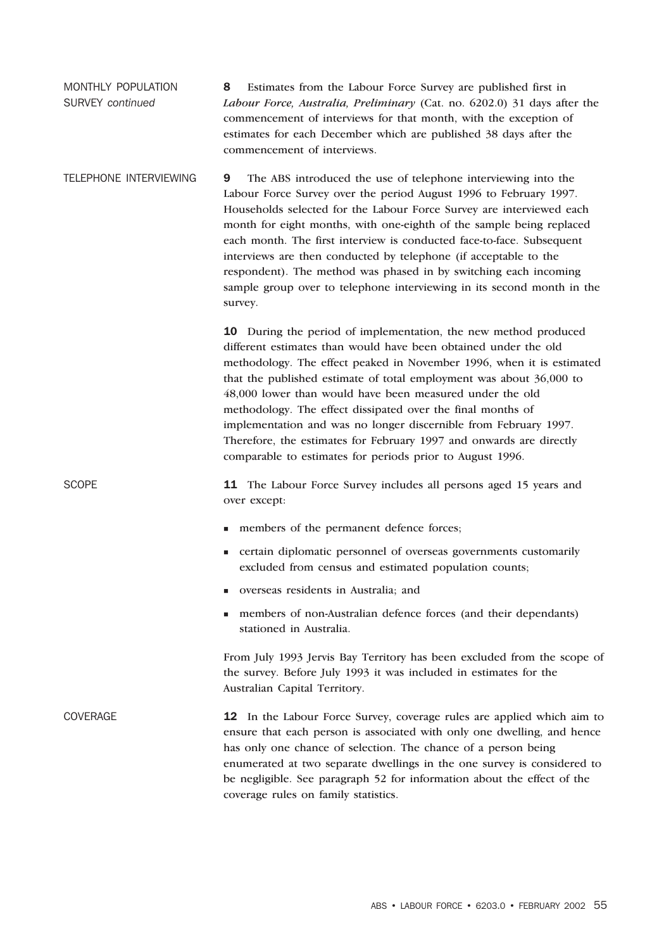MONTHLY POPULATION SURVEY *continued* 8 Estimates from the Labour Force Survey are published first in *Labour Force, Australia, Preliminary* (Cat. no. 6202.0) 31 days after the commencement of interviews for that month, with the exception of estimates for each December which are published 38 days after the commencement of interviews.

TELEPHONE INTERVIEWING 9 The ABS introduced the use of telephone interviewing into the Labour Force Survey over the period August 1996 to February 1997. Households selected for the Labour Force Survey are interviewed each month for eight months, with one-eighth of the sample being replaced each month. The first interview is conducted face-to-face. Subsequent interviews are then conducted by telephone (if acceptable to the respondent). The method was phased in by switching each incoming sample group over to telephone interviewing in its second month in the survey.

> 10 During the period of implementation, the new method produced different estimates than would have been obtained under the old methodology. The effect peaked in November 1996, when it is estimated that the published estimate of total employment was about 36,000 to 48,000 lower than would have been measured under the old methodology. The effect dissipated over the final months of implementation and was no longer discernible from February 1997. Therefore, the estimates for February 1997 and onwards are directly comparable to estimates for periods prior to August 1996.

SCOPE 11 The Labour Force Survey includes all persons aged 15 years and over except:

- members of the permanent defence forces;
- certain diplomatic personnel of overseas governments customarily excluded from census and estimated population counts;
- overseas residents in Australia; and
- members of non-Australian defence forces (and their dependants) stationed in Australia.

From July 1993 Jervis Bay Territory has been excluded from the scope of the survey. Before July 1993 it was included in estimates for the Australian Capital Territory.

COVERAGE 12 In the Labour Force Survey, coverage rules are applied which aim to ensure that each person is associated with only one dwelling, and hence has only one chance of selection. The chance of a person being enumerated at two separate dwellings in the one survey is considered to be negligible. See paragraph 52 for information about the effect of the coverage rules on family statistics.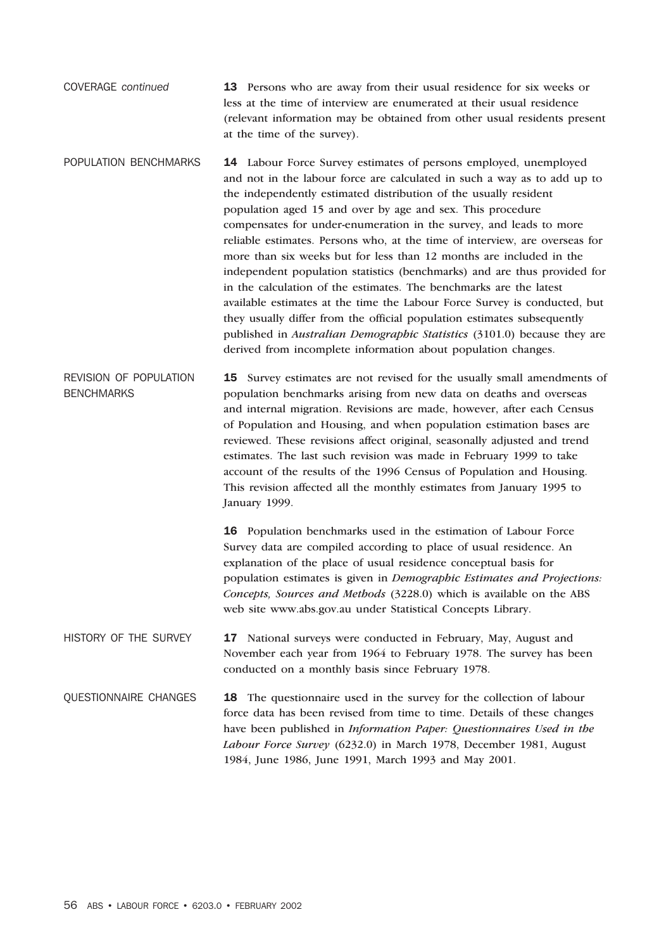- COVERAGE *continued* 13 Persons who are away from their usual residence for six weeks or less at the time of interview are enumerated at their usual residence (relevant information may be obtained from other usual residents present at the time of the survey).
- POPULATION BENCHMARKS 14 Labour Force Survey estimates of persons employed, unemployed and not in the labour force are calculated in such a way as to add up to the independently estimated distribution of the usually resident population aged 15 and over by age and sex. This procedure compensates for under-enumeration in the survey, and leads to more reliable estimates. Persons who, at the time of interview, are overseas for more than six weeks but for less than 12 months are included in the independent population statistics (benchmarks) and are thus provided for in the calculation of the estimates. The benchmarks are the latest available estimates at the time the Labour Force Survey is conducted, but they usually differ from the official population estimates subsequently published in *Australian Demographic Statistics* (3101.0) because they are derived from incomplete information about population changes.
- REVISION OF POPULATION **BENCHMARKS** 15 Survey estimates are not revised for the usually small amendments of population benchmarks arising from new data on deaths and overseas and internal migration. Revisions are made, however, after each Census of Population and Housing, and when population estimation bases are reviewed. These revisions affect original, seasonally adjusted and trend estimates. The last such revision was made in February 1999 to take account of the results of the 1996 Census of Population and Housing. This revision affected all the monthly estimates from January 1995 to January 1999.
	- 16 Population benchmarks used in the estimation of Labour Force Survey data are compiled according to place of usual residence. An explanation of the place of usual residence conceptual basis for population estimates is given in *Demographic Estimates and Projections: Concepts, Sources and Methods* (3228.0) which is available on the ABS web site www.abs.gov.au under Statistical Concepts Library.
- HISTORY OF THE SURVEY 17 National surveys were conducted in February, May, August and November each year from 1964 to February 1978. The survey has been conducted on a monthly basis since February 1978.
- QUESTIONNAIRE CHANGES 18 The questionnaire used in the survey for the collection of labour force data has been revised from time to time. Details of these changes have been published in *Information Paper: Questionnaires Used in the Labour Force Survey* (6232.0) in March 1978, December 1981, August 1984, June 1986, June 1991, March 1993 and May 2001.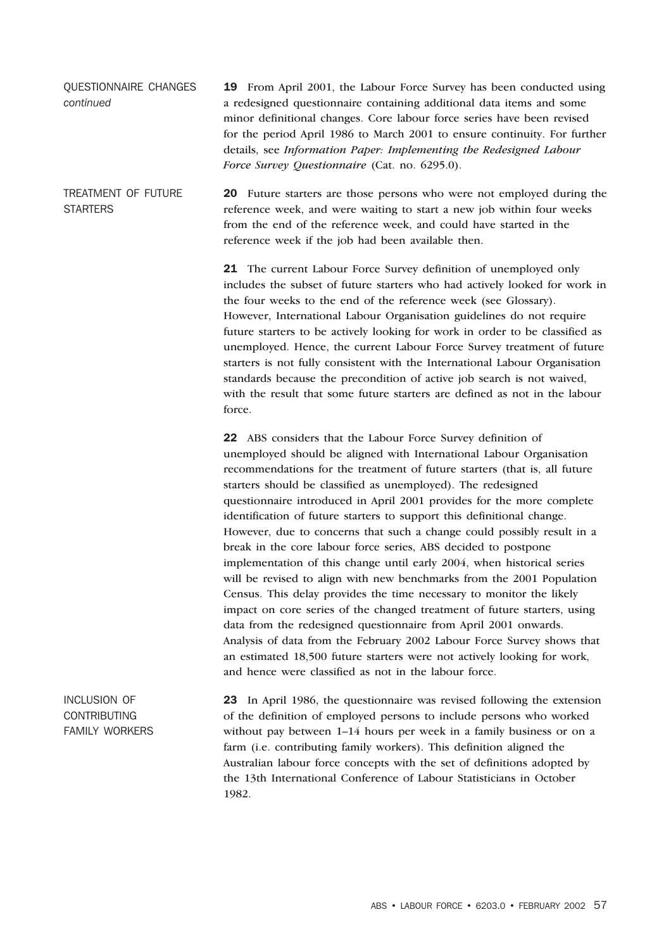QUESTIONNAIRE CHANGES *continued* 19 From April 2001, the Labour Force Survey has been conducted using a redesigned questionnaire containing additional data items and some minor definitional changes. Core labour force series have been revised for the period April 1986 to March 2001 to ensure continuity. For further details, see *Information Paper: Implementing the Redesigned Labour Force Survey Questionnaire* (Cat. no. 6295.0).

TREATMENT OF FUTURE **STARTERS** 20 Future starters are those persons who were not employed during the reference week, and were waiting to start a new job within four weeks from the end of the reference week, and could have started in the reference week if the job had been available then.

> 21 The current Labour Force Survey definition of unemployed only includes the subset of future starters who had actively looked for work in the four weeks to the end of the reference week (see Glossary). However, International Labour Organisation guidelines do not require future starters to be actively looking for work in order to be classified as unemployed. Hence, the current Labour Force Survey treatment of future starters is not fully consistent with the International Labour Organisation standards because the precondition of active job search is not waived, with the result that some future starters are defined as not in the labour force.

22 ABS considers that the Labour Force Survey definition of unemployed should be aligned with International Labour Organisation recommendations for the treatment of future starters (that is, all future starters should be classified as unemployed). The redesigned questionnaire introduced in April 2001 provides for the more complete identification of future starters to support this definitional change. However, due to concerns that such a change could possibly result in a break in the core labour force series, ABS decided to postpone implementation of this change until early 2004, when historical series will be revised to align with new benchmarks from the 2001 Population Census. This delay provides the time necessary to monitor the likely impact on core series of the changed treatment of future starters, using data from the redesigned questionnaire from April 2001 onwards. Analysis of data from the February 2002 Labour Force Survey shows that an estimated 18,500 future starters were not actively looking for work, and hence were classified as not in the labour force.

INCLUSION OF CONTRIBUTING FAMILY WORKERS 23 In April 1986, the questionnaire was revised following the extension of the definition of employed persons to include persons who worked without pay between 1–14 hours per week in a family business or on a farm (i.e. contributing family workers). This definition aligned the Australian labour force concepts with the set of definitions adopted by the 13th International Conference of Labour Statisticians in October 1982.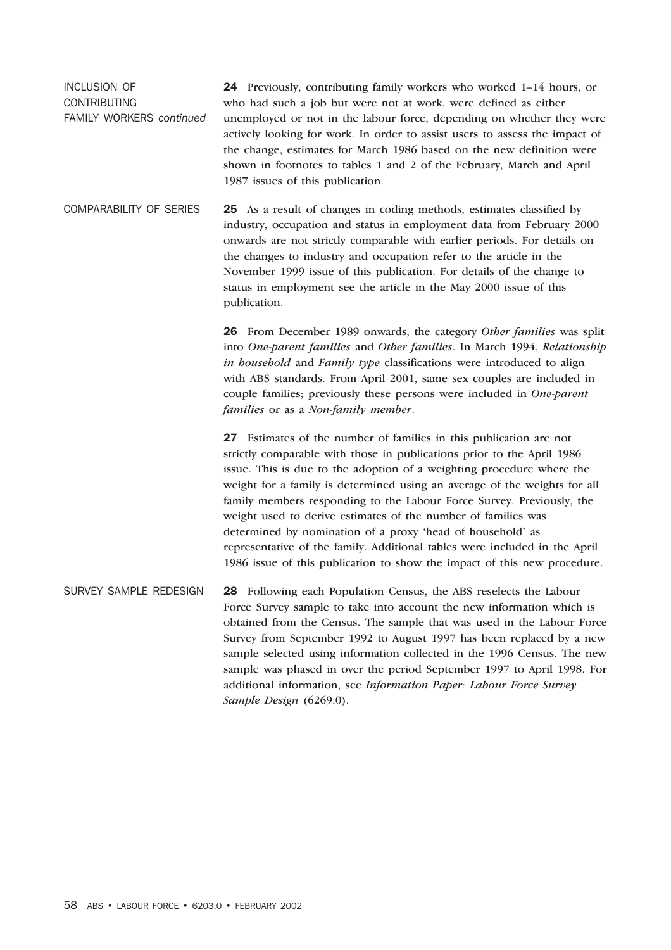INCLUSION OF CONTRIBUTING FAMILY WORKERS *continued* 24 Previously, contributing family workers who worked 1–14 hours, or who had such a job but were not at work, were defined as either unemployed or not in the labour force, depending on whether they were actively looking for work. In order to assist users to assess the impact of the change, estimates for March 1986 based on the new definition were shown in footnotes to tables 1 and 2 of the February, March and April 1987 issues of this publication.

COMPARABILITY OF SERIES 25 As a result of changes in coding methods, estimates classified by industry, occupation and status in employment data from February 2000 onwards are not strictly comparable with earlier periods. For details on the changes to industry and occupation refer to the article in the November 1999 issue of this publication. For details of the change to status in employment see the article in the May 2000 issue of this publication.

> 26 From December 1989 onwards, the category *Other families* was split into *One-parent families* and *Other families*. In March 1994, *Relationship in household* and *Family type* classifications were introduced to align with ABS standards. From April 2001, same sex couples are included in couple families; previously these persons were included in *One-parent families* or as a *Non-family member*.

> 27 Estimates of the number of families in this publication are not strictly comparable with those in publications prior to the April 1986 issue. This is due to the adoption of a weighting procedure where the weight for a family is determined using an average of the weights for all family members responding to the Labour Force Survey. Previously, the weight used to derive estimates of the number of families was determined by nomination of a proxy 'head of household' as representative of the family. Additional tables were included in the April 1986 issue of this publication to show the impact of this new procedure.

SURVEY SAMPLE REDESIGN 28 Following each Population Census, the ABS reselects the Labour Force Survey sample to take into account the new information which is obtained from the Census. The sample that was used in the Labour Force Survey from September 1992 to August 1997 has been replaced by a new sample selected using information collected in the 1996 Census. The new sample was phased in over the period September 1997 to April 1998. For additional information, see *Information Paper: Labour Force Survey Sample Design* (6269.0).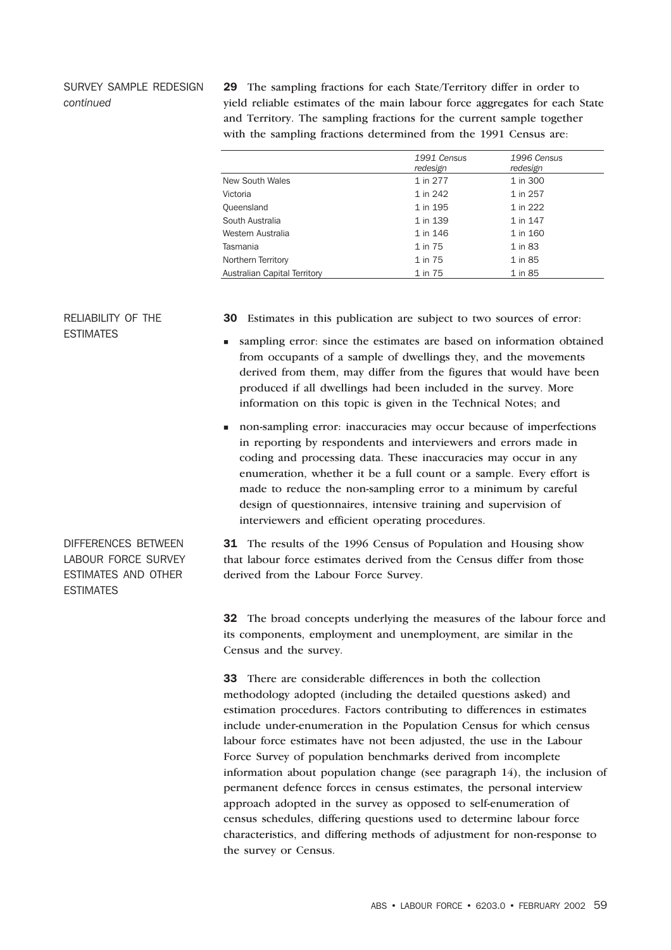# SURVEY SAMPLE REDESIGN *continued*

29 The sampling fractions for each State/Territory differ in order to yield reliable estimates of the main labour force aggregates for each State and Territory. The sampling fractions for the current sample together with the sampling fractions determined from the 1991 Census are:

|                              | 1991 Census<br>redesign | 1996 Census<br>redesign |
|------------------------------|-------------------------|-------------------------|
| <b>New South Wales</b>       | 1 in 277                | 1 in 300                |
| Victoria                     | 1 in 242                | 1 in 257                |
| Queensland                   | 1 in 195                | 1 in 222                |
| South Australia              | 1 in 139                | 1 in 147                |
| Western Australia            | 1 in 146                | 1 in 160                |
| Tasmania                     | 1 in 75                 | 1 in 83                 |
| Northern Territory           | 1 in 75                 | 1 in 85                 |
| Australian Capital Territory | 1 in 75                 | 1 in 85                 |

# RELIABILITY OF THE ESTIMATES

30 Estimates in this publication are subject to two sources of error:

- sampling error: since the estimates are based on information obtained from occupants of a sample of dwellings they, and the movements derived from them, may differ from the figures that would have been produced if all dwellings had been included in the survey. More information on this topic is given in the Technical Notes; and
- non-sampling error: inaccuracies may occur because of imperfections in reporting by respondents and interviewers and errors made in coding and processing data. These inaccuracies may occur in any enumeration, whether it be a full count or a sample. Every effort is made to reduce the non-sampling error to a minimum by careful design of questionnaires, intensive training and supervision of interviewers and efficient operating procedures.

DIFFERENCES BETWEEN LABOUR FORCE SURVEY ESTIMATES AND OTHER **FSTIMATES** 

31 The results of the 1996 Census of Population and Housing show that labour force estimates derived from the Census differ from those derived from the Labour Force Survey.

32 The broad concepts underlying the measures of the labour force and its components, employment and unemployment, are similar in the Census and the survey.

33 There are considerable differences in both the collection methodology adopted (including the detailed questions asked) and estimation procedures. Factors contributing to differences in estimates include under-enumeration in the Population Census for which census labour force estimates have not been adjusted, the use in the Labour Force Survey of population benchmarks derived from incomplete information about population change (see paragraph 14), the inclusion of permanent defence forces in census estimates, the personal interview approach adopted in the survey as opposed to self-enumeration of census schedules, differing questions used to determine labour force characteristics, and differing methods of adjustment for non-response to the survey or Census.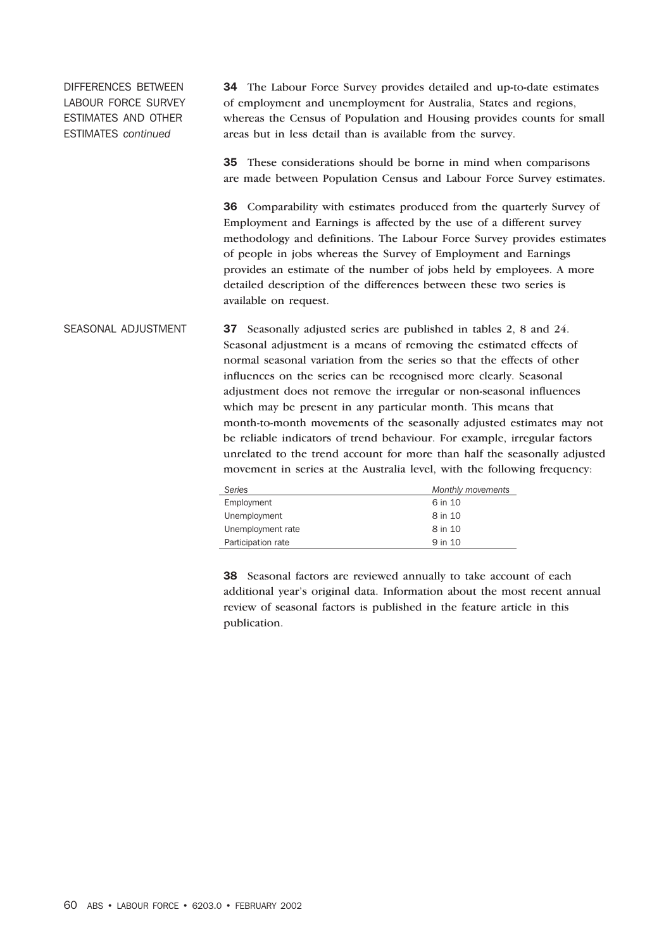DIFFERENCES BETWEEN LABOUR FORCE SURVEY ESTIMATES AND OTHER ESTIMATES *continued*

34 The Labour Force Survey provides detailed and up-to-date estimates of employment and unemployment for Australia, States and regions, whereas the Census of Population and Housing provides counts for small areas but in less detail than is available from the survey.

35 These considerations should be borne in mind when comparisons are made between Population Census and Labour Force Survey estimates.

36 Comparability with estimates produced from the quarterly Survey of Employment and Earnings is affected by the use of a different survey methodology and definitions. The Labour Force Survey provides estimates of people in jobs whereas the Survey of Employment and Earnings provides an estimate of the number of jobs held by employees. A more detailed description of the differences between these two series is available on request.

SEASONAL ADJUSTMENT 37 Seasonally adjusted series are published in tables 2, 8 and 24. Seasonal adjustment is a means of removing the estimated effects of normal seasonal variation from the series so that the effects of other influences on the series can be recognised more clearly. Seasonal adjustment does not remove the irregular or non-seasonal influences which may be present in any particular month. This means that month-to-month movements of the seasonally adjusted estimates may not be reliable indicators of trend behaviour. For example, irregular factors unrelated to the trend account for more than half the seasonally adjusted movement in series at the Australia level, with the following frequency:

| Series             | Monthly movements |
|--------------------|-------------------|
| Employment         | 6 in 10           |
| Unemployment       | 8 in 10           |
| Unemployment rate  | 8 in 10           |
| Participation rate | 9 in 10           |

38 Seasonal factors are reviewed annually to take account of each additional year's original data. Information about the most recent annual review of seasonal factors is published in the feature article in this publication.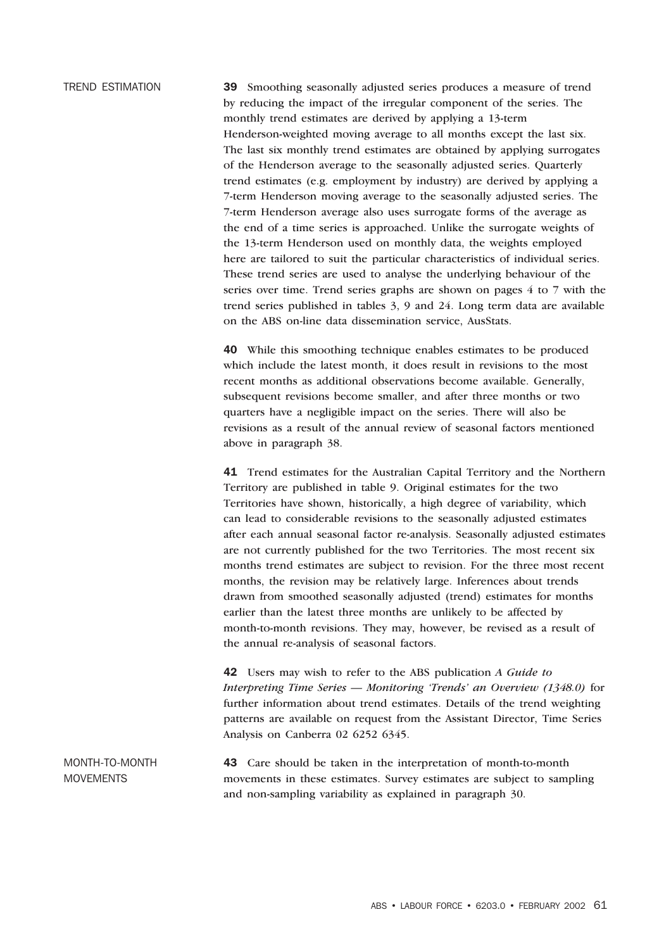TREND ESTIMATION 39 Smoothing seasonally adjusted series produces a measure of trend by reducing the impact of the irregular component of the series. The monthly trend estimates are derived by applying a 13-term Henderson-weighted moving average to all months except the last six. The last six monthly trend estimates are obtained by applying surrogates of the Henderson average to the seasonally adjusted series. Quarterly trend estimates (e.g. employment by industry) are derived by applying a 7-term Henderson moving average to the seasonally adjusted series. The 7-term Henderson average also uses surrogate forms of the average as the end of a time series is approached. Unlike the surrogate weights of the 13-term Henderson used on monthly data, the weights employed here are tailored to suit the particular characteristics of individual series. These trend series are used to analyse the underlying behaviour of the series over time. Trend series graphs are shown on pages 4 to 7 with the trend series published in tables 3, 9 and 24. Long term data are available

> 40 While this smoothing technique enables estimates to be produced which include the latest month, it does result in revisions to the most recent months as additional observations become available. Generally, subsequent revisions become smaller, and after three months or two quarters have a negligible impact on the series. There will also be revisions as a result of the annual review of seasonal factors mentioned above in paragraph 38.

on the ABS on-line data dissemination service, AusStats.

41 Trend estimates for the Australian Capital Territory and the Northern Territory are published in table 9. Original estimates for the two Territories have shown, historically, a high degree of variability, which can lead to considerable revisions to the seasonally adjusted estimates after each annual seasonal factor re-analysis. Seasonally adjusted estimates are not currently published for the two Territories. The most recent six months trend estimates are subject to revision. For the three most recent months, the revision may be relatively large. Inferences about trends drawn from smoothed seasonally adjusted (trend) estimates for months earlier than the latest three months are unlikely to be affected by month-to-month revisions. They may, however, be revised as a result of the annual re-analysis of seasonal factors.

42 Users may wish to refer to the ABS publication *A Guide to Interpreting Time Series — Monitoring 'Trends' an Overview (1348.0)* for further information about trend estimates. Details of the trend weighting patterns are available on request from the Assistant Director, Time Series Analysis on Canberra 02 6252 6345.

MONTH-TO-MONTH MOVEMENTS 43 Care should be taken in the interpretation of month-to-month movements in these estimates. Survey estimates are subject to sampling and non-sampling variability as explained in paragraph 30.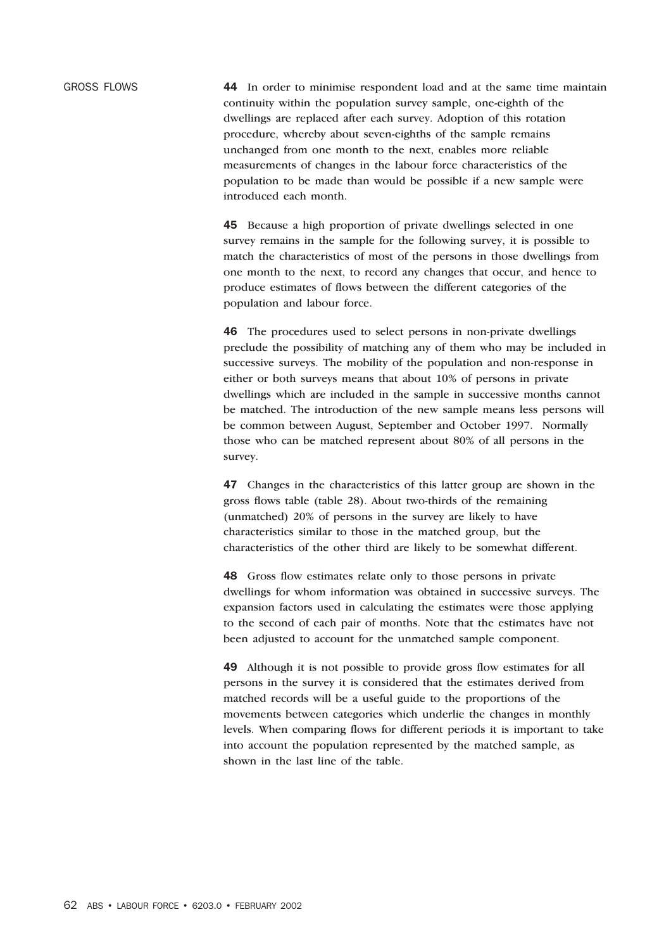GROSS FLOWS 44 In order to minimise respondent load and at the same time maintain continuity within the population survey sample, one-eighth of the dwellings are replaced after each survey. Adoption of this rotation procedure, whereby about seven-eighths of the sample remains unchanged from one month to the next, enables more reliable measurements of changes in the labour force characteristics of the population to be made than would be possible if a new sample were introduced each month.

> 45 Because a high proportion of private dwellings selected in one survey remains in the sample for the following survey, it is possible to match the characteristics of most of the persons in those dwellings from one month to the next, to record any changes that occur, and hence to produce estimates of flows between the different categories of the population and labour force.

46 The procedures used to select persons in non-private dwellings preclude the possibility of matching any of them who may be included in successive surveys. The mobility of the population and non-response in either or both surveys means that about 10% of persons in private dwellings which are included in the sample in successive months cannot be matched. The introduction of the new sample means less persons will be common between August, September and October 1997. Normally those who can be matched represent about 80% of all persons in the survey.

47 Changes in the characteristics of this latter group are shown in the gross flows table (table 28). About two-thirds of the remaining (unmatched) 20% of persons in the survey are likely to have characteristics similar to those in the matched group, but the characteristics of the other third are likely to be somewhat different.

48 Gross flow estimates relate only to those persons in private dwellings for whom information was obtained in successive surveys. The expansion factors used in calculating the estimates were those applying to the second of each pair of months. Note that the estimates have not been adjusted to account for the unmatched sample component.

49 Although it is not possible to provide gross flow estimates for all persons in the survey it is considered that the estimates derived from matched records will be a useful guide to the proportions of the movements between categories which underlie the changes in monthly levels. When comparing flows for different periods it is important to take into account the population represented by the matched sample, as shown in the last line of the table.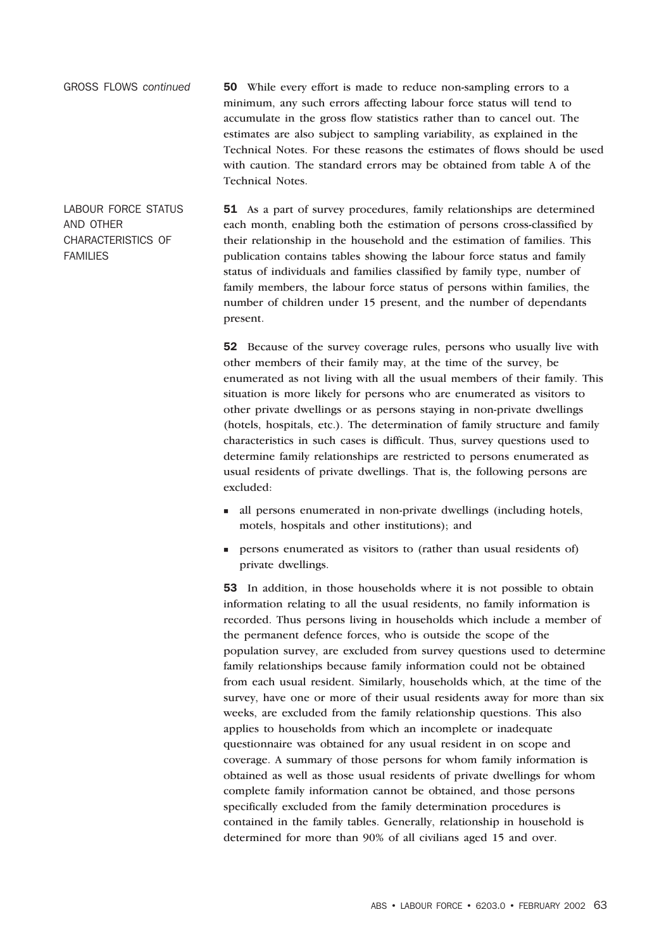GROSS FLOWS *continued* 50 While every effort is made to reduce non-sampling errors to a minimum, any such errors affecting labour force status will tend to accumulate in the gross flow statistics rather than to cancel out. The estimates are also subject to sampling variability, as explained in the Technical Notes. For these reasons the estimates of flows should be used with caution. The standard errors may be obtained from table A of the Technical Notes.

LABOUR FORCE STATUS AND OTHER CHARACTERISTICS OF FAMILIES 51 As a part of survey procedures, family relationships are determined each month, enabling both the estimation of persons cross-classified by their relationship in the household and the estimation of families. This publication contains tables showing the labour force status and family status of individuals and families classified by family type, number of family members, the labour force status of persons within families, the number of children under 15 present, and the number of dependants present.

> **52** Because of the survey coverage rules, persons who usually live with other members of their family may, at the time of the survey, be enumerated as not living with all the usual members of their family. This situation is more likely for persons who are enumerated as visitors to other private dwellings or as persons staying in non-private dwellings (hotels, hospitals, etc.). The determination of family structure and family characteristics in such cases is difficult. Thus, survey questions used to determine family relationships are restricted to persons enumerated as usual residents of private dwellings. That is, the following persons are excluded:

- all persons enumerated in non-private dwellings (including hotels, motels, hospitals and other institutions); and
- persons enumerated as visitors to (rather than usual residents of) private dwellings.

53 In addition, in those households where it is not possible to obtain information relating to all the usual residents, no family information is recorded. Thus persons living in households which include a member of the permanent defence forces, who is outside the scope of the population survey, are excluded from survey questions used to determine family relationships because family information could not be obtained from each usual resident. Similarly, households which, at the time of the survey, have one or more of their usual residents away for more than six weeks, are excluded from the family relationship questions. This also applies to households from which an incomplete or inadequate questionnaire was obtained for any usual resident in on scope and coverage. A summary of those persons for whom family information is obtained as well as those usual residents of private dwellings for whom complete family information cannot be obtained, and those persons specifically excluded from the family determination procedures is contained in the family tables. Generally, relationship in household is determined for more than 90% of all civilians aged 15 and over.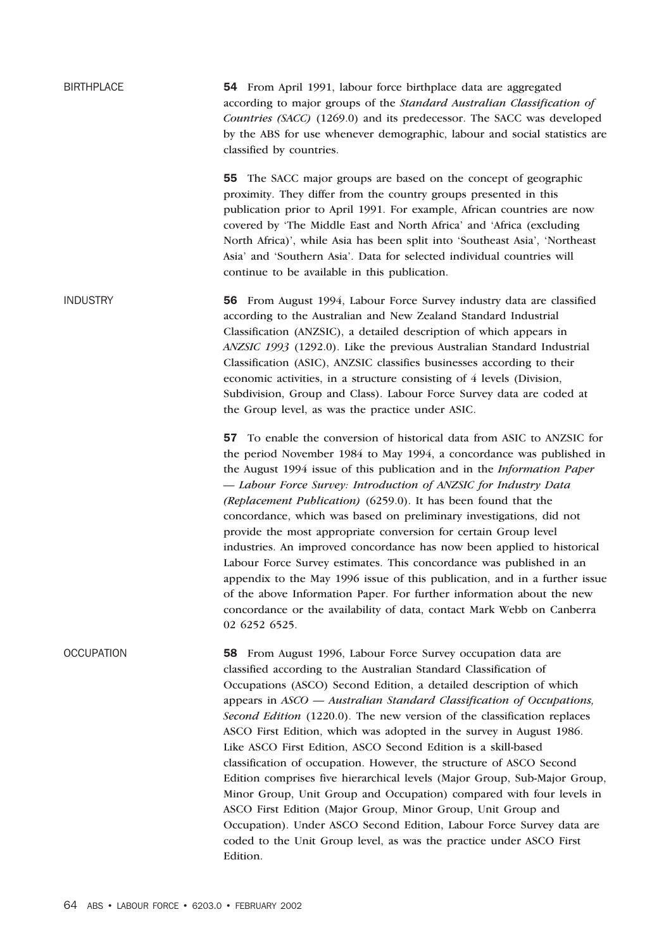BIRTHPLACE 54 From April 1991, labour force birthplace data are aggregated according to major groups of the *Standard Australian Classification of Countries (SACC)* (1269.0) and its predecessor. The SACC was developed by the ABS for use whenever demographic, labour and social statistics are classified by countries. 55 The SACC major groups are based on the concept of geographic proximity. They differ from the country groups presented in this publication prior to April 1991. For example, African countries are now covered by 'The Middle East and North Africa' and 'Africa (excluding North Africa)', while Asia has been split into 'Southeast Asia', 'Northeast Asia' and 'Southern Asia'. Data for selected individual countries will continue to be available in this publication. INDUSTRY 56 From August 1994, Labour Force Survey industry data are classified according to the Australian and New Zealand Standard Industrial Classification (ANZSIC), a detailed description of which appears in *ANZSIC 1993* (1292.0). Like the previous Australian Standard Industrial Classification (ASIC), ANZSIC classifies businesses according to their economic activities, in a structure consisting of 4 levels (Division, Subdivision, Group and Class). Labour Force Survey data are coded at the Group level, as was the practice under ASIC. 57 To enable the conversion of historical data from ASIC to ANZSIC for the period November 1984 to May 1994, a concordance was published in the August 1994 issue of this publication and in the *Information Paper — Labour Force Survey: Introduction of ANZSIC for Industry Data (Replacement Publication)* (6259.0). It has been found that the concordance, which was based on preliminary investigations, did not provide the most appropriate conversion for certain Group level industries. An improved concordance has now been applied to historical Labour Force Survey estimates. This concordance was published in an appendix to the May 1996 issue of this publication, and in a further issue of the above Information Paper. For further information about the new concordance or the availability of data, contact Mark Webb on Canberra 02 6252 6525. OCCUPATION 58 From August 1996, Labour Force Survey occupation data are classified according to the Australian Standard Classification of Occupations (ASCO) Second Edition, a detailed description of which appears in *ASCO — Australian Standard Classification of Occupations, Second Edition* (1220.0). The new version of the classification replaces ASCO First Edition, which was adopted in the survey in August 1986. Like ASCO First Edition, ASCO Second Edition is a skill-based classification of occupation. However, the structure of ASCO Second Edition comprises five hierarchical levels (Major Group, Sub-Major Group, Minor Group, Unit Group and Occupation) compared with four levels in ASCO First Edition (Major Group, Minor Group, Unit Group and Occupation). Under ASCO Second Edition, Labour Force Survey data are coded to the Unit Group level, as was the practice under ASCO First Edition.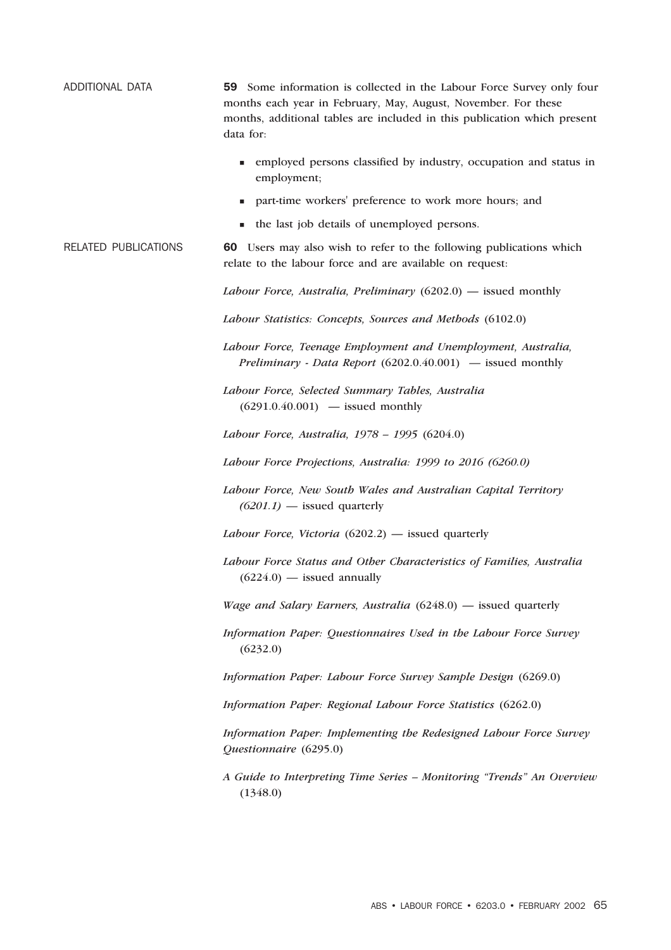| ADDITIONAL DATA             | 59 Some information is collected in the Labour Force Survey only four<br>months each year in February, May, August, November. For these<br>months, additional tables are included in this publication which present<br>data for: |
|-----------------------------|----------------------------------------------------------------------------------------------------------------------------------------------------------------------------------------------------------------------------------|
|                             | • employed persons classified by industry, occupation and status in<br>employment;                                                                                                                                               |
|                             | part-time workers' preference to work more hours; and                                                                                                                                                                            |
|                             | the last job details of unemployed persons.                                                                                                                                                                                      |
| <b>RELATED PUBLICATIONS</b> | 60 Users may also wish to refer to the following publications which<br>relate to the labour force and are available on request:                                                                                                  |
|                             | Labour Force, Australia, Preliminary $(6202.0)$ — issued monthly                                                                                                                                                                 |
|                             | Labour Statistics: Concepts, Sources and Methods (6102.0)                                                                                                                                                                        |
|                             | Labour Force, Teenage Employment and Unemployment, Australia,<br>Preliminary - Data Report (6202.0.40.001) - issued monthly                                                                                                      |
|                             | Labour Force, Selected Summary Tables, Australia<br>$(6291.0.40.001)$ - issued monthly                                                                                                                                           |
|                             | Labour Force, Australia, 1978 - 1995 (6204.0)                                                                                                                                                                                    |
|                             | Labour Force Projections, Australia: 1999 to 2016 (6260.0)                                                                                                                                                                       |
|                             | Labour Force, New South Wales and Australian Capital Territory<br>$(6201.1)$ - issued quarterly                                                                                                                                  |
|                             | Labour Force, Victoria $(6202.2)$ — issued quarterly                                                                                                                                                                             |
|                             | Labour Force Status and Other Characteristics of Families, Australia<br>$(6224.0)$ — issued annually                                                                                                                             |
|                             | <i>Wage and Salary Earners, Australia</i> $(6248.0)$ — issued quarterly                                                                                                                                                          |
|                             | Information Paper: Questionnaires Used in the Labour Force Survey<br>(6232.0)                                                                                                                                                    |
|                             | Information Paper: Labour Force Survey Sample Design (6269.0)                                                                                                                                                                    |
|                             | Information Paper: Regional Labour Force Statistics (6262.0)                                                                                                                                                                     |
|                             | Information Paper: Implementing the Redesigned Labour Force Survey<br>Questionnaire (6295.0)                                                                                                                                     |
|                             | A Guide to Interpreting Time Series - Monitoring "Trends" An Overview<br>(1348.0)                                                                                                                                                |
|                             |                                                                                                                                                                                                                                  |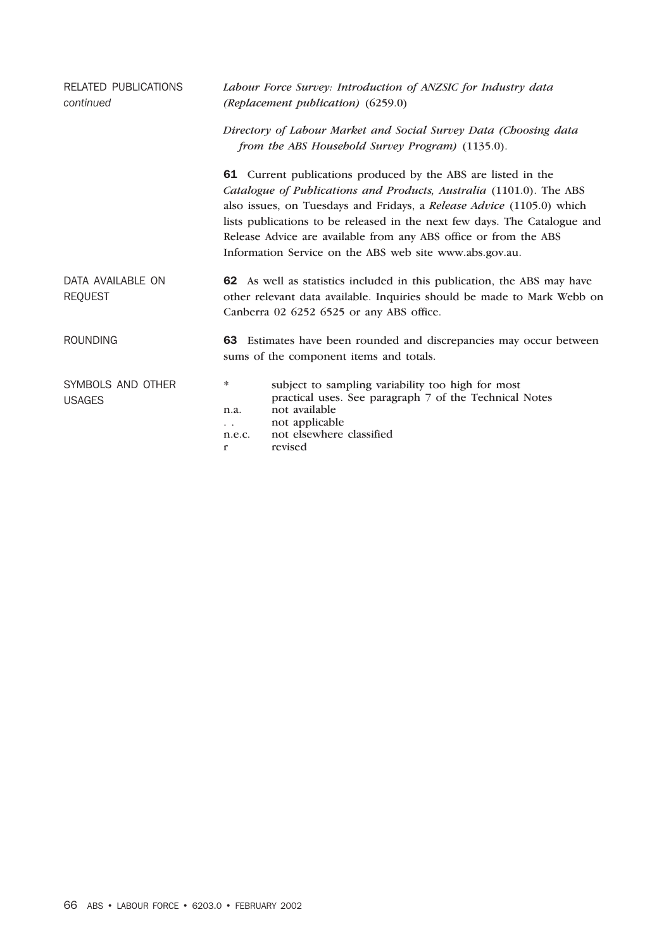| <b>RELATED PUBLICATIONS</b><br>continued | Labour Force Survey: Introduction of ANZSIC for Industry data<br>(Replacement publication) (6259.0)                                                                                                                                                                                                                                                                                                                       |  |  |  |  |  |
|------------------------------------------|---------------------------------------------------------------------------------------------------------------------------------------------------------------------------------------------------------------------------------------------------------------------------------------------------------------------------------------------------------------------------------------------------------------------------|--|--|--|--|--|
|                                          | Directory of Labour Market and Social Survey Data (Choosing data<br>from the ABS Household Survey Program) (1135.0).                                                                                                                                                                                                                                                                                                      |  |  |  |  |  |
|                                          | 61 Current publications produced by the ABS are listed in the<br>Catalogue of Publications and Products, Australia (1101.0). The ABS<br>also issues, on Tuesdays and Fridays, a Release Advice (1105.0) which<br>lists publications to be released in the next few days. The Catalogue and<br>Release Advice are available from any ABS office or from the ABS<br>Information Service on the ABS web site www.abs.gov.au. |  |  |  |  |  |
| DATA AVAILABLE ON<br><b>REQUEST</b>      | 62 As well as statistics included in this publication, the ABS may have<br>other relevant data available. Inquiries should be made to Mark Webb on<br>Canberra 02 6252 6525 or any ABS office.                                                                                                                                                                                                                            |  |  |  |  |  |
| <b>ROUNDING</b>                          | 63 Estimates have been rounded and discrepancies may occur between<br>sums of the component items and totals.                                                                                                                                                                                                                                                                                                             |  |  |  |  |  |
| SYMBOLS AND OTHER<br><b>USAGES</b>       | subject to sampling variability too high for most<br>∗<br>practical uses. See paragraph 7 of the Technical Notes<br>not available<br>n.a.<br>not applicable<br>$\ddotsc$<br>not elsewhere classified<br>n.e.c.<br>revised<br>r                                                                                                                                                                                            |  |  |  |  |  |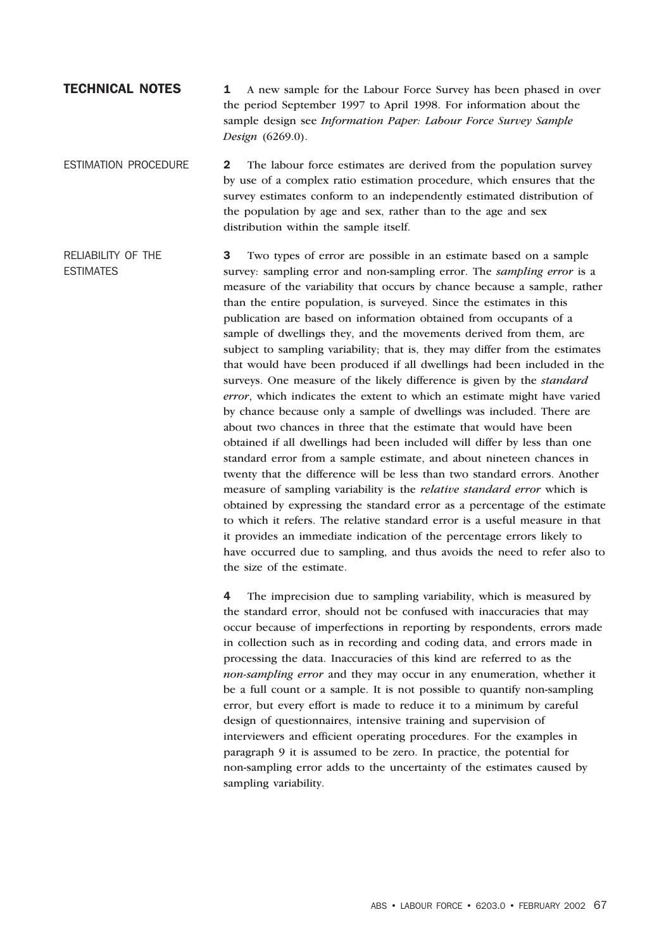# **TECHNICAL NOTES** 1 A new sample for the Labour Force Survey has been phased in over the period September 1997 to April 1998. For information about the sample design see *Information Paper: Labour Force Survey Sample Design* (6269.0).

ESTIMATION PROCEDURE 2 The labour force estimates are derived from the population survey by use of a complex ratio estimation procedure, which ensures that the survey estimates conform to an independently estimated distribution of the population by age and sex, rather than to the age and sex distribution within the sample itself.

RELIABILITY OF THE ESTIMATES 3 Two types of error are possible in an estimate based on a sample survey: sampling error and non-sampling error. The *sampling error* is a measure of the variability that occurs by chance because a sample, rather than the entire population, is surveyed. Since the estimates in this publication are based on information obtained from occupants of a sample of dwellings they, and the movements derived from them, are subject to sampling variability; that is, they may differ from the estimates that would have been produced if all dwellings had been included in the surveys. One measure of the likely difference is given by the *standard error*, which indicates the extent to which an estimate might have varied by chance because only a sample of dwellings was included. There are about two chances in three that the estimate that would have been obtained if all dwellings had been included will differ by less than one standard error from a sample estimate, and about nineteen chances in twenty that the difference will be less than two standard errors. Another measure of sampling variability is the *relative standard error* which is obtained by expressing the standard error as a percentage of the estimate to which it refers. The relative standard error is a useful measure in that it provides an immediate indication of the percentage errors likely to have occurred due to sampling, and thus avoids the need to refer also to the size of the estimate.

> 4 The imprecision due to sampling variability, which is measured by the standard error, should not be confused with inaccuracies that may occur because of imperfections in reporting by respondents, errors made in collection such as in recording and coding data, and errors made in processing the data. Inaccuracies of this kind are referred to as the *non-sampling error* and they may occur in any enumeration, whether it be a full count or a sample. It is not possible to quantify non-sampling error, but every effort is made to reduce it to a minimum by careful design of questionnaires, intensive training and supervision of interviewers and efficient operating procedures. For the examples in paragraph 9 it is assumed to be zero. In practice, the potential for non-sampling error adds to the uncertainty of the estimates caused by sampling variability.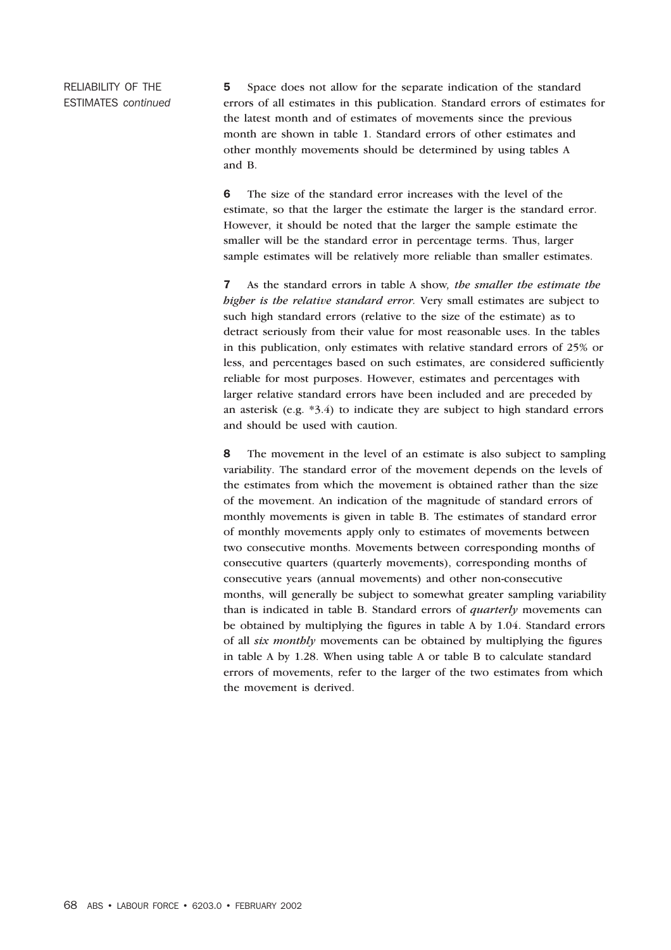RELIABILITY OF THE ESTIMATES *continued* 5 Space does not allow for the separate indication of the standard errors of all estimates in this publication. Standard errors of estimates for the latest month and of estimates of movements since the previous month are shown in table 1. Standard errors of other estimates and other monthly movements should be determined by using tables A and B.

6 The size of the standard error increases with the level of the estimate, so that the larger the estimate the larger is the standard error. However, it should be noted that the larger the sample estimate the smaller will be the standard error in percentage terms. Thus, larger sample estimates will be relatively more reliable than smaller estimates.

7 As the standard errors in table A show*, the smaller the estimate the higher is the relative standard error.* Very small estimates are subject to such high standard errors (relative to the size of the estimate) as to detract seriously from their value for most reasonable uses. In the tables in this publication, only estimates with relative standard errors of 25% or less, and percentages based on such estimates, are considered sufficiently reliable for most purposes. However, estimates and percentages with larger relative standard errors have been included and are preceded by an asterisk (e.g. \*3.4) to indicate they are subject to high standard errors and should be used with caution.

8 The movement in the level of an estimate is also subject to sampling variability. The standard error of the movement depends on the levels of the estimates from which the movement is obtained rather than the size of the movement. An indication of the magnitude of standard errors of monthly movements is given in table B. The estimates of standard error of monthly movements apply only to estimates of movements between two consecutive months. Movements between corresponding months of consecutive quarters (quarterly movements), corresponding months of consecutive years (annual movements) and other non-consecutive months, will generally be subject to somewhat greater sampling variability than is indicated in table B. Standard errors of *quarterly* movements can be obtained by multiplying the figures in table A by 1.04. Standard errors of all *six monthly* movements can be obtained by multiplying the figures in table A by 1.28. When using table A or table B to calculate standard errors of movements, refer to the larger of the two estimates from which the movement is derived.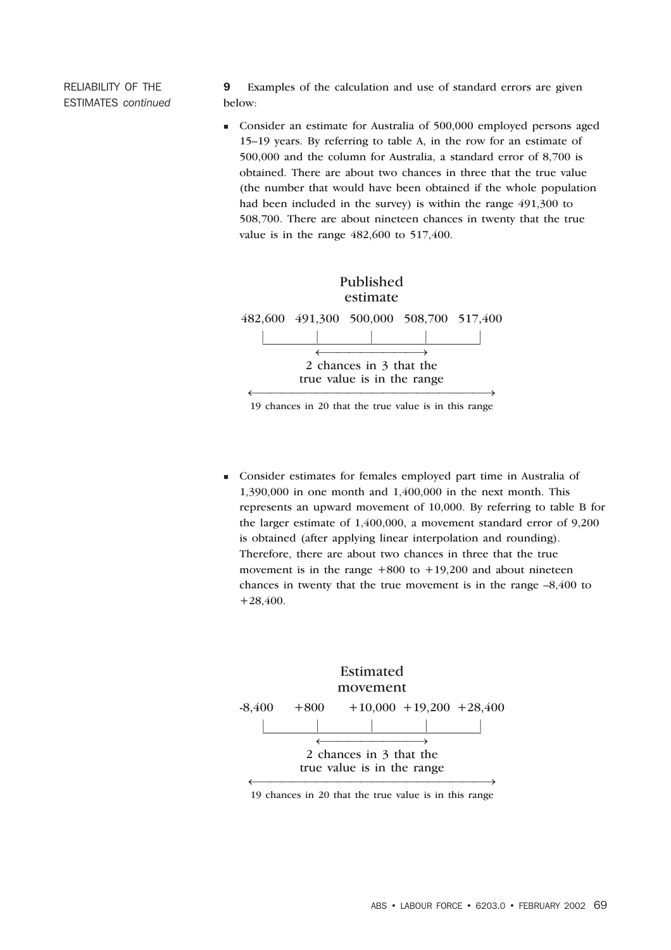RELIABILITY OF THE ESTIMATES *continued*

9 Examples of the calculation and use of standard errors are given below:

 Consider an estimate for Australia of 500,000 employed persons aged 15–19 years. By referring to table A, in the row for an estimate of 500,000 and the column for Australia, a standard error of 8,700 is obtained. There are about two chances in three that the true value (the number that would have been obtained if the whole population had been included in the survey) is within the range 491,300 to 508,700. There are about nineteen chances in twenty that the true value is in the range 482,600 to 517,400.



19 chances in 20 that the true value is in this range

 Consider estimates for females employed part time in Australia of 1,390,000 in one month and 1,400,000 in the next month. This represents an upward movement of 10,000. By referring to table B for the larger estimate of 1,400,000, a movement standard error of 9,200 is obtained (after applying linear interpolation and rounding). Therefore, there are about two chances in three that the true movement is in the range  $+800$  to  $+19,200$  and about nineteen chances in twenty that the true movement is in the range –8,400 to +28,400.



19 chances in 20 that the true value is in this range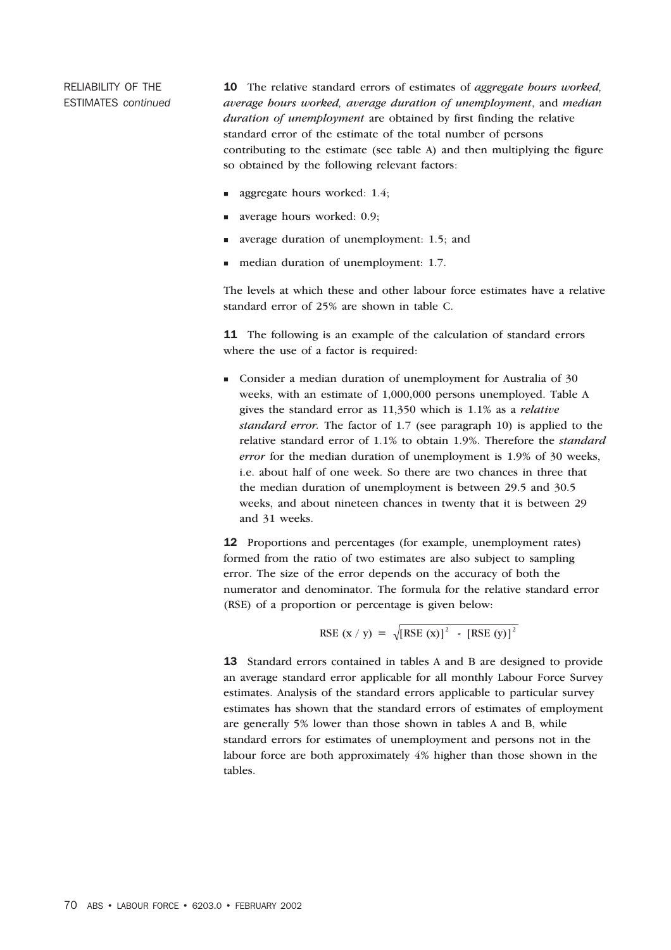RELIABILITY OF THE ESTIMATES *continued*

10 The relative standard errors of estimates of *aggregate hours worked, average hours worked, average duration of unemployment*, and *median duration of unemployment* are obtained by first finding the relative standard error of the estimate of the total number of persons contributing to the estimate (see table A) and then multiplying the figure so obtained by the following relevant factors:

- aggregate hours worked: 1.4;
- average hours worked: 0.9;
- average duration of unemployment: 1.5; and
- median duration of unemployment: 1.7.

The levels at which these and other labour force estimates have a relative standard error of 25% are shown in table C.

11 The following is an example of the calculation of standard errors where the use of a factor is required:

 Consider a median duration of unemployment for Australia of 30 weeks, with an estimate of 1,000,000 persons unemployed. Table A gives the standard error as 11,350 which is 1.1% as a *relative standard error.* The factor of 1.7 (see paragraph 10) is applied to the relative standard error of 1.1% to obtain 1.9%. Therefore the *standard error* for the median duration of unemployment is 1.9% of 30 weeks, i.e. about half of one week. So there are two chances in three that the median duration of unemployment is between 29.5 and 30.5 weeks, and about nineteen chances in twenty that it is between 29 and 31 weeks.

12 Proportions and percentages (for example, unemployment rates) formed from the ratio of two estimates are also subject to sampling error. The size of the error depends on the accuracy of both the numerator and denominator. The formula for the relative standard error (RSE) of a proportion or percentage is given below:

$$
RSE (x / y) = \sqrt{[RSE (x)]^{2} - [RSE (y)]^{2}}
$$

13 Standard errors contained in tables A and B are designed to provide an average standard error applicable for all monthly Labour Force Survey estimates. Analysis of the standard errors applicable to particular survey estimates has shown that the standard errors of estimates of employment are generally 5% lower than those shown in tables A and B, while standard errors for estimates of unemployment and persons not in the labour force are both approximately 4% higher than those shown in the tables.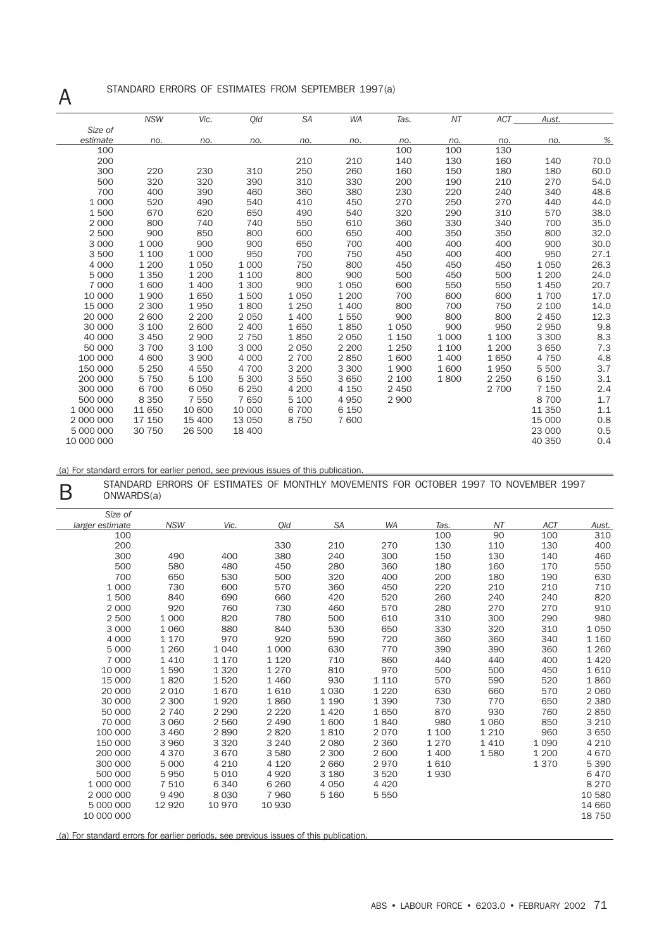# A STANDARD ERRORS OF ESTIMATES FROM SEPTEMBER 1997(a)

|            | <b>NSW</b> | Vic.    | Qld     | <b>SA</b> | <b>WA</b> | Tas.    | ΝT      | <b>ACT</b> | Aust.   |      |
|------------|------------|---------|---------|-----------|-----------|---------|---------|------------|---------|------|
| Size of    |            |         |         |           |           |         |         |            |         |      |
| estimate   | no.        | no.     | no.     | no.       | no.       | no.     | no.     | no.        | no.     | %    |
| 100        |            |         |         |           |           | 100     | 100     | 130        |         |      |
| 200        |            |         |         | 210       | 210       | 140     | 130     | 160        | 140     | 70.0 |
| 300        | 220        | 230     | 310     | 250       | 260       | 160     | 150     | 180        | 180     | 60.0 |
| 500        | 320        | 320     | 390     | 310       | 330       | 200     | 190     | 210        | 270     | 54.0 |
| 700        | 400        | 390     | 460     | 360       | 380       | 230     | 220     | 240        | 340     | 48.6 |
| 1 0 0 0    | 520        | 490     | 540     | 410       | 450       | 270     | 250     | 270        | 440     | 44.0 |
| 1500       | 670        | 620     | 650     | 490       | 540       | 320     | 290     | 310        | 570     | 38.0 |
| 2 0 0 0    | 800        | 740     | 740     | 550       | 610       | 360     | 330     | 340        | 700     | 35.0 |
| 2 500      | 900        | 850     | 800     | 600       | 650       | 400     | 350     | 350        | 800     | 32.0 |
| 3 0 0 0    | 1 0 0 0    | 900     | 900     | 650       | 700       | 400     | 400     | 400        | 900     | 30.0 |
| 3500       | 1 100      | 1 0 0 0 | 950     | 700       | 750       | 450     | 400     | 400        | 950     | 27.1 |
| 4 0 0 0    | 1 200      | 1 0 5 0 | 1 0 0 0 | 750       | 800       | 450     | 450     | 450        | 1 0 5 0 | 26.3 |
| 5 0 0 0    | 1 3 5 0    | 1 200   | 1 100   | 800       | 900       | 500     | 450     | 500        | 1 200   | 24.0 |
| 7 000      | 1 600      | 1 400   | 1 300   | 900       | 1 0 5 0   | 600     | 550     | 550        | 1450    | 20.7 |
| 10 000     | 1 900      | 1650    | 1500    | 1 0 5 0   | 1 200     | 700     | 600     | 600        | 1700    | 17.0 |
| 15 000     | 2 300      | 1950    | 1800    | 1 2 5 0   | 1 400     | 800     | 700     | 750        | 2 100   | 14.0 |
| 20 000     | 2 600      | 2 200   | 2 0 5 0 | 1 400     | 1550      | 900     | 800     | 800        | 2 4 5 0 | 12.3 |
| 30 000     | 3 100      | 2 600   | 2 400   | 1650      | 1850      | 1050    | 900     | 950        | 2950    | 9.8  |
| 40 000     | 3 4 5 0    | 2 900   | 2 7 5 0 | 1850      | 2 0 5 0   | 1 1 5 0 | 1 0 0 0 | 1 100      | 3 3 0 0 | 8.3  |
| 50 000     | 3 700      | 3 100   | 3 0 0 0 | 2050      | 2 2 0 0   | 1 2 5 0 | 1 100   | 1 200      | 3 6 5 0 | 7.3  |
| 100 000    | 4 600      | 3 900   | 4 0 0 0 | 2 700     | 2850      | 1600    | 1 400   | 1650       | 4 7 5 0 | 4.8  |
| 150 000    | 5 2 5 0    | 4 5 5 0 | 4 700   | 3 2 0 0   | 3 3 0 0   | 1900    | 1600    | 1950       | 5 500   | 3.7  |
| 200 000    | 5 7 5 0    | 5 100   | 5 300   | 3550      | 3650      | 2 100   | 1800    | 2 2 5 0    | 6 1 5 0 | 3.1  |
| 300 000    | 6 700      | 6 0 5 0 | 6 2 5 0 | 4 200     | 4 150     | 2 4 5 0 |         | 2 700      | 7 1 5 0 | 2.4  |
| 500 000    | 8 3 5 0    | 7 5 5 0 | 7650    | 5 100     | 4950      | 2 9 0 0 |         |            | 8700    | 1.7  |
| 1 000 000  | 11 650     | 10 600  | 10 000  | 6700      | 6 150     |         |         |            | 11 350  | 1.1  |
| 2 000 000  | 17 150     | 15 400  | 13 0 50 | 8750      | 7 600     |         |         |            | 15 000  | 0.8  |
| 5 000 000  | 30 750     | 26 500  | 18 400  |           |           |         |         |            | 23 000  | 0.5  |
| 10 000 000 |            |         |         |           |           |         |         |            | 40 350  | 0.4  |

(a) For standard errors for earlier period, see previous issues of this publication.

STANDARD ERRORS OF ESTIMATES OF MONTHLY MOVEMENTS FOR OCTOBER 1997 TO NOVEMBER 1997 ONWARDS(a) ONWARDS(a)

| Size of         |            |         |         |           |           |         |         |            |         |
|-----------------|------------|---------|---------|-----------|-----------|---------|---------|------------|---------|
| larger estimate | <b>NSW</b> | Vic.    | Qld     | <b>SA</b> | <b>WA</b> | Tas.    | NT      | <b>ACT</b> | Aust.   |
| 100             |            |         |         |           |           | 100     | 90      | 100        | 310     |
| 200             |            |         | 330     | 210       | 270       | 130     | 110     | 130        | 400     |
| 300             | 490        | 400     | 380     | 240       | 300       | 150     | 130     | 140        | 460     |
| 500             | 580        | 480     | 450     | 280       | 360       | 180     | 160     | 170        | 550     |
| 700             | 650        | 530     | 500     | 320       | 400       | 200     | 180     | 190        | 630     |
| 1 0 0 0         | 730        | 600     | 570     | 360       | 450       | 220     | 210     | 210        | 710     |
| 1500            | 840        | 690     | 660     | 420       | 520       | 260     | 240     | 240        | 820     |
| 2 0 0 0         | 920        | 760     | 730     | 460       | 570       | 280     | 270     | 270        | 910     |
| 2 500           | 1 0 0 0    | 820     | 780     | 500       | 610       | 310     | 300     | 290        | 980     |
| 3 0 0 0         | 1 0 6 0    | 880     | 840     | 530       | 650       | 330     | 320     | 310        | 1 0 5 0 |
| 4 0 0 0         | 1 1 7 0    | 970     | 920     | 590       | 720       | 360     | 360     | 340        | 1 1 6 0 |
| 5 0 0 0         | 1 2 6 0    | 1 0 4 0 | 1 0 0 0 | 630       | 770       | 390     | 390     | 360        | 1 2 6 0 |
| 7 0 0 0         | 1 4 1 0    | 1 170   | 1 1 2 0 | 710       | 860       | 440     | 440     | 400        | 1 4 2 0 |
| 10 000          | 1590       | 1 3 2 0 | 1 2 7 0 | 810       | 970       | 500     | 500     | 450        | 1610    |
| 15 000          | 1820       | 1520    | 1 4 6 0 | 930       | 1 1 1 0   | 570     | 590     | 520        | 1860    |
| 20 000          | 2 0 1 0    | 1670    | 1610    | 1 0 3 0   | 1 2 2 0   | 630     | 660     | 570        | 2 0 6 0 |
| 30 000          | 2 300      | 1920    | 1860    | 1 1 9 0   | 1 3 9 0   | 730     | 770     | 650        | 2 3 8 0 |
| 50 000          | 2 7 4 0    | 2 2 9 0 | 2 2 2 0 | 1 4 2 0   | 1650      | 870     | 930     | 760        | 2850    |
| 70 000          | 3 0 6 0    | 2 5 6 0 | 2 4 9 0 | 1 600     | 1840      | 980     | 1 0 6 0 | 850        | 3 2 1 0 |
| 100 000         | 3 4 6 0    | 2890    | 2820    | 1810      | 2070      | 1 100   | 1 2 1 0 | 960        | 3 6 5 0 |
| 150 000         | 3 9 6 0    | 3 3 2 0 | 3 2 4 0 | 2 0 8 0   | 2 3 6 0   | 1 2 7 0 | 1410    | 1 0 9 0    | 4 2 1 0 |
| 200 000         | 4 3 7 0    | 3670    | 3580    | 2 300     | 2 600     | 1 400   | 1580    | 1 200      | 4670    |
| 300 000         | 5 0 0 0    | 4 2 1 0 | 4 1 2 0 | 2 6 6 0   | 2970      | 1610    |         | 1370       | 5 3 9 0 |
| 500 000         | 5950       | 5010    | 4920    | 3 1 8 0   | 3520      | 1930    |         |            | 6470    |
| 1 000 000       | 7 510      | 6 3 4 0 | 6 2 6 0 | 4 0 5 0   | 4 4 2 0   |         |         |            | 8 2 7 0 |
| 2 000 000       | 9 4 9 0    | 8 0 3 0 | 7960    | 5 1 6 0   | 5 5 5 0   |         |         |            | 10 580  |
| 5 000 000       | 12 9 20    | 10 970  | 10 930  |           |           |         |         |            | 14 660  |
| 10 000 000      |            |         |         |           |           |         |         |            | 18 750  |
|                 |            |         |         |           |           |         |         |            |         |

(a) For standard errors for earlier periods, see previous issues of this publication.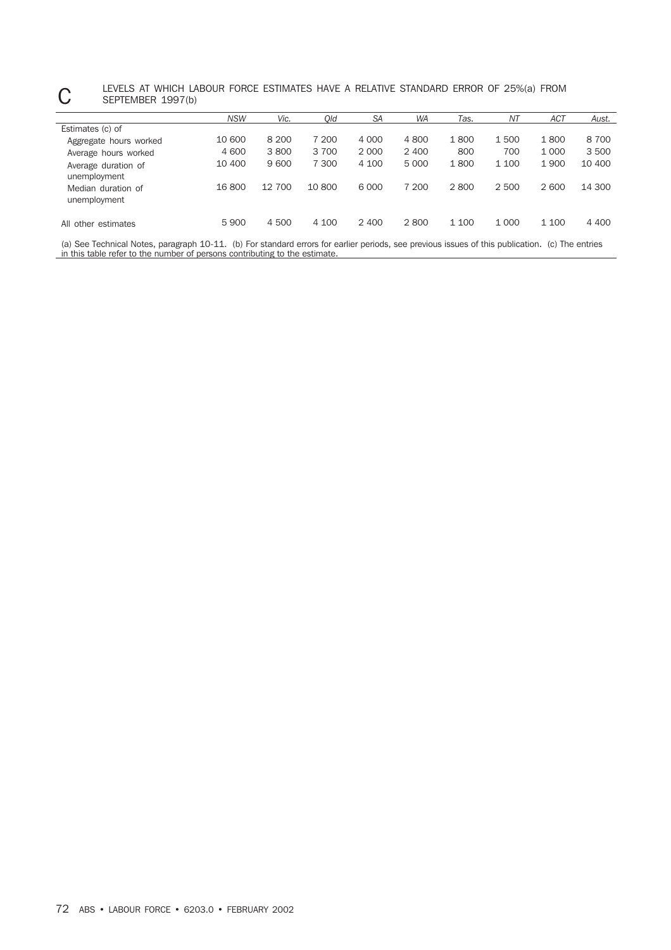## C LEVELS AT WHICH LABOUR FORCE ESTIMATES HAVE A RELATIVE STANDARD ERROR OF 25%(a) FROM<br>SEPTEMBER 1997(b) SEPTEMBER 1997(b)

|                                     | <b>NSW</b> | Vic.    | Old    | <b>SA</b> | <b>WA</b> | Tas.  | NΤ      | ACT     | Aust.   |
|-------------------------------------|------------|---------|--------|-----------|-----------|-------|---------|---------|---------|
| Estimates (c) of                    |            |         |        |           |           |       |         |         |         |
| Aggregate hours worked              | 10 600     | 8 2 0 0 | 7 200  | 4 0 0 0   | 4800      | 1800  | 1500    | 1800    | 8700    |
| Average hours worked                | 4 600      | 3800    | 3 700  | 2 0 0 0   | 2 4 0 0   | 800   | 700     | 1 0 0 0 | 3500    |
| Average duration of<br>unemployment | 10 400     | 9600    | 7 300  | 4 100     | 5 0 0 0   | 1800  | 1 100   | 1 9 0 0 | 10 400  |
| Median duration of<br>unemployment  | 16 800     | 12 700  | 10 800 | 6 0 0 0   | 7 200     | 2800  | 2 500   | 2 600   | 14 300  |
| All other estimates                 | 5 9 0 0    | 4 500   | 4 100  | 2 400     | 2800      | 1 100 | 1 0 0 0 | 1 100   | 4 4 0 0 |

(a) See Technical Notes, paragraph 10-11. (b) For standard errors for earlier periods, see previous issues of this publication. (c) The entries in this table refer to the number of persons contributing to the estimate.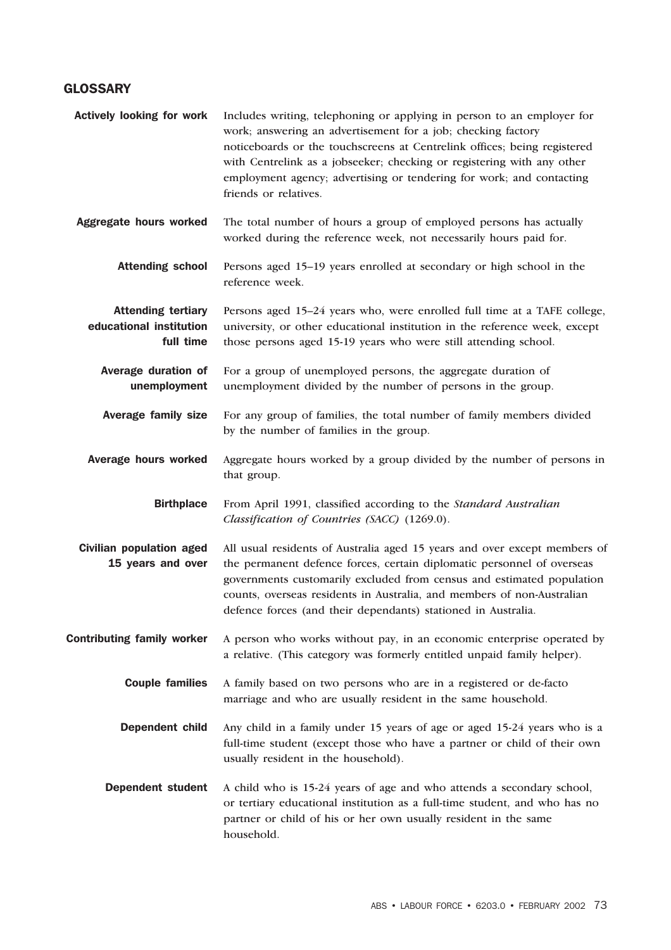### **GLOSSARY**

| <b>Actively looking for work</b>                                  | Includes writing, telephoning or applying in person to an employer for<br>work; answering an advertisement for a job; checking factory<br>noticeboards or the touchscreens at Centrelink offices; being registered<br>with Centrelink as a jobseeker; checking or registering with any other<br>employment agency; advertising or tendering for work; and contacting<br>friends or relatives. |
|-------------------------------------------------------------------|-----------------------------------------------------------------------------------------------------------------------------------------------------------------------------------------------------------------------------------------------------------------------------------------------------------------------------------------------------------------------------------------------|
| Aggregate hours worked                                            | The total number of hours a group of employed persons has actually<br>worked during the reference week, not necessarily hours paid for.                                                                                                                                                                                                                                                       |
| <b>Attending school</b>                                           | Persons aged 15-19 years enrolled at secondary or high school in the<br>reference week.                                                                                                                                                                                                                                                                                                       |
| <b>Attending tertiary</b><br>educational institution<br>full time | Persons aged 15-24 years who, were enrolled full time at a TAFE college,<br>university, or other educational institution in the reference week, except<br>those persons aged 15-19 years who were still attending school.                                                                                                                                                                     |
| Average duration of<br>unemployment                               | For a group of unemployed persons, the aggregate duration of<br>unemployment divided by the number of persons in the group.                                                                                                                                                                                                                                                                   |
| <b>Average family size</b>                                        | For any group of families, the total number of family members divided<br>by the number of families in the group.                                                                                                                                                                                                                                                                              |
| Average hours worked                                              | Aggregate hours worked by a group divided by the number of persons in<br>that group.                                                                                                                                                                                                                                                                                                          |
| <b>Birthplace</b>                                                 | From April 1991, classified according to the Standard Australian<br>Classification of Countries (SACC) (1269.0).                                                                                                                                                                                                                                                                              |
| <b>Civilian population aged</b><br>15 years and over              | All usual residents of Australia aged 15 years and over except members of<br>the permanent defence forces, certain diplomatic personnel of overseas<br>governments customarily excluded from census and estimated population<br>counts, overseas residents in Australia, and members of non-Australian<br>defence forces (and their dependants) stationed in Australia.                       |
| <b>Contributing family worker</b>                                 | A person who works without pay, in an economic enterprise operated by<br>a relative. (This category was formerly entitled unpaid family helper).                                                                                                                                                                                                                                              |
| <b>Couple families</b>                                            | A family based on two persons who are in a registered or de-facto<br>marriage and who are usually resident in the same household.                                                                                                                                                                                                                                                             |
| <b>Dependent child</b>                                            | Any child in a family under 15 years of age or aged 15-24 years who is a<br>full-time student (except those who have a partner or child of their own<br>usually resident in the household).                                                                                                                                                                                                   |
| <b>Dependent student</b>                                          | A child who is 15-24 years of age and who attends a secondary school,<br>or tertiary educational institution as a full-time student, and who has no<br>partner or child of his or her own usually resident in the same<br>household.                                                                                                                                                          |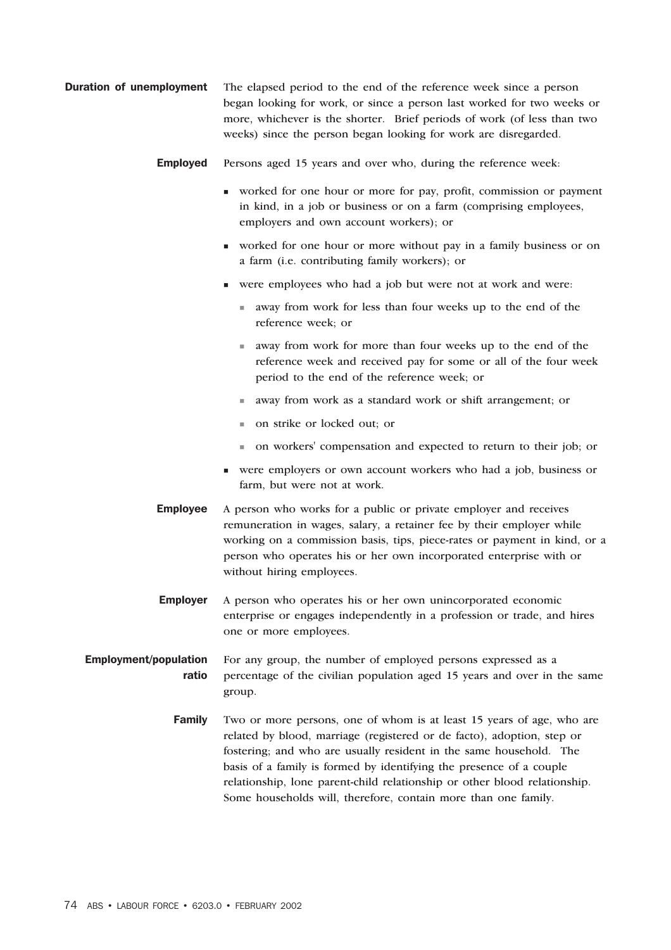- **Duration of unemployment** The elapsed period to the end of the reference week since a person began looking for work, or since a person last worked for two weeks or more, whichever is the shorter. Brief periods of work (of less than two weeks) since the person began looking for work are disregarded.
	- Employed Persons aged 15 years and over who, during the reference week:
		- worked for one hour or more for pay, profit, commission or payment in kind, in a job or business or on a farm (comprising employees, employers and own account workers); or
		- worked for one hour or more without pay in a family business or on a farm (i.e. contributing family workers); or
		- were employees who had a job but were not at work and were:
			- away from work for less than four weeks up to the end of the reference week; or
			- away from work for more than four weeks up to the end of the reference week and received pay for some or all of the four week period to the end of the reference week; or
			- away from work as a standard work or shift arrangement; or
			- on strike or locked out; or
			- on workers' compensation and expected to return to their job; or
		- were employers or own account workers who had a job, business or farm, but were not at work.
	- **Employee** A person who works for a public or private employer and receives remuneration in wages, salary, a retainer fee by their employer while working on a commission basis, tips, piece-rates or payment in kind, or a person who operates his or her own incorporated enterprise with or without hiring employees.
	- Employer A person who operates his or her own unincorporated economic enterprise or engages independently in a profession or trade, and hires one or more employees.

#### Employment/population ratio For any group, the number of employed persons expressed as a percentage of the civilian population aged 15 years and over in the same group.

Family Two or more persons, one of whom is at least 15 years of age, who are related by blood, marriage (registered or de facto), adoption, step or fostering; and who are usually resident in the same household. The basis of a family is formed by identifying the presence of a couple relationship, lone parent-child relationship or other blood relationship. Some households will, therefore, contain more than one family.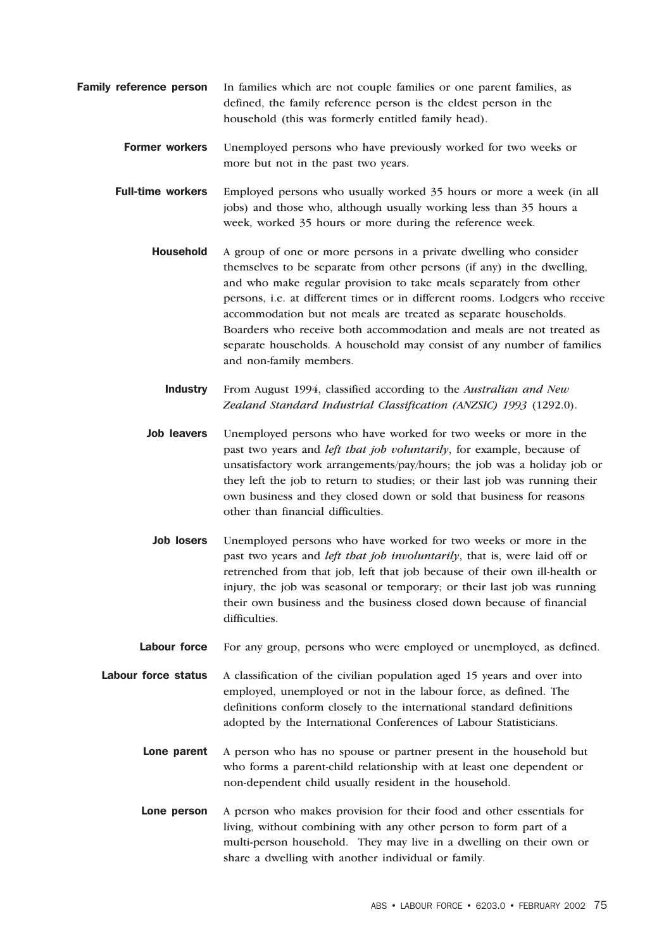- Family reference person In families which are not couple families or one parent families, as defined, the family reference person is the eldest person in the household (this was formerly entitled family head).
	- Former workers Unemployed persons who have previously worked for two weeks or more but not in the past two years.
	- Full-time workers Employed persons who usually worked 35 hours or more a week (in all jobs) and those who, although usually working less than 35 hours a week, worked 35 hours or more during the reference week.
		- Household A group of one or more persons in a private dwelling who consider themselves to be separate from other persons (if any) in the dwelling, and who make regular provision to take meals separately from other persons, i.e. at different times or in different rooms. Lodgers who receive accommodation but not meals are treated as separate households. Boarders who receive both accommodation and meals are not treated as separate households. A household may consist of any number of families and non-family members.
			- Industry From August 1994, classified according to the *Australian and New Zealand Standard Industrial Classification (ANZSIC) 1993* (1292.0).
		- Job leavers Unemployed persons who have worked for two weeks or more in the past two years and *left that job voluntarily*, for example, because of unsatisfactory work arrangements/pay/hours; the job was a holiday job or they left the job to return to studies; or their last job was running their own business and they closed down or sold that business for reasons other than financial difficulties.
		- Job losers Unemployed persons who have worked for two weeks or more in the past two years and *left that job involuntarily*, that is, were laid off or retrenched from that job, left that job because of their own ill-health or injury, the job was seasonal or temporary; or their last job was running their own business and the business closed down because of financial difficulties.
		- Labour force For any group, persons who were employed or unemployed, as defined.
	- Labour force status A classification of the civilian population aged 15 years and over into employed, unemployed or not in the labour force, as defined. The definitions conform closely to the international standard definitions adopted by the International Conferences of Labour Statisticians.
		- Lone parent A person who has no spouse or partner present in the household but who forms a parent-child relationship with at least one dependent or non-dependent child usually resident in the household.
		- Lone person A person who makes provision for their food and other essentials for living, without combining with any other person to form part of a multi-person household. They may live in a dwelling on their own or share a dwelling with another individual or family.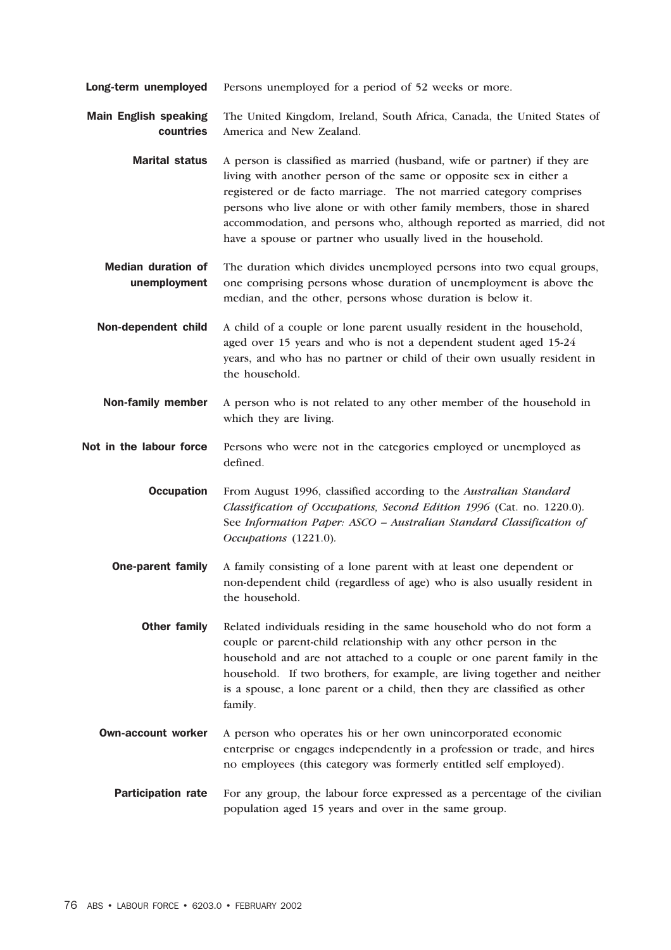**Long-term unemployed** Persons unemployed for a period of 52 weeks or more.

Main English speaking countries The United Kingdom, Ireland, South Africa, Canada, the United States of America and New Zealand.

- Marital status A person is classified as married (husband, wife or partner) if they are living with another person of the same or opposite sex in either a registered or de facto marriage. The not married category comprises persons who live alone or with other family members, those in shared accommodation, and persons who, although reported as married, did not have a spouse or partner who usually lived in the household.
- Median duration of unemployment The duration which divides unemployed persons into two equal groups, one comprising persons whose duration of unemployment is above the median, and the other, persons whose duration is below it.
- Non-dependent child A child of a couple or lone parent usually resident in the household, aged over 15 years and who is not a dependent student aged 15-24 years, and who has no partner or child of their own usually resident in the household.
- Non-family member A person who is not related to any other member of the household in which they are living.
- Not in the labour force Persons who were not in the categories employed or unemployed as defined.

Occupation From August 1996, classified according to the *Australian Standard Classification of Occupations, Second Edition 1996* (Cat. no. 1220.0)*.* See *Information Paper: ASCO – Australian Standard Classification of Occupations* (1221.0)*.*

- **One-parent family** A family consisting of a lone parent with at least one dependent or non-dependent child (regardless of age) who is also usually resident in the household.
	- **Other family** Related individuals residing in the same household who do not form a couple or parent-child relationship with any other person in the household and are not attached to a couple or one parent family in the household. If two brothers, for example, are living together and neither is a spouse, a lone parent or a child, then they are classified as other family.
- Own-account worker A person who operates his or her own unincorporated economic enterprise or engages independently in a profession or trade, and hires no employees (this category was formerly entitled self employed).
	- **Participation rate** For any group, the labour force expressed as a percentage of the civilian population aged 15 years and over in the same group.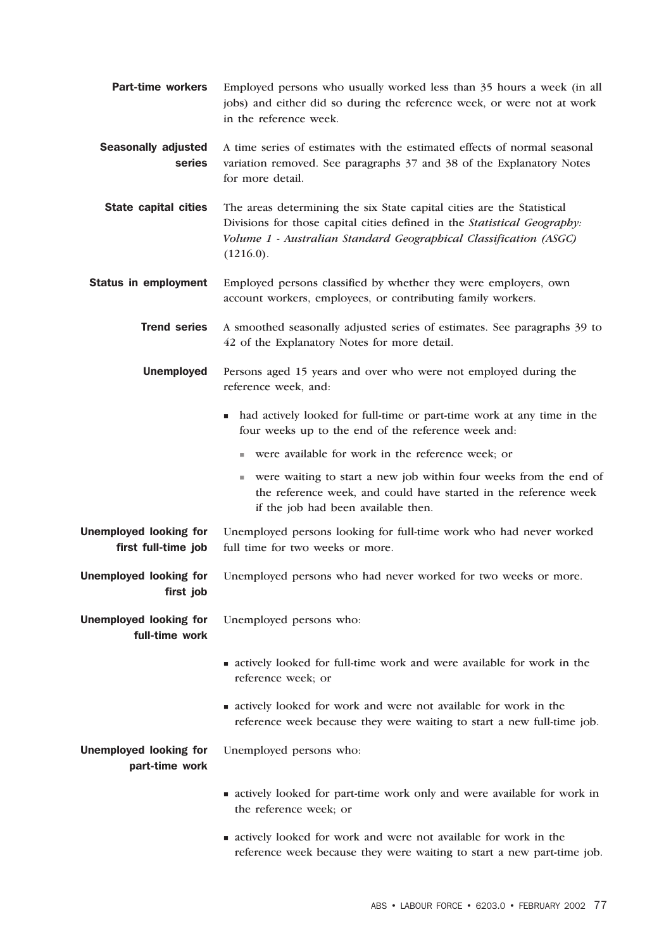**Part-time workers** Employed persons who usually worked less than 35 hours a week (in all jobs) and either did so during the reference week, or were not at work in the reference week. Seasonally adjusted series A time series of estimates with the estimated effects of normal seasonal variation removed. See paragraphs 37 and 38 of the Explanatory Notes for more detail. **State capital cities** The areas determining the six State capital cities are the Statistical Divisions for those capital cities defined in the *Statistical Geography: Volume 1 - Australian Standard Geographical Classification (ASGC)*  $(1216.0).$ Status in employment Employed persons classified by whether they were employers, own account workers, employees, or contributing family workers. Trend series A smoothed seasonally adjusted series of estimates. See paragraphs 39 to 42 of the Explanatory Notes for more detail. Unemployed Persons aged 15 years and over who were not employed during the reference week, and: had actively looked for full-time or part-time work at any time in the four weeks up to the end of the reference week and: were available for work in the reference week; or were waiting to start a new job within four weeks from the end of the reference week, and could have started in the reference week if the job had been available then. Unemployed looking for first full-time job Unemployed persons looking for full-time work who had never worked full time for two weeks or more. Unemployed looking for first job Unemployed persons who had never worked for two weeks or more. Unemployed looking for full-time work Unemployed persons who: actively looked for full-time work and were available for work in the reference week; or actively looked for work and were not available for work in the reference week because they were waiting to start a new full-time job. Unemployed looking for part-time work Unemployed persons who: actively looked for part-time work only and were available for work in the reference week; or actively looked for work and were not available for work in the reference week because they were waiting to start a new part-time job.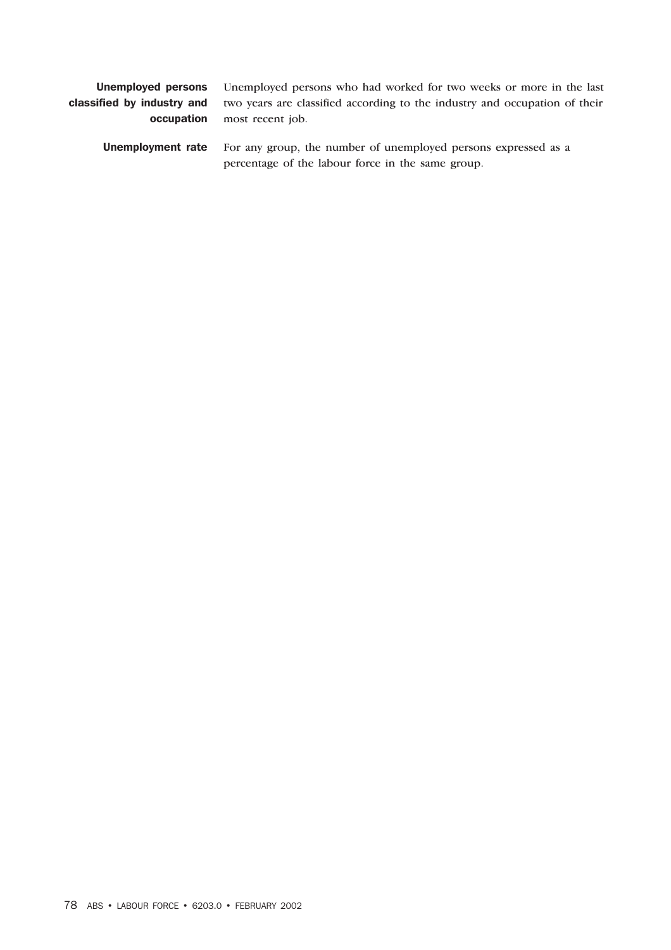| Unemployed persons         | Unemployed persons who had worked for two weeks or more in the last                                                 |
|----------------------------|---------------------------------------------------------------------------------------------------------------------|
| classified by industry and | two years are classified according to the industry and occupation of their                                          |
| occupation                 | most recent job.                                                                                                    |
| Unemployment rate          | For any group, the number of unemployed persons expressed as a<br>percentage of the labour force in the same group. |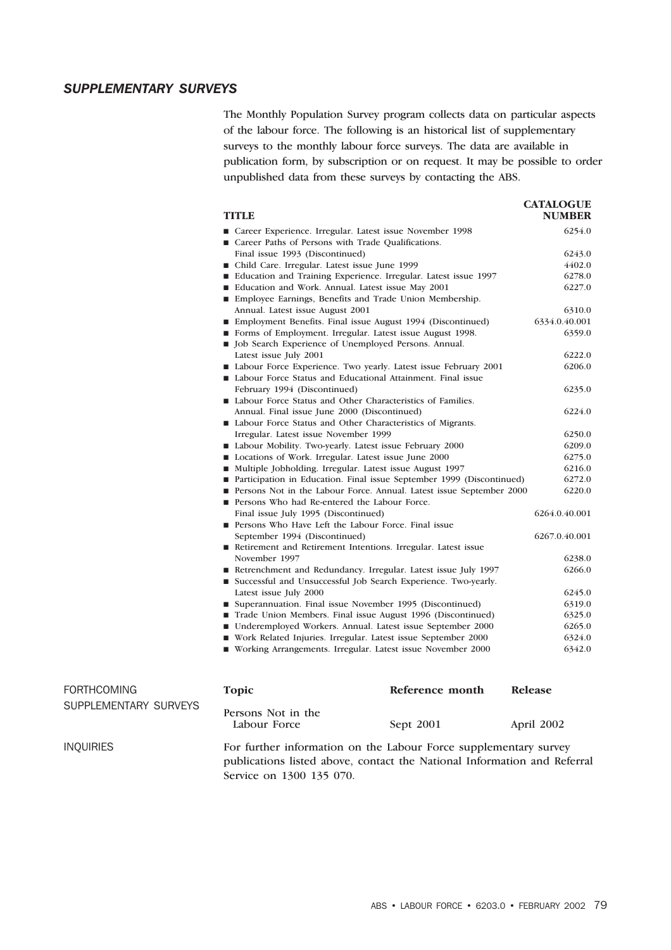### *SUPPLEMENTARY SURVEYS*

The Monthly Population Survey program collects data on particular aspects of the labour force. The following is an historical list of supplementary surveys to the monthly labour force surveys. The data are available in publication form, by subscription or on request. It may be possible to order unpublished data from these surveys by contacting the ABS.

| <b>TITLE</b>                                                                | <b>CATALOGUE</b><br><b>NUMBER</b> |
|-----------------------------------------------------------------------------|-----------------------------------|
| ■ Career Experience. Irregular. Latest issue November 1998                  | 6254.0                            |
| Career Paths of Persons with Trade Qualifications.                          |                                   |
| Final issue 1993 (Discontinued)                                             | 6243.0                            |
| ■ Child Care. Irregular. Latest issue June 1999                             | 4402.0                            |
| ■ Education and Training Experience. Irregular. Latest issue 1997           | 6278.0                            |
| Education and Work. Annual. Latest issue May 2001                           | 6227.0                            |
| Employee Earnings, Benefits and Trade Union Membership.                     |                                   |
| Annual. Latest issue August 2001                                            | 6310.0                            |
| ■ Employment Benefits. Final issue August 1994 (Discontinued)               | 6334.0.40.001                     |
| Forms of Employment. Irregular. Latest issue August 1998.                   | 6359.0                            |
| I Job Search Experience of Unemployed Persons. Annual.                      |                                   |
| Latest issue July 2001                                                      | 6222.0                            |
| Labour Force Experience. Two yearly. Latest issue February 2001             | 6206.0                            |
| Labour Force Status and Educational Attainment. Final issue                 |                                   |
| February 1994 (Discontinued)                                                | 6235.0                            |
| ■ Labour Force Status and Other Characteristics of Families.                |                                   |
| Annual. Final issue June 2000 (Discontinued)                                | 6224.0                            |
| ■ Labour Force Status and Other Characteristics of Migrants.                |                                   |
| Irregular. Latest issue November 1999                                       | 6250.0                            |
| ■ Labour Mobility. Two-yearly. Latest issue February 2000                   | 6209.0                            |
| Locations of Work. Irregular. Latest issue June 2000                        | 6275.0                            |
| ■ Multiple Jobholding. Irregular. Latest issue August 1997                  | 6216.0                            |
| ■ Participation in Education. Final issue September 1999 (Discontinued)     | 6272.0                            |
| <b>Persons Not in the Labour Force. Annual. Latest issue September 2000</b> | 6220.0                            |
| ■ Persons Who had Re-entered the Labour Force.                              |                                   |
| Final issue July 1995 (Discontinued)                                        | 6264.0.40.001                     |
| Persons Who Have Left the Labour Force. Final issue                         |                                   |
| September 1994 (Discontinued)                                               | 6267.0.40.001                     |
| Retirement and Retirement Intentions. Irregular. Latest issue               |                                   |
| November 1997                                                               | 6238.0                            |
| Retrenchment and Redundancy. Irregular. Latest issue July 1997              | 6266.0                            |
| ■ Successful and Unsuccessful Job Search Experience. Two-yearly.            |                                   |
| Latest issue July 2000                                                      | 6245.0                            |
| ■ Superannuation. Final issue November 1995 (Discontinued)                  | 6319.0                            |
| Trade Union Members. Final issue August 1996 (Discontinued)                 | 6325.0                            |
| ■ Underemployed Workers. Annual. Latest issue September 2000                | 6265.0                            |
| ■ Work Related Injuries. Irregular. Latest issue September 2000             | 6324.0                            |
| ■ Working Arrangements. Irregular. Latest issue November 2000               | 6342.0                            |
| Reference month<br><b>Topic</b>                                             | <b>Release</b>                    |

| <b>FORTHCOMING</b>    | <b>Topic</b>                                                     | Reference month | Release    |
|-----------------------|------------------------------------------------------------------|-----------------|------------|
| SUPPLEMENTARY SURVEYS | Persons Not in the<br>Labour Force                               | Sept 2001       | April 2002 |
| INOUIRIES             | For further information on the Labour Force supplementary survey |                 |            |

publications listed above, contact the National Information and Referral Service on 1300 135 070.